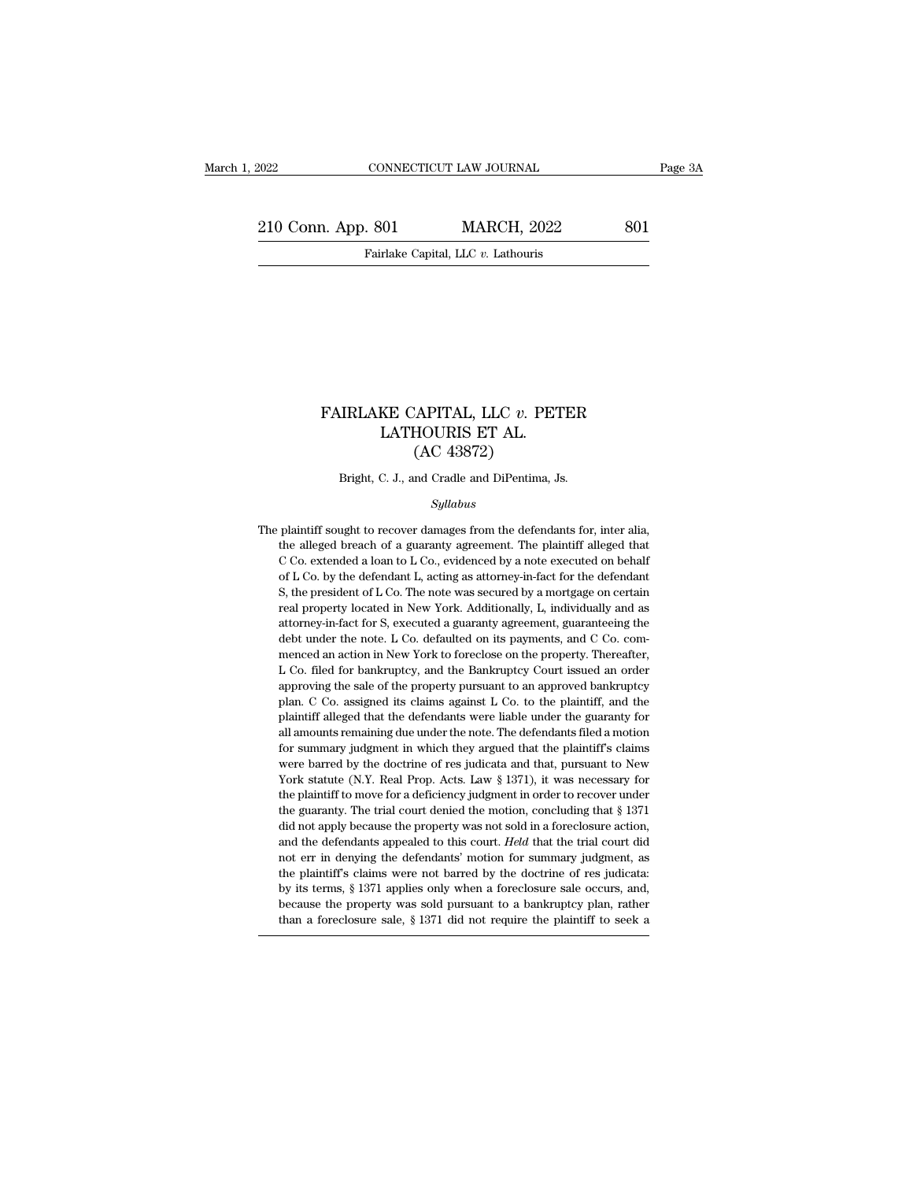EXECTIVE CONNECTICUT LAW JOURNAL Page 3A<br>210 Conn. App. 801 MARCH, 2022 801<br>Fairlake Capital, LLC v. Lathouris EXECTICUT LAW JOURNAL<br>Fairlake Capital, LLC *v.* Lathouris

### FAIRLAKE CAPITAL, LLC *v.* PETER<br>LATHOURIS ET AL.<br>(AC 43872)  $\begin{array}{ll} \texttt{KE CAPITAL, LLC}\ v. \ \texttt{PET}\ \texttt{LATHOURIS ET AL.}\ \texttt{(AC 43872)} \end{array}$ EXPITAL, LLC v. PE<br>HOURIS ET AL.<br>(AC 43872)<br>nd Cradle and DiPentima, FAIRLAKE CAPITAL, LLC  $v$ . PETER<br>LATHOURIS ET AL.<br>(AC 43872)<br>Bright, C. J., and Cradle and DiPentima, Js.

### *Syllabus*

 $\rm (AC~43872)$ <br>Bright, C. J., and Cradle and DiPentima, Js.<br> $\it Syllabus$ <br>The plaintiff sought to recover damages from the defendants for, inter alia,<br>the alleged breach of a guaranty agreement. The plaintiff alleged that Bright, C. J., and Cradle and DiPentima, Js.<br>Syllabus<br>plaintiff sought to recover damages from the defendants for, inter alia,<br>the alleged breach of a guaranty agreement. The plaintiff alleged that<br>C Co. extended a loan to Bright, C. J., and Cradle and DiPentima, Js.<br>
Syllabus<br>
plaintiff sought to recover damages from the defendants for, inter alia,<br>
the alleged breach of a guaranty agreement. The plaintiff alleged that<br>
C Co. extended a loa  $Syllabus$ <br>plaintiff sought to recover damages from the defendants for, inter alia,<br>the alleged breach of a guaranty agreement. The plaintiff alleged that<br>C Co. extended a loan to L Co., evidenced by a note executed on behalf Syltabus<br>
Syltabus<br>
plaintiff sought to recover damages from the defendants for, inter alia,<br>
the alleged breach of a guaranty agreement. The plaintiff alleged that<br>
C Co. extended a loan to L Co., evidenced by a note exec plaintiff sought to recover damages from the defendants for, inter alia, the alleged breach of a guaranty agreement. The plaintiff alleged that C Co. extended a loan to L Co., evidenced by a note executed on behalf of L Co Free alleged breach of a guaranty agreement. The plaintiff alleged that C Co. extended a loan to L Co., evidenced by a note executed on behalf of L Co. by the defendant L, acting as attorney-in-fact for the defendant S, th C Co. extended a loan to L Co., evidenced by a note executed on behalf of L Co. by the defendant L, acting as attorney-in-fact for the defendant S, the president of L Co. The note was secured by a mortgage on certain real of L Co. by the defendant L, acting as attorney-in-fact for the defendant S, the president of L Co. The note was secured by a mortgage on certain real property located in New York. Additionally, L, individually and as atto S, the president of L Co. The note was secured by a mortgage on certain real property located in New York. Additionally, L, individually and as attorney-in-fact for S, executed a guaranty agreement, guaranteeing the debt u real property located in New York. Additionally, L, individually and as<br>attorney-in-fact for S, executed a guaranty agreement, guaranteeing the<br>debt under the note. L Co. defaulted on its payments, and C Co. com-<br>menced an plantiff alleged that the defendants were liable under the guaranty for the plantificancy-in-fact for S, excelled a guaranty agreement, guaranteeing the debt under the note. L Co. defaulted on its payments, and C Co. comme debt under the note. L Co. defaulted on its payments, and C Co. com-<br>menced an action in New York to foreclose on the property. Thereafter,<br>L Co. filed for bankruptcy, and the Bankruptcy Court issued an order<br>approving the menced an action in New York to foreclose on the property. Thereafter, L Co. filed for bankruptcy, and the Bankruptcy Court issued an order approving the sale of the property pursuant to an approved bankruptcy plan. C Co. For summary in the Bankruptcy Court issued an order<br>L Co. filed for bankruptcy, and the Bankruptcy Court issued an order<br>approving the sale of the property pursuant to an approved bankruptcy<br>plan. C Co. assigned its claims approving the sale of the property pursuant to an approved bankruptcy<br>plan. C Co. assigned its claims against L Co. to the plaintiff, and the<br>plaintiff alleged that the defendants were liable under the guaranty for<br>all am eplan. C Co. assigned its claims against L Co. to the plaintiff, and the plaintiff alleged that the defendants were liable under the guaranty for all amounts remaining due under the note. The defendants filed a motion for plaintiff alleged that the defendants were liable under the guaranty for<br>all amounts remaining due under the note. The defendants filed a motion<br>for summary judgment in which they argued that the plaintiff's claims<br>were ba Framework and all amounts remaining due under the note. The defendants filed a motion for summary judgment in which they argued that the plaintiff's claims were barred by the doctrine of res judicata and that, pursuant to for summary judgment in which they argued that the plaintiff's claims<br>were barred by the doctrine of res judicata and that, pursuant to New<br>York statute (N.Y. Real Prop. Acts. Law § 1371), it was necessary for<br>the plainti were barred by the doctrine of res judicata and that, pursuant to New York statute (N.Y. Real Prop. Acts. Law § 1371), it was necessary for the plaintiff to move for a deficiency judgment in order to recover under the guar Nork statute (N.Y. Real Prop. Acts. Law § 1371), it was necessary for the plaintiff to move for a deficiency judgment in order to recover under the guaranty. The trial court denied the motion, concluding that § 1371 did n the plaintiff to move for a deficiency judgment in order to recover under<br>the plaintiff to move for a deficiency judgment in order to recover under<br>the guaranty. The trial court denied the motion, concluding that § 1371<br>d the guaranty. The trial court denied the motion, concluding that § 1371 did not apply because the property was not sold in a foreclosure action, and the defendants appealed to this court. *Held* that the trial court did no did not apply because the property was not sold in a foreclosure action, and the defendants appealed to this court. *Held* that the trial court did not err in denying the defendants' motion for summary judgment, as the pl and the defendants appealed to this court. Held that the trial court did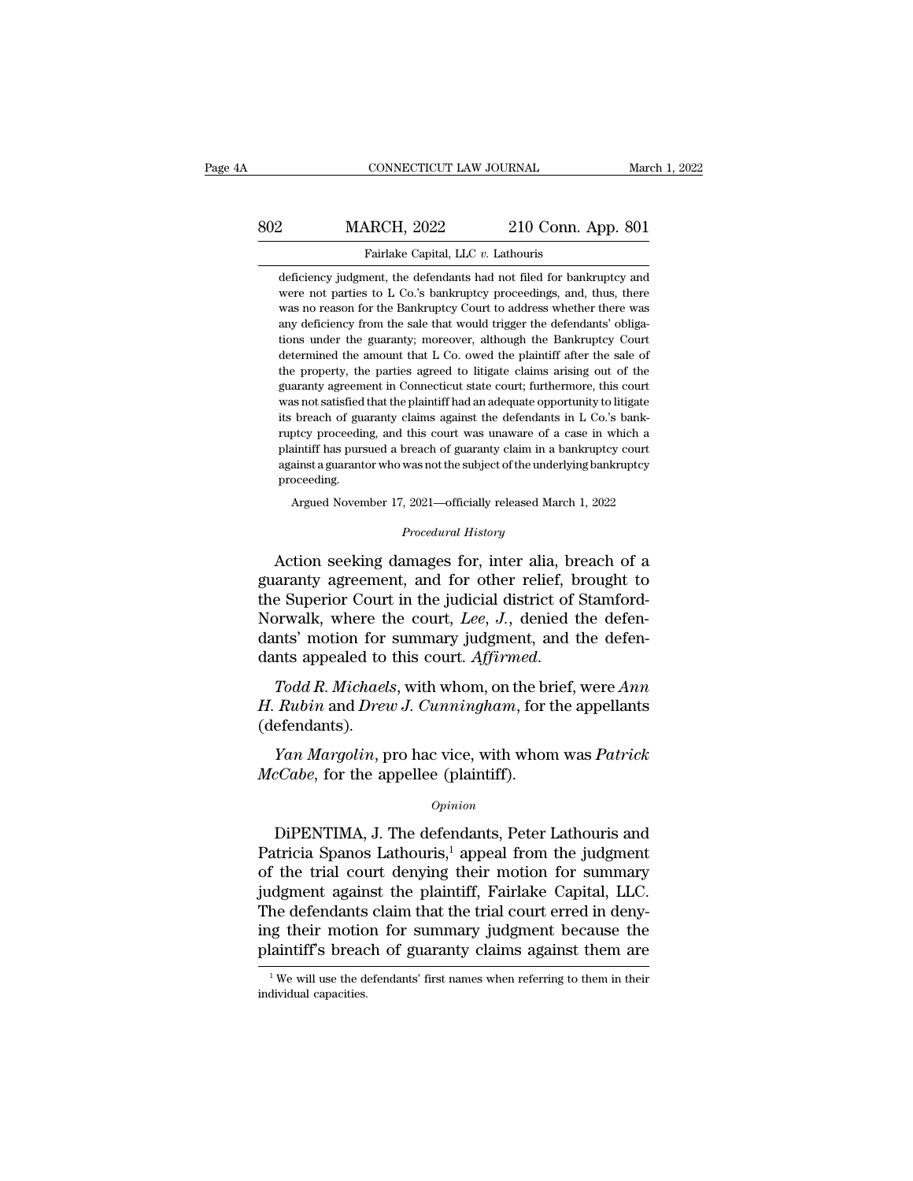### EXECUTE CONNECTICUT LAW JOURNAL March 1, 2022<br>802 MARCH, 2022 210 Conn. App. 801<br>Fairlake Capital, LLC v. Lathouris Fairlake Capital, LLC *v.* Lathouris<br>deficiency judgment, the defendants had not filed for bankruptcy and<br>deficiency judgment, the defendants had not filed for bankruptcy and MARCH, 2022 210 Conn. App. 801<br>Fairlake Capital, LLC v. Lathouris<br>deficiency judgment, the defendants had not filed for bankruptcy and<br>were not parties to L Co.'s bankruptcy proceedings, and, thus, there

MARCH, 2022 210 Conn. App. 801<br>Fairlake Capital, LLC v. Lathouris<br>deficiency judgment, the defendants had not filed for bankruptcy and<br>were not parties to L Co.'s bankruptcy proceedings, and, thus, there<br>was no reason for MARCH, 2022 210 Conn. App. 801<br>Fairlake Capital, LLC v. Lathouris<br>deficiency judgment, the defendants had not filed for bankruptcy and<br>were not parties to L Co.'s bankruptcy proceedings, and, thus, there<br>was no reason for Fairlake Capital, LLC  $v$ . Lathouris<br>deficiency judgment, the defendants had not filed for bankruptcy and<br>were not parties to L Co.'s bankruptcy proceedings, and, thus, there<br>was no reason for the Bankruptcy Court to addr Fairlake Capital, LLC v. Lathouris<br>deficiency judgment, the defendants had not filed for bankruptcy and<br>were not parties to L Co.'s bankruptcy proceedings, and, thus, there<br>was no reason for the Bankruptcy Court to address deficiency judgment, the defendants had not filed for bankruptcy and<br>were not parties to L Co.'s bankruptcy proceedings, and, thus, there<br>was no reason for the Bankruptcy Court to address whether there was<br>any deficiency f were not parties to L Co.'s bankruptcy proceedings, and, thus, there was no reason for the Bankruptcy Court to address whether there was any deficiency from the sale that would trigger the defendants' obligations under the was no reason for the Bankruptcy Court to address whether there was any deficiency from the sale that would trigger the defendants' obligations under the guaranty; moreover, although the Bankruptcy Court determined the amo any deficiency from the sale that would trigger the defendants' obligations under the guaranty; moreover, although the Bankruptcy Court determined the amount that L Co. owed the plaintiff after the sale of the property, t any deficiency from the sale that would trigger the defendants' obligations under the guaranty; moreover, although the Bankruptcy Court determined the amount that L Co. owed the plaintiff after the sale of the property, th determined the amount that L Co. owed the plaintiff after the sale of the property, the parties agreed to litigate claims arising out of the guaranty agreement in Connecticut state court; furthermore, this court was not sa the property, the parties agreed to litigate claims arising out of the guaranty agreement in Connecticut state court; furthermore, this court was not satisfied that the plaintiff had an adequate opportunity to litigate its guaranty agreement in Connecticut state court; furthermore, this court was not satisfied that the plaintiff had an adequate opportunity to litigate its breach of guaranty claims against the defendants in L Co.'s bankruptcy proceeding. breach of guaranty claims against the defendants in L Co.'s bank-<br>ptcy proceeding, and this court was unaware of a case in which a<br>aintiff has pursued a breach of guaranty claim in a bankruptcy court<br>ainst a guarantor who % plaintiff has pursued a breach of guaranty claim in a bankruptcy court against a guarantor who was not the subject of the underlying bankruptcy proceeding.<br>Argued November 17, 2021—officially released March 1, 2022<br>*Proc* repeating has pursued a breach of suaranty claim in a bankruptcy court<br>against a guarantor who was not the subject of the underlying bankruptcy<br>proceeding.<br>Argued November 17, 2021—officially released March 1, 2022<br>*Proced* 

against a guarantor who was not the subject of the underlying bankruptcy<br>proceeding.<br>Argued November 17, 2021—officially released March 1, 2022<br>*Procedural History*<br>**Action seeking damages for, inter alia, breach of a<br>guar** proceeding.<br>
Argued November 17, 2021—officially released March 1, 2022<br>
Procedural History<br>
Action seeking damages for, inter alia, breach of a<br>
guaranty agreement, and for other relief, brought to<br>
the Superior Court in Argued November 17, 2021—officially released March 1, 2022<br>
Procedural History<br>
Action seeking damages for, inter alia, breach of a<br>
guaranty agreement, and for other relief, brought to<br>
the Superior Court in the judicial Procedural History<br>Action seeking damages for, inter alia, breach of a<br>guaranty agreement, and for other relief, brought to<br>the Superior Court in the judicial district of Stamford-<br>Norwalk, where the court, *Lee*, *J*., de Action seeking damages for, inter alia, breach of a<br>guaranty agreement, and for other relief, brought to<br>the Superior Court in the judicial district of Stamford-<br>Norwalk, where the court, *Lee*, *J*., denied the defen-<br>dan guaranty agreement, and for other rener, brought to<br>the Superior Court in the judicial district of Stamford-<br>Norwalk, where the court, *Lee*, *J.*, denied the defen-<br>dants' motion for summary judgment, and the defen-<br>dants

(defendants). *X* motion for summary judgment, and the defen-<br>*Todd R. Michaels*, with whom, on the brief, were *Ann*<br>*Rubin* and *Drew J. Cunningham*, for the appellants<br>efendants).<br>*Yan Margolin*, pro hac vice, with whom was *Patrick* dants appealed to this court. *Affirmed.*<br> *Todd R. Michaels*, with whom, on the br<br> *H. Rubin* and *Drew J. Cunningham*, for t<br>
(defendants).<br> *Yan Margolin*, pro hac vice, with whon<br> *McCabe*, for the appellee (plaintiff

### *Opinion*

Fraction and  $D \infty$  of contributions, for the appendixity<br>efendants).<br>
Fan Margolin, pro hac vice, with whom was Patrick<br>  $cCabe$ , for the appellee (plaintiff).<br>  $Opinion$ <br>
DiPENTIMA, J. The defendants, Peter Lathouris and<br>
tric *Yan Margolin*, pro hac vice, with whom was *Patrick*<br> *McCabe*, for the appellee (plaintiff).<br> *Opinion*<br>
DiPENTIMA, J. The defendants, Peter Lathouris and<br>
Patricia Spanos Lathouris,<sup>1</sup> appeal from the judgment<br>
of the *Yan Margolin*, pro hac vice, with whom was *Patrick*<br> *McCabe*, for the appellee (plaintiff).<br> *Opinion*<br>
DiPENTIMA, J. The defendants, Peter Lathouris and<br>
Patricia Spanos Lathouris,<sup>1</sup> appeal from the judgment<br>
of the  $\mathit{McCabe}$ , for the appellee (plaintiff).<br>  $\mathit{Opinion}$ <br>
DiPENTIMA, J. The defendants, Peter Lathouris and<br>
Patricia Spanos Lathouris,<sup>1</sup> appeal from the judgment<br>
of the trial court denying their motion for summary<br>
judgmen DiPENTIMA, J. The defendants, Peter Lathouris and Patricia Spanos Lathouris,<sup>1</sup> appeal from the judgment of the trial court denying their motion for summary judgment against the plaintiff, Fairlake Capital, LLC. The defen DiPENTIMA, J. The defendants, Peter Lathouris and<br>Patricia Spanos Lathouris,<sup>1</sup> appeal from the judgment<br>of the trial court denying their motion for summary<br>judgment against the plaintiff, Fairlake Capital, LLC.<br>The defen DiPENTIMA, J. The defendants, Peter Lathouris and<br>Patricia Spanos Lathouris,<sup>1</sup> appeal from the judgment<br>of the trial court denying their motion for summary<br>judgment against the plaintiff, Fairlake Capital, LLC.<br>The defen The defendants claim that the trial court erred in denying their motion for summary judgment because the plaintiff's breach of guaranty claims against them are  $\frac{1}{1}$ We will use the defendants' first names when referri plaintiff's breach of guaranty claims against them are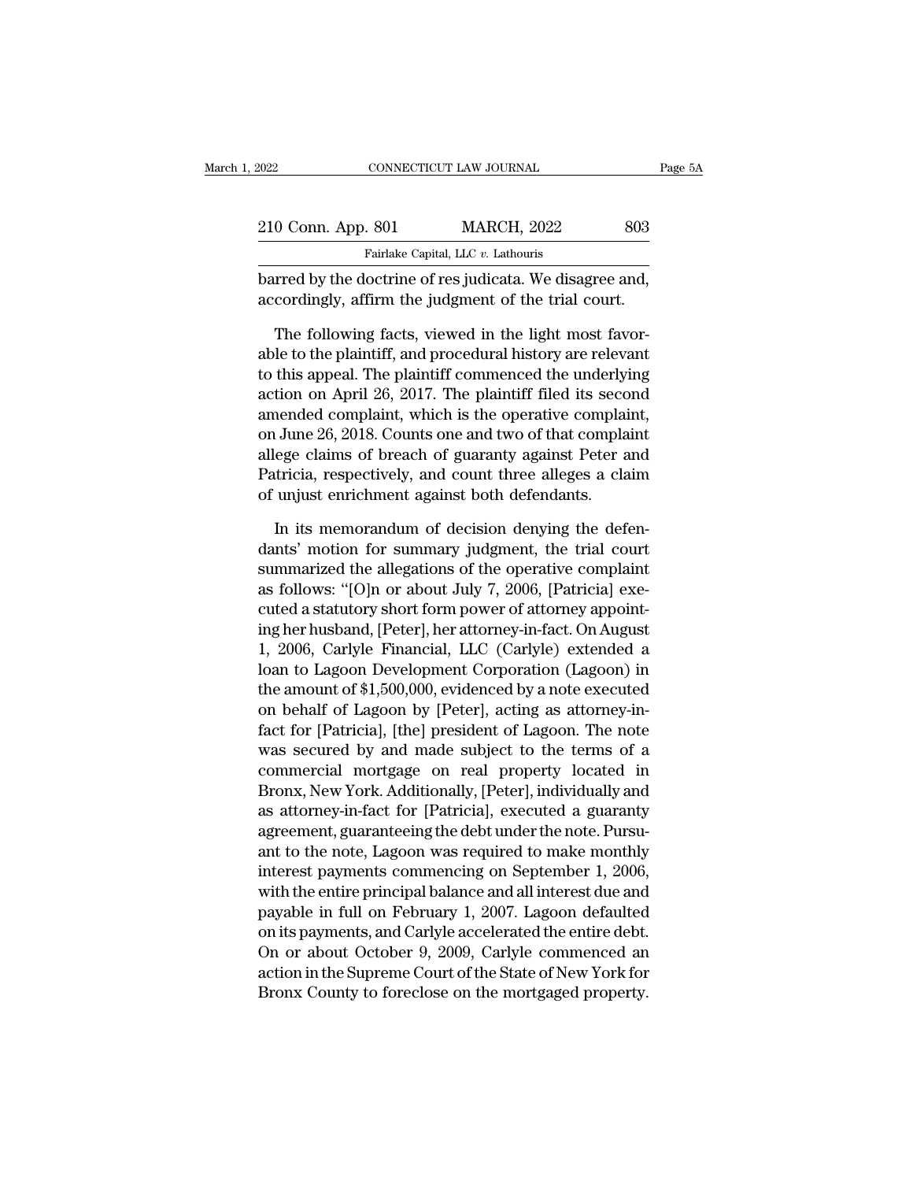| 2022               | CONNECTICUT LAW JOURNAL                                                                                          | Page 5A |
|--------------------|------------------------------------------------------------------------------------------------------------------|---------|
|                    |                                                                                                                  |         |
| 210 Conn. App. 801 | <b>MARCH, 2022</b>                                                                                               | 803     |
|                    | Fairlake Capital, LLC v. Lathouris                                                                               |         |
|                    | barred by the doctrine of res judicata. We disagree and,<br>accordingly, affirm the judgment of the trial court. |         |
|                    | The following facts, viewed in the light most favor-                                                             |         |
|                    | able to the plaintiff, and procedural history are relevant                                                       |         |
|                    | to this enneal The plaintiff commenced the underlying                                                            |         |

Fairlake Capital, LLC v. Lathouris<br>
barred by the doctrine of res judicata. We disagree and,<br>
accordingly, affirm the judgment of the trial court.<br>
The following facts, viewed in the light most favor-<br>
able to the plainti Fairlake Capital, LLC  $v$ . Lathouris<br>barred by the doctrine of res judicata. We disagree and,<br>accordingly, affirm the judgment of the trial court.<br>The following facts, viewed in the light most favor-<br>able to the plaintiff barred by the doctrine of res judicata. We disagree and,<br>accordingly, affirm the judgment of the trial court.<br>The following facts, viewed in the light most favor-<br>able to the plaintiff, and procedural history are relevant<br> accordingly, affirm the judgment of the trial court.<br>The following facts, viewed in the light most favorable to the plaintiff, and procedural history are relevant<br>to this appeal. The plaintiff commenced the underlying<br>acti The following facts, viewed in the light most favorable to the plaintiff, and procedural history are relevant to this appeal. The plaintiff commenced the underlying action on April 26, 2017. The plaintiff filed its second The following facts, viewed in the light most favorable to the plaintiff, and procedural history are relevant<br>to this appeal. The plaintiff commenced the underlying<br>action on April 26, 2017. The plaintiff filed its second<br> able to the plaintiff, and procedural history are relevant<br>to this appeal. The plaintiff commenced the underlying<br>action on April 26, 2017. The plaintiff filed its second<br>amended complaint, which is the operative complaint to this appeal. The plaintiff commenced the underlying<br>action on April 26, 2017. The plaintiff filed its second<br>amended complaint, which is the operative complaint,<br>on June 26, 2018. Counts one and two of that complaint<br>al nended complaint, which is the operative complaint,<br>I June 26, 2018. Counts one and two of that complaint<br>ege claims of breach of guaranty against Peter and<br>tricia, respectively, and count three alleges a claim<br>unjust enri on June 26, 2018. Counts one and two of that complaint<br>allege claims of breach of guaranty against Peter and<br>Patricia, respectively, and count three alleges a claim<br>of unjust enrichment against both defendants.<br>In its memo

allege claims of breach of guaranty against Peter and<br>Patricia, respectively, and count three alleges a claim<br>of unjust enrichment against both defendants.<br>In its memorandum of decision denying the defen-<br>dants' motion for Patricia, respectively, and count three alleges a claim<br>of unjust enrichment against both defendants.<br>In its memorandum of decision denying the defen-<br>dants' motion for summary judgment, the trial court<br>summarized the alle of unjust enrichment against both defendants.<br>In its memorandum of decision denying the defendants' motion for summary judgment, the trial court<br>summarized the allegations of the operative complaint<br>as follows: "[O]n or ab In its memorandum of decision denying the defen-<br>dants' motion for summary judgment, the trial court<br>summarized the allegations of the operative complaint<br>as follows: "[O]n or about July 7, 2006, [Patricia] exe-<br>cuted a st In its memorandum of decision denying the defen-<br>dants' motion for summary judgment, the trial court<br>summarized the allegations of the operative complaint<br>as follows: "[O]n or about July 7, 2006, [Patricia] exe-<br>cuted a s dants' motion for summary judgment, the trial court<br>summarized the allegations of the operative complaint<br>as follows: "[O]n or about July 7, 2006, [Patricia] exe-<br>cuted a statutory short form power of attorney appoint-<br>ing summarized the allegations of the operative complaint<br>as follows: "[O]n or about July 7, 2006, [Patricia] executed a statutory short form power of attorney appoint-<br>ing her husband, [Peter], her attorney-in-fact. On August as follows: "[O]n or about July 7, 2006, [Patricia] executed a statutory short form power of attorney appointing her husband, [Peter], her attorney-in-fact. On August 1, 2006, Carlyle Financial, LLC (Carlyle) extended a lo cuted a statutory short form power of attorney appoint-<br>ing her husband, [Peter], her attorney-in-fact. On August<br>1, 2006, Carlyle Financial, LLC (Carlyle) extended a<br>loan to Lagoon Development Corporation (Lagoon) in<br>the ing her husband, [Peter], her attorney-in-tact. On August<br>1, 2006, Carlyle Financial, LLC (Carlyle) extended a<br>loan to Lagoon Development Corporation (Lagoon) in<br>the amount of \$1,500,000, evidenced by a note executed<br>on be 1, 2006, Carlyle Financial, LLC (Carlyle) extended a<br>loan to Lagoon Development Corporation (Lagoon) in<br>the amount of \$1,500,000, evidenced by a note executed<br>on behalf of Lagoon by [Peter], acting as attorney-in-<br>fact for Ioan to Lagoon Development Corporation (Lagoon) in<br>the amount of \$1,500,000, evidenced by a note executed<br>on behalf of Lagoon by [Peter], acting as attorney-in-<br>fact for [Patricia], [the] president of Lagoon. The note<br>was the amount of \$1,500,000, evidenced by a note executed<br>on behalf of Lagoon by [Peter], acting as attorney-in-<br>fact for [Patricia], [the] president of Lagoon. The note<br>was secured by and made subject to the terms of a<br>comme on behalf of Lagoon by [Peter], acting as attorney-in-<br>fact for [Patricia], [the] president of Lagoon. The note<br>was secured by and made subject to the terms of a<br>commercial mortgage on real property located in<br>Bronx, New Y ract for [Patricia], [the] president of Lagoon. The note<br>was secured by and made subject to the terms of a<br>commercial mortgage on real property located in<br>Bronx, New York. Additionally, [Peter], individually and<br>as attorne was secured by and made subject to the terms of a<br>commercial mortgage on real property located in<br>Bronx, New York. Additionally, [Peter], individually and<br>as attorney-in-fact for [Patricia], executed a guaranty<br>agreement, commercial mortgage on real property located in<br>Bronx, New York. Additionally, [Peter], individually and<br>as attorney-in-fact for [Patricia], executed a guaranty<br>agreement, guaranteeing the debt under the note. Pursu-<br>ant t Bronx, New York. Additionally, [Peter], individually and<br>as attorney-in-fact for [Patricia], executed a guaranty<br>agreement, guaranteeing the debt under the note. Pursu-<br>ant to the note, Lagoon was required to make monthly<br> as attorney-in-tact for [Patricia], executed a guaranty<br>agreement, guaranteeing the debt under the note. Pursu-<br>ant to the note, Lagoon was required to make monthly<br>interest payments commencing on September 1, 2006,<br>with t agreement, guaranteeing the debt under the note. Pursu-<br>ant to the note, Lagoon was required to make monthly<br>interest payments commencing on September 1, 2006,<br>with the entire principal balance and all interest due and<br>pay ant to the note, Lagoon was required to make monthly<br>interest payments commencing on September 1, 2006,<br>with the entire principal balance and all interest due and<br>payable in full on February 1, 2007. Lagoon defaulted<br>on it interest payments commencing on September 1, 2006,<br>with the entire principal balance and all interest due and<br>payable in full on February 1, 2007. Lagoon defaulted<br>on its payments, and Carlyle accelerated the entire debt.<br>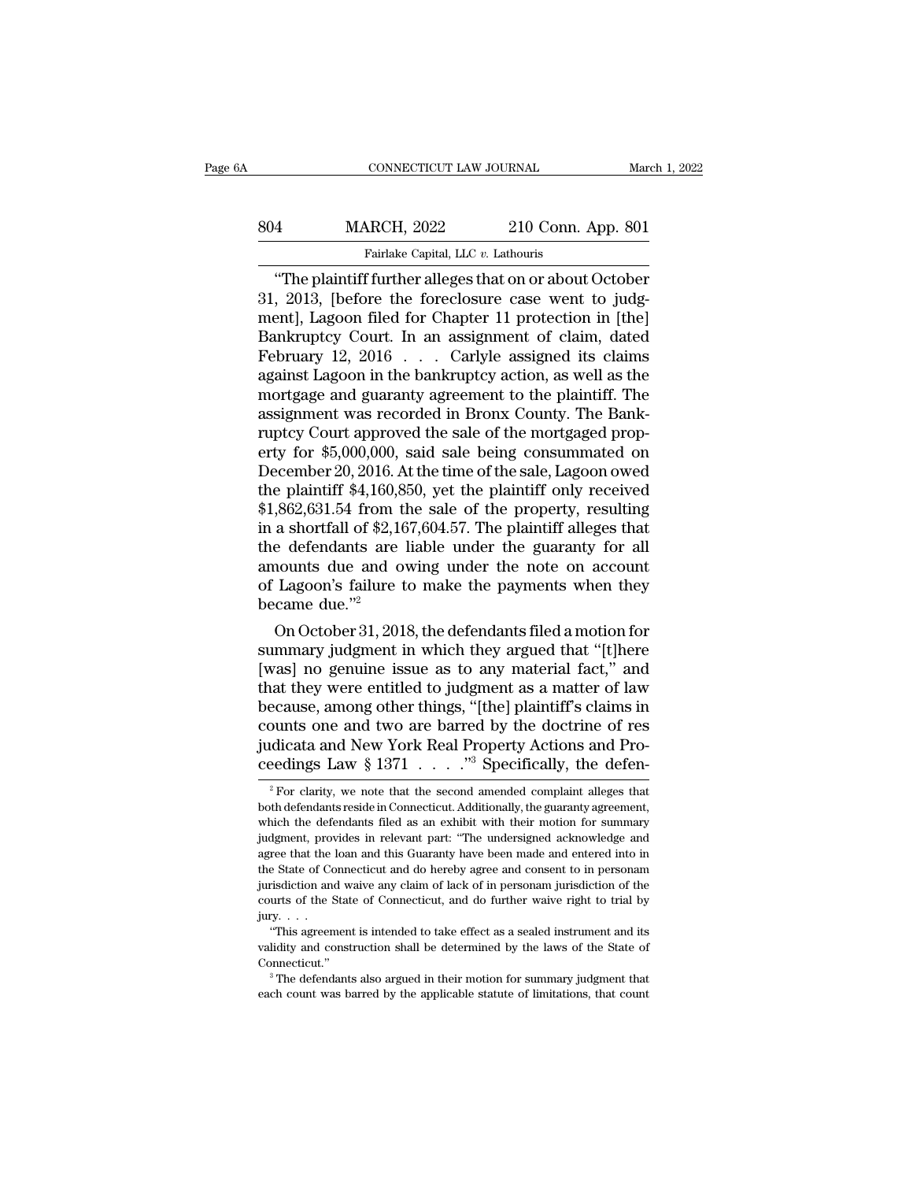|     | CONNECTICUT LAW JOURNAL                                  |                    | March 1, 2022 |
|-----|----------------------------------------------------------|--------------------|---------------|
| 804 | <b>MARCH, 2022</b>                                       | 210 Conn. App. 801 |               |
|     | Fairlake Capital, LLC v. Lathouris                       |                    |               |
|     | "The plaintiff further alleges that on or about October" |                    |               |

CONNECTICUT LAW JOURNAL March 1, 2022<br>
4 MARCH, 2022 210 Conn. App. 801<br>
Fairlake Capital, LLC v. Lathouris<br>
"The plaintiff further alleges that on or about October<br>
7 2013, [before the foreclosure case went to judg-<br>
and 304 MARCH, 2022 210 Conn. App. 801<br>
Fairlake Capital, LLC v. Lathouris<br>
"The plaintiff further alleges that on or about October<br>
31, 2013, [before the foreclosure case went to judg-<br>
ment], Lagoon filed for Chapter 11 prot MARCH, 2022 210 Conn. App. 801<br>
Fairlake Capital, LLC v. Lathouris<br>
"The plaintiff further alleges that on or about October<br>
31, 2013, [before the foreclosure case went to judg-<br>
ment], Lagoon filed for Chapter 11 protecti  $\begin{array}{r} \text{MARCH, 2022} \qquad \text{210 Conn. App. 801} \ \hline \text{Farlake Capital, LLC } v. \text{ Lathouris} \end{array}$ <br>
"The plaintiff further alleges that on or about October 31, 2013, [before the foreclosure case went to judgment], Lagoon filed for Chapter 11 protectio Fairlake Capital, LLC v. Lathouris<br>
"The plaintiff further alleges that on or about October<br>
31, 2013, [before the foreclosure case went to judg-<br>
ment], Lagoon filed for Chapter 11 protection in [the]<br>
Bankruptcy Court. Farlake Capital, LLC v. Lathouris<br>
"The plaintiff further alleges that on or about October<br>
31, 2013, [before the foreclosure case went to judg-<br>
ment], Lagoon filed for Chapter 11 protection in [the]<br>
Bankruptcy Court. I "The plaintiff further alleges that on or about October 31, 2013, [before the foreclosure case went to judgment], Lagoon filed for Chapter 11 protection in [the] Bankruptcy Court. In an assignment of claim, dated February 31, 2013, [before the foreclosure case went to judgment], Lagoon filed for Chapter 11 protection in [the] Bankruptcy Court. In an assignment of claim, dated February 12, 2016  $\ldots$  Carlyle assigned its claims against Lago ment], Lagoon filed for Chapter 11 protection in [the]<br>Bankruptcy Court. In an assignment of claim, dated<br>February 12, 2016 . . . Carlyle assigned its claims<br>against Lagoon in the bankruptcy action, as well as the<br>mortgage Bankruptcy Court. In an assignment of claim, dated<br>February 12, 2016 . . . . Carlyle assigned its claims<br>against Lagoon in the bankruptcy action, as well as the<br>mortgage and guaranty agreement to the plaintiff. The<br>assignm February 12, 2016  $\ldots$  Carlyle assigned its claims<br>against Lagoon in the bankruptcy action, as well as the<br>mortgage and guaranty agreement to the plaintiff. The<br>assignment was recorded in Bronx County. The Bank-<br>ruptcy C against Lagoon in the bankruptcy action, as well as the<br>mortgage and guaranty agreement to the plaintiff. The<br>assignment was recorded in Bronx County. The Bank-<br>ruptcy Court approved the sale of the mortgaged prop-<br>erty fo mortgage and guaranty agreement to the plaintiff. The<br>assignment was recorded in Bronx County. The Bank-<br>ruptcy Court approved the sale of the mortgaged prop-<br>erty for \$5,000,000, said sale being consummated on<br>December 20 assignment was recorded in Bronx County. The Bank-<br>ruptcy Court approved the sale of the mortgaged prop-<br>erty for \$5,000,000, said sale being consummated on<br>December 20, 2016. At the time of the sale, Lagoon owed<br>the plain ruptcy Court approved the sale of the mortgaged property for \$5,000,000, said sale being consummated on<br>December 20, 2016. At the time of the sale, Lagoon owed<br>the plaintiff \$4,160,850, yet the plaintiff only received<br>\$1,8 erty for \$5,000,000, said sale being consummated on<br>December 20, 2016. At the time of the sale, Lagoon owed<br>the plaintiff \$4,160,850, yet the plaintiff only received<br>\$1,862,631.54 from the sale of the property, resulting<br>i December 20, 2016. At the time of the sale, Lagoon owed<br>the plaintiff \$4,160,850, yet the plaintiff only received<br>\$1,862,631.54 from the sale of the property, resulting<br>in a shortfall of \$2,167,604.57. The plaintiff alleg the plaintiff  $$4,160,8$ <br> $$1,862,631.54$  from t<br>in a shortfall of  $$2,16$ <br>the defendants are<br>amounts due and o<br>of Lagoon's failure t<br>became due."<sup>2</sup><br>On October 31, 201 ,862,631.54 from the sale of the property, resulting<br>a shortfall of \$2,167,604.57. The plaintiff alleges that<br>e defendants are liable under the guaranty for all<br>nounts due and owing under the note on account<br>Lagoon's fail In a shortfall of \$2,167,604.57. The plaintiff alleges that<br>the defendants are liable under the guaranty for all<br>amounts due and owing under the note on account<br>of Lagoon's failure to make the payments when they<br>became du

the defendants are liable under the guaranty for all<br>amounts due and owing under the note on account<br>of Lagoon's failure to make the payments when they<br>became due."<sup>2</sup><br>On October 31, 2018, the defendants filed a motion for amounts due and owing under the note on account<br>of Lagoon's failure to make the payments when they<br>became due."<sup>2</sup><br>On October 31, 2018, the defendants filed a motion for<br>summary judgment in which they argued that "[t]here<br> of Lagoon's failure to make the payments when they<br>became due."<sup>2</sup><br>On October 31, 2018, the defendants filed a motion for<br>summary judgment in which they argued that "[t]here<br>[was] no genuine issue as to any material fact," became due."<br>
On October 31, 2018, the defendants filed a motion for<br>
summary judgment in which they argued that "[t]here<br>
[was] no genuine issue as to any material fact," and<br>
that they were entitled to judgment as a mat On October 31, 2018, the defendants filed a motion for summary judgment in which they argued that "[t]here [was] no genuine issue as to any material fact," and that they were entitled to judgment as a matter of law becaus summary judgment in which they argued that "[t]here [was] no genuine issue as to any material fact," and that they were entitled to judgment as a matter of law because, among other things, "[the] plaintiff's claims in cou ecause, among other things, "[the] plaintiff's claims in<br>bunts one and two are barred by the doctrine of res<br>dicata and New York Real Property Actions and Pro-<br>eedings Law § 1371  $\ldots$  ..."<sup>3</sup> Specifically, the defen-<br><sup>2</sup> counts one and two are barred by the doctrine of res<br>judicata and New York Real Property Actions and Pro-<br>ceedings Law § 1371  $\ldots$ ."<sup>3</sup> Specifically, the defen-<br><sup>2</sup> For clarity, we note that the second amended complaint

judicata and New York Real Property Actions and Proceedings Law § 1371  $\ldots$  ."<sup>3</sup> Specifically, the defendants reside in Connecticut. Additionally, the guaranty agreement, which the defendants reside in Connecticut. Addi ceedings Law § 1371  $\ldots$  ."<sup>3</sup> Specifically, the defen-<br><sup>2</sup> For clarity, we note that the second amended complaint alleges that<br>both defendants reside in Connecticut. Additionally, the guaranty agreement,<br>which the defen Ceedings Law  $\frac{1}{8}$  1571  $\ldots$   $\ldots$  5 Specifically, the defer-<br><sup>2</sup> For clarity, we note that the second amended complaint alleges that<br>both defendants reside in Connecticut. Additionally, the guaranty agreement,<br>which <sup>2</sup> For clarity, we note that the second amended complaint alleges that both defendants reside in Connecticut. Additionally, the guaranty agreement, which the defendants filed as an exhibit with their motion for summary j both defendants reside in Connecticut. Additionally, the guaranty agreement, which the defendants filed as an exhibit with their motion for summary judgment, provides in relevant part: "The undersigned acknowledge and agre which the defendants filed as an exhibit with their motion for summary judgment, provides in relevant part: "The undersigned acknowledge and agree that the loan and this Guaranty have been made and entered into in the Sta which the defendants filed as an exhibit with their motion for summary<br>judgment, provides in relevant part: "The undersigned acknowledge and<br>agree that the loan and this Guaranty have been made and entered into in<br>the Sta agree that the loan and this Guaranty have been made and entered into in the State of Connecticut and do hereby agree and consent to in personam<br>jurisdiction and waive any claim of lack of in personam jurisdiction of the<br>courts of the State of Connecticut, and do further waive right to trial b

Connecticut.'' <sup>3</sup> The defendants also argued in their motion for summary judgment that "This agreement is intended to take effect as a sealed instrument and its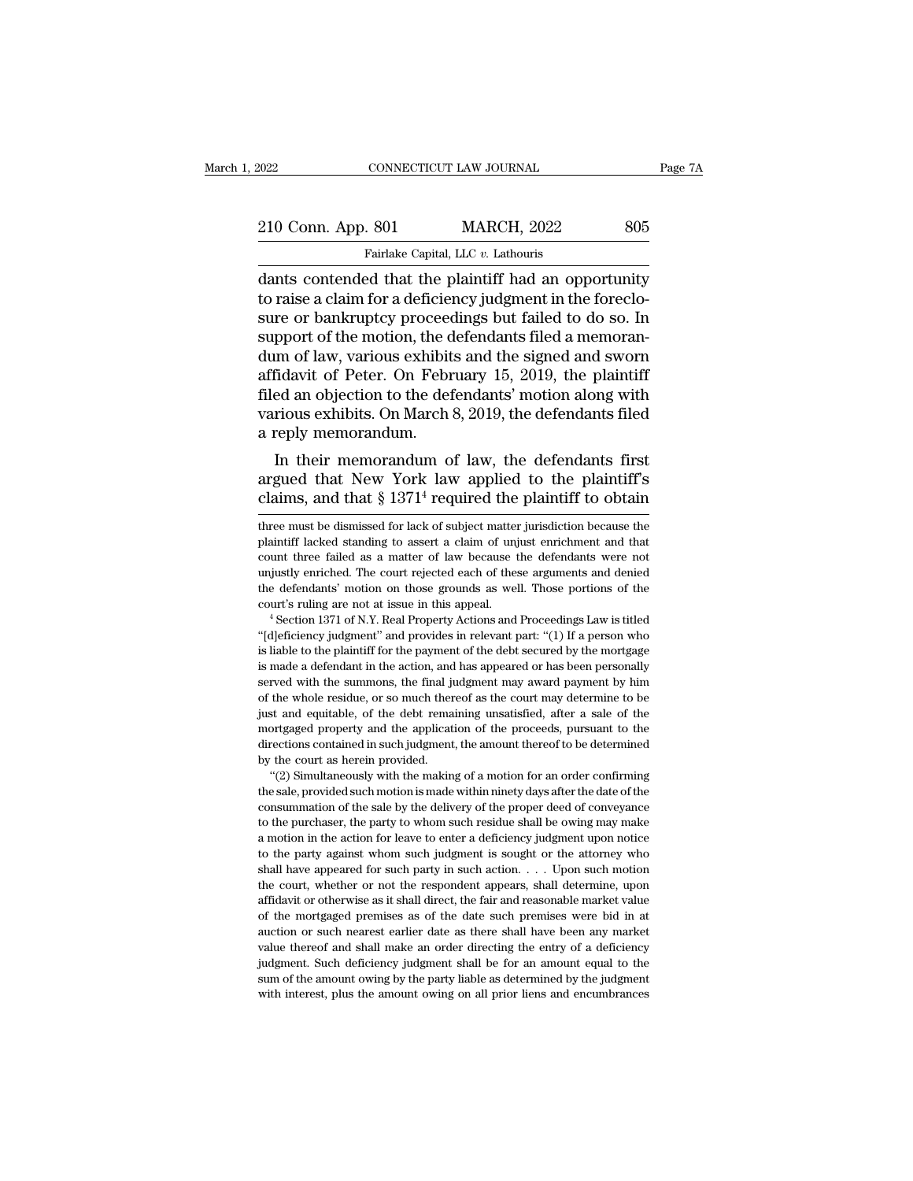| 2022               | CONNECTICUT LAW JOURNAL                               | Page 7A |
|--------------------|-------------------------------------------------------|---------|
| 210 Conn. App. 801 | <b>MARCH, 2022</b>                                    | 805     |
|                    | Fairlake Capital, LLC v. Lathouris                    |         |
|                    | dants contended that the plaintiff had an opportunity |         |

CONNECTICUT LAW JOURNAL Page 7A<br>
210 Conn. App. 801 MARCH, 2022 805<br>
Fairlake Capital, LLC v. Lathouris<br>
dants contended that the plaintiff had an opportunity<br>
to raise a claim for a deficiency judgment in the foreclo-<br>
su 210 Conn. App. 801 MARCH, 2022 805<br>
Fairlake Capital, LLC v. Lathouris<br>
dants contended that the plaintiff had an opportunity<br>
to raise a claim for a deficiency judgment in the foreclo-<br>
support of the motion, the defendan 210 Conn. App. 801 MARCH, 2022 805<br>
Fairlake Capital, LLC  $v$ . Lathouris<br>
dants contended that the plaintiff had an opportunity<br>
to raise a claim for a deficiency judgment in the foreclo-<br>
sure or bankruptcy proceedings b 210 Conn. App. 801 MARCH, 2022 805<br>
Fairlake Capital, LLC v. Lathouris<br>
dants contended that the plaintiff had an opportunity<br>
to raise a claim for a deficiency judgment in the foreclo-<br>
sure or bankruptcy proceedings but Fairlake Capital, LLC  $v$ . Lathouris<br>
dants contended that the plaintiff had an opportunity<br>
to raise a claim for a deficiency judgment in the foreclo-<br>
sure or bankruptcy proceedings but failed to do so. In<br>
support of t Fairlake Capital, LLC  $v$ . Lathouris<br>dants contended that the plaintiff had an opportunity<br>to raise a claim for a deficiency judgment in the foreclo-<br>sure or bankruptcy proceedings but failed to do so. In<br>support of the m dants contended that the plaintiff had an opportunity<br>to raise a claim for a deficiency judgment in the foreclo-<br>sure or bankruptcy proceedings but failed to do so. In<br>support of the motion, the defendants filed a memoranto raise a claim for a deficiency judgment in the foreclosure or bankruptcy proceedings but failed to do so. In support of the motion, the defendants filed a memorandum of law, various exhibits and the signed and sworn aff sure or bankruptcy proceed<br>support of the motion, the d<br>dum of law, various exhibit<br>affidavit of Peter. On Febr<br>filed an objection to the def<br>various exhibits. On March<br>a reply memorandum.<br>In their memorandum o pport of the motion, the defendants filed a memorant-<br>im of law, various exhibits and the signed and sworn<br>fidavit of Peter. On February 15, 2019, the plaintiff<br>ed an objection to the defendants' motion along with<br>rious ex ation of law, various exhibits and the signed and sworn<br>affidavit of Peter. On February 15, 2019, the plaintiff<br>filed an objection to the defendants' motion along with<br>various exhibits. On March 8, 2019, the defendants fi and a consideration of the defendants' motion along with various exhibits. On March 8, 2019, the defendants filed a reply memorandum.<br>In their memorandum of law, the defendants first argued that New York law applied to th

In their memorandum of law, the defendants first<br>argued that New York law applied to the plaintiff's<br>claims, and that  $\S 1371^4$  required the plaintiff to obtain<br>three must be dismissed for lack of subject matter jurisdic In their memorandum of law, the defendants first<br>argued that New York law applied to the plaintiff's<br>claims, and that  $\S 1371^4$  required the plaintiff to obtain<br>three must be dismissed for lack of subject matter jurisdic

consummation of the sale by the delivery of the proceeds, pursuant to the directions contained in such judgment, the amount thereof to be determined by the court as herein provided.<br>"(2) Simultaneously with the making of a the procession properties in such judgment, the amount thereof to be determined<br>by the court as herein provided.<br>"(2) Simultaneously with the making of a motion for an order confirming<br>the sale, provided such motion is mad by the court as herein provided.<br>
"(2) Simultaneously with the making of a motion for an order confirming<br>
the sale, provided such motion is made within ninety days after the date of the<br>
consummation of the sale by the de "(2) Simultaneously with the making of a motion for an order confirming "(2) Simultaneously with the making of a motion for an order confirming the sale, provided such motion is made within ninety days after the date of t the sale, provided such motion is made within ninety days after the date of the consummation of the sale by the delivery of the proper deed of conveyance to the purchaser, the party to whom such residue shall be owing may consummation of the sale by the delivery of the proper deed of conveyance<br>to the purchaser, the party to whom such residue shall be owing may make<br>a motion in the action for leave to enter a deficiency judgment upon notice to the purchaser, the party to whom such residue shall be owing may make a motion in the action for leave to enter a deficiency judgment upon notice to the party against whom such judgment is sought or the attorney who sh of the mortgaged premises as of the date such premises were bid in at anotion in the action for leave to enter a deficiency judgment upon notice to the party against whom such judgment is sought or the attorney who shall h as the party against whom such judgment is sought or the attorney who shall have appeared for such party in such action.  $\ldots$  Upon such motion the court, whether or not the respondent appears, shall determine, upon affid shall have appeared for such party in such action.  $\ldots$  Upon such motion the court, whether or not the respondent appears, shall determine, upon affidavit or otherwise as it shall direct, the fair and reasonable market v shall deficiency whether or not the respondent appears, shall determine, upon affidavit or otherwise as it shall direct, the fair and reasonable market value of the mortgaged premises as of the date such premises were bid affidavit or otherwise as it shall direct, the fair and reasonable market value<br>of the mortgaged premises as of the date such premises were bid in at<br>auction or such nearest earlier date as there shall have been any market of the mortgaged premises as of the date such premises were bid in at

argued that New York law applied to the plaintiff's<br>claims, and that § 1371<sup>4</sup> required the plaintiff to obtain<br>three must be dismissed for lack of subject matter jurisdiction because the<br>plaintiff lacked standing to asser claims, and that  $\S 1371<sup>4</sup>$  required the plaintiff to obtain<br>three must be dismissed for lack of subject matter jurisdiction because the<br>plaintiff lacked standing to assert a claim of unjust enrichment and that<br>count the defendants' motion on those grounds as well. Those portions of the three must be dismissed for lack of subject matter jurisdiction because the plaintiff lacked standing to assert a claim of unjust enrichment and that count three failed as a matter of law because the defendants were not un From three failed as a matter of law because the defendants were not unjustly enriched. The court rejected each of these arguments and denied the defendants' motion on those grounds as well. Those portions of the court's r

is liable to the court rejected each of these arguments and denied the defendants' motion on those grounds as well. Those portions of the court's ruling are not at issue in this appeal.<br>
"Section 1371 of N.Y. Real Property is made a defendants and the deforement in the action of the court's ruling are not at issue in this appeal.<br>
"Section 1371 of N.Y. Real Property Actions and Proceedings Law is titled<br>
"(d]eficiency judgment" and provides served with the summons of the summons of the summons of the "Section 1371 of N.Y. Real Property Actions and Proceedings Law is titled "(d]eficiency judgment" and provides in relevant part: "(1) If a person who is liable t <sup>4</sup> Section 1371 of N.Y. Real Property Actions and Proceedings Law is titled "[d]eficiency judgment" and provides in relevant part: "(1) If a person who is liable to the plaintiff for the payment of the debt secured by th "(d)eficiency judgment" and provides in relevant part: "(1) If a person who is liable to the plaintiff for the payment of the debt secured by the mortgage is made a defendant in the action, and has appeared or has been pe is liable to the plaintiff for the payment of the debt secured by the mortgage is made a defendant in the action, and has appeared or has been personally served with the summons, the final judgment may award payment by him is made a defendant in the action, and has appeared or has been personally served with the summons, the final judgment may award payment by him of the whole residue, or so much thereof as the court may determine to be just served with the summons, the final judgment may award payment by him<br>of the whole residue, or so much thereof as the court may determine to be<br>just and equitable, of the debt remaining unsatisfied, after a sale of the<br>mort The whole residue, or so much thereof as the court may determine to be the whole residue, or so much thereof as the court may determine to be st and equitable, of the debt remaining unsatisfied, after a sale of the protega is the sale, of the debt remaining unsatisfied, after a sale of the mortgaged property and the application of the proceeds, pursuant to the directions contained in such judgment, the amount thereof to be determined by the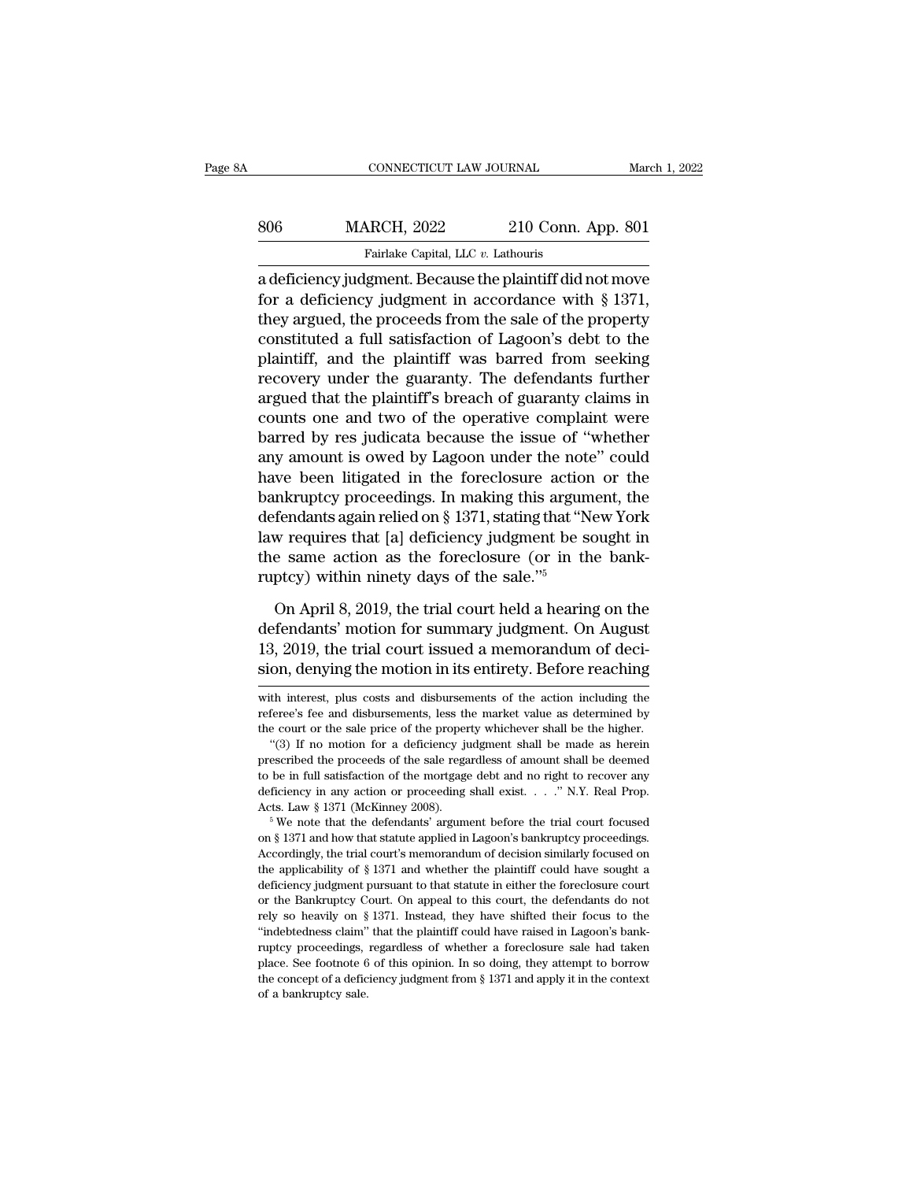|     | CONNECTICUT LAW JOURNAL                                   |                    | March 1, 2022 |
|-----|-----------------------------------------------------------|--------------------|---------------|
|     |                                                           |                    |               |
| 806 | <b>MARCH, 2022</b>                                        | 210 Conn. App. 801 |               |
|     | Fairlake Capital, LLC v. Lathouris                        |                    |               |
|     | a deficiency judgment. Because the plaintiff did not move |                    |               |

CONNECTICUT LAW JOURNAL March 1, 2022<br> **ARRCH**, 2022 210 Conn. App. 801<br>
Fairlake Capital, LLC v. Lathouris<br>
a deficiency judgment. Because the plaintiff did not move<br>
for a deficiency judgment in accordance with § 1371,<br> Fairlake Capital, LLC v. Lathouris<br>
Fairlake Capital, LLC v. Lathouris<br>
a deficiency judgment. Because the plaintiff did not move<br>
for a deficiency judgment in accordance with § 1371,<br>
they argued, the proceeds from the s 806 MARCH, 2022 210 Conn. App. 801<br>
Fairlake Capital, LLC v. Lathouris<br>
a deficiency judgment. Because the plaintiff did not move<br>
for a deficiency judgment in accordance with § 1371,<br>
they argued, the proceeds from the s 806 MARCH, 2022 210 Conn. App. 801<br>
Fairlake Capital, LLC  $v$ . Lathouris<br>
a deficiency judgment. Because the plaintiff did not move<br>
for a deficiency judgment in accordance with § 1371,<br>
they argued, the proceeds from the Fairlake Capital, LLC  $v$ . Lathouris<br>
a deficiency judgment. Because the plaintiff did not move<br>
for a deficiency judgment in accordance with § 1371,<br>
they argued, the proceeds from the sale of the property<br>
constituted a ranake capital, LLC  $v$ . Latitudity<br>a deficiency judgment. Because the plaintiff did not move<br>for a deficiency judgment in accordance with § 1371,<br>they argued, the proceeds from the sale of the property<br>constituted a full a deficiency judgment. Because the plaintiff did not move<br>for a deficiency judgment in accordance with § 1371,<br>they argued, the proceeds from the sale of the property<br>constituted a full satisfaction of Lagoon's debt to the for a deficiency judgment in accordance with § 1371,<br>they argued, the proceeds from the sale of the property<br>constituted a full satisfaction of Lagoon's debt to the<br>plaintiff, and the plaintiff was barred from seeking<br>reco they argued, the proceeds from the sale of the property<br>constituted a full satisfaction of Lagoon's debt to the<br>plaintiff, and the plaintiff was barred from seeking<br>recovery under the guaranty. The defendants further<br>argue constituted a full satisfaction of Lagoon's debt to the<br>plaintiff, and the plaintiff was barred from seeking<br>recovery under the guaranty. The defendants further<br>argued that the plaintiff's breach of guaranty claims in<br>coun plaintiff, and the plaintiff was barred from seeking<br>recovery under the guaranty. The defendants further<br>argued that the plaintiff's breach of guaranty claims in<br>counts one and two of the operative complaint were<br>barred by recovery under the guaranty. The defendants further<br>argued that the plaintiff's breach of guaranty claims in<br>counts one and two of the operative complaint were<br>barred by res judicata because the issue of "whether<br>any amoun argued that the plaintiff's breach of guaranty claims in<br>counts one and two of the operative complaint were<br>barred by res judicata because the issue of "whether<br>any amount is owed by Lagoon under the note" could<br>have been counts one and two of the operative complaint were<br>barred by res judicata because the issue of "whether<br>any amount is owed by Lagoon under the note" could<br>have been litigated in the foreclosure action or the<br>bankruptcy pr barred by res judicata because the issue of "whether<br>any amount is owed by Lagoon under the note" could<br>have been litigated in the foreclosure action or the<br>bankruptcy proceedings. In making this argument, the<br>defendants any amount is owed by Lagoon under the not<br>have been litigated in the foreclosure actior<br>bankruptcy proceedings. In making this argun<br>defendants again relied on § 1371, stating that "N<br>law requires that [a] deficiency jud mkruptcy proceedings. In making this argument, the<br>fendants again relied on § 1371, stating that "New York<br>w requires that [a] deficiency judgment be sought in<br>e same action as the foreclosure (or in the bank-<br>ptcy) withi defendants again relied on § 1371, stating that "New York<br>law requires that [a] deficiency judgment be sought in<br>the same action as the foreclosure (or in the bank-<br>ruptcy) within ninety days of the sale."<sup>5</sup><br>On April 8,

law requires that [a] deficiency judgment be sought in<br>the same action as the foreclosure (or in the bank-<br>ruptcy) within ninety days of the sale."<sup>5</sup><br>On April 8, 2019, the trial court held a hearing on the<br>defendants' mot the same action as the foreclosure (or in the bank-<br>ruptcy) within ninety days of the sale."<sup>5</sup><br>On April 8, 2019, the trial court held a hearing on the<br>defendants' motion for summary judgment. On August<br>13, 2019, the trial On April 8, 2019, the trial court held a hearing on the<br>defendants' motion for summary judgment. On August<br>13, 2019, the trial court issued a memorandum of deci-<br>sion, denying the motion in its entirety. Before reaching<br>wi defendants' motion for summary judgment. On August<br>13, 2019, the trial court issued a memorandum of deci-<br>sion, denying the motion in its entirety. Before reaching<br>with interest, plus costs and disbursements of the action

<sup>13, 2019,</sup> the trial court issued a memorandum of decision, denying the motion in its entirety. Before reaching<br>with interest, plus costs and disbursements of the action including the<br>referee's fee and disbursements, less t On, denying the motion in its entirety. Before reaching<br>th interest, plus costs and disbursements of the action including the<br>feree's fee and disbursements, less the market value as determined by<br>e court or the sale price

short, deriying the motion in its entirety. Defore reacting<br>with interest, plus costs and disbursements of the action including the<br>referee's fee and disbursements, less the market value as determined by<br>the court or the s with interest, plus costs and disbursements of the action including the referee's fee and disbursements, less the market value as determined by the court or the sale price of the property whichever shall be the higher. "( Freferee's fee and disbursements, less the market value as determined by the court or the sale price of the property whichever shall be the higher. "(3) If no motion for a deficiency judgment shall be made as herein presc the court or the sale price of the property whichever shall be the higher.<br>
"(3) If no motion for a deficiency judgment shall be made as herein<br>
prescribed the proceeds of the sale regardless of amount shall be deemed<br>
to prescribed the proceeds of the sale regardless of amount shall be deemed<br>to be in full satisfaction of the mortgage debt and no right to recover any<br>deficiency in any action or proceeding shall exist. . . . " N.Y. Real Pro

From the in full satisfaction of the mortgage debt and no right to recover any deficiency in any action or proceeding shall exist.  $\ldots$  " N.Y. Real Prop.<br>Acts. Law § 1371 (McKinney 2008).<br><sup>5</sup> We note that the defendants' deficiency in any action or proceeding shall exist. . . . " N.Y. Real Prop.<br>Acts. Law § 1371 (McKinney 2008).<br><sup>5</sup> We note that the defendants' argument before the trial court focused<br>on § 1371 and how that statute applied Acts. Law § 1371 (McKinney 2008).<br>
<sup>5</sup> We note that the defendants' argument before the trial court focused<br>
on § 1371 and how that statute applied in Lagoon's bankruptcy proceedings.<br>
Accordingly, the trial court's memora <sup>5</sup> We note that the defendants' argument before the trial court focused on § 1371 and how that statute applied in Lagoon's bankruptcy proceedings. Accordingly, the trial court's memorandum of decision similarly focused o on § 1371 and how that statute applied in Lagoon's bankruptcy proceedings.<br>Accordingly, the trial court's memorandum of decision similarly focused on<br>the applicability of § 1371 and whether the plaintiff could have sought Accordingly, the trial court's menorandum of decision similarly focused on the applicability of  $\S 1371$  and whether the plaintiff could have sought a deficiency judgment pursuant to that statute in either the foreclosure ruption and the applicability of § 1371 and whether the plaintiff could have sought a deficiency judgment pursuant to that statute in either the foreclosure court or the Bankruptcy Court. On appeal to this court, the defe deficiency judgment pursuant to that statute in either the foreclosure court<br>or the Bankruptcy Court. On appeal to this court, the defendants do not<br>rely so heavily on § 1371. Instead, they have shifted their focus to the<br> deficiency judgment pursuant to that statute in either the foreclosure court<br>or the Bankruptcy Court. On appeal to this court, the defendants do not<br>rely so heavily on § 1371. Instead, they have shifted their focus to the rely so heavily on § 1371. Instead, they have shifted their focus to the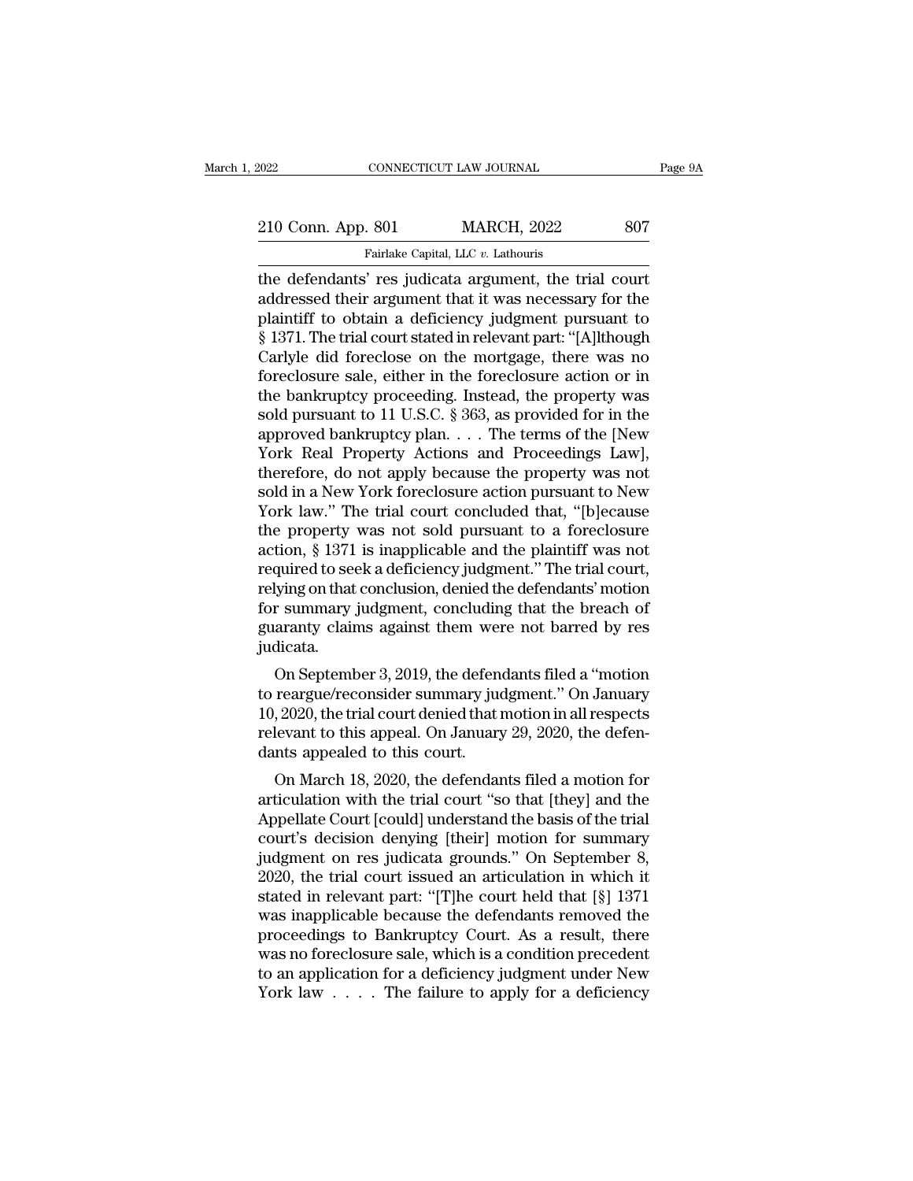| 2022               | CONNECTICUT LAW JOURNAL                               | Page 9A |
|--------------------|-------------------------------------------------------|---------|
|                    |                                                       |         |
| 210 Conn. App. 801 | <b>MARCH, 2022</b>                                    | 807     |
|                    | Fairlake Capital, LLC v. Lathouris                    |         |
|                    | the defendants' res judicata aroument the trial court |         |

The defendants' res judicata argument, the trial court and the defendants' res judicata argument, the trial court and defendants' res judicata argument, the trial court and defendants' res judicata argument, the trial cour 210 Conn. App. 801 MARCH, 2022 807<br>Fairlake Capital, LLC v. Lathouris<br>the defendants' res judicata argument, the trial court<br>addressed their argument that it was necessary for the<br>plaintiff to obtain a deficiency judgment 210 Conn. App. 801 MARCH, 2022 807<br>
Fairlake Capital, LLC v. Lathouris<br>
the defendants' res judicata argument, the trial court<br>
addressed their argument that it was necessary for the<br>
plaintiff to obtain a deficiency judg <sup>210</sup> Conn. App. 801 MARCH, 2022 807<br>
Fairlake Capital, LLC v. Lathouris<br>
the defendants' res judicata argument, the trial court<br>
addressed their argument that it was necessary for the<br>
plaintiff to obtain a deficiency jud Fairlake Capital, LLC v. Lathouris<br>
the defendants' res judicata argument, the trial court<br>
addressed their argument that it was necessary for the<br>
plaintiff to obtain a deficiency judgment pursuant to<br>
§ 1371. The trial Farlake Capital, LLC v. Lathouris<br>the defendants' res judicata argument, the trial court<br>addressed their argument that it was necessary for the<br>plaintiff to obtain a deficiency judgment pursuant to<br>§ 1371. The trial court the defendants' res judicata argument, the trial court<br>addressed their argument that it was necessary for the<br>plaintiff to obtain a deficiency judgment pursuant to<br>§ 1371. The trial court stated in relevant part: "[A]lthou addressed their argument that it was necessary for the<br>plaintiff to obtain a deficiency judgment pursuant to<br>§ 1371. The trial court stated in relevant part: "[A]lthough<br>Carlyle did foreclose on the mortgage, there was no<br> plaintiff to obtain a deficiency judgment pursuant to<br>§ 1371. The trial court stated in relevant part: "[A]lthough<br>Carlyle did foreclose on the mortgage, there was no<br>foreclosure sale, either in the foreclosure action or i § 1371. The trial court stated in relevant part: "[A]lthough<br>Carlyle did foreclose on the mortgage, there was no<br>foreclosure sale, either in the foreclosure action or in<br>the bankruptcy proceeding. Instead, the property was Carlyle did foreclose on the mortgage, there was no<br>foreclosure sale, either in the foreclosure action or in<br>the bankruptcy proceeding. Instead, the property was<br>sold pursuant to 11 U.S.C. § 363, as provided for in the<br>app foreclosure sale, either in the foreclosure action or in<br>the bankruptcy proceeding. Instead, the property was<br>sold pursuant to 11 U.S.C. § 363, as provided for in the<br>approved bankruptcy plan. . . . The terms of the [New<br>Y the bankruptcy proceeding. Instead, the property was<br>sold pursuant to 11 U.S.C. § 363, as provided for in the<br>approved bankruptcy plan. . . . The terms of the [New<br>York Real Property Actions and Proceedings Law],<br>therefor sold pursuant to 11 U.S.C. § 363, as provided for in the<br>approved bankruptcy plan. . . . The terms of the [New<br>York Real Property Actions and Proceedings Law],<br>therefore, do not apply because the property was not<br>sold in a approved bankruptcy plan. . . . The terms of the [New<br>York Real Property Actions and Proceedings Law],<br>therefore, do not apply because the property was not<br>sold in a New York foreclosure action pursuant to New<br>York law." T York Real Property Actions and Proceedings Law],<br>therefore, do not apply because the property was not<br>sold in a New York foreclosure action pursuant to New<br>York law.'' The trial court concluded that, "[b]ecause<br>the propert therefore, do not apply because the property was not<br>sold in a New York foreclosure action pursuant to New<br>York law." The trial court concluded that, "[b]ecause<br>the property was not sold pursuant to a foreclosure<br>action, § sold in a New York foreclosure action pursuant to New<br>York law." The trial court concluded that, "[b]ecause<br>the property was not sold pursuant to a foreclosure<br>action, § 1371 is inapplicable and the plaintiff was not<br>requi York law." The trial court concluded that, "[b]ecause<br>the property was not sold pursuant to a foreclosure<br>action, § 1371 is inapplicable and the plaintiff was not<br>required to seek a deficiency judgment." The trial court,<br>r judicata. From September 3, 2019, the defendants filed a "motion<br>r summary judgment, concluding that the breach of<br>aranty claims against them were not barred by res<br>dicata.<br>On September 3, 2019, the defendants filed a "motion<br>reargu tequired to seek a denciency judgment. The trial court,<br>relying on that conclusion, denied the defendants' motion<br>for summary judgment, concluding that the breach of<br>guaranty claims against them were not barred by res<br>judi

Terying on that conclusion, defiled the defendants induotif<br>for summary judgment, concluding that the breach of<br>guaranty claims against them were not barred by res<br>judicata.<br>On September 3, 2019, the defendants filed a "mo relevant to this appeal. Concluding that the breach of guaranty claims against them were not barred by res judicata.<br>On September 3, 2019, the defendants filed a "motion to reargue/reconsider summary judgment." On January guaranty claims against them were<br>judicata.<br>On September 3, 2019, the defencto reargue/reconsider summary jude<br>10, 2020, the trial court denied that if<br>relevant to this appeal. On January<br>dants appealed to this court.<br>On M On September 3, 2019, the defendants filed a "motion<br>reargue/reconsider summary judgment." On January<br>, 2020, the trial court denied that motion in all respects<br>levant to this appeal. On January 29, 2020, the defen-<br>nts ap on september 5, 2019, the defendants filed a motion<br>to reargue/reconsider summary judgment." On January<br>10, 2020, the trial court denied that motion in all respects<br>relevant to this appeal. On January 29, 2020, the defen-<br>

to reargue/reconsider summary judgment. On January<br>10, 2020, the trial court denied that motion in all respects<br>relevant to this appeal. On January 29, 2020, the defen-<br>dants appealed to this court.<br>On March 18, 2020, the Fo, 2020, the that court defined that motion in an respects<br>relevant to this appeal. On January 29, 2020, the defen-<br>dants appealed to this court.<br>On March 18, 2020, the defendants filed a motion for<br>articulation with the Ferevant to this appear. On January 29, 2020, the defendants appealed to this court.<br>
On March 18, 2020, the defendants filed a motion for<br>
articulation with the trial court "so that [they] and the<br>
Appellate Court [could] Using the defendants filed a motion for<br>
2020, the defendants filed a motion for<br>
articulation with the trial court "so that [they] and the<br>
Appellate Court [could] understand the basis of the trial<br>
court's decision deny On March 18, 2020, the defendants filed a motion for articulation with the trial court "so that [they] and the Appellate Court [could] understand the basis of the trial court's decision denying [their] motion for summary articulation with the trial court "so that [they] and the<br>Appellate Court [could] understand the basis of the trial<br>court's decision denying [their] motion for summary<br>judgment on res judicata grounds." On September 8,<br>202 Appellate Court [could] understand the basis of the trial<br>court's decision denying [their] motion for summary<br>judgment on res judicata grounds." On September 8,<br>2020, the trial court issued an articulation in which it<br>stat court's decision denying [their] motion for summary<br>judgment on res judicata grounds." On September 8,<br>2020, the trial court issued an articulation in which it<br>stated in relevant part: "[T]he court held that [§] 1371<br>was i judgment on res judicata grounds." On September 8,<br>2020, the trial court issued an articulation in which it<br>stated in relevant part: "[T]he court held that [§] 1371<br>was inapplicable because the defendants removed the<br>proc 2020, the trial court issued an articulation in which it stated in relevant part: "[T]he court held that [§] 1371 was inapplicable because the defendants removed the proceedings to Bankruptcy Court. As a result, there was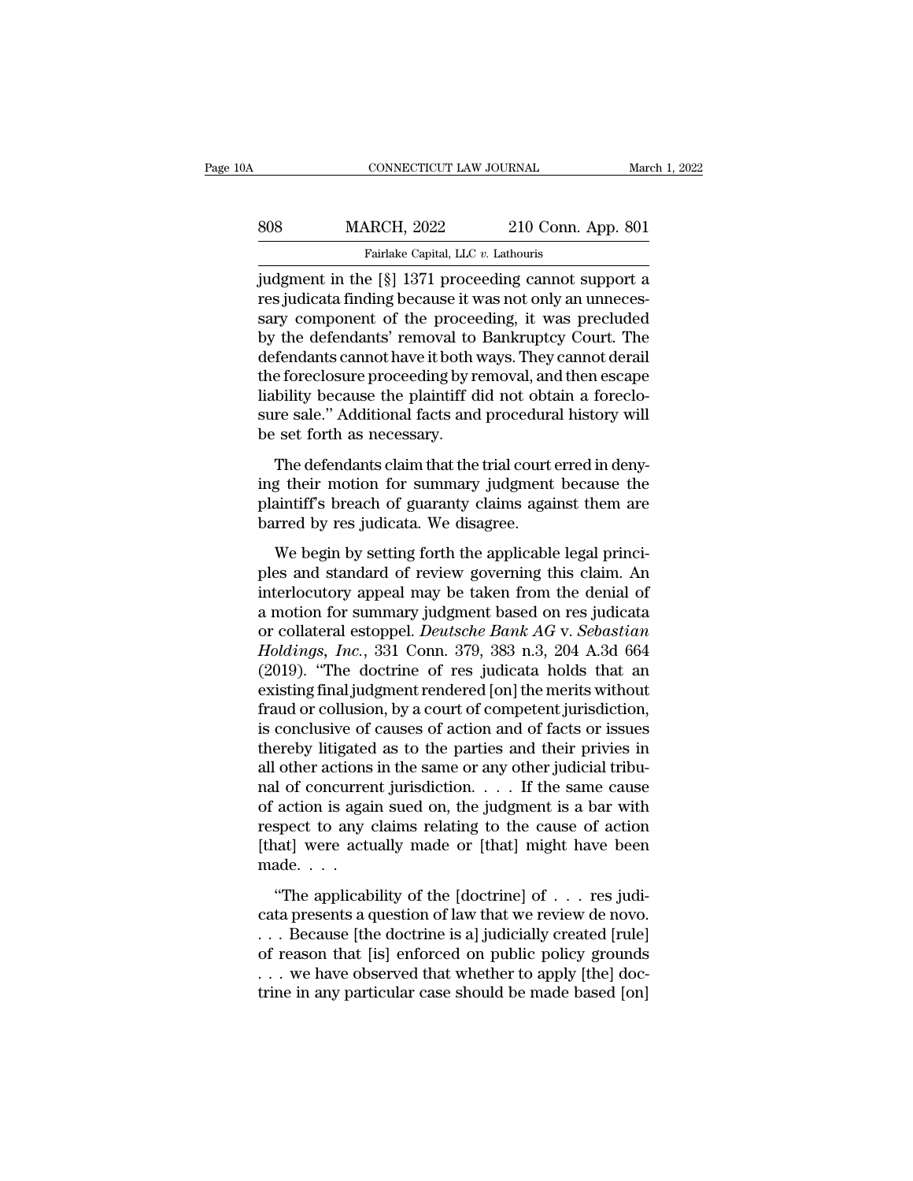| 0A  | CONNECTICUT LAW JOURNAL                                                                                                                                               |                    | March 1, 2022 |
|-----|-----------------------------------------------------------------------------------------------------------------------------------------------------------------------|--------------------|---------------|
| 808 | <b>MARCH, 2022</b>                                                                                                                                                    | 210 Conn. App. 801 |               |
|     | Fairlake Capital, LLC v. Lathouris                                                                                                                                    |                    |               |
|     | judgment in the [§] 1371 proceeding cannot support a<br>res judicata finding because it was not only an unneces-<br>sary component of the proceeding it was precluded |                    |               |

MARCH, 2022 210 Conn. App. 801<br>Fairlake Capital, LLC v. Lathouris<br>judgment in the [§] 1371 proceeding cannot support a<br>res judicata finding because it was not only an unneces-<br>sary component of the proceeding, it was precl  $\begin{tabular}{ll} 808 & MARCH, 2022 & 210 Conn. App. 801 \ \hline \hline \textbf{Farlike Capital, LLC } v. \textbf{Lathours} \ \hline \textbf{judgment in the [§]} 1371 proceeding cannot support a \ \hline \textbf{res judicial finding because it was not only an unnecessary component of the proceeding, it was precluded \textbf{by the defendants' removal to Bankruptcy Court. The \textbf{defendants cannot have it both waves. They cannot do\n\end{tabular}$  $\begin{tabular}{ll} \bf 808 & MARCH, 2022 & 210 Conn. App. 801 \\ \hline \bf 1300 & Fairlake Capital, LLC & Lathouris \\ \end{tabular}$ Fairlake Capital, LLC  $v$ . Lathouris<br>
judgment in the [§] 1371 proceeding cannot support a<br>
res judicata finding because it was not only an unneces-<br>
sary component of the proceeding, it was precluded<br>
by the defendants' Farlake Capital, LLC  $v$ . Lathours<br>judgment in the [§] 1371 proceeding cannot support a<br>res judicata finding because it was not only an unneces-<br>sary component of the proceeding, it was precluded<br>by the defendants' remova judgment in the [§] 1371 proceeding cannot support a<br>res judicata finding because it was not only an unneces-<br>sary component of the proceeding, it was precluded<br>by the defendants' removal to Bankruptcy Court. The<br>defendant res judicata finding because it was not only an unnecessary component of the proceeding, it was precluded<br>by the defendants' removal to Bankruptcy Court. The<br>defendants cannot have it both ways. They cannot derail<br>the fore sary component of the procee<br>by the defendants' removal to<br>defendants cannot have it both v<br>the foreclosure proceeding by r<br>liability because the plaintiff d<br>sure sale." Additional facts and<br>be set forth as necessary.<br>The The defendants cannot have it both ways. They cannot derail<br>fendants cannot have it both ways. They cannot derail<br>the effect oscieve proceeding by removal, and then escape<br>bility because the plaintiff did not obtain a fore decendants cannot have a boat ways. They cannot detain<br>the foreclosure proceeding by removal, and then escape<br>liability because the plaintiff did not obtain a foreclo-<br>sure sale." Additional facts and procedural history wi

are forecosare proceeding by removal, and after escape<br>liability because the plaintiff did not obtain a foreclo-<br>sure sale." Additional facts and procedural history will<br>be set forth as necessary.<br>The defendants claim that hasting because are plaintiff at not boat<br>sure sale." Additional facts and procedura<br>be set forth as necessary.<br>The defendants claim that the trial court<br>ing their motion for summary judgment<br>plaintiff's breach of guaranty expect forth as necessary.<br>The defendants claim that the trial court erred in deny-<br>g their motion for summary judgment because the<br>aintiff's breach of guaranty claims against them are<br>rred by res judicata. We disagree.<br>We The defendants claim that the trial court erred in deny-<br>ing their motion for summary judgment because the<br>plaintiff's breach of guaranty claims against them are<br>barred by res judicata. We disagree.<br>We begin by setting for

ing their motion for summary judgment because the<br>plaintiff's breach of guaranty claims against them are<br>barred by res judicata. We disagree.<br>We begin by setting forth the applicable legal princi-<br>ples and standard of revi may then motion for summary judgment because are<br>plaintiff's breach of guaranty claims against them are<br>barred by res judicata. We disagree.<br>We begin by setting forth the applicable legal princi-<br>ples and standard of revi barred by res judicata. We disagree.<br>
We begin by setting forth the applicable legal princi-<br>
ples and standard of review governing this claim. An<br>
interlocutory appeal may be taken from the denial of<br>
a motion for summary *Holdings, Inc.*, 331 Conn. 379, 383 n.3, 204 A.3d 664<br> *Holdings, Inc.*, 331 Conn. 379, 383 n.3, 204 A.3d 664<br> *Holdings, Inc.*, 331 Conn. 379, 383 n.3, 204 A.3d 664<br> *Holdings, Inc.*, 331 Conn. 379, 383 n.3, 204 A.3d 664 We begin by setting forth the applicable legal princi-<br>ples and standard of review governing this claim. An<br>interlocutory appeal may be taken from the denial of<br>a motion for summary judgment based on res judicata<br>or collat ples and standard of review governing this claim. An<br>interlocutory appeal may be taken from the denial of<br>a motion for summary judgment based on res judicata<br>or collateral estoppel. *Deutsche Bank AG* v. *Sebastian*<br>*Holdi* interlocutory appeal may be taken from the denial of<br>a motion for summary judgment based on res judicata<br>or collateral estoppel. *Deutsche Bank AG* v. *Sebastian*<br>*Holdings, Inc.*, 331 Conn. 379, 383 n.3, 204 A.3d 664<br>(201 a motion for summary judgment based on res judicata<br>or collateral estoppel. *Deutsche Bank AG* v. *Sebastian*<br>*Holdings, Inc.*, 331 Conn. 379, 383 n.3, 204 A.3d 664<br>(2019). "The doctrine of res judicata holds that an<br>exist or collateral estoppel. *Deutsche Bank AG* v. *Sebastian*<br>*Holdings, Inc.*, 331 Conn. 379, 383 n.3, 204 A.3d 664<br>(2019). "The doctrine of res judicata holds that an<br>existing final judgment rendered [on] the merits without<br> Holdings, Inc., 331 Conn. 379, 383 n.3, 204 A.3d 664 (2019). "The doctrine of res judicata holds that an existing final judgment rendered [on] the merits without fraud or collusion, by a court of competent jurisdiction, i (2019). "The doctrine of res judicata holds that an existing final judgment rendered [on] the merits without fraud or collusion, by a court of competent jurisdiction, is conclusive of causes of action and of facts or issu existing final judgment rendered [on] the merits without<br>fraud or collusion, by a court of competent jurisdiction,<br>is conclusive of causes of action and of facts or issues<br>thereby litigated as to the parties and their priv fraud or collusion, by a court of competent jurisdiction,<br>is conclusive of causes of action and of facts or issues<br>thereby litigated as to the parties and their privies in<br>all other actions in the same or any other judici is conclusive of causes of action and of facts or issues<br>thereby litigated as to the parties and their privies in<br>all other actions in the same or any other judicial tribu-<br>nal of concurrent jurisdiction. . . . If the sam thereby litigated<br>all other actions<br>nal of concurrer<br>of action is agai<br>respect to any (<br>[that] were actu<br>made. . . .<br>"The applicab all other actions in the same or any other judicial tribu-<br>
nal of concurrent jurisdiction. . . . If the same cause<br>
of action is again sued on, the judgment is a bar with<br>
respect to any claims relating to the cause of a Fig. 2. The same catalog of action is again sued on, the judgment is a bar with respect to any claims relating to the cause of action [that] were actually made or [that] might have been made. . . .<br>"The applicability of t

because to any claims relating to the cause of action<br>respect to any claims relating to the cause of action<br>[that] were actually made or [that] might have been<br>made....<br>"The applicability of the [doctrine] of ... res judi [that] were actually made or [that] might have been<br>made....<br>"The applicability of the [doctrine] of ... res judi-<br>cata presents a question of law that we review de novo.<br>... Because [the doctrine is a] judicially created made....<br>
"The applicability of the [doctrine] of ... res judicata presents a question of law that we review de novo.<br>
... Because [the doctrine is a] judicially created [rule]<br>
of reason that [is] enforced on public poli "The applicability of the [doctrine] of  $\dots$  res judicata presents a question of law that we review de novo.<br> $\dots$  Because [the doctrine is a] judicially created [rule] of reason that [is] enforced on public policy grounds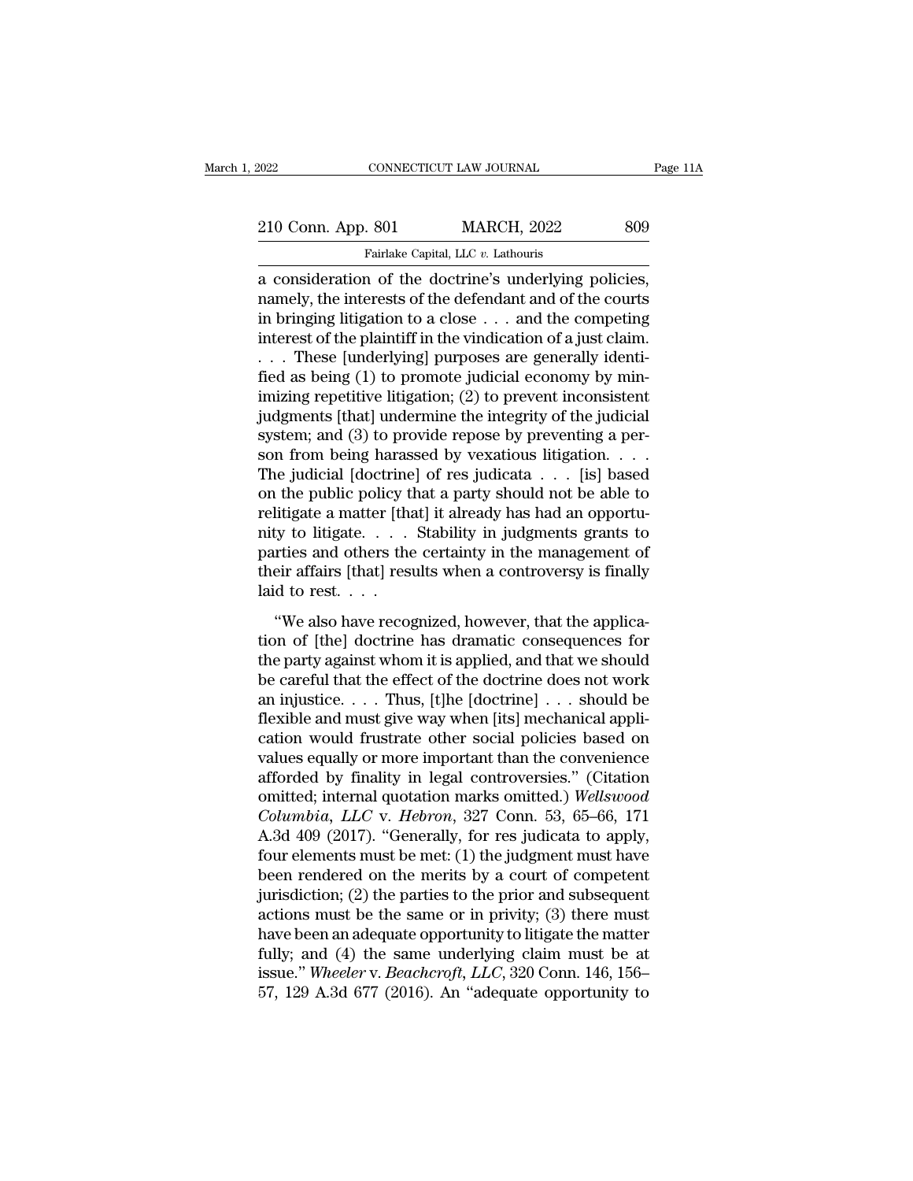Fage 1<br>
210 Conn. App. 801 MARCH, 2022 809<br>
Fairlake Capital, LLC v. Lathouris<br>
a consideration of the doctrine's underlying policies,<br>
namely, the interests of the defendant and of the courts<br>
in bringing litigation to a 210 Conn. App. 801 MARCH, 2022 809<br>
Fairlake Capital, LLC v. Lathouris<br>
a consideration of the doctrine's underlying policies,<br>
namely, the interests of the defendant and of the courts<br>
in bringing litigation to a close . 210 Conn. App. 801 MARCH, 2022 809<br>
Fairlake Capital, LLC v. Lathouris<br>
a consideration of the doctrine's underlying policies,<br>
namely, the interests of the defendant and of the courts<br>
in bringing litigation to a close . 210 Conn. App. 801 MARCH, 2022 809<br>
Fairlake Capital, LLC  $v$ . Lathouris<br>
a consideration of the doctrine's underlying policies,<br>
namely, the interests of the defendant and of the courts<br>
in bringing litigation to a close Fairlake Capital, LLC v. Lathouris<br>
a consideration of the doctrine's underlying policies,<br>
namely, the interests of the defendant and of the courts<br>
in bringing litigation to a close . . . and the competing<br>
interest of t Farlake Capital, LLC  $v$ . Lathouris<br>
a consideration of the doctrine's underlying policies,<br>
in bringing litigation to a close  $\ldots$  and the competing<br>
interest of the plaintiff in the vindication of a just claim.<br>  $\ldots$  a consideration of the doctrine's underlying policies,<br>namely, the interests of the defendant and of the courts<br>in bringing litigation to a close  $\ldots$  and the competing<br>interest of the plaintiff in the vindication of a j namely, the interests of the defendant and of the courts<br>in bringing litigation to a close  $\ldots$  and the competing<br>interest of the plaintiff in the vindication of a just claim.<br> $\ldots$  These [underlying] purposes are genera in bringing litigation to a close  $\dots$  and the competing<br>interest of the plaintiff in the vindication of a just claim.<br> $\dots$  These [underlying] purposes are generally identi-<br>fied as being (1) to promote judicial economy b interest of the plaintiff in the vindication of a just claim.<br>
. . . These [underlying] purposes are generally identi-<br>
fied as being (1) to promote judicial economy by min-<br>
imizing repetitive litigation; (2) to prevent i . . . These [underlying] purposes are generally identified as being (1) to promote judicial economy by minimizing repetitive litigation; (2) to prevent inconsistent judgments [that] undermine the integrity of the judicial fied as being (1) to promote judicial economy by min-<br>imizing repetitive litigation; (2) to prevent inconsistent<br>judgments [that] undermine the integrity of the judicial<br>system; and (3) to provide repose by preventing a pe imizing repetitive litigation; (2) to prevent inconsistent<br>judgments [that] undermine the integrity of the judicial<br>system; and (3) to provide repose by preventing a per-<br>son from being harassed by vexatious litigation... judgments [that] undermine the integrity of the judicial<br>system; and (3) to provide repose by preventing a per-<br>son from being harassed by vexatious litigation. . . .<br>The judicial [doctrine] of res judicata . . . . [is] b system; and (3) to provide repose by preventing a person from being harassed by vexatious litigation. . . . The judicial [doctrine] of res judicata . . . [is] based on the public policy that a party should not be able to son from being harassed by vexatious litigation. . . . The judicial [doctrine] of res judicata . . . [is] based<br>on the public policy that a party should not be able to<br>relitigate a matter [that] it already has had an oppo The judicial [doctrine<br>on the public policy tl<br>relitigate a matter [tha<br>nity to litigate. . . . .<br>parties and others the<br>their affairs [that] rest<br>laid to rest. . . . .<br>"We also have recog The passive policy and a party should not be different indifferent in the state of litigate a matter [that] it already has had an opportuty to litigate.  $\dots$  Stability in judgments grants to retice and others the certaint tenagate a matter patter of all the protection of their affairs (that) results when a controversy is finally laid to rest.  $\ldots$  "We also have recognized, however, that the application of [the] doctrine has dramatic conse

the parties and others the certainty in Jadgmenta grands to<br>parties and others the certainty in the management of<br>their affairs [that] results when a controversy is finally<br>laid to rest....<br>"We also have recognized, howev paracs and safets are erroamly in the management of<br>their affairs [that] results when a controversy is finally<br>laid to rest. . . .<br>"We also have recognized, however, that the applica-<br>tion of [the] doctrine has dramatic c and the state of the application of [the] doctrine has dramatic consequences for the party against whom it is applied, and that we should be careful that the effect of the doctrine does not work an injustice.  $\dots$  Thus, [ fluid to rest.  $\cdots$ <br>
"We also have recognized, however, that the application of [the] doctrine has dramatic consequences for<br>
the party against whom it is applied, and that we should<br>
be careful that the effect of the do "We also have recognized, however, that the application of [the] doctrine has dramatic consequences for the party against whom it is applied, and that we should be careful that the effect of the doctrine does not work an tion of [the] doctrine has dramatic consequences for<br>the party against whom it is applied, and that we should<br>be careful that the effect of the doctrine does not work<br>an injustice....Thus, [t]he [doctrine]...should be<br>fle the party against whom it is applied, and that we should<br>be careful that the effect of the doctrine does not work<br>an injustice.... Thus, [t]he [doctrine]...should be<br>flexible and must give way when [its] mechanical applibe careful that the effect of the doctrine does not work<br>an injustice. . . . Thus, [t]he [doctrine] . . . should be<br>flexible and must give way when [its] mechanical appli-<br>cation would frustrate other social policies based an injustice. . . . Thus, [t]he [doctrine] . . . should be<br>flexible and must give way when [its] mechanical appli-<br>cation would frustrate other social policies based on<br>values equally or more important than the convenience flexible and must give way when [its] mechanical application would frustrate other social policies based on values equally or more important than the convenience afforded by finality in legal controversies." (Citation omit cation would frustrate other social policies based on<br>values equally or more important than the convenience<br>afforded by finality in legal controversies." (Citation<br>omitted; internal quotation marks omitted.) Wellswood<br>*Co* values equally or more important than the convenience<br>afforded by finality in legal controversies." (Citation<br>omitted; internal quotation marks omitted.) Wellswood<br>Columbia, LLC v. Hebron, 327 Conn. 53, 65–66, 171<br>A.3d 40 afforded by finality in legal controversies." (Citation<br>omitted; internal quotation marks omitted.) Wellswood<br>Columbia, LLC v. Hebron, 327 Conn. 53, 65–66, 171<br>A.3d 409 (2017). "Generally, for res judicata to apply,<br>four e omitted; internal quotation marks omitted.) Wellswood<br>Columbia, LLC v. Hebron, 327 Conn. 53, 65–66, 171<br>A.3d 409 (2017). "Generally, for res judicata to apply,<br>four elements must be met: (1) the judgment must have<br>been ren Columbia, LLC v. Hebron, 327 Conn. 53, 65–66, 171<br>A.3d 409 (2017). "Generally, for res judicata to apply,<br>four elements must be met: (1) the judgment must have<br>been rendered on the merits by a court of competent<br>jurisdict A.3d 409 (2017). "Generally, for res judicata to apply,<br>four elements must be met: (1) the judgment must have<br>been rendered on the merits by a court of competent<br>jurisdiction; (2) the parties to the prior and subsequent<br>a four elements must be met: (1) the judgment must have<br>been rendered on the merits by a court of competent<br>jurisdiction; (2) the parties to the prior and subsequent<br>actions must be the same or in privity; (3) there must<br>hav been rendered on the merits by a court of competent<br>jurisdiction; (2) the parties to the prior and subsequent<br>actions must be the same or in privity; (3) there must<br>have been an adequate opportunity to litigate the matter<br>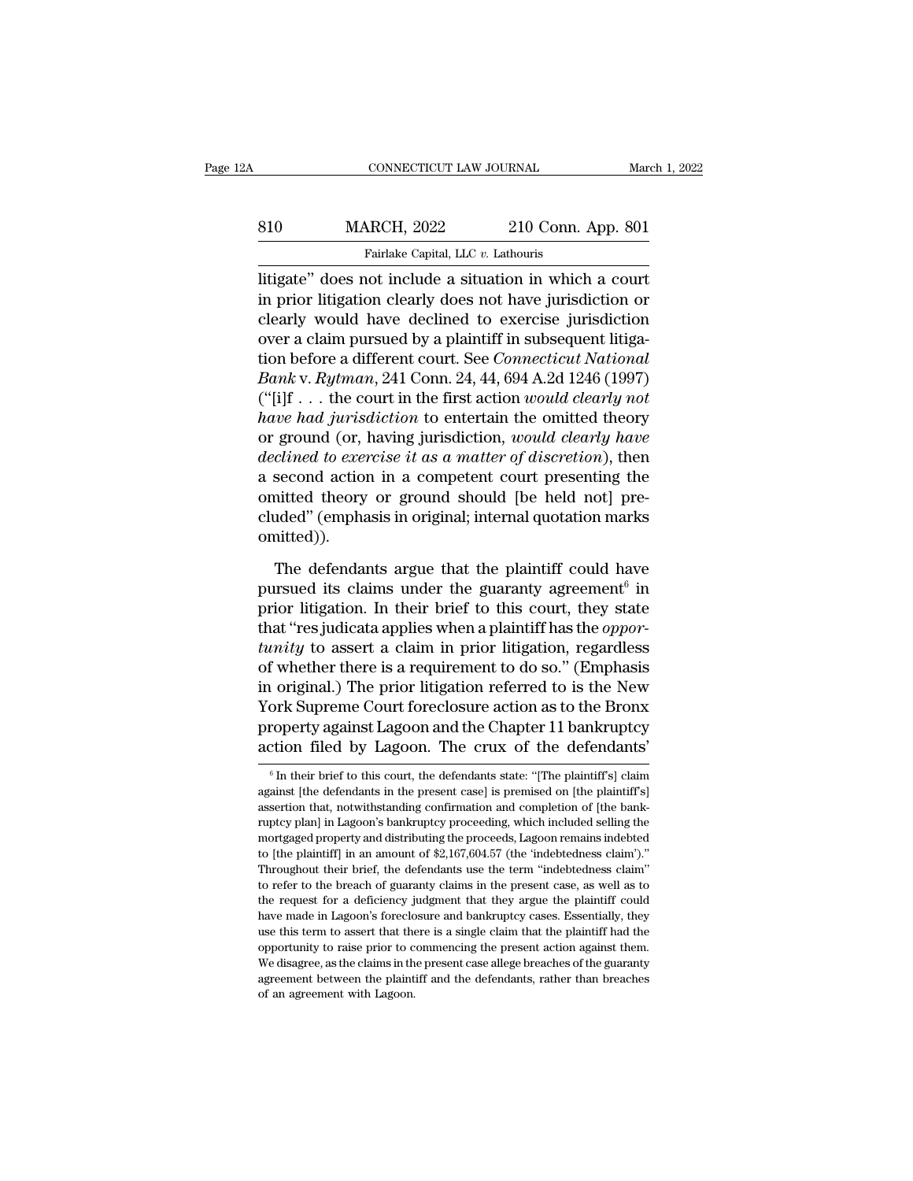# EXECUTE CONNECTICUT LAW JOURNAL March 1, 2022<br>
810 MARCH, 2022 210 Conn. App. 801<br>
Fairlake Capital, LLC v. Lathouris Fairlake Capital, LLC *v.* Lathouris<br>NGCH, 2022 210 Conn.<br>Fairlake Capital, LLC *v.* Lathouris<br>Not include a situation in which

CONNECTICUT LAW JOURNAL March 1, 202:<br>
810 MARCH, 2022 210 Conn. App. 801<br>
Fairlake Capital, LLC v. Lathouris<br>
litigate'' does not include a situation in which a court<br>
in prior litigation clearly does not have jurisdictio MARCH, 2022 210 Conn. App. 801<br>
Fairlake Capital, LLC v. Lathouris<br>
litigate" does not include a situation in which a court<br>
in prior litigation clearly does not have jurisdiction or<br>
clearly would have declined to exercis 810 MARCH, 2022 210 Conn. App. 801<br>
Fairlake Capital, LLC v. Lathouris<br>
litigate" does not include a situation in which a court<br>
in prior litigation clearly does not have jurisdiction or<br>
clearly would have declined to ex 810 MARCH, 2022 210 Conn. App. 801<br>
Fairlake Capital, LLC v. Lathouris<br>
litigate" does not include a situation in which a court<br>
in prior litigation clearly does not have jurisdiction or<br>
clearly would have declined to ex Fairlake Capital, LLC v. Lathouris<br>
litigate" does not include a situation in which a court<br>
in prior litigation clearly does not have jurisdiction or<br>
clearly would have declined to exercise jurisdiction<br>
over a claim pur *Bankke Capital, LEC 0. Latifours*<br> *Bankke* v. *Rythman*, *REC 0. Latifours*<br> *Banky* vould have declined to exercise jurisdiction<br>
over a claim pursued by a plaintiff in subsequent litiga-<br>
tion before a different court. litigate" does not include a situation in which a court<br>in prior litigation clearly does not have jurisdiction or<br>clearly would have declined to exercise jurisdiction<br>over a claim pursued by a plaintiff in subsequent litig in prior litigation clearly does not have jurisdiction or<br>clearly would have declined to exercise jurisdiction<br>over a claim pursued by a plaintiff in subsequent litiga-<br>tion before a different court. See *Connecticut Natio* clearly would have declined to exercise jurisdiction<br>over a claim pursued by a plaintiff in subsequent litiga-<br>tion before a different court. See *Connecticut National*<br>Bank v. Rytman, 241 Conn. 24, 44, 694 A.2d 1246 (1997 over a claim pursued by a plaintiff in subsequent litigation before a different court. See *Connecticut National*<br> *Bank v. Rytman*, 241 Conn. 24, 44, 694 A.2d 1246 (1997)<br>
("[i]f . . . the court in the first action *would* tion before a different court. See *Connecticut National*<br> *Bank v. Rytman*, 241 Conn. 24, 44, 694 A.2d 1246 (1997)<br>
("[i]f . . . the court in the first action would clearly not<br> *have had jurisdiction* to entertain the o *Bank* v. *Rytman*, 241 Conn. 24, 44, 694 A.2d 1246 (1997) ("[i]f... the court in the first action *would clearly not* have had *jurisdiction* to entertain the omitted theory or ground (or, having jurisdiction, *would cle* ("[i]f . . . the court in the first action *would clearly not*<br>have had jurisdiction to entertain the omitted theory<br>or ground (or, having jurisdiction, *would clearly have*<br>declined to exercise it as a matter of discreti omitted)). clined to exercise it as a matter of discretion), then<br>second action in a competent court presenting the<br>nitted theory or ground should [be held not] pre-<br>uded" (emphasis in original; internal quotation marks<br>nitted)).<br>The a second action in a competent court presenting the<br>omitted theory or ground should [be held not] pre-<br>cluded" (emphasis in original; internal quotation marks<br>omitted)).<br>The defendants argue that the plaintiff could have<br>

pursued its claims under the guaranty agreement<sup> $6$ </sup> in omitted theory or ground should [be held not] pre-<br>cluded" (emphasis in original; internal quotation marks<br>omitted)).<br>The defendants argue that the plaintiff could have<br>pursued its claims under the guaranty agreement<sup>6</sup> i cluded" (emphasis in original; internal quotation marks<br>
omitted)).<br>
The defendants argue that the plaintiff could have<br>
pursued its claims under the guaranty agreement<sup>6</sup> in<br>
prior litigation. In their brief to this court omitted)).<br>
The defendants argue that the plaintiff could have<br>
pursued its claims under the guaranty agreement<sup>6</sup> in<br>
prior litigation. In their brief to this court, they state<br>
that "res judicata applies when a plaintiff The defendants argue that the plaintiff could have<br>pursued its claims under the guaranty agreement<sup>6</sup> in<br>prior litigation. In their brief to this court, they state<br>that "res judicata applies when a plaintiff has the *oppo* The defendants argue that the plaintiff could have<br>pursued its claims under the guaranty agreement<sup>6</sup> in<br>prior litigation. In their brief to this court, they state<br>that "res judicata applies when a plaintiff has the *oppo* pursued its claims under the guaranty agreement<sup>6</sup> in<br>prior litigation. In their brief to this court, they state<br>that "res judicata applies when a plaintiff has the *oppor-<br>tunity* to assert a claim in prior litigation, re prior litigation. In their brief to this court, they state<br>that "resjudicata applies when a plaintiff has the *oppor-<br>tunity* to assert a claim in prior litigation, regardless<br>of whether there is a requirement to do so." ( that "res judicata applies when a plaintiff has the *opportunity* to assert a claim in prior litigation, regardless of whether there is a requirement to do so." (Emphasis in original.) The prior litigation referred to is For the prior intigation referred to is the New ork Supreme Court foreclosure action as to the Bronx roperty against Lagoon and the Chapter 11 bankruptcy extion filed by Lagoon. The crux of the defendants'<br> $\frac{1}{6}$  In th York Supreme Court foreclosure action as to the Bronx<br>property against Lagoon and the Chapter 11 bankruptcy<br>action filed by Lagoon. The crux of the defendants'<br> $\frac{1}{6}$  In their brief to this court, the defendants state:

property against Lagoon and the Chapter 11 bankruptcy<br>action filed by Lagoon. The crux of the defendants'<br><sup>6</sup>In their brief to this court, the defendants state: "[The plaintiff's] claim<br>against [the defendants in the prese action filed by Lagoon. The crux of the defendants'<br>
<sup>6</sup> In their brief to this court, the defendants state: "[The plaintiff's] claim<br>
against [the defendants in the present case] is premised on [the plaintiff's]<br>
assertio The UP of the UCLE of the UCLE CHARD TREVERTIES.<br>
<sup>6</sup> In their brief to this court, the defendants state: "[The plaintiff's] claim<br>
against [the defendants in the present case] is premised on [the plaintiff's]<br>
assertion <sup>6</sup> In their brief to this court, the defendants state: "[The plaintiff's] claim against [the defendants in the present case] is premised on [the plaintiff's] assertion that, notwithstanding confirmation and completion of against [the defendants in the present case] is premised on [the plaintiff's] assertion that, notwithstanding confirmation and completion of [the bank-ruptcy plan] in Lagoon's bankruptcy proceeding, which included selling assertion that, notwithstanding confirmation and completion of [the bank-<br>ruptcy plan] in Lagoon's bankruptcy proceeding, which included selling the<br>mortgaged property and distributing the proceeds, Lagoon remains indebted Truptcy plan] in Lagoon's bankruptcy proceeding, which included selling the mortgaged property and distributing the proceeds, Lagoon remains indebted to [the plaintiff] in an amount of  $\frac{4}{2,167,604.57}$  (the 'indebtedn have made in Lagoon's distributing the proceeds, Lagoon remains indebted to [the plaintiff] in an amount of \$2,167,604.57 (the 'indebtedness claim')."<br>Throughout their brief, the defendants use the term "indebtedness claim to the plaintiff] in an amount of \$2,167,604.57 (the 'indebtedness claim')."<br>Throughout their brief, the defendants use the term "indebtedness claim"<br>to refer to the breach of guaranty claims in the present case, as well Throughout their brief, the defendants use the term "indebtedness claim" to refer to the breach of guaranty claims in the present case, as well as to the request for a deficiency judgment that they argue the plaintiff coul From the breach of guaranty claims in the present case, as well as to the request for a deficiency judgment that they argue the plaintiff could have made in Lagoon's foreclosure and bankruptcy cases. Essentially, they use the request for a deficiency judgment that they argue the plaintiff could have made in Lagoon's foreclosure and bankruptcy cases. Essentially, they use this term to assert that there is a single claim that the plaintiff ha have made in Lagoon's foreclosure and bankruptcy cases. Essentially, they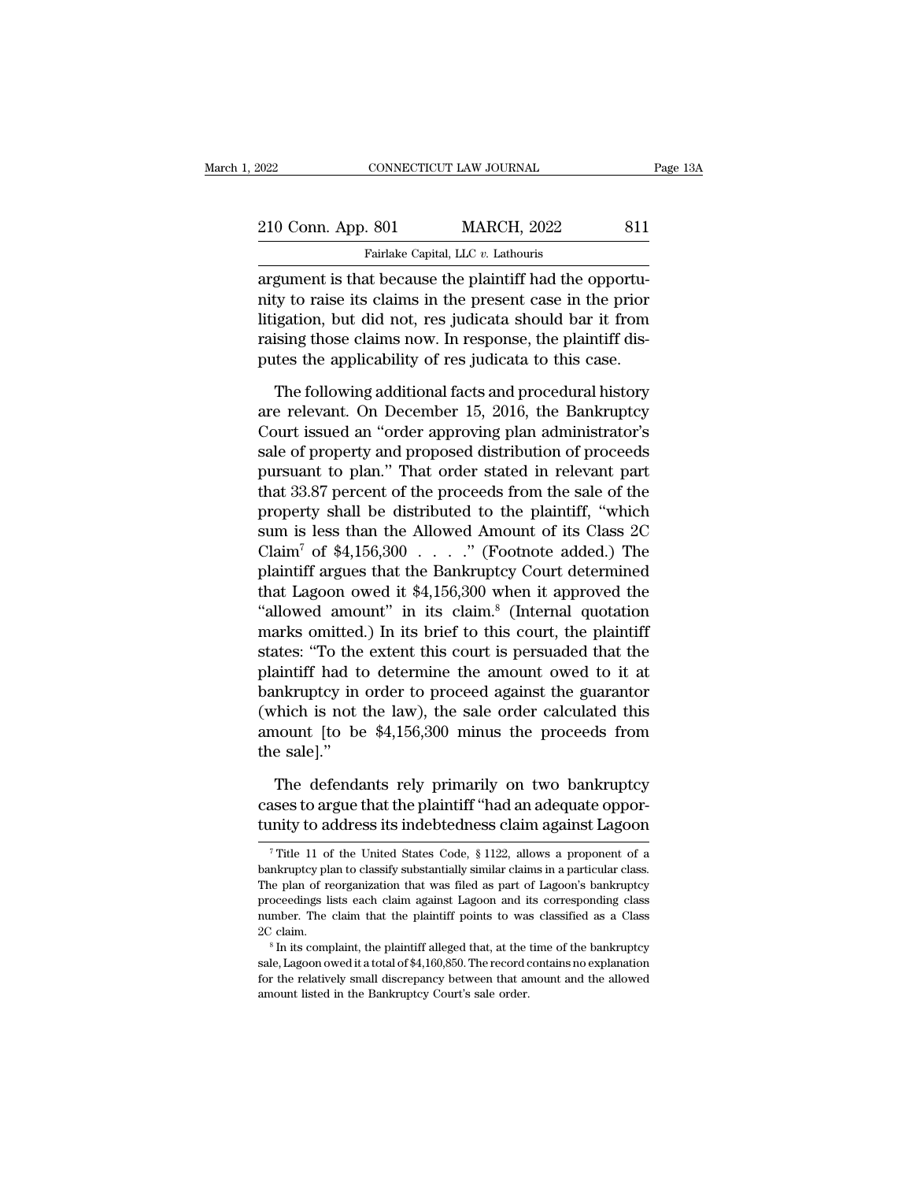| 2022                                                    | CONNECTICUT LAW JOURNAL            | Page 13A |
|---------------------------------------------------------|------------------------------------|----------|
| 210 Conn. App. 801                                      | <b>MARCH, 2022</b>                 | 811      |
|                                                         | Fairlake Capital, LLC v. Lathouris |          |
| aroument is that because the plaintiff had the opportu- |                                    |          |

CONNECTICUT LAW JOURNAL<br>
210 Conn. App. 801 MARCH, 2022 811<br>
Fairlake Capital, LLC v. Lathouris<br>
argument is that because the plaintiff had the opportu-<br>
nity to raise its claims in the present case in the prior<br>
litiestie 210 Conn. App. 801 MARCH, 2022 811<br>
Fairlake Capital, LLC v. Lathouris<br>
argument is that because the plaintiff had the opportu-<br>
nity to raise its claims in the present case in the prior<br>
litigation, but did not, res judic 210 Conn. App. 801 MARCH, 2022 811<br>
Fairlake Capital, LLC  $v$ . Lathouris<br>
argument is that because the plaintiff had the opportu-<br>
nity to raise its claims in the present case in the prior<br>
litigation, but did not, res ju 210 Conn. App. 801 MARCH, 2022 811<br>
Fairlake Capital, LLC v. Lathouris<br>
argument is that because the plaintiff had the opportu-<br>
nity to raise its claims in the present case in the prior<br>
litigation, but did not, res judic Fairlake Capital, LLC v. Lathouris<br>argument is that because the plaintiff had the opportu-<br>nity to raise its claims in the present case in the prior<br>litigation, but did not, res judicata should bar it from<br>raising those cl gument is that because the plaintiff had the opportu-<br>ty to raise its claims in the present case in the prior<br>igation, but did not, res judicata should bar it from<br>ising those claims now. In response, the plaintiff dis-<br>te mity to raise its claims in the present case in the prior<br>litigation, but did not, res judicata should bar it from<br>raising those claims now. In response, the plaintiff dis-<br>putes the applicability of res judicata to this c

litigation, but did not, res judicata should bar it from<br>raising those claims now. In response, the plaintiff dis-<br>putes the applicability of res judicata to this case.<br>The following additional facts and procedural history raising those claims now. In response, the plaintiff dis-<br>putes the applicability of res judicata to this case.<br>The following additional facts and procedural history<br>are relevant. On December 15, 2016, the Bankruptcy<br>Court putes the applicability of res judicata to this case.<br>
The following additional facts and procedural history<br>
are relevant. On December 15, 2016, the Bankruptcy<br>
Court issued an "order approving plan administrator's<br>
sale The following additional facts and procedural history<br>are relevant. On December 15, 2016, the Bankruptcy<br>Court issued an "order approving plan administrator's<br>sale of property and proposed distribution of proceeds<br>pursuant The following additional facts and procedural history<br>are relevant. On December 15, 2016, the Bankruptcy<br>Court issued an "order approving plan administrator's<br>sale of property and proposed distribution of proceeds<br>pursuant are relevant. On December 15, 2016, the Bankruptcy<br>Court issued an "order approving plan administrator's<br>sale of property and proposed distribution of proceeds<br>pursuant to plan." That order stated in relevant part<br>that 33. Court issued an "order approving plan administrator's<br>sale of property and proposed distribution of proceeds<br>pursuant to plan." That order stated in relevant part<br>that 33.87 percent of the proceeds from the sale of the<br>pr sale of property and proposed distribution of proceeds<br>pursuant to plan." That order stated in relevant part<br>that 33.87 percent of the proceeds from the sale of the<br>property shall be distributed to the plaintiff, "which<br>s pursuant to plan." That order stated in relevant part<br>that 33.87 percent of the proceeds from the sale of the<br>property shall be distributed to the plaintiff, "which<br>sum is less than the Allowed Amount of its Class 2C<br>Clai that 33.87 percent of the proceeds from the sale of the<br>property shall be distributed to the plaintiff, "which<br>sum is less than the Allowed Amount of its Class 2C<br>Claim<sup>7</sup> of \$4,156,300 . . . . ." (Footnote added.) The<br>pl property shall be distributed to the plaintiff, "which<br>sum is less than the Allowed Amount of its Class 2C<br>Claim<sup>7</sup> of \$4,156,300 . . . . ." (Footnote added.) The<br>plaintiff argues that the Bankruptcy Court determined<br>that sum is less than the Allowed Amount of its Class 2C<br>Claim<sup>7</sup> of \$4,156,300 . . . . " (Footnote added.) The<br>plaintiff argues that the Bankruptcy Court determined<br>that Lagoon owed it \$4,156,300 when it approved the<br>"allowed Claim' of \$4,156,300  $\ldots$  ." (Footnote added.) The<br>plaintiff argues that the Bankruptcy Court determined<br>that Lagoon owed it \$4,156,300 when it approved the<br>"allowed amount" in its claim.<sup>8</sup> (Internal quotation<br>marks omi plaintiff argues that the Bankruptcy Court determined<br>that Lagoon owed it \$4,156,300 when it approved the<br>"allowed amount" in its claim.<sup>8</sup> (Internal quotation<br>marks omitted.) In its brief to this court, the plaintiff<br>stat that Lagoon owed it  $$4,156,300$  when it approved the<br>
"allowed amount" in its claim.<sup>8</sup> (Internal quotation<br>
marks omitted.) In its brief to this court, the plaintiff<br>
states: "To the extent this court is persuaded that "allowed amount" in its claim." (Internal quotation<br>marks omitted.) In its brief to this court, the plaintiff<br>states: "To the extent this court is persuaded that the<br>plaintiff had to determine the amount owed to it at<br>bank marks omitted<br>states: "To the<br>plaintiff had to<br>bankruptcy in<br>(which is not<br>amount [to be<br>the sale]."<br>The defenda metally a simulatiff had to determine the amount owed to it at<br>the defendants relation of the sale order calculated this<br>nount [to be \$4,156,300 minus the proceeds from<br>e sale]."<br>The defendants rely primarily on two bankru bankruptcy in order to proceed against the guarantor (which is not the law), the sale order calculated this amount [to be \$4,156,300 minus the proceeds from the sale]."<br>The defendants rely primarily on two bankruptcy cases % (which is not the law), the sale order calculated this amount [to be \$4,156,300 minus the proceeds from the sale]."<br>The defendants rely primarily on two bankruptcy cases to argue that the plaintiff "had an adequate oppo

The defendants rely primarily on two bankruptcy<br>ases to argue that the plaintiff "had an adequate oppor-<br>mity to address its indebtedness claim against Lagoon<br><sup>7</sup> Title 11 of the United States Code, § 1122, allows a propo The defendants rely primarily on two bankruptcy cases to argue that the plaintiff "had an adequate opportunity to address its indebtedness claim against Lagoon  $\frac{7}{1}$  Title 11 of the United States Code, § 1122, allows

cases to argue that the plaintiff "had an adequate opportunity to address its indebtedness claim against Lagoon<br>The plan of the United States Code,  $\S 1122$ , allows a proponent of a bankruptcy plan to classify substantial tunity to address its indebtedness claim against Lagoon<br>
<sup>7</sup> Title 11 of the United States Code, § 1122, allows a proponent of a<br>
bankruptcy plan to classify substantially similar claims in a particular class.<br>
The plan of The claim of the United States Code,  $\S$  1122, allows a proponent of a bankruptcy plan to classify substantially similar claims in a particular class.<br>The plan of reorganization that was filed as part of Lagoon's bankrupt <sup>7</sup> Title 11 of the United States Code, § 1122, allows a proponent of a bankruptcy plan to classify substantially similar claims in a particular class. The plan of reorganization that was filed as part of Lagoon's bankrup sale, Lagoon owed it a total of \$4,160,850. The record contains no explanation of reorganization that was filed as part of Lagoon's bankruptcy proceedings lists each claim against Lagoon and its corresponding class accumum

For the relationships lists each claim against Lagoon and its corresponding class<br>proceedings lists each claim against Lagoon and its corresponding class<br>2C claim.<br><sup>8</sup> In its complaint, the plaintiff alleged that, at the t proceedings lists each claim against Lagoon and its corresponding class number. The claim that the plaintiff points to was classified as a Class 2C claim.<br>  $8 \text{ In its complaint, the plaintiff alleged that, at the time of the bankruptcy sale, Lagoon owed it a total of $4,160,850. The record contains no explanation for the relatively small discrepancy between that amount and the allowed amount listed in the Bankruptcy Court$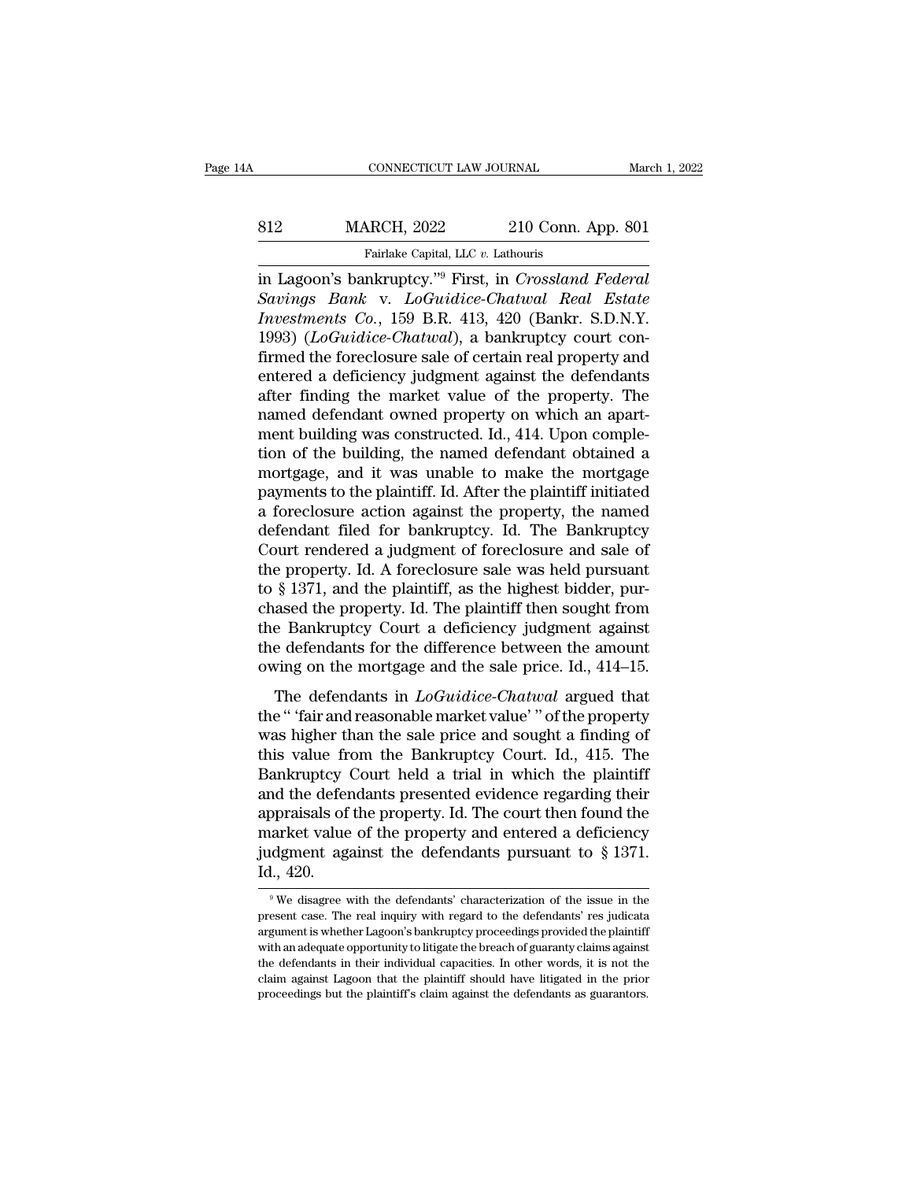# EXECUTE CONNECTICUT LAW JOURNAL March 1, 2022<br>812 MARCH, 2022 210 Conn. App. 801<br>Fairlake Capital, LLC v. Lathouris EXECUTE CONNECTICUT LAW JOURNAL MARTER MARTEN MARCH, 2022 210 Conn. App. 801<br>Fairlake Capital, LLC *v.* Lathouris<br>in Lagoon's bankruptcy."<sup>9</sup> First, in *Crossland Federal*

EXECUTE CONNECTICUT LAW JOURNAL<br>
S12 MARCH, 2022 210 Conn. App. 801<br>
Fairlake Capital, LLC v. Lathouris<br>
in Lagoon's bankruptcy.'<sup>19</sup> First, in *Crossland Federal*<br>
Savings Bank v. LoGuidice-Chatwal Real Estate<br>
Favoriment *Savings Bank* v. *LoGuidice Chatwal Real Estate*<br>*Savings Bank* v. *LoGuidice-Chatwal Real Estate*<br>*Investments Co.*, 159 B.R. 413, 420 (Bankr. S.D.N.Y.<br>1003) (LoGuidice Chatwal) a bankruptcy court con *In Lagoon's bankruptcy."<sup>9</sup> First, in Crossland Federal*<br>*In Lagoon's bankruptcy."<sup>9</sup> First, in Crossland Federal*<br>*Savings Bank v. LoGuidice-Chatwal Real Estate*<br>*Investments Co.*, 159 B.R. 413, 420 (Bankr. S.D.N.Y.<br>1993 MARCH, 2022 210 Conn. App. 801<br>
Fairlake Capital, LLC v. Lathouris<br>
in Lagoon's bankruptcy."<sup>9</sup> First, in *Crossland Federal*<br> *Savings Bank v. LoGuidice-Chatwal Real Estate*<br> *Investments Co.*, 159 B.R. 413, 420 (Bankr. S Fairlake Capital, LLC v. Lathouris<br>
in Lagoon's bankruptcy."<sup>9</sup> First, in *Crossland Federal*<br>
Savings Bank v. LoGuidice-Chatwal Real Estate<br>
Investments Co., 159 B.R. 413, 420 (Bankr. S.D.N.Y.<br>
1993) (LoGuidice-Chatwal), Farlake Capital, LLC v. Lathouris<br>
in Lagoon's bankruptcy."<sup>9</sup> First, in *Crossland Federal*<br>
Savings Bank v. LoGuidice-Chatwal Real Estate<br>
Investments Co., 159 B.R. 413, 420 (Bankr. S.D.N.Y.<br>
1993) (LoGuidice-Chatwal), in Lagoon's bankruptcy."<sup>9</sup> First, in *Crossland Federal*<br>Savings Bank v. LoGuidice-Chatwal Real Estate<br>Investments Co., 159 B.R. 413, 420 (Bankr. S.D.N.Y.<br>1993) (LoGuidice-Chatwal), a bankruptcy court con-<br>firmed the fore Savings Bank v. LoGuidice-Chatwal Real Estate<br>Investments Co., 159 B.R. 413, 420 (Bankr. S.D.N.Y.<br>1993) (LoGuidice-Chatwal), a bankruptcy court con-<br>firmed the foreclosure sale of certain real property and<br>entered a defici Investments Co., 159 B.R. 413, 420 (Bankr. S.D.N.Y.<br>1993) (*LoGuidice-Chatwal*), a bankruptcy court confirmed the foreclosure sale of certain real property and<br>entered a deficiency judgment against the defendants<br>after fin 1993) (*LoGuidice-Chatwal*), a bankruptcy court confirmed the foreclosure sale of certain real property and entered a deficiency judgment against the defendants after finding the market value of the property. The named de firmed the foreclosure sale of certain real property and<br>entered a deficiency judgment against the defendants<br>after finding the market value of the property. The<br>named defendant owned property on which an apart-<br>ment build entered a deficiency judgment against the defendants<br>after finding the market value of the property. The<br>named defendant owned property on which an apart-<br>ment building was constructed. Id., 414. Upon comple-<br>tion of the b after finding the market value of the property. The<br>named defendant owned property on which an apart-<br>ment building was constructed. Id., 414. Upon comple-<br>tion of the building, the named defendant obtained a<br>mortgage, and named defendant owned property on which an apart-<br>ment building was constructed. Id., 414. Upon comple-<br>tion of the building, the named defendant obtained a<br>mortgage, and it was unable to make the mortgage<br>payments to the ment building was constructed. Id., 414. Upon completion of the building, the named defendant obtained a mortgage, and it was unable to make the mortgage payments to the plaintiff. Id. After the plaintiff initiated a forec tion of the building, the named defendant obtained a<br>mortgage, and it was unable to make the mortgage<br>payments to the plaintiff. Id. After the plaintiff initiated<br>a foreclosure action against the property, the named<br>defen mortgage, and it was unable to make the mortgage<br>payments to the plaintiff. Id. After the plaintiff initiated<br>a foreclosure action against the property, the named<br>defendant filed for bankruptcy. Id. The Bankruptcy<br>Court re payments to the plaintiff. Id. After the plaintiff initiated<br>a foreclosure action against the property, the named<br>defendant filed for bankruptcy. Id. The Bankruptcy<br>Court rendered a judgment of foreclosure and sale of<br>the a foreclosure action against the property, the named<br>defendant filed for bankruptcy. Id. The Bankruptcy<br>Court rendered a judgment of foreclosure and sale of<br>the property. Id. A foreclosure sale was held pursuant<br>to § 1371 defendant filed for bankruptcy. Id. The Bankruptcy<br>Court rendered a judgment of foreclosure and sale of<br>the property. Id. A foreclosure sale was held pursuant<br>to § 1371, and the plaintiff, as the highest bidder, pur-<br>chase Court rendered a judgment of foreclosure and sale of<br>the property. Id. A foreclosure sale was held pursuant<br>to § 1371, and the plaintiff, as the highest bidder, pur-<br>chased the property. Id. The plaintiff then sought from  $\S$  1371, and the plaintiff, as the highest bidder, purased the property. Id. The plaintiff then sought from<br>e Bankruptcy Court a deficiency judgment against<br>e defendants for the difference between the amount<br>ving on the to  $\frac{1}{3}$  form, and the phankin, as the highest statue, put<br>chased the property. Id. The plaintiff then sought from<br>the Bankruptcy Court a deficiency judgment against<br>the defendants for the difference between the amoun

the Bankruptcy Court a deficiency judgment against<br>the defendants for the difference between the amount<br>owing on the mortgage and the sale price. Id., 414–15.<br>The defendants in *LoGuidice-Chatwal* argued that<br>the "'fair a the defendants for the difference between the amount<br>the defendants for the difference between the amount<br>owing on the mortgage and the sale price. Id., 414–15.<br>The defendants in *LoGuidice-Chatwal* argued that<br>the "'fair owing on the mortgage and the sale price. Id.,  $414-15$ .<br>The defendants in  $LoGuidice-Chatwal$  argued that<br>the " 'fair and reasonable market value' " of the property<br>was higher than the sale price and sought a finding of<br>this value The defendants in  $LoGuidice-Chatwal$  argued that<br>the "'fair and reasonable market value'" of the property<br>was higher than the sale price and sought a finding of<br>this value from the Bankruptcy Court. Id., 415. The<br>Bankruptcy Court h The defendants in *LoGuidice-Chatwal* argued that<br>the " 'fair and reasonable market value' " of the property<br>was higher than the sale price and sought a finding of<br>this value from the Bankruptcy Court. Id., 415. The<br>Bankr the " fair and reasonable market value" " of the property<br>was higher than the sale price and sought a finding of<br>this value from the Bankruptcy Court. Id., 415. The<br>Bankruptcy Court held a trial in which the plaintiff<br>and was higher than the sale price and sought a finding of<br>this value from the Bankruptcy Court. Id., 415. The<br>Bankruptcy Court held a trial in which the plaintiff<br>and the defendants presented evidence regarding their<br>apprais this value free<br>Bankruptcy<br>and the defer<br>appraisals of<br>market value<br>judgment ag:<br>Id., 420.<br>we disagree v ppraisals of the property. Id. The court then found the arket value of the property and entered a deficiency degment against the defendants pursuant to  $\S 1371$ .<br>  $\ldots$ , 420.<br>
<sup>9</sup> We disagree with the defendants' characte market value of the property and entered a deficiency<br>judgment against the defendants pursuant to  $\S$  1371.<br>Id., 420.<br><sup>9</sup>We disagree with the defendants' characterization of the issue in the<br>present case. The real inquiry

judgment against the defendants pursuant to  $\S$  1371.<br>Id., 420.<br><sup>9</sup>We disagree with the defendants' characterization of the issue in the present case. The real inquiry with regard to the defendants' res judicata argument Id.,  $420$ .<br>
<sup>9</sup> We disagree with the defendants' characterization of the issue in the present case. The real inquiry with regard to the defendants' res judicata argument is whether Lagoon's bankruptcy proceedings provide  $\frac{420}{9}$  We disagree with the defendants' characterization of the issue in the present case. The real inquiry with regard to the defendants' res judicata argument is whether Lagoon's bankruptcy proceedings provided the <sup>9</sup> We disagree with the defendants' characterization of the issue in the present case. The real inquiry with regard to the defendants' res judicata argument is whether Lagoon's bankruptcy proceedings provided the plainti present case. The real inquiry with regard to the defendants' res judicata argument is whether Lagoon's bankruptcy proceedings provided the plaintiff with an adequate opportunity to litigate the breach of guaranty claims a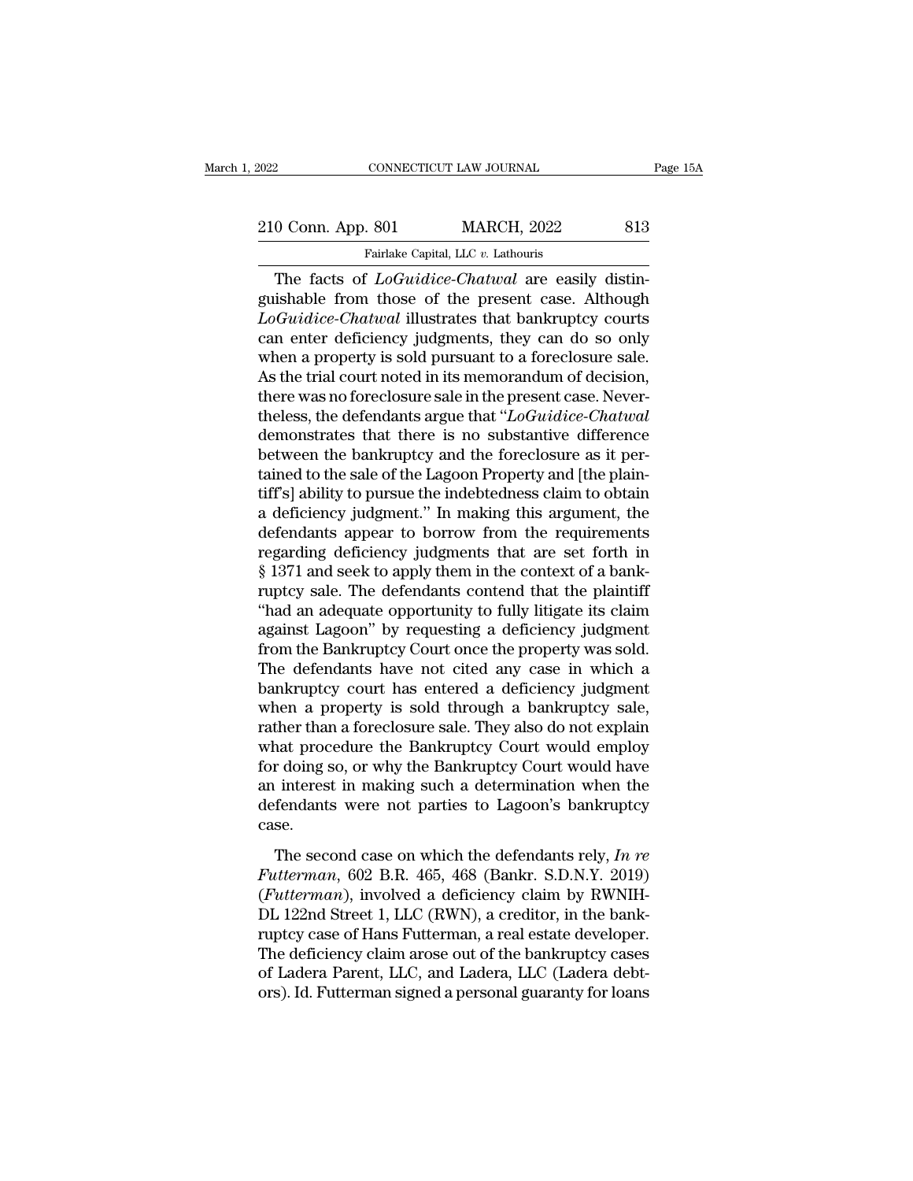# EXECUTE CONNECTICUT LAW JOURNAL Page 15A<br>210 Conn. App. 801 MARCH, 2022 813<br>Fairlake Capital, LLC v. Lathouris

Fairlake Capital, LLC *v.* Lathouris<br>
The facts of *LoGuidice-Chatwal* are easily distin-<br>
Shable from those of the present case. Although<br>
Caudiac Chatwal illustrates that bankruptay courts 210 Conn. App. 801 MARCH, 2022 813<br>
Fairlake Capital, LLC v. Lathouris<br>
The facts of *LoGuidice-Chatwal* are easily distinguishable from those of the present case. Although<br> *LoGuidice-Chatwal* illustrates that bankruptcy 210 Conn. App. 801 MARCH, 2022 813<br> **Eximate Capital, LLC v. Lathouris**<br> **Loguidice-Chatwal** are easily distinguishable from those of the present case. Although<br> *LoGuidice-Chatwal* illustrates that bankruptcy courts<br>
can 210 Conn. App. 801 MARCH, 2022 813<br>
Fairlake Capital, LLC  $v$ . Lathouris<br>
The facts of  $LoGuidice-Chatwal$  are easily distinguishable from those of the present case. Although<br>  $LoGuidice-Chatwal$  illustrates that bankruptcy courts<br>
can enter Fairlake Capital, LLC v. Lathouris<br>
The facts of *LoGuidice-Chatwal* are easily distinguishable from those of the present case. Although<br> *LoGuidice-Chatwal* illustrates that bankruptcy courts<br>
can enter deficiency judgme Fariake Capital, LLC  $v$ . Lathouris<br>
The facts of *LoGuidice-Chatwal* are easily distinguishable from those of the present case. Although<br> *LoGuidice-Chatwal* illustrates that bankruptcy courts<br>
can enter deficiency judgm The facts of *LoGuidice-Chatwal* are easily distinguishable from those of the present case. Although *LoGuidice-Chatwal* illustrates that bankruptcy courts can enter deficiency judgments, they can do so only when a proper guishable from those of the present case. Although *LoGuidice-Chatwal* illustrates that bankruptcy courts can enter deficiency judgments, they can do so only when a property is sold pursuant to a foreclosure sale. As the t LoGuidice-Chatwal illustrates that bankruptcy courts<br>can enter deficiency judgments, they can do so only<br>when a property is sold pursuant to a foreclosure sale.<br>As the trial court noted in its memorandum of decision,<br>ther can enter deficiency judgments, they can do so only<br>when a property is sold pursuant to a foreclosure sale.<br>As the trial court noted in its memorandum of decision,<br>there was no foreclosure sale in the present case. Neverwhen a property is sold pursuant to a foreclosure sale.<br>As the trial court noted in its memorandum of decision,<br>there was no foreclosure sale in the present case. Never-<br>theless, the defendants argue that "*LoGuidice-Chat* As the trial court noted in its memorandum of decision,<br>there was no foreclosure sale in the present case. Never-<br>theless, the defendants argue that "*LoGuidice-Chatwal*<br>demonstrates that there is no substantive differenc there was no foreclosure sale in the present case. Never-<br>theless, the defendants argue that "*LoGuidice-Chatwal*<br>demonstrates that there is no substantive difference<br>between the bankruptcy and the foreclosure as it per-<br>t theless, the defendants argue that "*LoGuidice-Chatwal*<br>demonstrates that there is no substantive difference<br>between the bankruptcy and the foreclosure as it per-<br>tained to the sale of the Lagoon Property and [the plain-<br> demonstrates that there is no substantive difference<br>between the bankruptcy and the foreclosure as it per-<br>tained to the sale of the Lagoon Property and [the plain-<br>tiff's] ability to pursue the indebtedness claim to obtai between the bankruptcy and the foreclosure as it pertained to the sale of the Lagoon Property and [the plaintiff's] ability to pursue the indebtedness claim to obtain a deficiency judgment." In making this argument, the de tained to the sale of the Lagoon Property and [the plaintiff's] ability to pursue the indebtedness claim to obtain<br>a deficiency judgment." In making this argument, the<br>defendants appear to borrow from the requirements<br>rega tiff's] ability to pursue the indebtedness claim to obtain<br>a deficiency judgment." In making this argument, the<br>defendants appear to borrow from the requirements<br>regarding deficiency judgments that are set forth in<br>§ 1371 a deficiency judgment." In making this argument, the<br>defendants appear to borrow from the requirements<br>regarding deficiency judgments that are set forth in<br>§ 1371 and seek to apply them in the context of a bank-<br>ruptcy sal defendants appear to borrow from the requirements<br>regarding deficiency judgments that are set forth in<br>§ 1371 and seek to apply them in the context of a bank-<br>ruptcy sale. The defendants contend that the plaintiff<br>"had an regarding deficiency judgments that are set forth in<br>§ 1371 and seek to apply them in the context of a bank-<br>ruptcy sale. The defendants contend that the plaintiff<br>"had an adequate opportunity to fully litigate its claim<br>a § 1371 and seek to apply them in the context of a bank-<br>ruptcy sale. The defendants contend that the plaintiff<br>"had an adequate opportunity to fully litigate its claim<br>against Lagoon" by requesting a deficiency judgment<br>fr ruptcy sale. The defendants contend that the plaintiff<br>"had an adequate opportunity to fully litigate its claim<br>against Lagoon" by requesting a deficiency judgment<br>from the Bankruptcy Court once the property was sold.<br>The "had an adequate opportunity to fully litigate its claim<br>against Lagoon" by requesting a deficiency judgment<br>from the Bankruptcy Court once the property was sold.<br>The defendants have not cited any case in which a<br>bankruptc against Lagoon" by requesting a deficiency judgment<br>from the Bankruptcy Court once the property was sold.<br>The defendants have not cited any case in which a<br>bankruptcy court has entered a deficiency judgment<br>when a property from the Bankruptcy Court once the property was sold.<br>The defendants have not cited any case in which a<br>bankruptcy court has entered a deficiency judgment<br>when a property is sold through a bankruptcy sale,<br>rather than a fo The defendants have not cited any case in which a<br>bankruptcy court has entered a deficiency judgment<br>when a property is sold through a bankruptcy sale,<br>rather than a foreclosure sale. They also do not explain<br>what procedur bankruptcy court has entered a deficiency judgment<br>when a property is sold through a bankruptcy sale,<br>rather than a foreclosure sale. They also do not explain<br>what procedure the Bankruptcy Court would employ<br>for doing so, case. The second case on which the defendants rely.<br>The second case of why the Bankruptcy Court would have<br>interest in making such a determination when the<br>fendants were not parties to Lagoon's bankruptcy<br>se.<br>The second case on *Futterman*, 602 B.R. 465, 468 (Bankr. S.D.N.Y. 2019)<br>*Futterman*, 602 B.R. 465, 468 (Bankr. S.D.N.Y. 2019)<br>*Futterman*, 602 B.R. 465, 468 (Bankr. S.D.N.Y. 2019)<br>*Futterman*, 602 B.R. 465, 468 (Bankr. S.D.N.Y. 2019)<br>*Futte* 

For aoing so, or *in, are band apter* of a different model and interest in making such a determination when the defendants were not parties to Lagoon's bankruptcy case.<br>The second case on which the defendants rely, *In re* an merest in mannig stern a determination when are<br>defendants were not parties to Lagoon's bankruptcy<br>case.<br>The second case on which the defendants rely, In re<br>Futterman, 602 B.R. 465, 468 (Bankr. S.D.N.Y. 2019)<br>(Futterman ruptcy case.<br>
The second case on which the defendants rely, In re<br>
Futterman, 602 B.R. 465, 468 (Bankr. S.D.N.Y. 2019)<br>
(Futterman), involved a deficiency claim by RWNIH-<br>
DL 122nd Street 1, LLC (RWN), a creditor, in the b The second case on which the defendants rely, In re<br>Futterman, 602 B.R. 465, 468 (Bankr. S.D.N.Y. 2019)<br>(Futterman), involved a deficiency claim by RWNIH-<br>DL 122nd Street 1, LLC (RWN), a creditor, in the bank-<br>ruptcy case The second case on which the defendants rely, In re<br>Futterman, 602 B.R. 465, 468 (Bankr. S.D.N.Y. 2019)<br>(Futterman), involved a deficiency claim by RWNIH-<br>DL 122nd Street 1, LLC (RWN), a creditor, in the bank-<br>ruptcy case Futterman, 602 B.R. 465, 468 (Bankr. S.D.N.Y. 2019)<br>(Futterman), involved a deficiency claim by RWNIH-<br>DL 122nd Street 1, LLC (RWN), a creditor, in the bank-<br>ruptcy case of Hans Futterman, a real estate developer.<br>The defi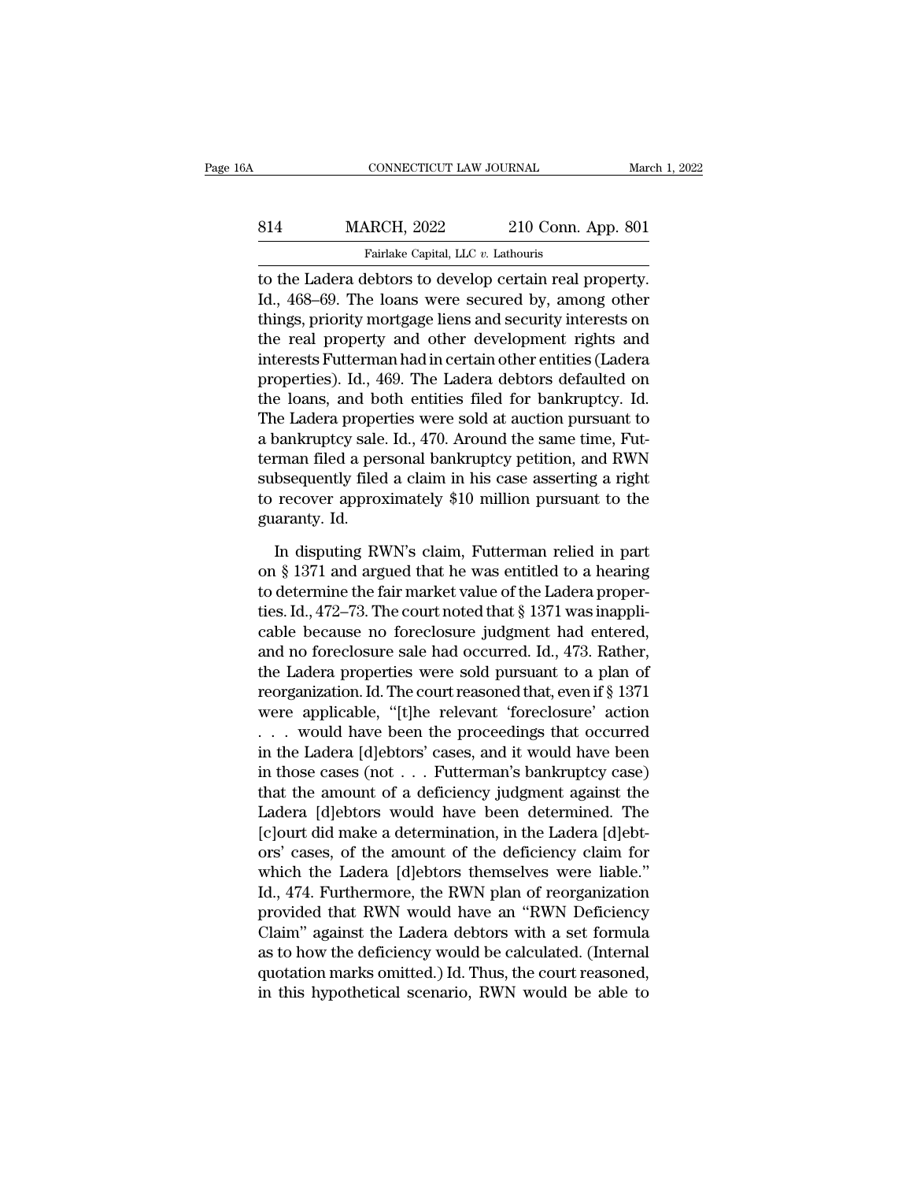| jΑ  | CONNECTICUT LAW JOURNAL                                |                    | March 1, 2022 |
|-----|--------------------------------------------------------|--------------------|---------------|
| 814 | <b>MARCH, 2022</b>                                     | 210 Conn. App. 801 |               |
|     | Fairlake Capital, LLC v. Lathouris                     |                    |               |
|     | to the Ladera debtors to develop certain real property |                    |               |

CONNECTICUT LAW JOURNAL March 1, 2<br>
814 MARCH, 2022 210 Conn. App. 801<br>
Fairlake Capital, LLC v. Lathouris<br>
to the Ladera debtors to develop certain real property.<br>
Id., 468–69. The loans were secured by, among other<br>
thin MARCH, 2022 210 Conn. App. 801<br>
Fairlake Capital, LLC v. Lathouris<br>
to the Ladera debtors to develop certain real property.<br>
Id., 468–69. The loans were secured by, among other<br>
things, priority mortgage liens and security MARCH, 2022 210 Conn. App. 801<br>
Fairlake Capital, LLC  $v$ . Lathouris<br>
to the Ladera debtors to develop certain real property.<br>
Id., 468–69. The loans were secured by, among other<br>
things, priority mortgage liens and secur MARCH,  $2022$   $210$  Conn. App. 801<br>
Fairlake Capital, LLC  $v$ . Lathouris<br>
to the Ladera debtors to develop certain real property.<br>
Id., 468–69. The loans were secured by, among other<br>
things, priority mortgage liens and s Fairlake Capital, LLC v. Lathouris<br>to the Ladera debtors to develop certain real property.<br>Id., 468–69. The loans were secured by, among other<br>things, priority mortgage liens and security interests on<br>the real property and Fanake capital, EEC  $v$ . Eathours<br>to the Ladera debtors to develop certain real property.<br>Id., 468–69. The loans were secured by, among other<br>things, priority mortgage liens and security interests on<br>the real property and to the Ladera debtors to develop certain real property.<br>Id., 468–69. The loans were secured by, among other<br>things, priority mortgage liens and security interests on<br>the real property and other development rights and<br>inter Id., 468–69. The loans were secured by, among other<br>things, priority mortgage liens and security interests on<br>the real property and other development rights and<br>interests Futterman had in certain other entities (Ladera<br>pro things, priority mortgage liens and security interests on<br>the real property and other development rights and<br>interests Futterman had in certain other entities (Ladera<br>properties). Id., 469. The Ladera debtors defaulted on<br> the real property and other development rights and<br>interests Futterman had in certain other entities (Ladera<br>properties). Id., 469. The Ladera debtors defaulted on<br>the loans, and both entities filed for bankruptcy. Id.<br>The interests Futterman had in certain other entities (Ladera<br>properties). Id., 469. The Ladera debtors defaulted on<br>the loans, and both entities filed for bankruptcy. Id.<br>The Ladera properties were sold at auction pursuant to properties). Id., 469. The Ladera debtors defaulted on<br>the loans, and both entities filed for bankruptcy. Id.<br>The Ladera properties were sold at auction pursuant to<br>a bankruptcy sale. Id., 470. Around the same time, Fut-<br>t the loans, and both<br>The Ladera proper<br>a bankruptcy sale<br>terman filed a per<br>subsequently filed<br>to recover approx<br>guaranty. Id.<br>In disputing RV by parameters and the same time, Futterman filed a personal bankruptcy petition, and RWN bsequently filed a claim in his case asserting a right recover approximately \$10 million pursuant to the aranty. Id.<br>In disputing RW terman filed a personal bankruptcy petition, and RWN<br>subsequently filed a claim in his case asserting a right<br>to recover approximately \$10 million pursuant to the<br>guaranty. Id.<br>In disputing RWN's claim, Futterman relied in

subsequently filed a claim in his case asserting a right<br>to recover approximately \$10 million pursuant to the<br>guaranty. Id.<br>In disputing RWN's claim, Futterman relied in part<br>on § 1371 and argued that he was entitled to a to recover approximately \$10 million pursuant to the<br>guaranty. Id.<br>In disputing RWN's claim, Futterman relied in part<br>on § 1371 and argued that he was entitled to a hearing<br>to determine the fair market value of the Ladera guaranty. Id.<br>
In disputing RWN's claim, Futterman relied in part<br>
on § 1371 and argued that he was entitled to a hearing<br>
to determine the fair market value of the Ladera proper-<br>
ties. Id., 472–73. The court noted that § In disputing RWN's claim, Futterman relied in part<br>on § 1371 and argued that he was entitled to a hearing<br>to determine the fair market value of the Ladera proper-<br>ties. Id., 472–73. The court noted that § 1371 was inappli In disputing RWN's claim, Futterman relied in part<br>on § 1371 and argued that he was entitled to a hearing<br>to determine the fair market value of the Ladera proper-<br>ties. Id., 472–73. The court noted that § 1371 was inappli on § 1371 and argued that he was entitled to a hearing<br>to determine the fair market value of the Ladera proper-<br>ties. Id., 472–73. The court noted that § 1371 was inappli-<br>cable because no foreclosure judgment had entered, to determine the fair market value of the Ladera properties. Id., 472–73. The court noted that § 1371 was inapplicable because no foreclosure judgment had entered, and no foreclosure sale had occurred. Id., 473. Rather, t ties. Id., 472–73. The court noted that § 1371 was inappli-<br>cable because no foreclosure judgment had entered,<br>and no foreclosure sale had occurred. Id., 473. Rather,<br>the Ladera properties were sold pursuant to a plan of<br> cable because no foreclosure judgment had entered,<br>and no foreclosure sale had occurred. Id., 473. Rather,<br>the Ladera properties were sold pursuant to a plan of<br>reorganization. Id. The court reasoned that, even if § 1371<br>w and no foreclosure sale had occurred. Id., 473. Rather,<br>the Ladera properties were sold pursuant to a plan of<br>reorganization. Id. The court reasoned that, even if § 1371<br>were applicable, "[t]he relevant 'foreclosure' acti the Ladera properties were sold pursuant to a plan of<br>reorganization. Id. The court reasoned that, even if § 1371<br>were applicable, "[t]he relevant 'foreclosure' action<br>... would have been the proceedings that occurred<br>in t reorganization. Id. The court reasoned that, even if § 1371<br>were applicable, "[t]he relevant 'foreclosure' action<br>... would have been the proceedings that occurred<br>in the Ladera [d]ebtors' cases, and it would have been<br>in were applicable, "[t]he relevant 'foreclosure' action<br>  $\ldots$  would have been the proceedings that occurred<br>
in the Ladera [d]ebtors' cases, and it would have been<br>
in those cases (not  $\ldots$  Futterman's bankruptcy case)<br>
t orseller and the proceedings that occurred<br>in the Ladera [d]ebtors' cases, and it would have been<br>in those cases (not . . . Futterman's bankruptcy case)<br>that the amount of a deficiency judgment against the<br>Ladera [d]ebtor in the Ladera [d]ebtors' cases, and it would have been<br>in those cases (not . . . Futterman's bankruptcy case)<br>that the amount of a deficiency judgment against the<br>Ladera [d]ebtors would have been determined. The<br>[c]ourt d in those cases (not . . . Futterman's bankruptcy case)<br>that the amount of a deficiency judgment against the<br>Ladera [d]ebtors would have been determined. The<br>[c]ourt did make a determination, in the Ladera [d]ebt-<br>ors' case that the amount of a deficiency judgment against the<br>Ladera [d]ebtors would have been determined. The<br>[c]ourt did make a determination, in the Ladera [d]ebt-<br>ors' cases, of the amount of the deficiency claim for<br>which the Ladera [d]ebtors would have been determined. The<br>[c]ourt did make a determination, in the Ladera [d]ebt-<br>ors' cases, of the amount of the deficiency claim for<br>which the Ladera [d]ebtors themselves were liable."<br>Id., 474. [c]ourt did make a determination, in the Ladera [d]ebt-<br>ors' cases, of the amount of the deficiency claim for<br>which the Ladera [d]ebtors themselves were liable."<br>Id., 474. Furthermore, the RWN plan of reorganization<br>provi ors' cases, of the amount of the deficiency claim for<br>which the Ladera [d]ebtors themselves were liable."<br>Id., 474. Furthermore, the RWN plan of reorganization<br>provided that RWN would have an "RWN Deficiency<br>Claim" against which the Ladera [d]ebtors themselves were liable."<br>Id., 474. Furthermore, the RWN plan of reorganization<br>provided that RWN would have an "RWN Deficiency<br>Claim" against the Ladera debtors with a set formula<br>as to how the d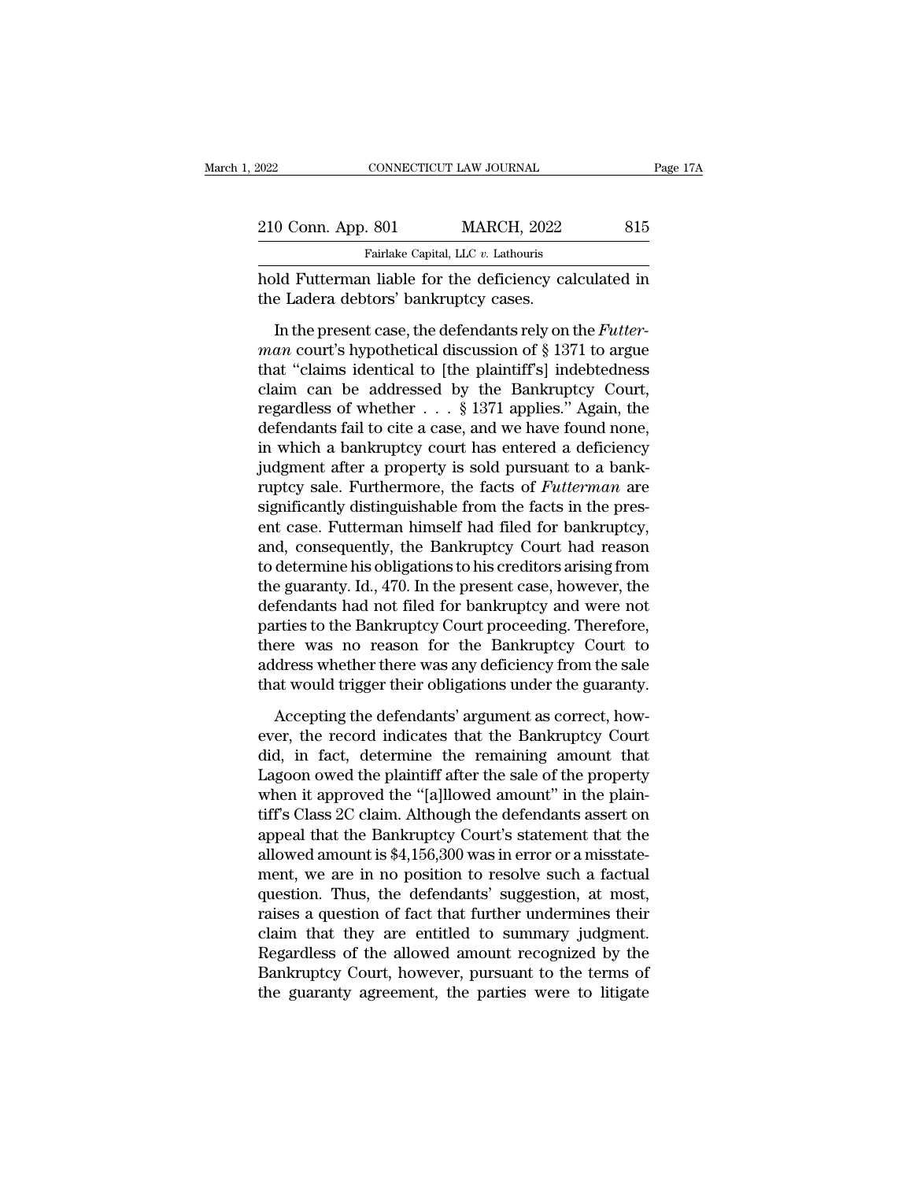| 2022                                  | CONNECTICUT LAW JOURNAL                                                                                                                                                                      |     | Page 17A |
|---------------------------------------|----------------------------------------------------------------------------------------------------------------------------------------------------------------------------------------------|-----|----------|
|                                       |                                                                                                                                                                                              |     |          |
| 210 Conn. App. 801                    | <b>MARCH, 2022</b>                                                                                                                                                                           | 815 |          |
|                                       | Fairlake Capital, LLC v. Lathouris                                                                                                                                                           |     |          |
| the Ladera debtors' bankruptcy cases. | hold Futterman liable for the deficiency calculated in                                                                                                                                       |     |          |
|                                       | In the present case, the defendants rely on the <i>Futter</i> -<br><i>man</i> court's hypothetical discussion of § 1371 to argue<br>that "claims identical to lthe plaintiff's indebtedness" |     |          |

*man* courting and the *man* courting the *man* courting the *man* courting the *man* court's hypothetical discussion of § 1371 to argue that "claims identical to [the plaintiff's] indebtedness claim can be addressed by th Fairlake Capital, LLC  $v$ . Lathouris<br>
hold Futterman liable for the deficiency calculated in<br>
the Ladera debtors' bankruptcy cases.<br>
In the present case, the defendants rely on the *Futter-<br>
man* court's hypothetical disc hold Futterman liable for the deficiency calculated in<br>the Ladera debtors' bankruptcy cases.<br>In the present case, the defendants rely on the *Futter-<br>man* court's hypothetical discussion of  $\S 1371$  to argue<br>that "claims regardless of whether the distribution of the ladera debtors' bankruptcy cases.<br>
In the present case, the defendants rely on the *Futterman* court's hypothetical discussion of § 1371 to argue<br>
that "claims identical to [t In the present case, the defendants rely on the *Futter-<br>man* court's hypothetical discussion of § 1371 to argue<br>that "claims identical to [the plaintiff's] indebtedness<br>claim can be addressed by the Bankruptcy Court,<br>reg In the present case, the defendants rely on the *Futterman* court's hypothetical discussion of § 1371 to argue<br>that "claims identical to [the plaintiff's] indebtedness<br>claim can be addressed by the Bankruptcy Court,<br>regar man court's hypothetical discussion of § 1371 to argue<br>that "claims identical to [the plaintiff's] indebtedness<br>claim can be addressed by the Bankruptcy Court,<br>regardless of whether  $\dots$  § 1371 applies." Again, the<br>defend that "claims identical to [the plaintiff"s] indebtedness<br>claim can be addressed by the Bankruptcy Court,<br>regardless of whether . . . § 1371 applies." Again, the<br>defendants fail to cite a case, and we have found none,<br>in wh claim can be addressed by the Bankruptcy Court,<br>regardless of whether  $\ldots$  § 1371 applies." Again, the<br>defendants fail to cite a case, and we have found none,<br>in which a bankruptcy court has entered a deficiency<br>judgment regardless of whether  $\ldots$  § 1371 applies." Again, the defendants fail to cite a case, and we have found none, in which a bankruptcy court has entered a deficiency judgment after a property is sold pursuant to a bankrupt defendants fail to cite a case, and we have found none,<br>in which a bankruptcy court has entered a deficiency<br>judgment after a property is sold pursuant to a bank-<br>ruptcy sale. Furthermore, the facts of *Futterman* are<br>sign in which a bankruptcy court has entered a deficiency<br>judgment after a property is sold pursuant to a bank-<br>ruptcy sale. Furthermore, the facts of *Futterman* are<br>significantly distinguishable from the facts in the pres-<br>en judgment after a property is sold pursuant to a bank-<br>ruptcy sale. Furthermore, the facts of *Futterman* are<br>significantly distinguishable from the facts in the pres-<br>ent case. Futterman himself had filed for bankruptcy,<br>a ruptcy sale. Furthermore, the facts of *Futterman* are significantly distinguishable from the facts in the present case. Futterman himself had filed for bankruptcy, and, consequently, the Bankruptcy Court had reason to det significantly distinguishable from the facts in the present case. Futterman himself had filed for bankruptcy, and, consequently, the Bankruptcy Court had reason to determine his obligations to his creditors arising from th ent case. Futterman himself had filed for bankruptcy,<br>and, consequently, the Bankruptcy Court had reason<br>to determine his obligations to his creditors arising from<br>the guaranty. Id., 470. In the present case, however, the<br> and, consequently, the Bankruptcy Court had reason<br>to determine his obligations to his creditors arising from<br>the guaranty. Id., 470. In the present case, however, the<br>defendants had not filed for bankruptcy and were not<br>p to determine his obligations to his creditors arising from<br>the guaranty. Id., 470. In the present case, however, the<br>defendants had not filed for bankruptcy and were not<br>parties to the Bankruptcy Court proceeding. Therefor fendants had not filed for bankruptcy and were not<br>rties to the Bankruptcy Court proceeding. Therefore,<br>ere was no reason for the Bankruptcy Court to<br>dress whether there was any deficiency from the sale<br>at would trigger th parties to the Bankruptcy Court proceeding. Therefore,<br>there was no reason for the Bankruptcy Court to<br>address whether there was any deficiency from the sale<br>that would trigger their obligations under the guaranty.<br>Accepti

there was no reason for the Bankruptcy Court to<br>address whether there was any deficiency from the sale<br>that would trigger their obligations under the guaranty.<br>Accepting the defendants' argument as correct, how-<br>ever, the address whether there was any deficiency from the sale<br>that would trigger their obligations under the guaranty.<br>Accepting the defendants' argument as correct, how-<br>ever, the record indicates that the Bankruptcy Court<br>did, that would trigger their obligations under the guaranty.<br>Accepting the defendants' argument as correct, how-<br>ever, the record indicates that the Bankruptcy Court<br>did, in fact, determine the remaining amount that<br>Lagoon owe Accepting the defendants' argument as correct, how-<br>ever, the record indicates that the Bankruptcy Court<br>did, in fact, determine the remaining amount that<br>Lagoon owed the plaintiff after the sale of the property<br>when it a Accepting the defendants' argument as correct, how-<br>ever, the record indicates that the Bankruptcy Court<br>did, in fact, determine the remaining amount that<br>Lagoon owed the plaintiff after the sale of the property<br>when it ap ever, the record indicates that the Bankruptcy Court<br>did, in fact, determine the remaining amount that<br>Lagoon owed the plaintiff after the sale of the property<br>when it approved the "[a]llowed amount" in the plain-<br>tiff's C did, in fact, determine the remaining amount that<br>Lagoon owed the plaintiff after the sale of the property<br>when it approved the "[a]llowed amount" in the plain-<br>tiff's Class 2C claim. Although the defendants assert on<br>appe Lagoon owed the plaintiff after the sale of the property<br>when it approved the "[a]llowed amount" in the plain-<br>tiff's Class 2C claim. Although the defendants assert on<br>appeal that the Bankruptcy Court's statement that the<br> when it approved the "[a]llowed amount" in the plain-<br>tiff's Class 2C claim. Although the defendants assert on<br>appeal that the Bankruptcy Court's statement that the<br>allowed amount is \$4,156,300 was in error or a misstate-<br> tiff's Class 2C claim. Although the defendants assert on<br>appeal that the Bankruptcy Court's statement that the<br>allowed amount is \$4,156,300 was in error or a misstate-<br>ment, we are in no position to resolve such a factual<br> appeal that the Bankruptcy Court's statement that the<br>allowed amount is \$4,156,300 was in error or a misstate-<br>ment, we are in no position to resolve such a factual<br>question. Thus, the defendants' suggestion, at most,<br>rais allowed amount is \$4,156,300 was in error or a misstatement, we are in no position to resolve such a factual question. Thus, the defendants' suggestion, at most, raises a question of fact that further undermines their clai ment, we are in no position to resolve such a factual<br>question. Thus, the defendants' suggestion, at most,<br>raises a question of fact that further undermines their<br>claim that they are entitled to summary judgment.<br>Regardles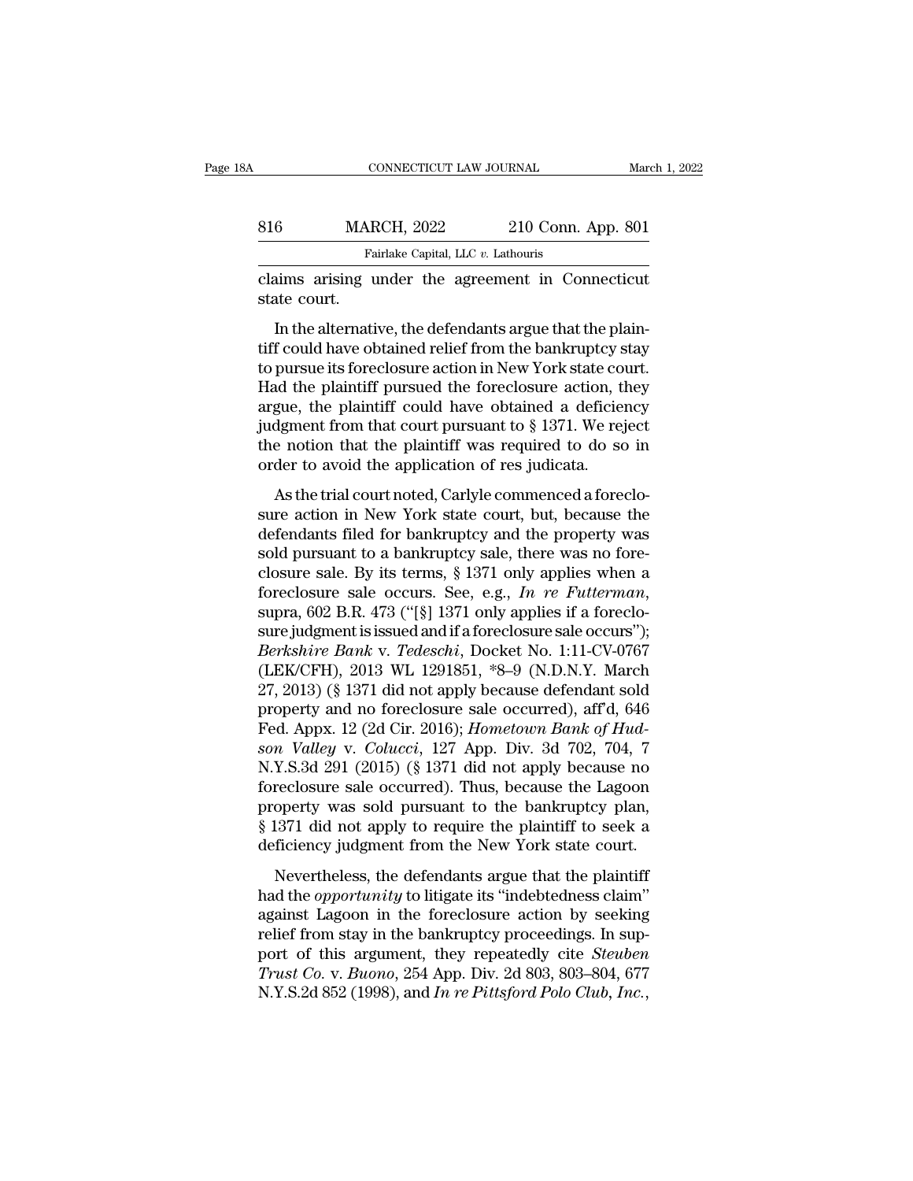| А            | CONNECTICUT LAW JOURNAL                                  |                    | March 1, 2022 |
|--------------|----------------------------------------------------------|--------------------|---------------|
|              |                                                          |                    |               |
| 816          | <b>MARCH, 2022</b>                                       | 210 Conn. App. 801 |               |
|              | Fairlake Capital, LLC v. Lathouris                       |                    |               |
| state court. | claims arising under the agreement in Connecticut        |                    |               |
|              | In the alternative, the defendants argue that the plain- |                    |               |

 $\frac{1}{100}$  MARCH, 2022 210 Conn. App. 801<br>
Fairlake Capital, LLC v. Lathouris<br>
aims arising under the agreement in Connecticut<br>
atte court.<br>
In the alternative, the defendants argue that the plain-<br>
f could have obtained MARCH, 2022 210 Conn. App. 801<br>
Fairlake Capital, LLC  $v$ . Lathouris<br>
claims arising under the agreement in Connecticut<br>
state court.<br>
In the alternative, the defendants argue that the plain-<br>
tiff could have obtained rel Fairlake Capital, LLC v. Lathouris<br>
claims arising under the agreement in Connecticut<br>
state court.<br>
In the alternative, the defendants argue that the plain-<br>
tiff could have obtained relief from the bankruptcy stay<br>
to pu claims arising under the agreement in Connecticut<br>state court.<br>In the alternative, the defendants argue that the plain-<br>tiff could have obtained relief from the bankruptcy stay<br>to pursue its foreclosure action in New York state court.<br>
In the alternative, the defendants argue that the plain-<br>
tiff could have obtained relief from the bankruptcy stay<br>
to pursue its foreclosure action in New York state court.<br>
Had the plaintiff pursued the fo In the alternative, the defendants argue that the plain-<br>tiff could have obtained relief from the bankruptcy stay<br>to pursue its foreclosure action in New York state court.<br>Had the plaintiff pursued the foreclosure action, In the alternative, the defendants argue that the plaintiff could have obtained relief from the bankruptcy stay to pursue its foreclosure action in New York state court.<br>Had the plaintiff pursued the foreclosure action, t tiff could have obtained relief from the bankruptcy s<br>to pursue its foreclosure action in New York state co<br>Had the plaintiff pursued the foreclosure action, t<br>argue, the plaintiff could have obtained a deficier<br>judgment f Farsac as referred at a force trial contribution of the plaintiff pursued the foreclosure action, they gue, the plaintiff could have obtained a deficiency dgment from that court pursuant to § 1371. We rejecte a notion that Fracture plaintiff could have obtained a deficiency<br>judgment from that court pursuant to  $\S$  1371. We reject<br>the notion that the plaintiff was required to do so in<br>order to avoid the application of res judicata.<br>As the tr

defined a definite obtained a definitely<br>judgment from that court pursuant to § 1371. We reject<br>the notion that the plaintiff was required to do so in<br>order to avoid the application of res judicata.<br>As the trial court not solution that the plaintiff was required to do so in<br>order to avoid the application of res judicata.<br>As the trial court noted, Carlyle commenced a foreclo-<br>sure action in New York state court, but, because the<br>defendants closure to avoid the application of res judicata.<br>
As the trial court noted, Carlyle commenced a foreclo-<br>
sure action in New York state court, but, because the<br>
defendants filed for bankruptcy and the property was<br>
sold As the trial court noted, Carlyle commenced a foreclosure action in New York state court, but, because the defendants filed for bankruptcy and the property was sold pursuant to a bankruptcy sale, there was no foreclosure s sure action in New York state court, but, because the<br>defendants filed for bankruptcy and the property was<br>sold pursuant to a bankruptcy sale, there was no fore-<br>closure sale. By its terms, § 1371 only applies when a<br>fore defendants filed for bankruptcy and the property was<br>sold pursuant to a bankruptcy sale, there was no fore-<br>closure sale. By its terms, § 1371 only applies when a<br>foreclosure sale occurs. See, e.g., *In re Futterman*,<br>supr sold pursuant to a bankruptcy sale, there was no fore-<br>closure sale. By its terms, § 1371 only applies when a<br>foreclosure sale occurs. See, e.g., *In re Futterman*,<br>supra, 602 B.R. 473 ("[§] 1371 only applies if a forecloclosure sale. By its terms, § 1371 only applies when a<br>foreclosure sale occurs. See, e.g., *In re Futterman*,<br>supra, 602 B.R. 473 ("[§] 1371 only applies if a foreclo-<br>sure judgment is issued and if a foreclosure sale occ foreclosure sale occurs. See, e.g., *In re Futterman*,<br>supra, 602 B.R. 473 ("[§] 1371 only applies if a foreclo-<br>sure judgment is issued and if a foreclosure sale occurs");<br>*Berkshire Bank* v. *Tedeschi*, Docket No. 1:11supra, 602 B.R. 473 ("[§] 1371 only applies if a foreclo-<br>sure judgment is issued and if a foreclosure sale occurs");<br>*Berkshire Bank v. Tedeschi*, Docket No. 1:11-CV-0767<br>(LEK/CFH), 2013 WL 1291851, \*8–9 (N.D.N.Y. March<br>2 sure judgment is issued and if a foreclosure sale occurs");<br>*Berkshire Bank v. Tedeschi*, Docket No. 1:11-CV-0767<br>(LEK/CFH), 2013 WL 1291851, \*8–9 (N.D.N.Y. March<br>27, 2013) (§ 1371 did not apply because defendant sold<br>prop Berkshire Bank v. Tedeschi, Docket No. 1:11-CV-0767<br>(LEK/CFH), 2013 WL 1291851, \*8–9 (N.D.N.Y. March<br>27, 2013) (§ 1371 did not apply because defendant sold<br>property and no foreclosure sale occurred), aff'd, 646<br>Fed. Appx. (LEK/CFH), 2013 WL 1291851, \*8–9 (N.D.N.Y. March 27, 2013) (§ 1371 did not apply because defendant sold<br>property and no foreclosure sale occurred), aff'd, 646<br>Fed. Appx. 12 (2d Cir. 2016); *Hometown Bank of Hud-*<br>*son Val* 27, 2013) (§ 1371 did not apply because defendant sold<br>property and no foreclosure sale occurred), aff<sup>7</sup>d, 646<br>Fed. Appx. 12 (2d Cir. 2016); *Hometown Bank of Hud-*<br>son Valley v. Colucci, 127 App. Div. 3d 702, 704, 7<br>N.Y property and no foreclosure sale occurred), aff'd, 646<br>Fed. Appx. 12 (2d Cir. 2016); *Hometown Bank of Hudson Valley v. Colucci*, 127 App. Div. 3d 702, 704, 7<br>N.Y.S.3d 291 (2015) (§ 1371 did not apply because no<br>foreclosur Fed. Appx. 12 (2d Cir. 2016); *Hometown Bank of Hudson Valley v. Colucci*, 127 App. Div. 3d 702, 704, 7<br>N.Y.S.3d 291 (2015) (§ 1371 did not apply because no<br>foreclosure sale occurred). Thus, because the Lagoon<br>property was Nevertheless, the defendants argue that the plaintiff<br>defendence the defendant of the bankruptcy plane<br>freclosure sale occurred). Thus, because the Lagoon<br>operty was sold pursuant to the bankruptcy plan,<br>1371 did not appl Foreclosure sale occurred). Thus, because the Lagoon<br>property was sold pursuant to the bankruptcy plan,<br>§ 1371 did not apply to require the plaintiff to seek a<br>deficiency judgment from the New York state court.<br>Nevertheles

because sale occarred). Thus, seedase are lagoon<br>property was sold pursuant to the bankruptcy plan,<br>§ 1371 did not apply to require the plaintiff to seek a<br>deficiency judgment from the New York state court.<br>Nevertheless, t grading from the bankruptcy pairs,<br>  $\S$  1371 did not apply to require the plaintiff to seek a<br>
deficiency judgment from the New York state court.<br>
Nevertheless, the defendants argue that the plaintiff<br>
had the *opportunit* gover the leptry to require the plantative sects and deficiency judgment from the New York state court.<br>Nevertheless, the defendants argue that the plaintiff had the *opportunity* to litigate its "indebtedness claim" again *Nevertheless, the defendants argue that the plaintiff* had the *opportunity* to litigate its "indebtedness claim" against Lagoon in the foreclosure action by seeking relief from stay in the bankruptcy proceedings. In supp Nevertheless, the defendants argue that the plaintiff<br>had the *opportunity* to litigate its "indebtedness claim"<br>against Lagoon in the foreclosure action by seeking<br>relief from stay in the bankruptcy proceedings. In sup-<br>p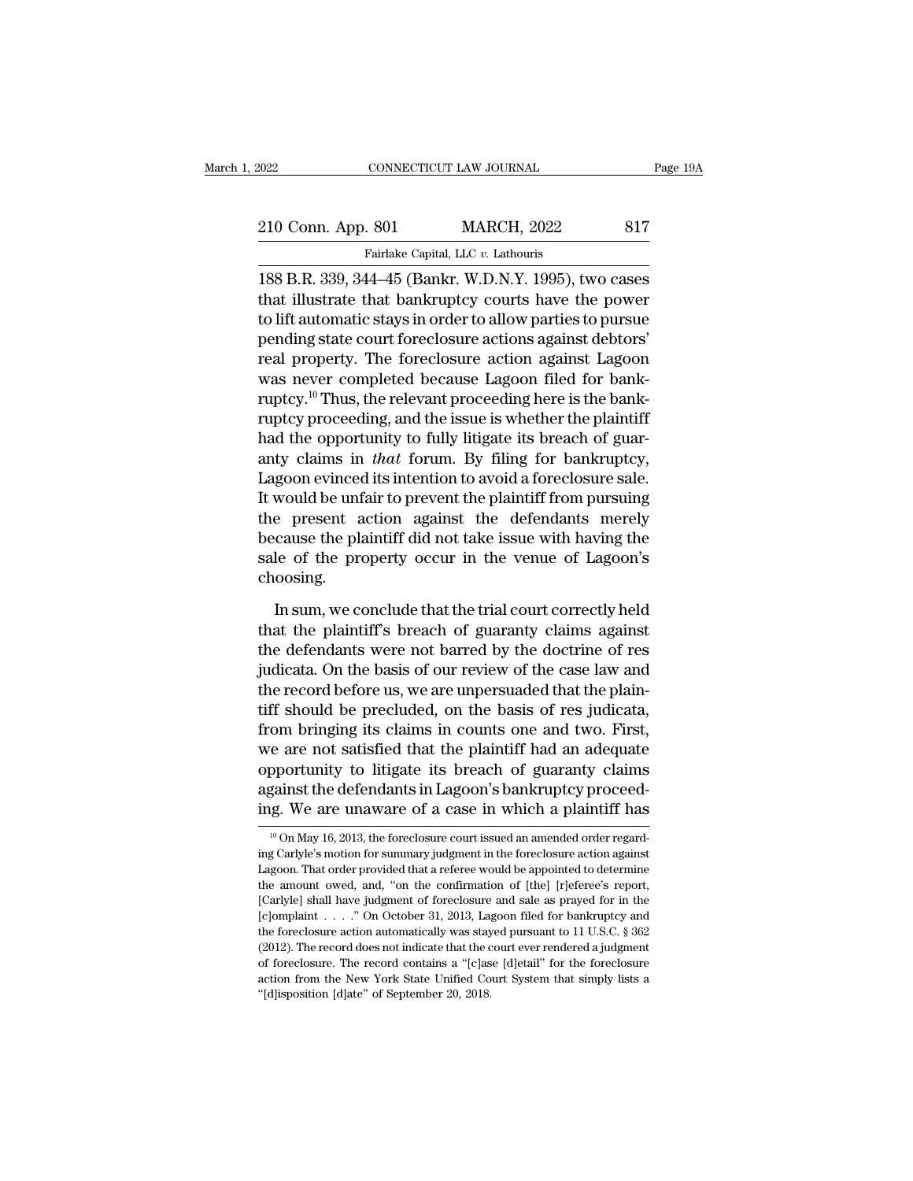2022 CONNECTICUT LAW JOURNAL Page 19A<br>
210 Conn. App. 801 MARCH, 2022 817<br>
Fairlake Capital, LLC v. Lathouris<br>
188 B.R. 339, 344–45 (Bankr. W.D.N.Y. 1995), two cases<br>
that illustrate that bankruptcy courts have the power 210 Conn. App. 801 MARCH, 2022 817<br>Fairlake Capital, LLC v. Lathouris<br>188 B.R. 339, 344–45 (Bankr. W.D.N.Y. 1995), two cases<br>that illustrate that bankruptcy courts have the power<br>to lift automatic stays in order to allow p 210 Conn. App. 801 MARCH, 2022 817<br>
Fairlake Capital, LLC v. Lathouris<br>
188 B.R. 339, 344–45 (Bankr. W.D.N.Y. 1995), two cases<br>
that illustrate that bankruptcy courts have the power<br>
to lift automatic stays in order to al 210 Conn. App. 801 MARCH, 2022 817<br>
Fairlake Capital, LLC v. Lathouris<br>
188 B.R. 339, 344–45 (Bankr. W.D.N.Y. 1995), two cases<br>
that illustrate that bankruptcy courts have the power<br>
to lift automatic stays in order to all Fairlake Capital, LLC  $v$ . Lathouris<br>188 B.R. 339, 344–45 (Bankr. W.D.N.Y. 1995), two cases<br>that illustrate that bankruptcy courts have the power<br>to lift automatic stays in order to allow parties to pursue<br>pending state c Franke Capital, ELC *b*. Eathours<br>188 B.R. 339, 344–45 (Bankr. W.D.N.Y. 1995), two cases<br>that illustrate that bankruptcy courts have the power<br>to lift automatic stays in order to allow parties to pursue<br>pending state cour 188 B.R. 339, 344–45 (Bankr. W.D.N.Y. 1995), two cases<br>that illustrate that bankruptcy courts have the power<br>to lift automatic stays in order to allow parties to pursue<br>pending state court foreclosure actions against debt that illustrate that bankruptcy courts have the power<br>to lift automatic stays in order to allow parties to pursue<br>pending state court foreclosure actions against debtors'<br>real property. The foreclosure action against Lagoo to lift automatic stays in order to allow parties to pursue<br>pending state court foreclosure actions against debtors'<br>real property. The foreclosure action against Lagoon<br>was never completed because Lagoon filed for bank-<br>r pending state court foreclosure actions against debtors'<br>real property. The foreclosure action against Lagoon<br>was never completed because Lagoon filed for bank-<br>ruptcy.<sup>10</sup> Thus, the relevant proceeding here is the bank-<br>r real property. The foreclosure action against Lagoon<br>was never completed because Lagoon filed for bank-<br>ruptcy.<sup>10</sup> Thus, the relevant proceeding here is the bank-<br>ruptcy proceeding, and the issue is whether the plaintiff<br> was never completed because Lagoon filed for bank-<br>ruptcy.<sup>10</sup> Thus, the relevant proceeding here is the bank-<br>ruptcy proceeding, and the issue is whether the plaintiff<br>had the opportunity to fully litigate its breach of g ruptcy.<sup>10</sup> Thus, the relevant proceeding here is the bank-<br>ruptcy proceeding, and the issue is whether the plaintiff<br>had the opportunity to fully litigate its breach of guar-<br>anty claims in *that* forum. By filing for ban ruptcy proceeding, and the issue is whether the plaintiff<br>had the opportunity to fully litigate its breach of guar-<br>anty claims in *that* forum. By filing for bankruptcy,<br>Lagoon evinced its intention to avoid a foreclosure had the opportunity to fully litigate its breach of guar-<br>anty claims in *that* forum. By filing for bankruptcy,<br>Lagoon evinced its intention to avoid a foreclosure sale.<br>It would be unfair to prevent the plaintiff from pu choosing. Would be unfair to prevent the plaintiff from pursuing<br>
e present action against the defendants merely<br>
cause the plaintiff did not take issue with having the<br>
le of the property occur in the venue of Lagoon's<br>
oosing.<br>
In the present action against the defendants merely<br>because the plaintiff did not take issue with having the<br>sale of the property occur in the venue of Lagoon's<br>choosing.<br>In sum, we conclude that the trial court correctly hel

because the plaintiff did not take issue with having the<br>sale of the property occur in the venue of Lagoon's<br>choosing.<br>In sum, we conclude that the trial court correctly held<br>that the plaintiff's breach of guaranty claims sale of the property occur in the venue of Lagoon's<br>choosing.<br>In sum, we conclude that the trial court correctly held<br>that the plaintiff's breach of guaranty claims against<br>the defendants were not barred by the doctrine of choosing.<br>In sum, we conclude that the trial court correctly held<br>that the plaintiff's breach of guaranty claims against<br>the defendants were not barred by the doctrine of res<br>judicata. On the basis of our review of the cas In sum, we conclude that the trial court correctly held<br>that the plaintiff's breach of guaranty claims against<br>the defendants were not barred by the doctrine of res<br>judicata. On the basis of our review of the case law and<br> In sum, we conclude that the trial court correctly held<br>that the plaintiff's breach of guaranty claims against<br>the defendants were not barred by the doctrine of res<br>judicata. On the basis of our review of the case law and<br> that the plaintiff's breach of guaranty claims against<br>the defendants were not barred by the doctrine of res<br>judicata. On the basis of our review of the case law and<br>the record before us, we are unpersuaded that the plainthe defendants were not barred by the doctrine of res<br>judicata. On the basis of our review of the case law and<br>the record before us, we are unpersuaded that the plain-<br>tiff should be precluded, on the basis of res judicata judicata. On the basis of our review of the case law and<br>the record before us, we are unpersuaded that the plain-<br>tiff should be precluded, on the basis of res judicata,<br>from bringing its claims in counts one and two. Firs the record before us, we are unpersuaded that the plain-<br>tiff should be precluded, on the basis of res judicata,<br>from bringing its claims in counts one and two. First,<br>we are not satisfied that the plaintiff had an adequa we are not satisfied that the plaintiff had an adequate<br>opportunity to litigate its breach of guaranty claims<br>against the defendants in Lagoon's bankruptcy proceed-<br>ing. We are unaware of a case in which a plaintiff has<br>opportunity to litigate its breach of guaranty claims<br>against the defendants in Lagoon's bankruptcy proceed-<br>ing. We are unaware of a case in which a plaintiff has<br><sup>10</sup> On May 16, 2013, the foreclosure court issued an amen

against the defendants in Lagoon's bankruptcy proceeding. We are unaware of a case in which a plaintiff has  $\frac{10}{10}$  On May 16, 2013, the foreclosure court issued an amended order regarding Carlyle's motion for summary ing. We are unaware of a case in which a plaintiff has  $\frac{10}{10}$  On May 16, 2013, the foreclosure court issued an amended order regarding Carlyle's motion for summary judgment in the foreclosure action against Lagoon. T Fig. We are unaware or a case in which a planntni has<br>
<sup>10</sup> On May 16, 2013, the foreclosure court issued an amended order regard-<br>
In Wilch a planntni a planntni and order regard-<br>
In the foreclosure action against<br>
Lago <sup>10</sup> On May 16, 2013, the foreclosure court issued an amended order regarding Carlyle's motion for summary judgment in the foreclosure action against Lagoon. That order provided that a referee would be appointed to determ ing Carlyle's motion for summary judgment in the foreclosure action against Lagoon. That order provided that a referee would be appointed to determine the amount owed, and, "on the confirmation of [the] [r]eferee's report Lagoon. That order provided that a referee would be appointed to determine the amount owed, and, "on the confirmation of [the] [r]eferee's report, [Carlyle] shall have judgment of foreclosure and sale as prayed for in the Exercise that word, and, "on the confirmation of [the] [r]eferee's report, [Carlyle] shall have judgment of foreclosure and sale as prayed for in the [c]omplaint . . . . " On October 31, 2013, Lagoon filed for bankruptcy action from the New York State Unified Court System that simply lists a "[c]orryle] shall have judgment of foreclosure and sale as prayed for in the [c]omplaint . . . . " On October 31, 2013, Lagoon filed for bankruptcy an [c]omplaint . . . . " On October 31, 2013, Lagoon filed for bankruptcy and the foreclosure action automatically was stayed pursuant to 11 U.S.C. § 362 (2012). The record does not indicate that the court ever rendered a ju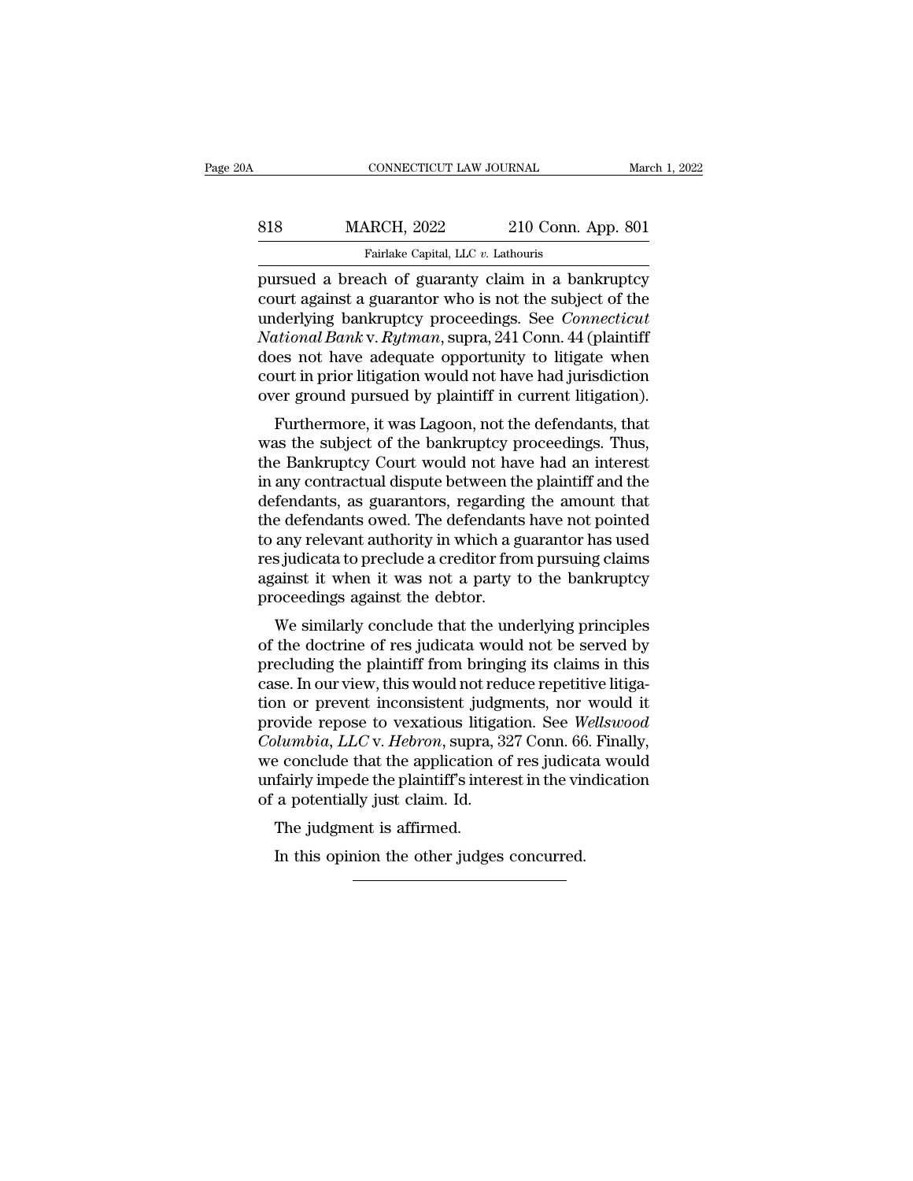| 0A  | CONNECTICUT LAW JOURNAL                            |                    | March 1, 2022 |
|-----|----------------------------------------------------|--------------------|---------------|
| 818 | <b>MARCH, 2022</b>                                 | 210 Conn. App. 801 |               |
|     | Fairlake Capital, LLC v. Lathouris                 |                    |               |
|     | nursued a breach of guaranty claim in a hankruntcy |                    |               |

FRINCH CONNECTICUT LAW JOURNAL March 1, 2022<br> **Pursued a breach of guaranty claim in a bankruptcy**<br> **Pursued a breach of guaranty claim in a bankruptcy**<br> **Pursued a breach of guaranty claim in a bankruptcy**<br> **Pursued a str** MARCH, 2022 210 Conn. App. 801<br>
Fairlake Capital, LLC v. Lathouris<br>
pursued a breach of guaranty claim in a bankruptcy<br>
court against a guarantor who is not the subject of the<br>
underlying bankruptcy proceedings. See *Conne* MARCH, 2022 210 Conn. App. 801<br>
Fairlake Capital, LLC v. Lathouris<br>
pursued a breach of guaranty claim in a bankruptcy<br>
court against a guarantor who is not the subject of the<br>
underlying bankruptcy proceedings. See *Conne NARCH, 2022* 210 Conn. App. 801<br> *Fairlake Capital, LLC v. Lathouris*<br>
pursued a breach of guaranty claim in a bankruptcy<br>
court against a guarantor who is not the subject of the<br>
underlying bankruptcy proceedings. See *C* Fairlake Capital, LLC v. Lathouris<br>
pursued a breach of guaranty claim in a bankruptcy<br>
court against a guarantor who is not the subject of the<br>
underlying bankruptcy proceedings. See *Connecticut*<br>
National Bank v. Rytma Farlake Capital, LLC  $v$ . Lathouris<br>pursued a breach of guaranty claim in a bankruptcy<br>court against a guarantor who is not the subject of the<br>underlying bankruptcy proceedings. See *Connecticut*<br>National Bank v. Rytman, pursued a breach of guaranty claim in a bankruptcy<br>court against a guarantor who is not the subject of the<br>underlying bankruptcy proceedings. See *Connecticut*<br>National Bank v. Rytman, supra, 241 Conn. 44 (plaintiff<br>does n full against a guarantor who is not the subject of the<br>derlying bankruptcy proceedings. See *Connecticut*<br>tional Bank v. Rytman, supra, 241 Conn. 44 (plaintiff<br>nes not have adequate opportunity to litigate when<br>urt in prio materlying bankruptcy proceedings. See Connectical<br>Mational Bank v. Rytman, supra, 241 Conn. 44 (plaintiff<br>does not have adequate opportunity to litigate when<br>court in prior litigation would not have had jurisdiction<br>over

Franchistoria Bank v. *Ryman*, supra, 241 Conit. 44 (plainting does not have adequate opportunity to litigate when court in prior litigation would not have had jurisdiction over ground pursued by plaintiff in current litig in a mean and the dispute between the plaintiff and the dispute over ground pursued by plaintiff in current litigation).<br>Furthermore, it was Lagoon, not the defendants, that was the subject of the bankruptcy proceedings. T defendants, as guarantors, regarding the amount that the defendants, that was the subject of the bankruptcy proceedings. Thus, the Bankruptcy Court would not have had an interest in any contractual dispute between the plai over ground pursued by plantin in current infigation).<br>Furthermore, it was Lagoon, not the defendants, that<br>was the subject of the bankruptcy proceedings. Thus,<br>the Bankruptcy Court would not have had an interest<br>in any co Furthermore, it was Lagoon, not the defendants, that<br>was the subject of the bankruptcy proceedings. Thus,<br>the Bankruptcy Court would not have had an interest<br>in any contractual dispute between the plaintiff and the<br>defenda was the subject of the bankruptcy proceedings. Thus,<br>the Bankruptcy Court would not have had an interest<br>in any contractual dispute between the plaintiff and the<br>defendants, as guarantors, regarding the amount that<br>the def the Bankruptcy Court would not have had an interest<br>in any contractual dispute between the plaintiff and the<br>defendants, as guarantors, regarding the amount that<br>the defendants owed. The defendants have not pointed<br>to any in any contractual dispute between the defendants, as guarantors, regarding the defendants owed. The defendants to any relevant authority in which a g res judicata to preclude a creditor from against it when it was not a p rendants, as guarantors, regarding the antiount that<br>e defendants owed. The defendants have not pointed<br>any relevant authority in which a guarantor has used<br>s judicata to preclude a creditor from pursuing claims<br>ainst it w the defendants owed. The defendants have not pointed<br>to any relevant authority in which a guarantor has used<br>res judicata to preclude a creditor from pursuing claims<br>against it when it was not a party to the bankruptcy<br>pro

to any relevant authority in which a guarantor has used<br>res judicata to preclude a creditor from pursuing claims<br>against it when it was not a party to the bankruptcy<br>proceedings against the debtor.<br>We similarly conclude th res judicata to precide a creducir from pursuing claims<br>against it when it was not a party to the bankruptcy<br>proceedings against the debtor.<br>We similarly conclude that the underlying principles<br>of the doctrine of res judic against it when it was not a party to the bankruptcy<br>proceedings against the debtor.<br>We similarly conclude that the underlying principles<br>of the doctrine of res judicata would not be served by<br>precluding the plaintiff fro proceedings against the debtor.<br>We similarly conclude that the underlying principles<br>of the doctrine of res judicata would not be served by<br>precluding the plaintiff from bringing its claims in this<br>case. In our view, this We similarly conclude that the underlying principles<br>of the doctrine of res judicata would not be served by<br>precluding the plaintiff from bringing its claims in this<br>case. In our view, this would not reduce repetitive liti of the doctrine of res judicata would not be served by<br>precluding the plaintiff from bringing its claims in this<br>case. In our view, this would not reduce repetitive litiga-<br>tion or prevent inconsistent judgments, nor would precluding the plaintiff from bringing its claims in this<br>case. In our view, this would not reduce repetitive litiga-<br>tion or prevent inconsistent judgments, nor would it<br>provide repose to vexatious litigation. See *Wellsw* case. In our view, this would not red<br>tion or prevent inconsistent judgn<br>provide repose to vexatious litigat<br>*Columbia, LLC* v. *Hebron*, supra, 3:<br>we conclude that the application of<br>unfairly impede the plaintiff's inter-In or prevent inconsistent judger<br>ovide repose to vexatious litigarity lumbia, LLC v. Hebron, supra,<br>e conclude that the application<br>fairly impede the plaintiff's inter-<br>a potentially just claim. Id.<br>The judgment is affirm In this application, supra, 327 Conn. 66<br>
In this conclude that the application of res judica<br>
in fairly impede the plaintiff's interest in the viral<br>
in the viral potentially just claim. Id.<br>
The judgment is affirmed.<br>
In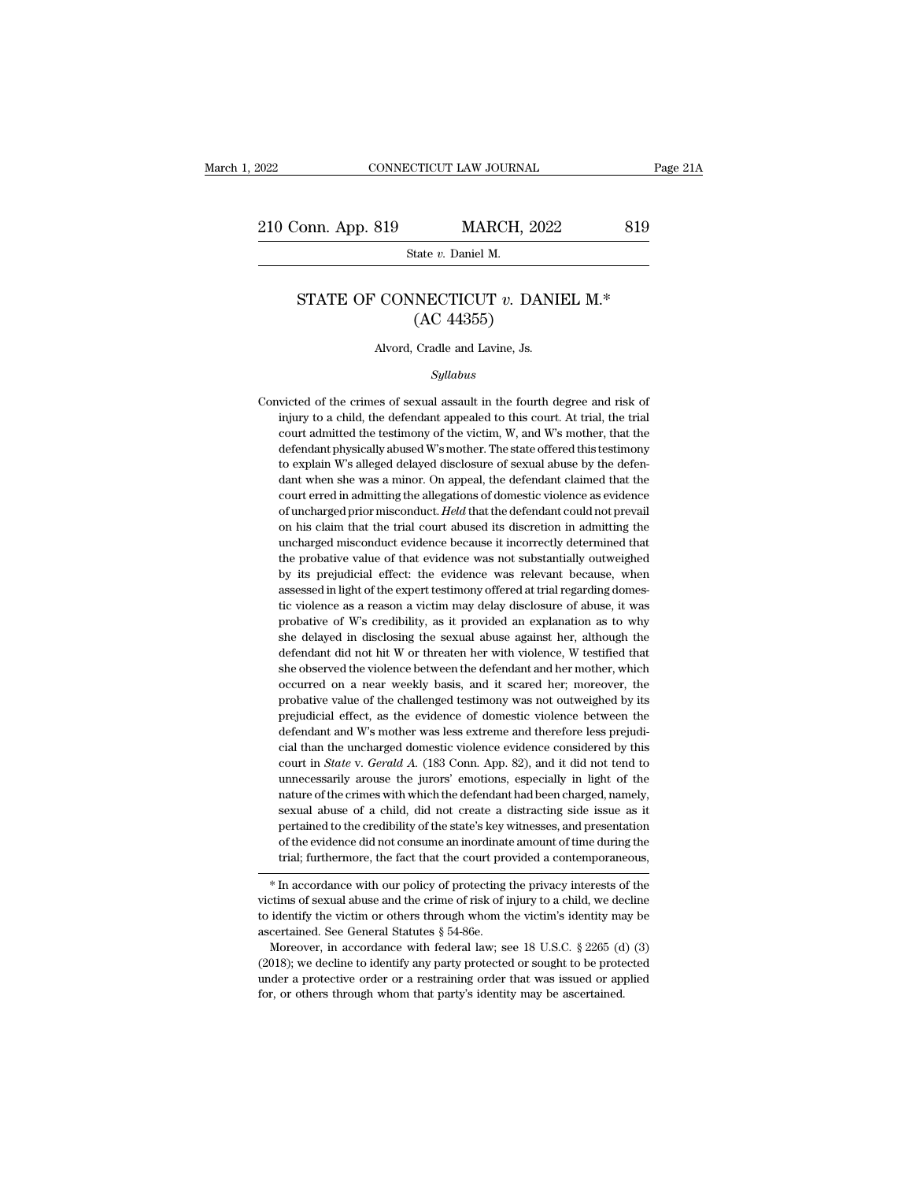### STATE OF CONNECTICUT *v*. DANIEL M.\* (AC 44355) MARCH, 202<br>
tate v. Daniel M.<br>
NECTICUT v. DAN<br>
(AC 44355)<br>
Cradle and Lavine, Js. State v. Daniel M.<br>
STATE OF CONNECTICUT v. DANIEL M.\*<br>  $\left( \mathrm{AC} \right.$  44355)<br>
Alvord, Cradle and Lavine, Js.

### *Syllabus*

 $(AC 44355)$ <br>Alvord, Cradle and Lavine, Js.<br>Syllabus<br>Convicted of the crimes of sexual assault in the fourth degree and risk of<br>injury to a child, the defendant appealed to this court. At trial, the trial Alvord, Cradle and Lavine, Js.<br>
Syllabus<br>
victed of the crimes of sexual assault in the fourth degree and risk of<br>
injury to a child, the defendant appealed to this court. At trial, the trial<br>
court admitted the testimony Alvord, Cradle and Lavine, Js.<br>Syllabus<br>victed of the crimes of sexual assault in the fourth degree and risk of<br>injury to a child, the defendant appealed to this court. At trial, the trial<br>court admitted the testimony of t Syllabus<br>
sical of the crimes of sexual assault in the fourth degree and risk of<br>
injury to a child, the defendant appealed to this court. At trial, the trial<br>
court admitted the testimony of the victim, W, and W's mother, Convicted of the crimes of sexual assault in the fourth degree and risk of injury to a child, the defendant appealed to this court. At trial, the trial court admitted the testimony of the victim, W, and W's mother, that th victed of the crimes of sexual assault in the fourth degree and risk of injury to a child, the defendant appealed to this court. At trial, the trial court admitted the testimony of the victim, W, and W's mother, that the d in the violence of and, the defendant appealed to this court. At trial, the trial court admitted the testimony of the victim, W, and W's mother, that the defendant physically abused W's mother. The state offered this test anyary of the victim, W, and W's mother, that the defendant physically abused W's mother. The state offered this testimony to explain W's alleged delayed disclosure of sexual abuse by the defendant when she was a minor. On defendant physically abused W's mother. The state offered this testimony to explain W's alleged delayed disclosure of sexual abuse by the defendant when she was a minor. On appeal, the defendant claimed that the court erre to explain W's alleged delayed disclosure of sexual abuse by the defendant when she was a minor. On appeal, the defendant claimed that the court erred in admitting the allegations of domestic violence as evidence of unchar dant when she was a minor. On appeal, the defendant claimed that the court erred in admitting the allegations of domestic violence as evidence of uncharged prior misconduct. *Held* that the defendant could not prevail on h court erred in admitting the allegations of domestic violence as evidence of uncharged prior misconduct. *Held* that the defendant could not prevail on his claim that the trial court abused its discretion in admitting the of uncharged prior misconduct. Held that the defendant could not prevail<br>on his claim that the trial court abused its discretion in admitting the<br>uncharged misconduct evidence because it incorrectly determined that<br>the pro on his claim that the trial court abused its discretion in admitting the uncharged misconduct evidence because it incorrectly determined that the probative value of that evidence was not substantially outweighed by its pre uncharged misconduct evidence because it incorrectly determined that<br>the probative value of that evidence was not substantially outweighed<br>by its prejudicial effect: the evidence was relevant because, when<br>assessed in ligh the probative value of that evidence was not substantially outweighed<br>by its prejudicial effect: the evidence was relevant because, when<br>assessed in light of the expert testimony offered at trial regarding domes-<br>tic viole the probative value of that evidence was not substantially outweighed<br>by its prejudicial effect: the evidence was relevant because, when<br>assessed in light of the expert testimony offered at trial regarding domes-<br>tic viole assessed in light of the expert testimony offered at trial regarding domestic violence as a reason a victim may delay disclosure of abuse, it was probative of W's credibility, as it provided an explanation as to why she de tic violence as a reason a victim may delay disclosure of abuse, it was probative of W's credibility, as it provided an explanation as to why she delayed in disclosing the sexual abuse against her, although the defendant d probative of W's credibility, as it provided an explanation as to why<br>she delayed in disclosing the sexual abuse against her, although the<br>defendant did not hit W or threaten her with violence, W testified that<br>she observe she delayed in disclosing the sexual abuse against her, although the defendant did not hit W or threaten her with violence, W testified that she observed the violence between the defendant and her mother, which occurred on defendant did not hit W or threaten her with violence, W testified that she observed the violence between the defendant and her mother, which occurred on a near weekly basis, and it scared her; moreover, the probative valu she observed the violence between the defendant and her mother, which occurred on a near weekly basis, and it scared her; moreover, the probative value of the challenged testimony was not outweighed by its prejudicial effe occurred on a near weekly basis, and it scared her; moreover, the probative value of the challenged testimony was not outweighed by its prejudicial effect, as the evidence of domestic violence between the defendant and W's probative value of the challenged testimony was not outweighed by its<br>prejudicial effect, as the evidence of domestic violence between the<br>defendant and W's mother was less extreme and therefore less prejudi-<br>cial than the prejudicial effect, as the evidence of domestic violence between the defendant and W's mother was less extreme and therefore less prejudicial than the uncharged domestic violence evidence considered by this court in *State* defendant and W's mother was less extreme and therefore less prejudicial than the uncharged domestic violence evidence considered by this court in *State* v. *Gerald A*. (183 Conn. App. 82), and it did not tend to unnecess cial than the uncharged domestic violence evidence considered by this court in *State* v. *Gerald A.* (183 Conn. App. 82), and it did not tend to unnecessarily arouse the jurors' emotions, especially in light of the natur court in *State* v. *Gerald A*. (183 Conn. App. 82), and it did not tend to unnecessarily arouse the jurors' emotions, especially in light of the nature of the crimes with which the defendant had been charged, namely, sexu trial; furthermore, the fact that the court provided a contemporation of the evidence did not create a distracting side issue as it pertained to the credibility of the state's key witnesses, and presentation of the evidenc victims of sexual abuse of a child, during create a distracting side issue as a pertained to the credibility of the state's key witnesses, and presentation of the evidence did not consume an inordinate amount of time durin

pertained to the credibility of the state's key whitesses, and presentation<br>of the evidence did not consume an inordinate amount of time during the<br>trial; furthermore, the fact that the court provided a contemporaneous,<br> $*$ % of the evidence did not consume an inordinate amount of time during the trial; furthermore, the fact that the court provided a contemporaneous,<br>  $*$  In accordance with our policy of protecting the privacy interests of t \* In accordance with our policy of protecting the privacy interests of the victims of sexual abuse and the crime of risk of injury to a child, we decline to identify the victim or others through whom the victim's identity \* In accordance with our policy of protecting the privacy interests of the victims of sexual abuse and the crime of risk of injury to a child, we decline to identify the victim or others through whom the victim's identity

victims of sexual abuse and the crime of risk of injury to a child, we decline to identify the victim or others through whom the victim's identity may be ascertained. See General Statutes  $\S 54-86e$ .<br>Moreover, in accordan to identify the victim or others through whom the victim's identity may be ascertained. See General Statutes  $\S$  54-86e.<br>Moreover, in accordance with federal law; see 18 U.S.C.  $\S$  2265 (d) (3) (2018); we decline to ident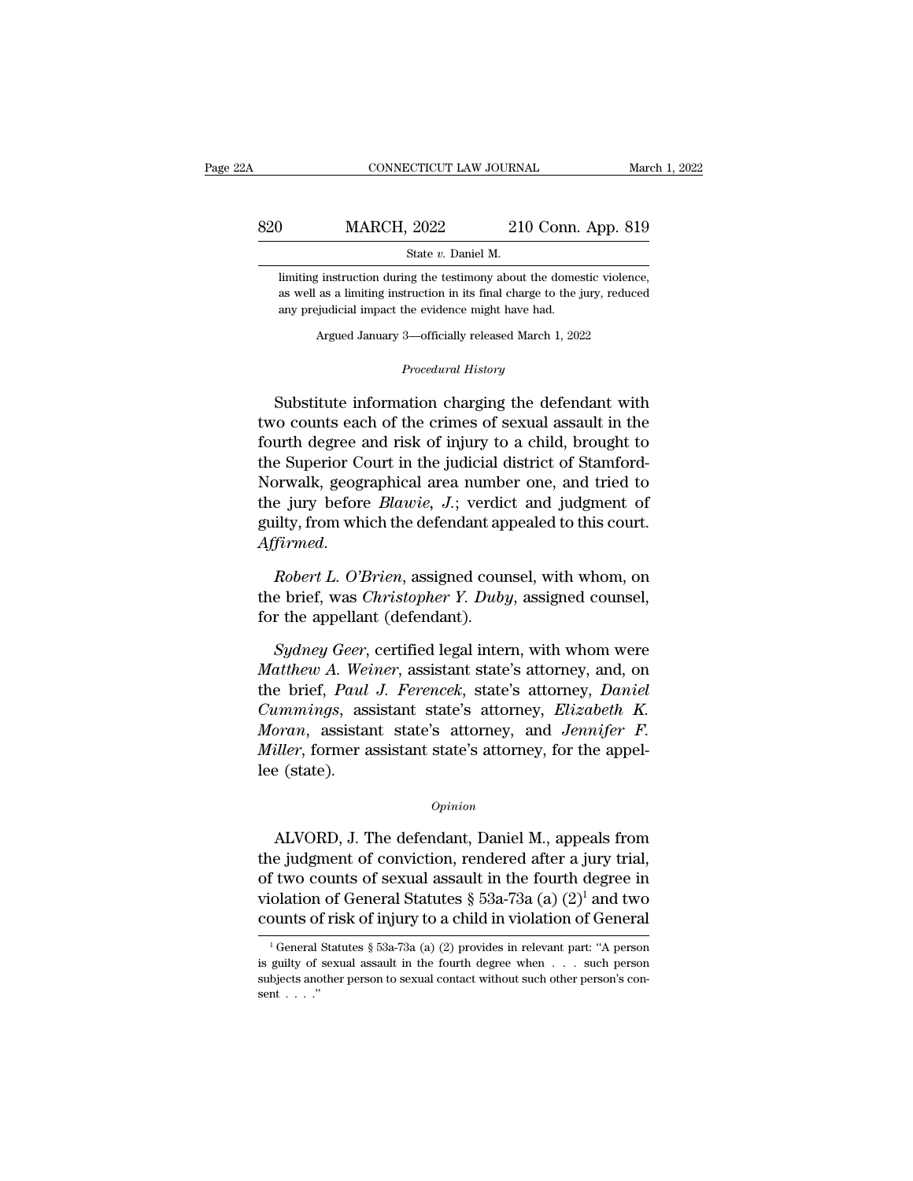### EXECUTE CONNECTICUT LAW JOURNAL March 1, 2022<br>820 MARCH, 2022 210 Conn. App. 819<br>8tate v. Daniel M. SCTICUT LAW JOURNA<br>
2022 210<br>
State *v*. Daniel M.<br>
ng the testimony about MARCH, 2022 210 Conn. App. 819<br>
State v. Daniel M.<br>
limiting instruction during the testimony about the domestic violence,<br>
as well as a limiting instruction in its final charge to the jury, reduced

MARCH,  $2022$  210 Conn. App. 819<br>
State v. Daniel M.<br>
limiting instruction during the testimony about the domestic violence,<br>
as well as a limiting instruction in its final charge to the jury, reduced<br>
any prejudicial imp MARCH,  $2022$  210 Conn.<br>
State  $v$ . Daniel M.<br>
limiting instruction during the testimony about the domes<br>
as well as a limiting instruction in its final charge to the j<br>
any prejudicial impact the evidence might have had. State v. Daniel M.<br>
State v. Daniel M.<br>
State instruction during the testimony about the domestic violence<br>
as a limiting instruction in its final charge to the jury, reduce<br>
eigudicial impact the evidence might have had.<br> as well as a limiting instruction in its final charge to the jury, reduced<br>any prejudicial impact the evidence might have had.<br>Argued January 3—officially released March 1, 2022<br>*Procedural History*<br>Substitute information

Example 18 a limiting instruction in its final charge to the jury, reduced<br>any prejudicial impact the evidence might have had.<br>Argued January 3—officially released March 1, 2022<br>*Procedural History*<br>Substitute information any prejudicial impact the evidence might have had.<br>
Argued January 3—officially released March 1, 2022<br>
Procedural History<br>
Substitute information charging the defendant with<br>
two counts each of the crimes of sexual assau Argued January 3—officially released March 1, 2022<br>
Procedural History<br>
Substitute information charging the defendant with<br>
two counts each of the crimes of sexual assault in the<br>
fourth degree and risk of injury to a chil *Procedural History*<br>*Procedural History*<br>Substitute information charging the defendant with<br>two counts each of the crimes of sexual assault in the<br>fourth degree and risk of injury to a child, brought to<br>the Superior Court *Procedural History*<br>
Substitute information charging the defendant with<br>
two counts each of the crimes of sexual assault in the<br>
fourth degree and risk of injury to a child, brought to<br>
the Superior Court in the judicial Substitute information charging the defendant with<br>two counts each of the crimes of sexual assault in the<br>fourth degree and risk of injury to a child, brought to<br>the Superior Court in the judicial district of Stamford-<br>Nor Substitute information charging the defendant with<br>two counts each of the crimes of sexual assault in the<br>fourth degree and risk of injury to a child, brought to<br>the Superior Court in the judicial district of Stamford-<br>Nor *Affirmed. Roberto Court in the judicial district of Stamford-Norwalk, geographical area number one, and tried to the jury before <i>Blawie, J.*; verdict and judgment of guilty, from which the defendant appealed to this co Norwalk, geographical area number one, and tried to<br>the jury before *Blawie*, *J*.; verdict and judgment of<br>guilty, from which the defendant appealed to this court.<br>Affirmed.<br>Robert L. O'Brien, assigned counsel, with whom, the jury before *Blawie*, *J*.; verdic<br>guilty, from which the defendant ap<br>Affirmed.<br>Robert L. O'Brien, assigned cour<br>the brief, was *Christopher Y. Duby*<br>for the appellant (defendant).<br>Sydney Geer, certified legal inter

*Firmed.*<br> *Robert L. O'Brien*, assigned counsel, with whom, on<br> *e* brief, was *Christopher Y. Duby*, assigned counsel,<br> *r* the appellant (defendant).<br> *Sydney Geer*, certified legal intern, with whom were<br> *atthew A. We* 

*Robert L. O'Brien*, assigned counsel, with whom, on<br>the brief, was *Christopher Y. Duby*, assigned counsel,<br>for the appellant (defendant).<br>*Sydney Geer*, certified legal intern, with whom were<br>*Matthew A. Weiner*, assista Robert L. O'Brien, assigned counsel, with whom, on<br>the brief, was *Christopher Y. Duby*, assigned counsel,<br>for the appellant (defendant).<br>*Sydney Geer*, certified legal intern, with whom were<br>*Matthew A. Weiner*, assistant *Cummings Christopher Y. Duby, assigned counsel,*<br> *Cumming Geer, certified legal intern, with whom were*<br> *Cummings, assistant state's attorney, and, on*<br> *Cummings, assistant state's attorney, Elizabeth K.*<br> *Moran, assi* for the appellant (defendant).<br> *Sydney Geer*, certified legal intern, with whom were<br> *Matthew A. Weiner*, assistant state's attorney, and, on<br>
the brief, *Paul J. Ferencek*, state's attorney, *Daniel*<br> *Cummings*, assist *Sydney Geer*, certified legal intern, with whom were *Matthew A. Weiner*, assistant state's attorney, and, on the brief, *Paul J. Ferencek*, state's attorney, *Daniel Cummings*, assistant state's attorney, *Elizabeth K. M* Sydney Geer,<br>Matthew A. Wei<br>the brief, Paul<br>Cummings, ass<br>Moran, assistan<br>Miller, former a<br>lee (state).  $Pran$ , assistant state's attorney, and *Jennifer F.*<br>  $P.$  iller, former assistant state's attorney, for the appel-<br>  $\geq$  (state).<br>  $Opinion$ <br>
ALVORD, J. The defendant, Daniel M., appeals from<br>  $\geq$  judgment of conviction, r

### *Opinion*

*Miller*, former assistant state's attorney, for the appel-<br>
lee (state).<br>  $\frac{opinion}{\text{binion}}$ <br>
ALVORD, J. The defendant, Daniel M., appeals from<br>
the judgment of conviction, rendered after a jury trial,<br>
of two counts of sexu opinion<br>  $Opinion$ <br>
ALVORD, J. The defendant, Daniel M., appeals from<br>
the judgment of conviction, rendered after a jury trial,<br>
of two counts of sexual assault in the fourth degree in<br>
violation of General Statutes  $\S 53a$ -7 opinion<br>
violation of General Statutes Biomannical Statutes State in Statutes & 53a-73a (a) (2)<sup>1</sup> and two<br>
counts of General Statutes § 53a-73a (a) (2)<sup>1</sup> and two<br>
counts of risk of injury to a child in violation of Gene *Opinion*<br>ALVORD, J. The defendant, Daniel M., appeals from<br>the judgment of conviction, rendered after a jury trial,<br>of two counts of sexual assault in the fourth degree in<br>violation of General Statutes § 53a-73a (a) (2)<sup></sup> the judgment of conviction, rendered after a jury trial,<br>of two counts of sexual assault in the fourth degree in<br>violation of General Statutes § 53a-73a (a)  $(2)^1$  and two<br>counts of risk of injury to a child in violation of two counts of sexual assault in the fourth degree in<br>violation of General Statutes  $\S$  53a-73a (a) (2)<sup>1</sup> and two<br>counts of risk of injury to a child in violation of General<br><sup>1</sup>General Statutes  $\S$  53a-73a (a) (2) prov

violation of General Statutes § 53a-73a (a)  $(2)^1$  and two<br>counts of risk of injury to a child in violation of General<br><sup>1</sup>General Statutes § 53a-73a (a) (2) provides in relevant part: "A person<br>is guilty of sexual assault counts of risk of injury to a child in violation of General<br>  $\frac{1}{1}$  General Statutes § 53a-73a (a) (2) provides in relevant part: "A person<br>
is guilty of sexual assault in the fourth degree when . . . such person<br>
subj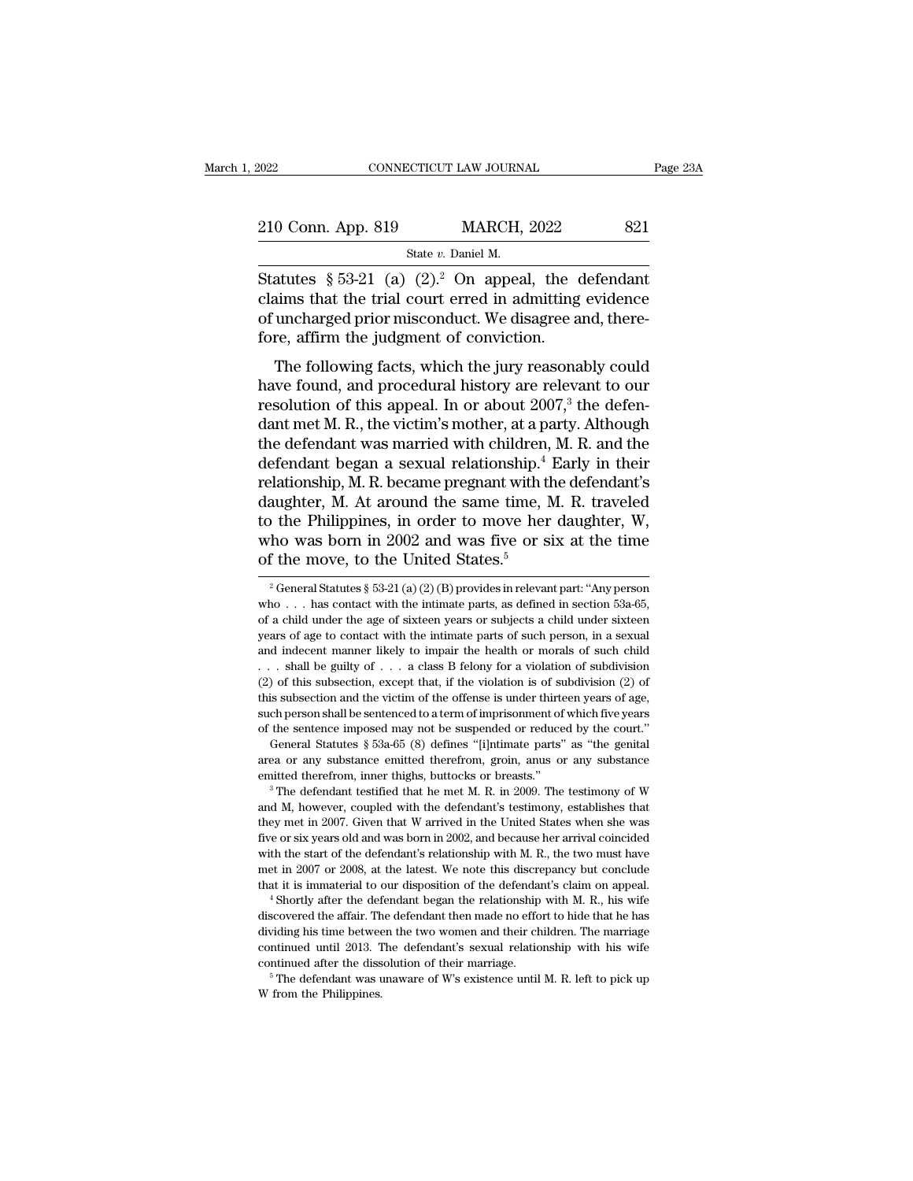| 2022               | CONNECTICUT LAW JOURNAL                                 | Page 23A |
|--------------------|---------------------------------------------------------|----------|
| 210 Conn. App. 819 | <b>MARCH, 2022</b>                                      | 821      |
|                    | State v. Daniel M.                                      |          |
|                    | Statutes § 53-21 (a) $(2)^2$ . On appeal, the defendant |          |

CONNECTICUT LAW JOURNAL Page 231<br>
210 Conn. App. 819 MARCH, 2022 821<br>
Statutes § 53-21 (a) (2).<sup>2</sup> On appeal, the defendant<br>
claims that the trial court erred in admitting evidence<br>
of uncharged prior prison duct. We disag 210 Conn. App. 819 MARCH, 2022 821<br>
Statutes § 53-21 (a)  $(2)^2$  On appeal, the defendant<br>
claims that the trial court erred in admitting evidence<br>
of uncharged prior misconduct. We disagree and, there-<br>
fore affirm the ju 210 Conn. App. 819 MARCH, 2022 821<br>
Statutes § 53-21 (a)  $(2)^2$  On appeal, the defendant<br>
claims that the trial court erred in admitting evidence<br>
of uncharged prior misconduct. We disagree and, there-<br>
fore, affirm the j 210 Conn. App. 819 MARCH, 2022<br>
State v. Daniel M.<br>
Statutes § 53-21 (a) (2).<sup>2</sup> On appeal, the c<br>
claims that the trial court erred in admitting<br>
of uncharged prior misconduct. We disagree a<br>
fore, affirm the judgment of State v. Daniel M.<br>
State v. Daniel M.<br>
State v. Daniel M.<br>
Latter State in admitting evidence<br>
uncharged prior misconduct. We disagree and, there-<br>
re, affirm the judgment of conviction.<br>
The following facts, which the j Statutes § 53-21 (a) (2).<sup>2</sup> On appeal, the defendant<br>claims that the trial court erred in admitting evidence<br>of uncharged prior misconduct. We disagree and, there-<br>fore, affirm the judgment of conviction.<br>The following f

bractions is 35-21 (a) (2). On appear, the defendant<br>claims that the trial court erred in admitting evidence<br>of uncharged prior misconduct. We disagree and, there-<br>fore, affirm the judgment of conviction.<br>The following fa claims that the trial court effect in admitting evidence<br>of uncharged prior misconduct. We disagree and, there-<br>fore, affirm the judgment of conviction.<br>The following facts, which the jury reasonably could<br>have found, and or uncharged prior misconduct. We disagree and, therefore, affirm the judgment of conviction.<br>The following facts, which the jury reasonably could<br>have found, and procedural history are relevant to our<br>resolution of this The following facts, which the jury reasonably could<br>have found, and procedural history are relevant to our<br>resolution of this appeal. In or about 2007,<sup>3</sup> the defen-<br>dant met M. R., the victim's mother, at a party. Altho The following facts, which the jury reasonably could<br>have found, and procedural history are relevant to our<br>resolution of this appeal. In or about 2007,<sup>3</sup> the defen-<br>dant met M. R., the victim's mother, at a party. Altho have found, and procedural history are relevant to our<br>resolution of this appeal. In or about 2007,<sup>3</sup> the defen-<br>dant met M. R., the victim's mother, at a party. Although<br>the defendant was married with children, M. R. and resolution of this appeal. In or about 2007,<sup>3</sup> the defendant met M. R., the victim's mother, at a party. Although the defendant was married with children, M. R. and the defendant began a sexual relationship.<sup>4</sup> Early in dant met M. R., the victim's mother, at a party. Although<br>the defendant was married with children, M. R. and the<br>defendant began a sexual relationship.<sup>4</sup> Early in their<br>relationship, M. R. became pregnant with the defend the defendant was married with children,<br>defendant began a sexual relationship.<sup>4</sup><br>relationship, M. R. became pregnant with the<br>daughter, M. At around the same time, N<br>to the Philippines, in order to move her<br>who was born aughter, M. At around the same time, M. R. traveled<br>
the Philippines, in order to move her daughter, W,<br>
tho was born in 2002 and was five or six at the time<br>
f the move, to the United States.<sup>5</sup><br>
<sup>2</sup> General Statutes § 5 to the Philippines, in order to move her daughter, W,<br>who was born in 2002 and was five or six at the time<br>of the move, to the United States.<sup>5</sup><br> $^{2}$  General Statutes § 53-21 (a) (2) (B) provides in relevant part: "Any p

and M, however, coupled with the defendant's testimony, exactly the court."<br>
General Statutes § 53a-65 (8) defines "[i]ntimate parts" as "the genital<br>
area or any substance emitted therefrom, groin, anus or any substance<br> General Statutes § 53a-65 (8) defines "[i]ntimate parts" as "the genital area or any substance emitted therefrom, groin, anus or any substance emitted therefrom, inner thighs, buttocks or breasts." <sup>3</sup> The defendant testif area or any substance emitted therefrom, groin, ands or any substance emitted therefrom, inner thighs, buttocks or breasts."<br>
<sup>3</sup> The defendant testified that he met M. R. in 2009. The testimony of W and M, however, coupl emitted therefrom, inner thights, buttocks or breasts."<br>
<sup>3</sup> The defendant testified that he met M. R. in 2009. The testimony of W<br>
and M, however, coupled with the defendant's testimony, establishes that<br>
they met in 200 <sup>a</sup> The defendant testified that he met M. R. in 2009. The testimony of W and M, however, coupled with the defendant's testimony, establishes that they met in 2007. Given that W arrived in the United States when she was f and M, however, coupled with the defendant's testimony, establishes that they met in 2007. Given that W arrived in the United States when she was five or six years old and was born in 2002, and because her arrival coincide dive or six years old and was born in 2002, and because her arrival coincided with the start of the defendant's relationship with M. R., the two must have met in 2007 or 2008, at the latest. We note this discrepancy but co

with the start of the defendant's relationship with M. R., the two must have met in 2007 or 2008, at the latest. We note this discrepancy but conclude that it is immaterial to our disposition of the defendant's claim on ap met in 2007 or 2008, at the latest. We note this discrepancy but conclude that it is immaterial to our disposition of the defendant's claim on appeal.<br>  $\overline{ }$  'Shortly after the defendant began the relationship with M. R that it is immaterial to our disposition of the defendant's clim on appeal.<br>
<sup>4</sup> Shortly after the defendant began the relationship with M. R., his wife<br>
discovered the affair. The defendant then made no effort to hide tha  $^4$ Shortly after the defendant began the relationship with M. R., his wife discovered the affair. The defendant then made no effort to hide that he has dividing his time between the two women and their children. The marr

who was born in 2002 and was five or six at the time<br>of the move, to the United States.<sup>5</sup><br> $^2$ General Statutes § 53-21 (a) (2) (B) provides in relevant part: "Any person<br>who . . . has contact with the intimate parts, as of the move, to the United States.<sup>5</sup><br>
<sup>2</sup> General Statutes § 53-21 (a) (2) (B) provides in relevant part: "Any person,<br>
who . . . has contact with the intimate parts, as defined in section 53a-65,<br>
of a child under the a and indecent manner likely to impair the health or morals of such child under the age of sixteen years or subjects a child under sixteen years of a child under the age of sixteen years or subjects a child under sixteen ye <sup>2</sup> General Statutes § 53-21 (a) (2) (B) provides in relevant part: "Any person who . . . has contact with the intimate parts, as defined in section 53a-65, of a child under the age of sixteen years or subjects a child un who ... has contact with the intimate parts, as defined in section 53a-65, of a child under the age of sixteen years or subjects a child under sixteen years of age to contact with the intimate parts of such person, in a s of a child under the age of sixteen years or subjects a child under sixteen years of age to contact with the intimate parts of such person, in a sexual and indecent manner likely to impair the health or morals of such chi such a such a such that is the infinite parts of such person, in a sexual and indecent manner likely to impair the health or morals of such child  $\dots$  shall be guilty of  $\dots$  a class B felony for a violation of subdivisio and indecent manner likely to impair the health or morals of such child  $\dots$  shall be guilty of  $\dots$  a class B felony for a violation of subdivision (2) of this subsection, except that, if the violation is of subdivision Statutes § 53a-65 (8) defines "[i]ntimate parts" as 'the general Statutes § 53a-65 (8) defines ''[i]ntimate parts' as 'the general Statutes § 53a-65 (8) defines ''[i]ntimate parts'' as ''the genital as or any substance em (2) of this subsection, except that, if the violation is of subdivision (2) of this subsection, except that, if the violation is of subdivision (2) of this subsection and the victim of the offense is under thirteen years emitted therefrom, inner thighs, buttocks or breasts.'' 3 The defendant testified that he met M. R. in 2009. The testimony of W and M, however, coupled with the defendant is testimony, establishes that at M. R. in 2009. Th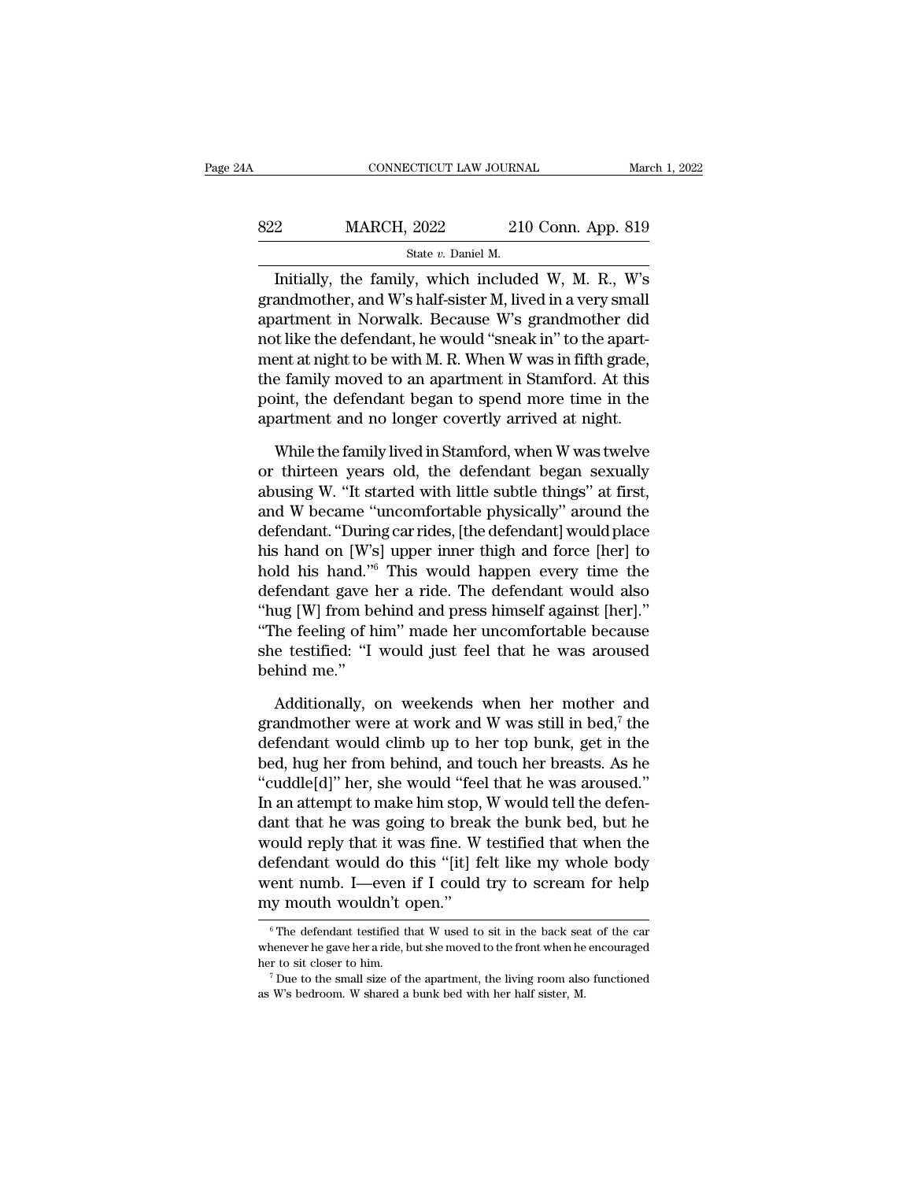| 24A |                                       | CONNECTICUT LAW JOURNAL |                    | March 1, 2022 |
|-----|---------------------------------------|-------------------------|--------------------|---------------|
|     |                                       |                         |                    |               |
| 822 | <b>MARCH, 2022</b>                    |                         | 210 Conn. App. 819 |               |
|     |                                       | State v. Daniel M.      |                    |               |
|     | Initially the family which included W |                         | W's<br>M<br>К      |               |

CONNECTICUT LAW JOURNAL March 1, 2022<br>
210 Conn. App. 819<br>
310 State v. Daniel M.<br>
310 State v. Daniel M.<br>
3210 Conn. App. 819<br>
310 State v. Daniel M.<br>
3210 Conn. App. 819<br>
3210 Conn. App. 819<br>
3210 Conn. App. 819<br>
3210 Co 822 MARCH, 2022 210 Conn. App. 819<br>
state v. Daniel M.<br>
Initially, the family, which included W, M. R., W's<br>
grandmother, and W's half-sister M, lived in a very small<br>
apartment in Norwalk. Because W's grandmother did<br>
an 822 MARCH, 2022 210 Conn. App. 819<br>
State v. Daniel M.<br>
Initially, the family, which included W, M. R., W's<br>
grandmother, and W's half-sister M, lived in a very small<br>
apartment in Norwalk. Because W's grandmother did<br>
no 822 MARCH, 2022 210 Conn. App. 819<br>  $\frac{\text{State } v. \text{ Daniel M.}}{\text{Initially, the family, which included W, M. R., W's  
\ngrandmother, and W's half-sister M, lived in a very small  
\napartment in Norway. Because W's grandmother did  
\nnot like the defendant, he would "sneak in" to the apart-  
\nment at night to be with M. R. When W was in fifth grade,  
\nthe family moved to an construct in Stanford. At this$ State v. Daniel M.<br>
Initially, the family, which included W, M. R., W's<br>
grandmother, and W's half-sister M, lived in a very small<br>
apartment in Norwalk. Because W's grandmother did<br>
not like the defendant, he would "snea Initially, the family, which included W, M. R., W's<br>grandmother, and W's half-sister M, lived in a very small<br>apartment in Norwalk. Because W's grandmother did<br>not like the defendant, he would "sneak in" to the apart-<br>men Initially, the family, which included W, M. R., W's<br>grandmother, and W's half-sister M, lived in a very small<br>apartment in Norwalk. Because W's grandmother did<br>not like the defendant, he would "sneak in" to the apart-<br>ment grandmother, and W's half-sister M, lived in a very small<br>apartment in Norwalk. Because W's grandmother did<br>not like the defendant, he would "sneak in" to the apart-<br>ment at night to be with M. R. When W was in fifth grade t like the defendant, he would "sneak in" to the apart-<br>ent at night to be with M. R. When W was in fifth grade,<br>e family moved to an apartment in Stamford. At this<br>int, the defendant began to spend more time in the<br>artmen ment at night to be with M. R. When W was in fifth grade,<br>the family moved to an apartment in Stamford. At this<br>point, the defendant began to spend more time in the<br>apartment and no longer covertly arrived at night.<br>While

the family moved to an apartment in Stamford. At this<br>point, the defendant began to spend more time in the<br>apartment and no longer covertly arrived at night.<br>While the family lived in Stamford, when W was twelve<br>or thirtee point, the defendant began to spend more time in the<br>apartment and no longer covertly arrived at night.<br>While the family lived in Stamford, when W was twelve<br>or thirteen years old, the defendant began sexually<br>abusing W. " apartment and no longer covertly arrived at night.<br>
While the family lived in Stamford, when W was twelve<br>
or thirteen years old, the defendant began sexually<br>
abusing W. "It started with little subtle things" at first,<br>
a While the family lived in Stamford, when W was twelve<br>or thirteen years old, the defendant began sexually<br>abusing W. "It started with little subtle things" at first,<br>and W became "uncomfortable physically" around the<br>defen While the family lived in Stamford, when W was twelve<br>or thirteen years old, the defendant began sexually<br>abusing W. "It started with little subtle things" at first,<br>and W became "uncomfortable physically" around the<br>defen or thirteen years old, the defendant began sexually<br>abusing W. "It started with little subtle things" at first,<br>and W became "uncomfortable physically" around the<br>defendant. "During car rides, [the defendant] would place<br>h abusing W. "It started with little subtle things" at first,<br>and W became "uncomfortable physically" around the<br>defendant. "During car rides, [the defendant] would place<br>his hand on [W's] upper inner thigh and force [her] t and W became "uncomfortable physically" around the<br>defendant. "During car rides, [the defendant] would place<br>his hand on [W's] upper inner thigh and force [her] to<br>hold his hand."<sup>6</sup> This would happen every time the<br>defend defendant. "During car rides, [the defendant] would place<br>his hand on [W's] upper inner thigh and force [her] to<br>hold his hand."<sup>6</sup> This would happen every time the<br>defendant gave her a ride. The defendant would also<br>"hug his hand on [W's<br>hold his hand."<sup>6</sup><br>defendant gave l<br>"hug [W] from be<br>"The feeling of h<br>she testified: "I<br>behind me."<br>Additionally, o fendant gave her a ride. The defendant would also<br>ug [W] from behind and press himself against [her]."<br>The feeling of him" made her uncomfortable because<br>e testified: "I would just feel that he was aroused<br>hind me."<br>Additi "hug [W] from behind and press himself against [her]."<br>
"The feeling of him" made her uncomfortable because<br>
she testified: "I would just feel that he was aroused<br>
behind me."<br>
Additionally, on weekends when her mother an

"The feeling of him" made her uncomfortable because<br>she testified: "I would just feel that he was aroused<br>behind me."<br>Additionally, on weekends when her mother and<br>grandmother were at work and W was still in bed," the<br>def she testified: "I would just feel that he was aroused<br>behind me."<br>Additionally, on weekends when her mother and<br>grandmother were at work and W was still in bed,<sup>7</sup> the<br>defendant would climb up to her top bunk, get in the<br>b behind me."<br>
Additionally, on weekends when her mother and<br>
grandmother were at work and W was still in bed,<sup>7</sup> the<br>
defendant would climb up to her top bunk, get in the<br>
bed, hug her from behind, and touch her breasts. A Additionally, on weekends when her mother and grandmother were at work and W was still in bed,<sup>7</sup> the defendant would climb up to her top bunk, get in the bed, hug her from behind, and touch her breasts. As he "cuddle[d]" Additionally, on weekends when her mother and<br>grandmother were at work and W was still in bed,<sup>7</sup> the<br>defendant would climb up to her top bunk, get in the<br>bed, hug her from behind, and touch her breasts. As he<br>"cuddle[d]" grandmother were at work and W was still in bed,' the<br>defendant would climb up to her top bunk, get in the<br>bed, hug her from behind, and touch her breasts. As he<br>"cuddle[d]" her, she would "feel that he was aroused."<br>In an defendant would climb up to her top bunk, get in the<br>bed, hug her from behind, and touch her breasts. As he<br>"cuddle[d]" her, she would "feel that he was aroused."<br>In an attempt to make him stop, W would tell the defen-<br>dan bed, hug her from behind, and touch her breasts. As he<br>"cuddle[d]" her, she would "feel that he was aroused."<br>In an attempt to make him stop, W would tell the defen-<br>dant that he was going to break the bunk bed, but he<br>wou "cuddle $[d]$ " her, she would "fee<br>In an attempt to make him stop,<br>dant that he was going to breal<br>would reply that it was fine. W<br>defendant would do this "[it] fe<br>went numb. I—even if I could<br>my mouth wouldn't open."<br> $\frac{1$ defendant would do this "[it] felt like my whole body<br>went numb. I—even if I could try to scream for help<br>my mouth wouldn't open."<br> $\frac{1}{\sqrt{6}}$  The defendant testified that W used to sit in the back seat of the car<br>whenev

went numb. I—even if I could try to scream for help<br>my mouth wouldn't open."<br> $\overline{\phantom{a}}$  fhe defendant testified that W used to sit in the back seat of the car<br>whenever he gave her a ride, but she moved to the front when went numb. I—even if I could try to scream for help<br>my mouth wouldn't open."<br> $\overline{\phantom{a}}^{\text{6}}$  The defendant testified that W used to sit in the back seat of the car<br>whenever he gave her a ride, but she moved to the front  $\,^6$  The defendant testified that W used to sit in the back seat of the car whenever he gave her a ride, but she moved to the front when he encouraged her to sit closer to him.<br>  $\,^7$  Due to the small size of the apart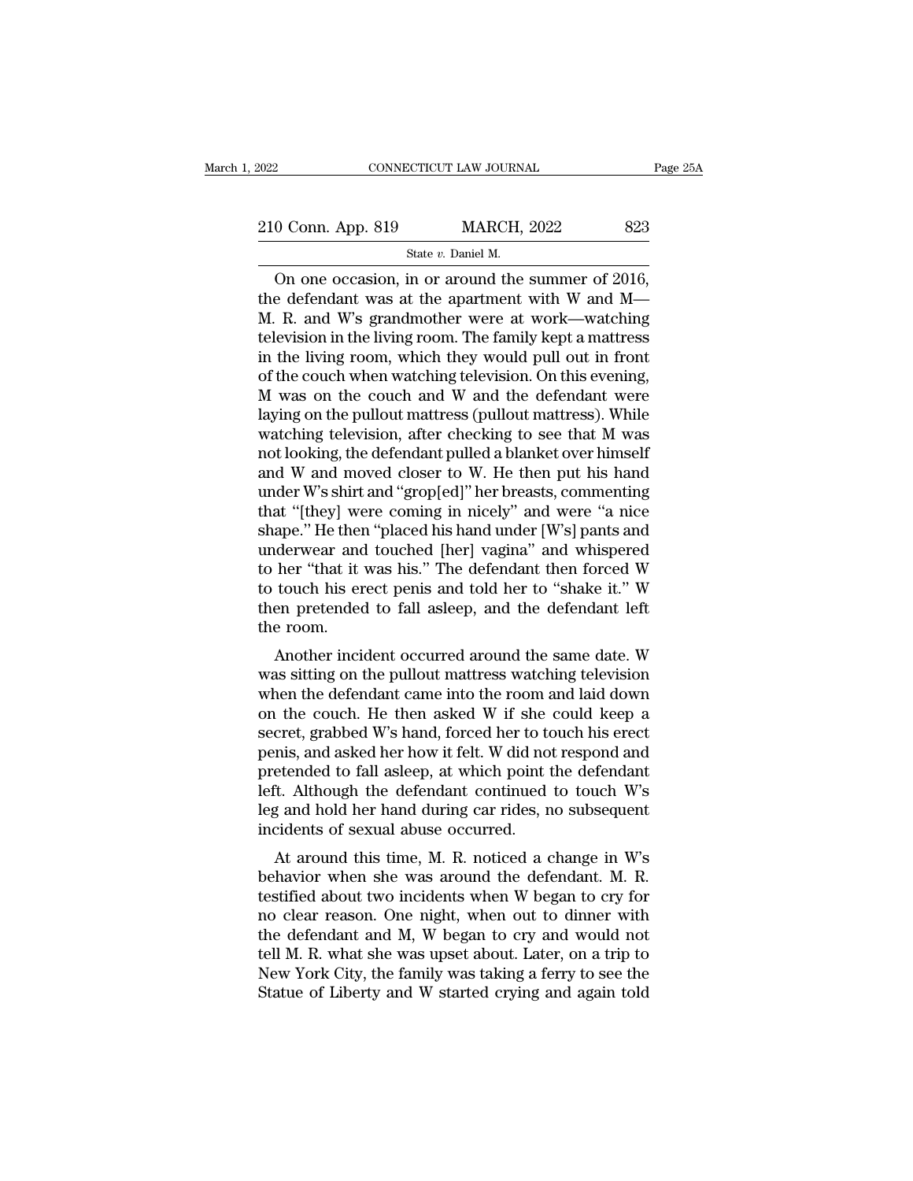CONNECTICUT LAW JOURNAL<br>
0 Conn. App. 819 MARCH, 2022 823<br>
State *v*. Daniel M.<br>
On one occasion, in or around the summer of 2016, CONNECTICUT LAW JOURNAL Page 2<br>
O Conn. App. 819 MARCH, 2022 823<br>
State v. Daniel M.<br>
On one occasion, in or around the summer of 2016,<br>
e defendant was at the apartment with W and M— 210 Conn. App. 819 MARCH, 2022 823<br>
State v. Daniel M.<br>
On one occasion, in or around the summer of 2016,<br>
the defendant was at the apartment with W and M—<br>
M. R. and W's grandmother were at work—watching<br>
tologision in t 210 Conn. App. 819 MARCH, 2022 823<br>
State v. Daniel M.<br>
On one occasion, in or around the summer of 2016,<br>
the defendant was at the apartment with W and M—<br>
M. R. and W's grandmother were at work—watching<br>
television in t 210 Conn. App. 819 MARCH, 2022 823<br>
State v. Daniel M.<br>
On one occasion, in or around the summer of 2016,<br>
the defendant was at the apartment with W and M—<br>
M. R. and W's grandmother were at work—watching<br>
television in t State v. Daniel M.<br>
State v. Daniel M.<br>
On one occasion, in or around the summer of 2016,<br>
the defendant was at the apartment with W and M—<br>
M. R. and W's grandmother were at work—watching<br>
television in the living room. State v. Daniel M.<br>
On one occasion, in or around the summer of 2016,<br>
the defendant was at the apartment with W and M—<br>
M. R. and W's grandmother were at work—watching<br>
television in the living room. The family kept a ma On one occasion, in or around the summer of 2016,<br>the defendant was at the apartment with W and M—<br>M. R. and W's grandmother were at work—watching<br>television in the living room. The family kept a mattress<br>in the living ro the defendant was at the apartment with W and M—<br>M. R. and W's grandmother were at work—watching<br>television in the living room. The family kept a mattress<br>in the living room, which they would pull out in front<br>of the couch M. R. and W's grandmother were at work—watching<br>television in the living room. The family kept a mattress<br>in the living room, which they would pull out in front<br>of the couch when watching television. On this evening,<br>M wa television in the living room. The family kept a mattress<br>in the living room, which they would pull out in front<br>of the couch when watching television. On this evening,<br>M was on the couch and W and the defendant were<br>layin in the living room, which they would pull out in front<br>of the couch when watching television. On this evening,<br>M was on the couch and W and the defendant were<br>laying on the pullout mattress (pullout mattress). While<br>watchi of the couch when watching television. On this evening,<br>M was on the couch and W and the defendant were<br>laying on the pullout mattress (pullout mattress). While<br>watching television, after checking to see that M was<br>not loo M was on the couch and W and the defendant were<br>laying on the pullout mattress (pullout mattress). While<br>watching television, after checking to see that M was<br>not looking, the defendant pulled a blanket over himself<br>and W laying on the pullout mattress (pullout mattress). While<br>watching television, after checking to see that M was<br>not looking, the defendant pulled a blanket over himself<br>and W and moved closer to W. He then put his hand<br>unde watching television, after checking to see that M was<br>not looking, the defendant pulled a blanket over himself<br>and W and moved closer to W. He then put his hand<br>under W's shirt and "grop[ed]" her breasts, commenting<br>that " not looking, the defendant pulled a blanket over himself<br>and W and moved closer to W. He then put his hand<br>under W's shirt and "grop[ed]" her breasts, commenting<br>that "[they] were coming in nicely" and were "a nice<br>shape." and W and moved closer to W. He then put his hand<br>under W's shirt and "grop[ed]" her breasts, commenting<br>that "[they] were coming in nicely" and were "a nice<br>shape." He then "placed his hand under [W's] pants and<br>underwear under W's shirt and "grop[ed]" her breasts, commenting<br>that "[they] were coming in nicely" and were "a nice<br>shape." He then "placed his hand under [W's] pants and<br>underwear and touched [her] vagina" and whispered<br>to her "t that "[they] we<br>shape." He then<br>underwear and<br>to her "that it<br>to touch his er<br>then pretended<br>the room.<br>Another inci ape. The their placed its hand under [w s] pants and<br>derwear and touched [her] vagina" and whispered<br>her "that it was his." The defendant then forced W<br>touch his erect penis and told her to "shake it." W<br>en pretended to fa where wear and couched [her] vagna and whispered<br>to her "that it was his." The defendant then forced W<br>to touch his erect penis and told her to "shake it." W<br>then pretended to fall asleep, and the defendant left<br>the room.

when that it was fils. The defendant then forced w<br>to touch his erect penis and told her to "shake it." W<br>then pretended to fall asleep, and the defendant left<br>the room.<br>Another incident occurred around the same date. W<br>w to touch its efect pents and total ferror shake it. w<br>then pretended to fall asleep, and the defendant left<br>the room.<br>Another incident occurred around the same date. W<br>was sitting on the pullout mattress watching televisio the room.<br>
Another incident occurred around the same date. W<br>
was sitting on the pullout mattress watching television<br>
when the defendant came into the room and laid down<br>
on the couch. He then asked W if she could keep a<br> Another incident occurred around the same date. W<br>was sitting on the pullout mattress watching television<br>when the defendant came into the room and laid down<br>on the couch. He then asked W if she could keep a<br>secret, grabb Another incident occurred around the same date. W<br>was sitting on the pullout mattress watching television<br>when the defendant came into the room and laid down<br>on the couch. He then asked W if she could keep a<br>secret, grabbe was sitting on the pullout mattress watching television<br>when the defendant came into the room and laid down<br>on the couch. He then asked W if she could keep a<br>secret, grabbed W's hand, forced her to touch his erect<br>penis, a when the defendant came into the room and laid down<br>on the couch. He then asked W if she could keep a<br>secret, grabbed W's hand, forced her to touch his erect<br>penis, and asked her how it felt. W did not respond and<br>pretende on the couch. He then asked W if she<br>secret, grabbed W's hand, forced her to to<br>penis, and asked her how it felt. W did no<br>pretended to fall asleep, at which point t<br>left. Although the defendant continued<br>leg and hold her Clet, grabbed w s hand, forced her to touch his erect<br>mis, and asked her how it felt. W did not respond and<br>etended to fall asleep, at which point the defendant<br>it. Although the defendant continued to touch W's<br>g and hold penis, and asked her now it felt. W did not respond and<br>pretended to fall asleep, at which point the defendant<br>left. Although the defendant continued to touch W's<br>leg and hold her hand during car rides, no subsequent<br>incid

pretended to fair asleep, at which point the defendant<br>left. Although the defendant continued to touch W's<br>leg and hold her hand during car rides, no subsequent<br>incidents of sexual abuse occurred.<br>At around this time, M. R not continued to touch w s<br>leg and hold her hand during car rides, no subsequent<br>incidents of sexual abuse occurred.<br>At around this time, M. R. noticed a change in W's<br>behavior when she was around the defendant. M. R.<br>test the defendant and M, W began to cry and would not be defendant. M. R. testified about two incidents when W began to cry for no clear reason. One night, when out to dinner with the defendant and M, W began to cry and would At around this time, M. R. noticed a change in W's<br>behavior when she was around the defendant. M. R.<br>testified about two incidents when W began to cry for<br>no clear reason. One night, when out to dinner with<br>the defendant a At around this time, M. R. noticed a change in W's<br>behavior when she was around the defendant. M. R.<br>testified about two incidents when W began to cry for<br>no clear reason. One night, when out to dinner with<br>the defendant a behavior when she was around the defendant. M. R.<br>testified about two incidents when W began to cry for<br>no clear reason. One night, when out to dinner with<br>the defendant and M, W began to cry and would not<br>tell M. R. what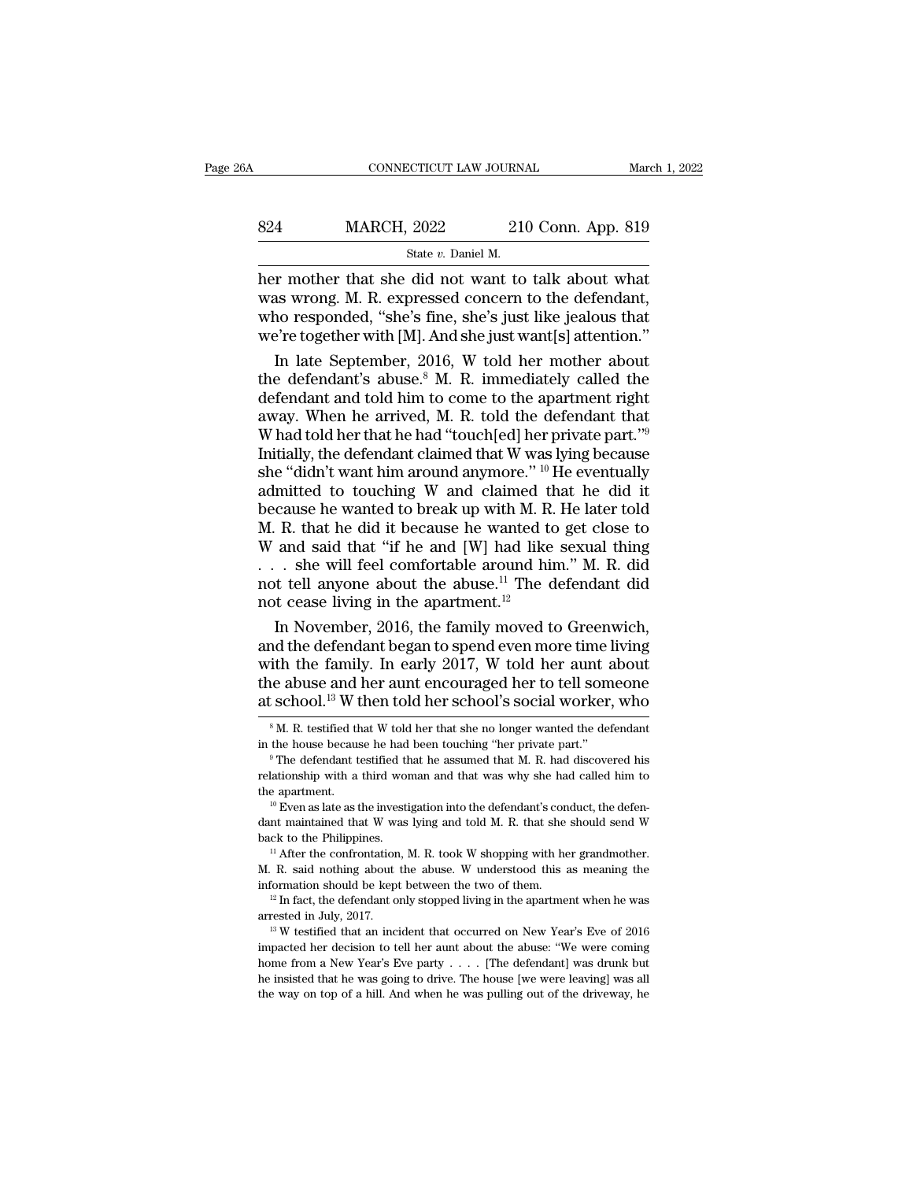# EXECUTE CONNECTICUT LAW JOURNAL March 1, 2022<br>824 MARCH, 2022 210 Conn. App. 819<br>8tate v. Daniel M. SCTICUT LAW JOURNA<br>
2022 210<br>
State *v*. Daniel M.<br>
did not want to

CONNECTICUT LAW JOURNAL March 1, 202<br>
B24 MARCH, 2022 210 Conn. App. 819<br>
State v. Daniel M.<br>
her mother that she did not want to talk about what<br>
was wrong. M. R. expressed concern to the defendant,<br>
who responded "she's MARCH, 2022 210 Conn. App. 819<br>
State v. Daniel M.<br>
her mother that she did not want to talk about what<br>
was wrong. M. R. expressed concern to the defendant,<br>
who responded, "she's fine, she's just like jealous that<br>
we'r MARCH, 2022 210 Conn. App. 819<br>
State v. Daniel M.<br>
her mother that she did not want to talk about what<br>
was wrong. M. R. expressed concern to the defendant,<br>
who responded, "she's fine, she's just like jealous that<br>
we'r MARCH, 2022 210 Conn. App. 819<br>
State v. Daniel M.<br>
her mother that she did not want to talk about what<br>
was wrong. M. R. expressed concern to the defendant,<br>
who responded, "she's fine, she's just like jealous that<br>
we'r State v. Daniel M.<br>
In mother that she did not want to talk about what<br>
as wrong. M. R. expressed concern to the defendant,<br>
no responded, "she's fine, she's just like jealous that<br>
in expected in [M]. And she just want[s basis *i*. Bank *n*.<br>
her mother that she did not want to talk about what<br>
was wrong. M. R. expressed concern to the defendant,<br>
who responded, "she's fine, she's just like jealous that<br>
we're together with [M]. And she j

her mother that she did not want to talk about what<br>was wrong. M. R. expressed concern to the defendant,<br>who responded, "she's fine, she's just like jealous that<br>we're together with [M]. And she just want[s] attention."<br>I was wrong. M. R. expressed concern to the defendant,<br>who responded, "she's fine, she's just like jealous that<br>we're together with [M]. And she just want[s] attention."<br>In late September, 2016, W told her mother about<br>the who responded, "she's fine, she's just like jealous that<br>we're together with [M]. And she just want[s] attention."<br>In late September, 2016, W told her mother about<br>the defendant's abuse.<sup>8</sup> M. R. immediately called the<br>de we're together with [M]. And she just want[s] attention."<br>In late September, 2016, W told her mother about<br>the defendant's abuse.<sup>8</sup> M. R. immediately called the<br>defendant and told him to come to the apartment right<br>away. In late September, 2016, W told her mother about<br>the defendant's abuse.<sup>8</sup> M. R. immediately called the<br>defendant and told him to come to the apartment right<br>away. When he arrived, M. R. told the defendant that<br>W had told the defendant's abuse.<sup>8</sup> M. R. immediately called the defendant and told him to come to the apartment right away. When he arrived, M. R. told the defendant that W had told her that he had "touch[ed] her private part."<sup>9</sup> defendant and told him to come to the apartment right<br>away. When he arrived, M. R. told the defendant that<br>W had told her that he had "touch[ed] her private part."<sup>9</sup><br>Initially, the defendant claimed that W was lying becau away. When he arrived, M. R. told the defendant that W had told her that he had "touch[ed] her private part."<sup>9</sup><br>Initially, the defendant claimed that W was lying because<br>she "didn't want him around anymore." <sup>10</sup> He even W had told her that he had "touch[ed] her private part."<sup>9</sup><br>Initially, the defendant claimed that W was lying because<br>she "didn't want him around anymore." <sup>10</sup> He eventually<br>admitted to touching W and claimed that he did Initially, the defendant claimed that W was lying because<br>she "didn't want him around anymore." <sup>10</sup> He eventually<br>admitted to touching W and claimed that he did it<br>because he wanted to break up with M. R. He later told<br>M she "didn't want him around anymore." <sup>10</sup> He eventually admitted to touching W and claimed that he did it because he wanted to break up with M. R. He later told M. R. that he did it because he wanted to get close to W an she "didn't want him around anymore." <sup>10</sup> He eventually admitted to touching W and claimed that he did it because he wanted to break up with M. R. He later told M. R. that he did it because he wanted to get close to W an cause he wanted to break up with M. R. He later told<br>
R. that he did it because he wanted to get close to<br>
and said that "if he and [W] had like sexual thing<br>
. she will feel comfortable around him." M. R. did<br>
t tell any M. R. that he did it because he wanted to get close to<br>W and said that "if he and [W] had like sexual thing<br>... she will feel comfortable around him." M. R. did<br>not tell anyone about the abuse.<sup>11</sup> The defendant did<br>not c

W and said that "if he and [W] had like sexual thing<br>
. . . she will feel comfortable around him." M. R. did<br>
not tell anyone about the abuse.<sup>11</sup> The defendant did<br>
not cease living in the apartment.<sup>12</sup><br>
In November, 20 . . . she will feel comfortable around him." M. R. did<br>not tell anyone about the abuse.<sup>11</sup> The defendant did<br>not cease living in the apartment.<sup>12</sup><br>In November, 2016, the family moved to Greenwich,<br>and the defendant bega not tell anyone about the abuse.<sup>11</sup> The defendant did<br>not cease living in the apartment.<sup>12</sup><br>In November, 2016, the family moved to Greenwich,<br>and the defendant began to spend even more time living<br>with the family. In ea with the family. In early 2017, W told her aunt about<br>the abuse and her aunt encouraged her to tell someone<br>at school.<sup>13</sup> W then told her school's social worker, who<br><sup>8</sup> M. R. testified that W told her that she no longer with the family. In early 2017, W told her aunt about<br>the abuse and her aunt encouraged her to tell someone<br>at school.<sup>13</sup> W then told her school's social worker, who<br><sup>8</sup> M. R. testified that W told her that she no longer

at school.<sup>13</sup> W then told her school's social worker, who  $\frac{18}{N}$ . R. testified that W told her that she no longer wanted the defendant in the house because he had been touching "her private part."<br>
<sup>9</sup> The defendant At SCHOOL.<sup>23</sup> W LIEH LOIG HET SCHOOL'S SOCIAL WOTKET, WHO<br>
<sup>8</sup> M. R. testified that W told her that she no longer wanted the defendant<br>
in the house because he had been touching "her private part."<br>
<sup>9</sup> The defendant tes in the house because he had been touching "her private part."<br>
<sup>9</sup> The defendant testified that he assumed that M. R. had discovered his<br>
relationship with a third woman and that was why she had called him to<br>
the apartmen The defendant testified that he assumed that M. R. had discovered his<br>
relationship with a third woman and that was why she had called him to<br>
the apartment.<br>
<sup>10</sup> Even as late as the investigation into the defendant's co

the apartment.<br>
<sup>10</sup> Even as late as the investigation into the defendant's conduct, the defendant maintained that W was lying and told M. R. that she should send W<br>
back to the Philippines.<br>
<sup>11</sup> After the confrontation, <sup>10</sup> Even as late as the investigation into the defendant's conduct, the defendant maintained that W was lying and told M. R. that she should send W back to the Philippines.<br><sup>11</sup> After the confrontation, M. R. took W shop back to the Philippines.<br>
<sup>11</sup> After the confrontation, M. R. took W shopping with her grandmother.<br>
M. R. said nothing about the abuse. W understood this as meaning the<br>
information should be kept between the two of them

I. R. said nothing about the abuse. W understood this as meaning the information should be kept between the two of them.<br><sup>12</sup> In fact, the defendant only stopped living in the apartment when he was arrested in July, 2017. For mation should be kept between the two of them.<br>
<sup>12</sup> In fact, the defendant only stopped living in the apartment when he was arrested in July, 2017.<br>
<sup>13</sup> W testified that an incident that occurred on New Year's Eve o <sup>12</sup> In fact, the defendant only stopped living in the apartment when he was arrested in July, 2017.<br><sup>13</sup> W testified that an incident that occurred on New Year's Eve of 2016 impacted her decision to tell her aunt about t arrested in July, 2017.<br><sup>13</sup> W testified that an incident that occurred on New Year's Eve of 2016 impacted her decision to tell her aunt about the abuse: "We were coming home from a New Year's Eve party  $\dots$  [The defendan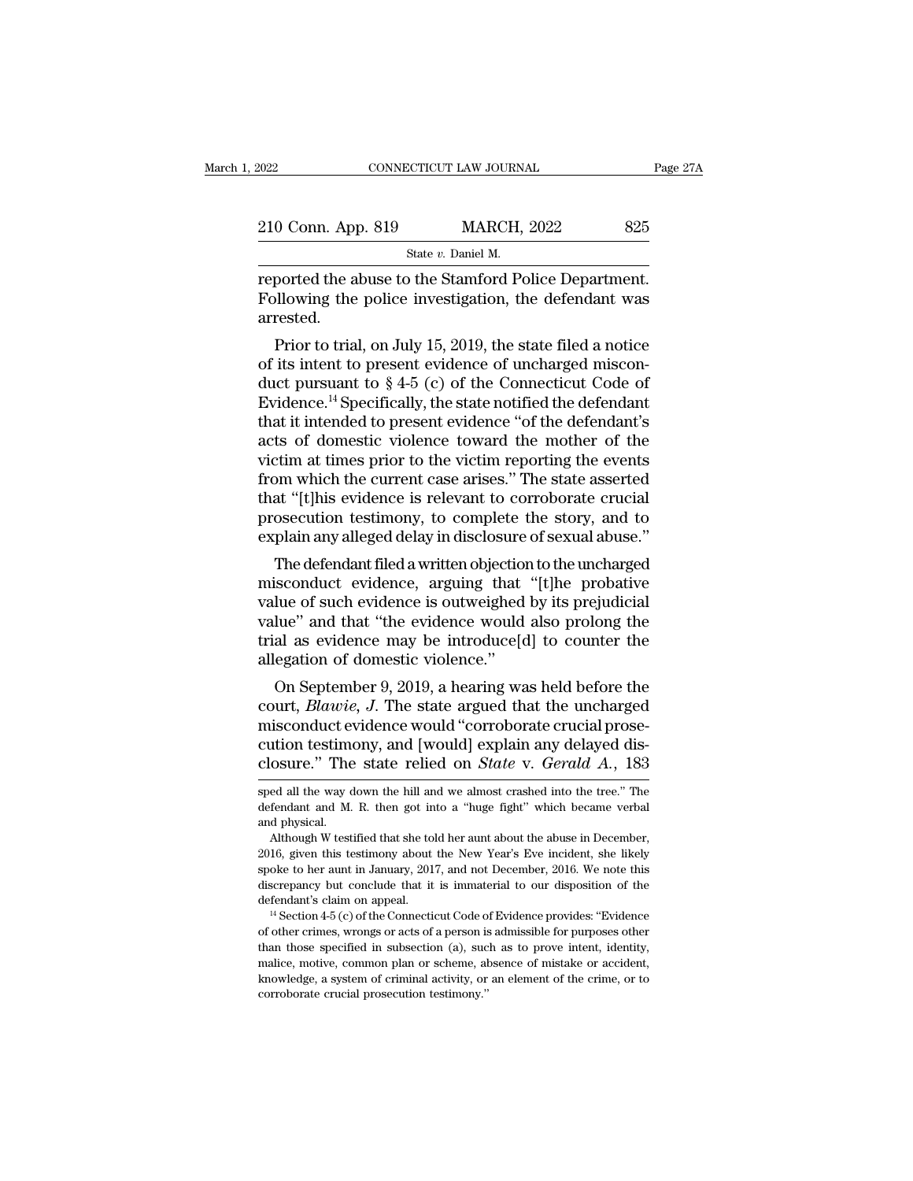| 2022                                                 | CONNECTICUT LAW JOURNAL | Page 27A |
|------------------------------------------------------|-------------------------|----------|
| 210 Conn. App. 819                                   | <b>MARCH, 2022</b>      | 825      |
|                                                      | State v. Daniel M.      |          |
| reported the abuse to the Stamford Police Department |                         |          |

reported the abuse to the Stamford Police Department.<br>
The police investigation, the defendant was arrested Following the police investigation, the defendant was arrested. arrested. 9 Conn. App. 819 MARCH, 2022 825<br>
State *v*. Daniel M.<br>
ported the abuse to the Stamford Police Department.<br>
Illowing the police investigation, the defendant was<br>
rested.<br>
Prior to trial, on July 15, 2019, the state filed

State v. Daniel M.<br>
Feported the abuse to the Stamford Police Department.<br>
Following the police investigation, the defendant was<br>
arrested.<br>
Prior to trial, on July 15, 2019, the state filed a notice<br>
of its intent to pre reported the abuse to the Stamford Police Department.<br>Following the police investigation, the defendant was<br>arrested.<br>Prior to trial, on July 15, 2019, the state filed a notice<br>of its intent to present evidence of uncharg reported the abuse to the stamford Police Department.<br>Following the police investigation, the defendant was<br>arrested.<br>Prior to trial, on July 15, 2019, the state filed a notice<br>of its intent to present evidence of uncharge Following the police investigation, the defendant was<br>arrested.<br>Prior to trial, on July 15, 2019, the state filed a notice<br>of its intent to present evidence of uncharged miscon-<br>duct pursuant to  $\S 4-5$  (c) of the Connect arrested.<br>
Prior to trial, on July 15, 2019, the state filed a notice<br>
of its intent to present evidence of uncharged miscon-<br>
duct pursuant to § 4-5 (c) of the Connecticut Code of<br>
Evidence.<sup>14</sup> Specifically, the state n Prior to trial, on July 15, 2019, the state filed a notice<br>of its intent to present evidence of uncharged miscon-<br>duct pursuant to  $\S 4-5$  (c) of the Connecticut Code of<br>Evidence.<sup>14</sup> Specifically, the state notified the of its intent to present evidence of uncharged misconduct pursuant to  $\S 4-5$  (c) of the Connecticut Code of Evidence.<sup>14</sup> Specifically, the state notified the defendant that it intended to present evidence "of the defend duct pursuant to § 4-5 (c) of the Connecticut Code of<br>Evidence.<sup>14</sup> Specifically, the state notified the defendant<br>that it intended to present evidence "of the defendant's<br>acts of domestic violence toward the mother of the Evidence.<sup>14</sup> Specifically, the state notified the defendant<br>that it intended to present evidence "of the defendant's<br>acts of domestic violence toward the mother of the<br>victim at times prior to the victim reporting the eve that it intended to present evidence "of the defendant's<br>acts of domestic violence toward the mother of the<br>victim at times prior to the victim reporting the events<br>from which the current case arises." The state asserted<br>t is of domestic violence toward the mother of the<br>tim at times prior to the victim reporting the events<br>om which the current case arises." The state asserted<br>at "[t]his evidence is relevant to corroborate crucial<br>osecution victim at times prior to the victim reporting the events<br>from which the current case arises." The state asserted<br>that "[t]his evidence is relevant to corroborate crucial<br>prosecution testimony, to complete the story, and to

rrom which the current case arises. The state asserted<br>that "[t]his evidence is relevant to corroborate crucial<br>prosecution testimony, to complete the story, and to<br>explain any alleged delay in disclosure of sexual abuse." read prosecution testimony, to complete the story, and to<br>explain any alleged delay in disclosure of sexual abuse."<br>The defendant filed a written objection to the uncharged<br>misconduct evidence, arguing that "[t]he probativ prosecution testimony, to complete the story, and to<br>explain any alleged delay in disclosure of sexual abuse."<br>The defendant filed a written objection to the uncharged<br>misconduct evidence, arguing that "[t]he probative<br>val explain any alleged delay in disclosure<br>The defendant filed a written objection<br>misconduct evidence, arguing that<br>value of such evidence is outweighed<br>value" and that "the evidence would<br>trial as evidence may be introduce[ The defendant fied a written objection to the uncharged<br>isconduct evidence, arguing that "[t]he probative<br>lue of such evidence is outweighed by its prejudicial<br>lue" and that "the evidence would also prolong the<br>al as evide misconduct evidence, arguing that "[t]ne probative<br>value of such evidence is outweighed by its prejudicial<br>value" and that "the evidence would also prolong the<br>trial as evidence may be introduce[d] to counter the<br>allegatio

value or such evidence is outweighed by its prejudicial<br>value" and that "the evidence would also prolong the<br>trial as evidence may be introduce[d] to counter the<br>allegation of domestic violence."<br>On September 9, 2019, a h value and that the evidence would also prolong the<br>trial as evidence may be introduce[d] to counter the<br>allegation of domestic violence."<br>On September 9, 2019, a hearing was held before the<br>court, *Blawie*, *J*. The state trial as evidence may be introduce[d] to counter the<br>allegation of domestic violence."<br>On September 9, 2019, a hearing was held before the<br>court, *Blawie*, *J*. The state argued that the uncharged<br>misconduct evidence would court, *Blawie*, J. The state argued that the uncharged<br>misconduct evidence would "corroborate crucial prose-<br>cution testimony, and [would] explain any delayed dis-<br>closure." The state relied on *State* v. *Gerald A*., 183 misconduct evidence would "corroborate crucial prosecution testimony, and [would] explain any delayed disclosure." The state relied on *State* v. *Gerald A.*, 183 sped all the way down the hill and we almost crashed into t closure." The state relied on *State* v. Gerald A.,  $183$ 

cution testimony, and [would] explain any delayed disclosure." The state relied on *State* v. *Gerald A.*, 183 sped all the way down the hill and we almost crashed into the tree." The defendant and M. R. then got into a "

ED SUITE. The State Teneu Off *State* V. Gerald A., 183<br>sped all the way down the hill and we almost crashed into the tree." The<br>defendant and M. R. then got into a "huge fight" which became verbal<br>and physical.<br>Although W sped all the way down the hill and we almost crashed into the tree." The defendant and M. R. then got into a "huge fight" which became verbal and physical.<br>Although W testified that she told her aunt about the abuse in Dec defendant and M. R. then got into a "huge fight" which became verbal<br>and physical.<br>Although W testified that she told her aunt about the abuse in December,<br>2016, given this testimony about the New Year's Eve incident, she and physical.<br>
Although W testified that she told her aunt about the abuse in December,<br>
2016, given this testimony about the New Year's Eve incident, she likely<br>
spoke to her aunt in January, 2017, and not December, 2016. 2016, given this testimony about the New Year's Eve incident, she likely spoke to her aunt in January, 2017, and not December, 2016. We note this discrepancy but conclude that it is immaterial to our disposition of the de

spoke to her aunt in January, 2017, and not December, 2016. We note this discrepancy but conclude that it is immaterial to our disposition of the defendant's claim on appeal.<br><sup>14</sup> Section 4-5 (c) of the Connecticut Code o discrepancy but conclude that it is immaterial to our disposition of the defendant's claim on appeal.<br><sup>14</sup> Section 4-5 (c) of the Connecticut Code of Evidence provides: "Evidence of other crimes, wrongs or acts of a perso defendant's claim on appeal.<br>
<sup>14</sup> Section 4-5 (c) of the Connecticut Code of Evidence provides: "Evidence<br>
of other crimes, wrongs or acts of a person is admissible for purposes other<br>
than those specified in subsection ( of other crimes, wrongs or acts of a person is admissible for purposes other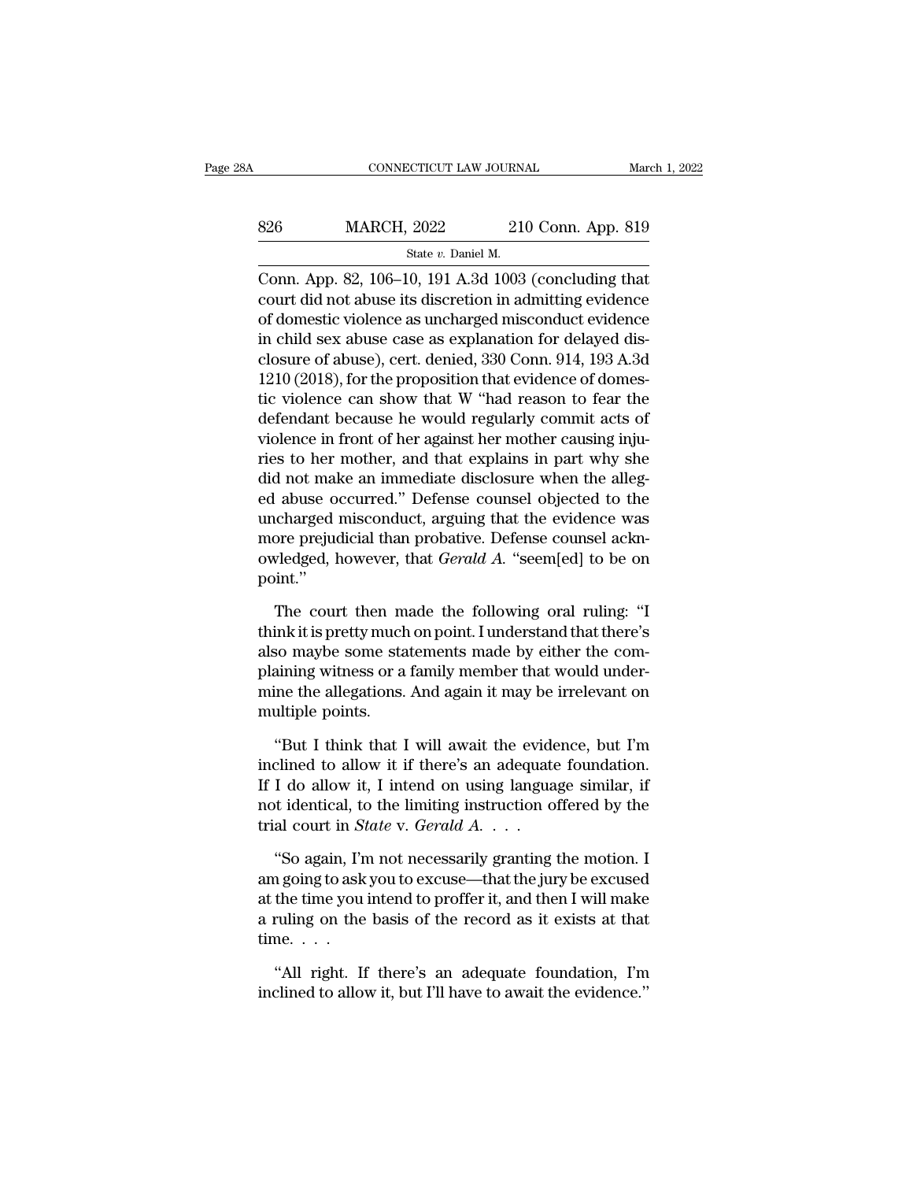| ЗA  | CONNECTICUT LAW JOURNAL                                    |                    | March 1, 2022 |
|-----|------------------------------------------------------------|--------------------|---------------|
| 826 | <b>MARCH, 2022</b>                                         | 210 Conn. App. 819 |               |
|     | State v. Daniel M.                                         |                    |               |
|     | Conn. App. $82, 106-10, 191, 4, 3d, 1003$ (concluding that |                    |               |

CONNECTICUT LAW JOURNAL March 1, 202:<br>
State v. Daniel M.<br>
Conn. App. 82, 106–10, 191 A.3d 1003 (concluding that<br>
court did not abuse its discretion in admitting evidence S26 MARCH, 2022 210 Conn. App. 819<br>
State v. Daniel M.<br>
Conn. App. 82, 106–10, 191 A.3d 1003 (concluding that<br>
court did not abuse its discretion in admitting evidence<br>
of domestic violence as uncharged misconduct evidenc 826 MARCH, 2022 210 Conn. App. 819<br>
State v. Daniel M.<br>
Conn. App. 82, 106–10, 191 A.3d 1003 (concluding that<br>
court did not abuse its discretion in admitting evidence<br>
of domestic violence as uncharged misconduct evidenc 826 MARCH, 2022 210 Conn. App. 819<br>  $\frac{\text{State } v. \text{ Daniel M.}}{\text{Conn. App. 82, 106–10, 191 A.3d 1003 (concluding that court did not abuse its discretion in admitting evidence of domestic violence as uncharged misconduct evidence in child sex abuse case as explanation for delayed disclosure of abuse), cert. denied, 330 Conn. 914, 193 A.3d 1310 (2018) for the transcription that evidence of dense.$ State v. Daniel M.<br>
Conn. App. 82, 106–10, 191 A.3d 1003 (concluding that<br>
court did not abuse its discretion in admitting evidence<br>
of domestic violence as uncharged misconduct evidence<br>
in child sex abuse case as explan Sate  $v$ . Ballet M.<br>Conn. App. 82, 106–10, 191 A.3d 1003 (concluding that<br>court did not abuse its discretion in admitting evidence<br>of domestic violence as uncharged misconduct evidence<br>in child sex abuse case as explanati Conn. App. 82, 106–10, 191 A.3d 1003 (concluding that<br>court did not abuse its discretion in admitting evidence<br>of domestic violence as uncharged misconduct evidence<br>in child sex abuse case as explanation for delayed dis-<br>c court did not abuse its discretion in admitting evidence<br>of domestic violence as uncharged misconduct evidence<br>in child sex abuse case as explanation for delayed dis-<br>closure of abuse), cert. denied, 330 Conn. 914, 193 A.3 of domestic violence as uncharged misconduct evidence<br>in child sex abuse case as explanation for delayed dis-<br>closure of abuse), cert. denied, 330 Conn. 914, 193 A.3d<br>1210 (2018), for the proposition that evidence of domes in child sex abuse case as explanation for delayed disclosure of abuse), cert. denied, 330 Conn. 914, 193 A.3d<br>1210 (2018), for the proposition that evidence of domes-<br>tic violence can show that W "had reason to fear the<br>d closure of abuse), cert. denied, 330 Conn. 914, 193 A.3d<br>1210 (2018), for the proposition that evidence of domes-<br>tic violence can show that W "had reason to fear the<br>defendant because he would regularly commit acts of<br>vio 1210 (2018), for the proposition that evidence of domestic violence can show that W "had reason to fear the defendant because he would regularly commit acts of violence in front of her against her mother causing injuries t tic violence can show that W "had reason to fear the<br>defendant because he would regularly commit acts of<br>violence in front of her against her mother causing inju-<br>ries to her mother, and that explains in part why she<br>did n defendant because he would regularly commit acts of<br>violence in front of her against her mother causing inju-<br>ries to her mother, and that explains in part why she<br>did not make an immediate disclosure when the alleg-<br>ed ab violence in front of her against her mother causing inju-<br>ries to her mother, and that explains in part why she<br>did not make an immediate disclosure when the alleg-<br>ed abuse occurred." Defense counsel objected to the<br>uncha point.'' I abuse occurred." Defense counsel objected to the charged misconduct, arguing that the evidence was<br>pre prejudicial than probative. Defense counsel ackn-<br>vledged, however, that *Gerald A*. "seem[ed] to be on<br>int."<br>The cou uncharged misconduct, arguing that the evidence was<br>more prejudicial than probative. Defense counsel acknowledged, however, that *Gerald A*. "seem[ed] to be on<br>point."<br>The court then made the following oral ruling: "I<br>thin

more prejudicial than probative. Defense counsel acknowledged, however, that *Gerald A*. "seem[ed] to be on point."<br>The court then made the following oral ruling: "I think it is pretty much on point. I understand that ther owledged, however, that *Gerald A*. "seem[ed] to be on<br>point."<br>The court then made the following oral ruling: "I<br>think it is pretty much on point. I understand that there's<br>also maybe some statements made by either the com point."<br>The court then made the following oral ruling: "I<br>think it is pretty much on point. I understand that there's<br>also maybe some statements made by either the com-<br>plaining witness or a family member that would under-The court then m<br>think it is pretty much<br>also maybe some sta<br>plaining witness or a<br>mine the allegations.<br>multiple points.<br>"But I think that I ink it is pretty much on point. I understand that there's<br>
so maybe some statements made by either the com-<br>
aining witness or a family member that would under-<br>
ine the allegations. And again it may be irrelevant on<br>
ulti inclusional also maybe some statements made by either the complaining witness or a family member that would under-<br>mine the allegations. And again it may be irrelevant on<br>multiple points.<br>"But I think that I will await the

plaining witness or a family member that would under-<br>mine the allegations. And again it may be irrelevant on<br>multiple points.<br>"But I think that I will await the evidence, but I'm<br>inclined to allow it if there's an adequat mine the allegations. And again it may be irrelevant on multiple points.<br>
"But I think that I will await the evidence, but I'm inclined to allow it if there's an adequate foundation.<br>
If I do allow it, I intend on using l multiple points.<br>
"But I think that I will await the evide<br>
inclined to allow it if there's an adequate<br>
If I do allow it, I intend on using langua<br>
not identical, to the limiting instruction of<br>
trial court in *State* v. "But I think that I will await the evidence, but I'm clined to allow it if there's an adequate foundation.<br>I do allow it, I intend on using language similar, if the identical, to the limiting instruction offered by the al inclined to allow it if there's an adequate foundation.<br>
If I do allow it, I intend on using language similar, if<br>
not identical, to the limiting instruction offered by the<br>
trial court in *State* v. *Gerald A*. . . .<br>
"S

If I do allow it, I intend on using language similar, if<br>not identical, to the limiting instruction offered by the<br>trial court in *State* v. *Gerald A*. . . .<br>"So again, I'm not necessarily granting the motion. I<br>am going not identical, to the limiting instruction offered by the trial court in *State* v. *Gerald A*. . . .<br>"So again, I'm not necessarily granting the motion. I<br>am going to ask you to excuse—that the jury be excused<br>at the tim trial court in *St*<br>
"So again, I'n<br>
am going to ask<br>
at the time you<br>
a ruling on the<br>
time. . . .<br>
"All right. If "So again, I'm not necessarily granting the motion. I<br>n going to ask you to excuse—that the jury be excused<br>the time you intend to proffer it, and then I will make<br>ruling on the basis of the record as it exists at that<br>me. am going to ask you to excuse—that the jury be excused<br>at the time you intend to proffer it, and then I will make<br>a ruling on the basis of the record as it exists at that<br>time....<br>"All right. If there's an adequate founda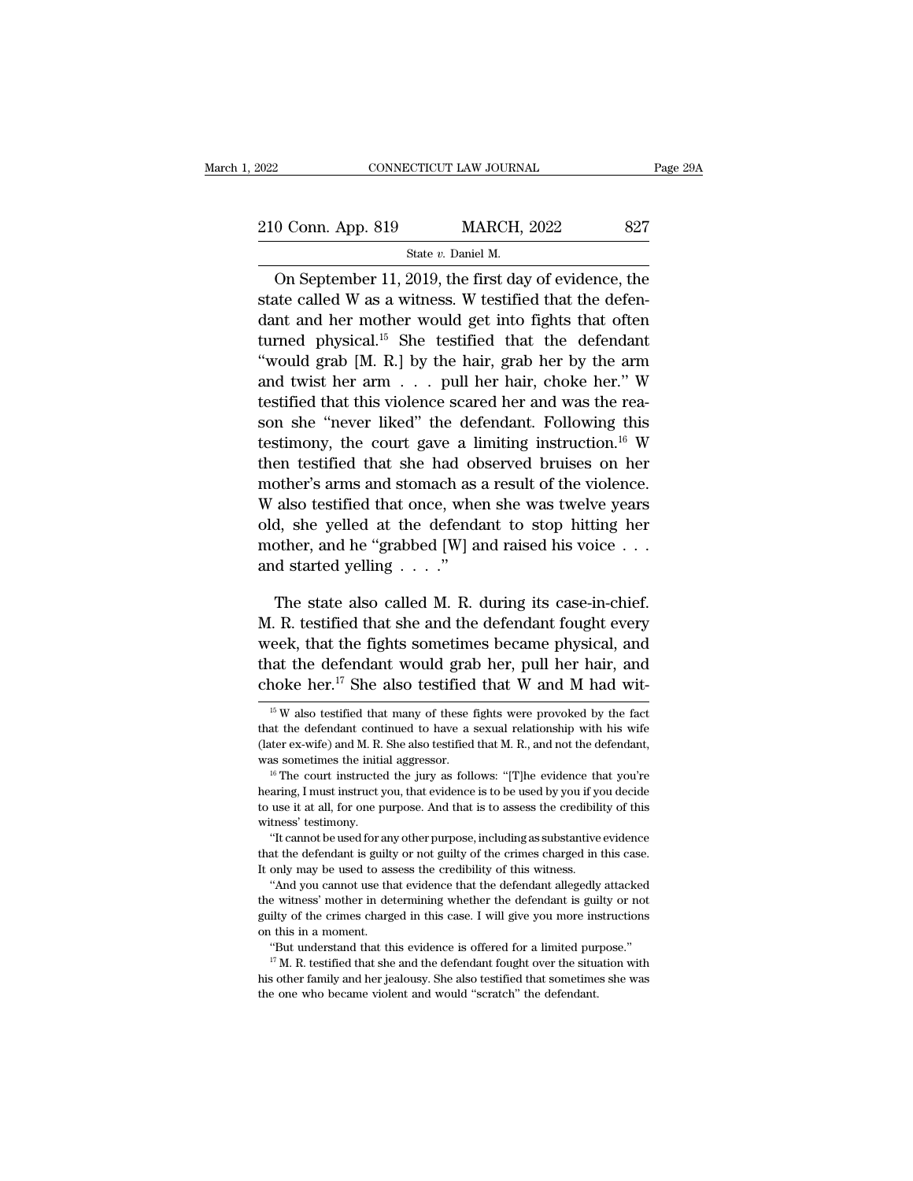EXECUTE CONNECTICUT LAW JOURNAL Page 29A<br>210 Conn. App. 819 MARCH, 2022 827<br>State v. Daniel M. SCTICUT LAW JOURN:<br>MARCH,<br>State *v.* Daniel M.<br>2019 the first day

CONNECTICUT LAW JOURNAL Page 29A<br>
O Conn. App. 819 MARCH, 2022 827<br>
State v. Daniel M.<br>
On September 11, 2019, the first day of evidence, the<br>
atte called W as a witness. W testified that the defen-210 Conn. App. 819 MARCH, 2022 827<br>
State v. Daniel M.<br>
On September 11, 2019, the first day of evidence, the<br>
state called W as a witness. W testified that the defen-<br>
dant and her mother would get into fights that often 210 Conn. App. 819 MARCH, 2022 827<br>
State v. Daniel M.<br>
On September 11, 2019, the first day of evidence, the<br>
state called W as a witness. W testified that the defen-<br>
dant and her mother would get into fights that often 210 Conn. App. 819 MARCH, 2022 827<br>
State v. Daniel M.<br>
On September 11, 2019, the first day of evidence, the<br>
state called W as a witness. W testified that the defen-<br>
dant and her mother would get into fights that often State v. Daniel M.<br>
On September 11, 2019, the first day of evidence, the<br>
state called W as a witness. W testified that the defen-<br>
dant and her mother would get into fights that often<br>
turned physical.<sup>15</sup> She testified On September 11, 2019, the first day of evidence, the<br>state called W as a witness. W testified that the defen-<br>dant and her mother would get into fights that often<br>turned physical.<sup>15</sup> She testified that the defendant<br>"wo On september 11, 2019, the first day of evidence, the state called W as a witness. W testified that the defendant and her mother would get into fights that often turned physical.<sup>15</sup> She testified that the defendant "woul state called w as a witness. W testlifted that the defendant<br>dant and her mother would get into fights that often<br>turned physical.<sup>15</sup> She testified that the defendant<br>"would grab [M. R.] by the hair, grab her by the arm<br> dant and ner mother would get mto nghts that often<br>turned physical.<sup>15</sup> She testified that the defendant<br>"would grab [M. R.] by the hair, grab her by the arm<br>and twist her arm . . . pull her hair, choke her." W<br>testified turned physical.<sup>3</sup> Sne testified that the defendant "would grab [M. R.] by the hair, grab her by the arm<br>and twist her arm  $\ldots$  pull her hair, choke her." W<br>testified that this violence scared her and was the reason she would grab [M. K.] by the nair, grab her by the arm<br>and twist her arm . . . pull her hair, choke her." W<br>testified that this violence scared her and was the rea-<br>son she "never liked" the defendant. Following this<br>testimo and twist her arm  $\ldots$  pull her nair, choke her. w<br>testified that this violence scared her and was the rea-<br>son she "never liked" the defendant. Following this<br>testimony, the court gave a limiting instruction.<sup>16</sup> W<br>then destined that this violence scared her and was the reason she "never liked" the defendant. Following this testimony, the court gave a limiting instruction.<sup>16</sup> W then testified that she had observed bruises on her mother' son she hever liked the defendant. Following this<br>testimony, the court gave a limiting instruction.<sup>16</sup> W<br>then testified that she had observed bruises on her<br>mother's arms and stomach as a result of the violence.<br>W also t desumony, the court gave a filter<br>then testified that she had of<br>mother's arms and stomach as<br>W also testified that once, whe<br>old, she yelled at the defend:<br>mother, and he "grabbed [W] a<br>and started yelling . . . ."<br>The st other's arms and stomach as a result of the violence.<br>
also testified that once, when she was twelve years<br>
d, she yelled at the defendant to stop hitting her<br>
other, and he "grabbed [W] and raised his voice . . .<br>
d star W also testified that once, when she was twelve years<br>old, she yelled at the defendant to stop hitting her<br>mother, and he "grabbed [W] and raised his voice  $\dots$ <br>and started yelling  $\dots$ ."<br>The state also called M. R. durin

old, she yelled at the defendant to stop hitting her<br>mother, and he "grabbed [W] and raised his voice . . .<br>and started yelling . . . ."<br>The state also called M. R. during its case-in-chief.<br>M. R. testified that she and t mother, and he "grabbed [W] and raised his voice . . .<br>and started yelling . . . ."<br>The state also called M. R. during its case-in-chief.<br>M. R. testified that she and the defendant fought every<br>week, that the fights somet and started yelling  $\ldots$ ."<br>The state also called M. R. during its case-in-chief.<br>M. R. testified that she and the defendant fought every<br>week, that the fights sometimes became physical, and<br>that the defendant would grab 15 W also testified that many of these fights were provoked by the fact the defendant could grab her, pull her hair, and noke her.<sup>17</sup> She also testified that W and M had with  $W$ <sup>15</sup> W also testified that many of these f week, that the fights sometimes became physical, and<br>that the defendant would grab her, pull her hair, and<br>choke her.<sup>17</sup> She also testified that W and M had wit-<br> $\frac{15 \text{ W}}{15 \text{ W}}$  also testified that many of these fig

use it at all, for one purpose. And that is to assess the credibility of this tness' testimony.<br>
"It cannot be used for any other purpose, including as substantive evidence<br>
at the defendant is guilty or not guilty of the

"And you cannot use that evidence that the defendant allegedly attacked witness' testimony.<br>
"It cannot be used for any other purpose, including as substantive evidence<br>
that the defendant is guilty or not guilty of the crimes charged in this case.<br>
It only may be used to assess the credibilit "It cannot be used for any other purpose, including as substantive evidence that the defendant is guilty or not guilty of the crimes charged in this case. It only may be used to assess the credibility of this witness. "An It only may be used to assess the credibility of this witness.<br>
"And you cannot use that evidence that the defendant allegedly attacked<br>
the witness' mother in determining whether the defendant is guilty or not<br>
guilty of only may be used to assess the credibility of this witness.<br>
"And you cannot use that evidence that the defendant allegedly attacked<br>
"And you cannot use that evidence that the defendant is guilty or not<br>
ity of the crime the witness' mother in determining whether the defendant is guilty or not guilty of the crimes charged in this case. I will give you more instructions on this in a moment. "But understand that this evidence is offered for

% guilty of the crimes charged in this case. I will give you more instructions on this in a moment.<br>"But understand that this evidence is offered for a limited purpose."<br>"TM. R. testified that she and the defendant fought

that the defendant would grab her, pull her hair, and choke her.<sup>17</sup> She also testified that W and M had wit-<br><sup>15</sup> W also testified that many of these fights were provoked by the fact that the defendant continued to have choke her.<sup>17</sup> She also testified that W and M had wit-<br><sup>15</sup> W also testified that many of these fights were provoked by the fact<br>that the defendant continued to have a sexual relationship with his wife<br>(later ex-wife) an <sup>15</sup> W also testified that many of these fights were provoked by the fact that the defendant continued to have a sexual relationship with his wife (later ex-wife) and M. R. She also testified that M. R., and not the defen

that the defendant continued to have a sexual relationship with his wife (later ex-wife) and M. R. She also testified that M. R., and not the defendant, was sometimes the initial aggressor.<br><sup>16</sup> The court instructed the j that the defendant continued to have a sexual relationship with his wife (later ex-wife) and M. R. She also testified that M. R., and not the defendant, was sometimes the initial aggressor.<br><sup>16</sup> The court instructed the j as sometimes the initial aggressor.<br>
<sup>16</sup> The court instructed the jury as follows: "[T]he evidence that you're aring, I must instruct you, that evidence is to be used by you if you decide<br>
use it at all, for one purpose. <sup>16</sup> The court instructed the jury as follows: "[T]he evidence that you're hearing, I must instruct you, that evidence is to be used by you if you decide to use it at all, for one purpose. And that is to assess the credib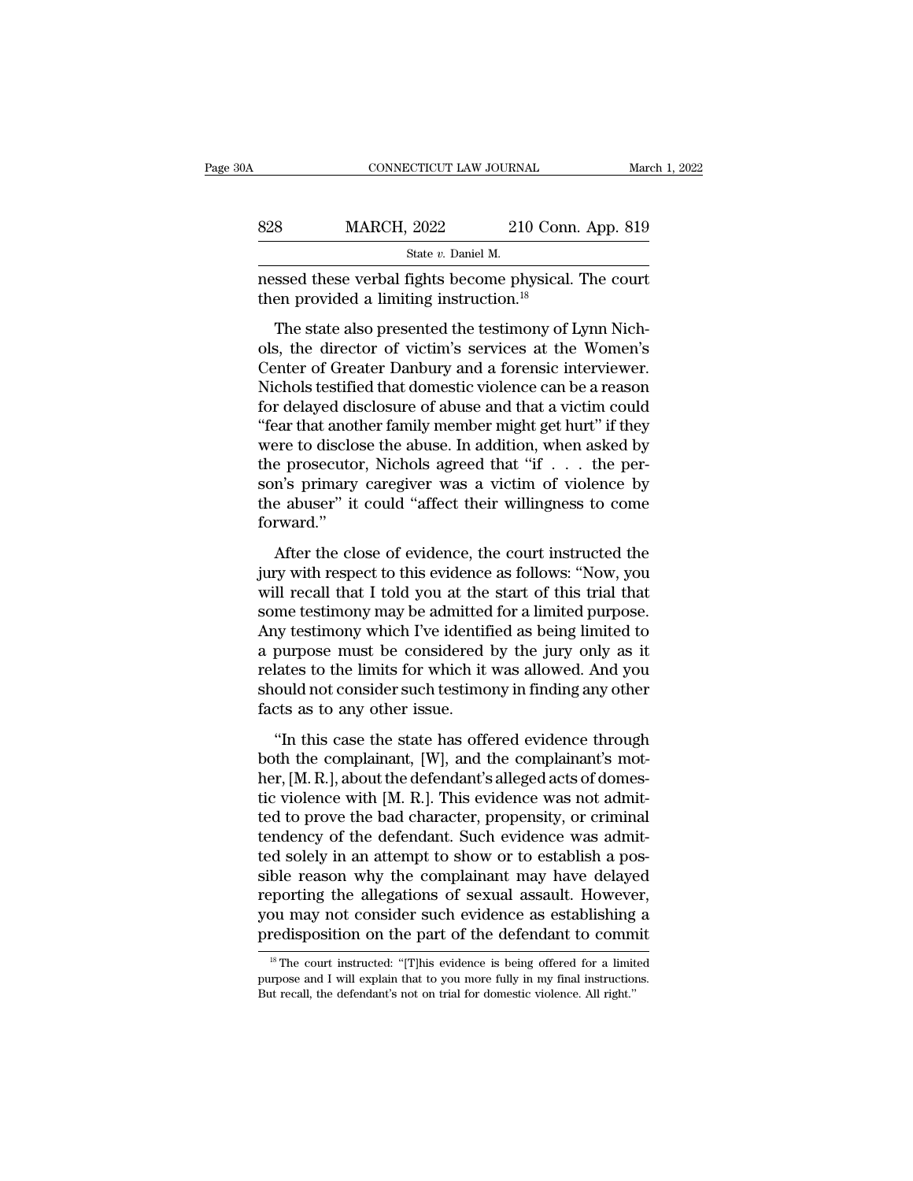| ЭA  | CONNECTICUT LAW JOURNAL                                                                                      |                    | March 1, 2022 |
|-----|--------------------------------------------------------------------------------------------------------------|--------------------|---------------|
| 828 | <b>MARCH, 2022</b>                                                                                           | 210 Conn. App. 819 |               |
|     | State v. Daniel M.                                                                                           |                    |               |
|     | nessed these verbal fights become physical. The court<br>then provided a limiting instruction. <sup>18</sup> |                    |               |

MARCH,  $2022$  210 Conn. App. 819<br>
State *v*. Daniel M.<br>
State *v*. Daniel M.<br>
State also presented the testimony of Lynn Nich-<br>
The state also presented the testimony of Lynn Nich-<br>
State also presented the testimony of L S28 MARCH, 2022 210 Conn. App. 819<br>
State v. Daniel M.<br>
nessed these verbal fights become physical. The court<br>
then provided a limiting instruction.<sup>18</sup><br>
The state also presented the testimony of Lynn Nich-<br>
ols, the dire State  $v$ . Daniel M.<br>
The state verbal fights become physical. The court<br>
then provided a limiting instruction.<sup>18</sup><br>
The state also presented the testimony of Lynn Nich-<br>
ols, the director of victim's services at the Wome nessed these verbal fights become physical. The court<br>then provided a limiting instruction.<sup>18</sup><br>The state also presented the testimony of Lynn Nich-<br>ols, the director of victim's services at the Women's<br>Center of Greater D from provided a limiting instruction.<sup>18</sup><br>The state also presented the testimony of Lynn Nich-<br>ols, the director of victim's services at the Women's<br>Center of Greater Danbury and a forensic interviewer.<br>Nichols testified t The state also presented the testimony of Lynn Nich-<br>ols, the director of victim's services at the Women's<br>Center of Greater Danbury and a forensic interviewer.<br>Nichols testified that domestic violence can be a reason<br>for The state also presented the testimony of Lynn Nich-<br>ols, the director of victim's services at the Women's<br>Center of Greater Danbury and a forensic interviewer.<br>Nichols testified that domestic violence can be a reason<br>for ols, the director of victim's services at the Women's<br>Center of Greater Danbury and a forensic interviewer.<br>Nichols testified that domestic violence can be a reason<br>for delayed disclosure of abuse and that a victim could<br>" Center of Greater Danbury and a forensic interviewer.<br>Nichols testified that domestic violence can be a reason<br>for delayed disclosure of abuse and that a victim could<br>"fear that another family member might get hurt" if the Nichols testified that domestic violence can be a reason<br>for delayed disclosure of abuse and that a victim could<br>"fear that another family member might get hurt" if they<br>were to disclose the abuse. In addition, when asked forward.'' Free to disclose the abuse. In addition, when asked by<br>eeprosecutor, Nichols agreed that "if  $\dots$  the per-<br>n's primary caregiver was a victim of violence by<br>e abuser" it could "affect their willingness to come<br>rward."<br>Aft were to this<br>control. Nichols agreed that "if  $\ldots$  the per-<br>son's primary caregiver was a victim of violence by<br>the abuser" it could "affect their willingness to come<br>forward."<br>After the close of evidence, the court inst

son's primary caregiver was a victim of violence by<br>the abuser" it could "affect their willingness to come<br>forward."<br>After the close of evidence, the court instructed the<br>jury with respect to this evidence as follows: "No some primary categrer was a vietal of visitines by<br>the abuser" it could "affect their willingness to come<br>forward."<br>After the close of evidence, the court instructed the<br>jury with respect to this evidence as follows: "Now, forward."<br>
After the close of evidence, the court instructed the<br>
jury with respect to this evidence as follows: "Now, you<br>
will recall that I told you at the start of this trial that<br>
some testimony may be admitted for a After the close of evidence, the court instructed the<br>jury with respect to this evidence as follows: "Now, you<br>will recall that I told you at the start of this trial that<br>some testimony may be admitted for a limited purpos After the close of evidence, the court instructed the<br>jury with respect to this evidence as follows: "Now, you<br>will recall that I told you at the start of this trial that<br>some testimony may be admitted for a limited purpos jury with respect to this evidence as follows: "Now, you<br>will recall that I told you at the start of this trial that<br>some testimony may be admitted for a limited purpose.<br>Any testimony which I've identified as being limite will recall that I told you at the<br>some testimony may be admitted<br>Any testimony which I've identif<br>a purpose must be considered<br>relates to the limits for which it<br>should not consider such testimo<br>facts as to any other issu In the state of the state has being limited to<br>the state of the state of the state of the state of the purpose.<br>In this case the limits for which it was allowed. And you<br>ould not consider such testimony in finding any othe Fig. assumed the considered by the jury only as it relates to the limits for which it was allowed. And you should not consider such testimony in finding any other facts as to any other issue.<br>"In this case the state has o

 $\alpha$  parpose mast be considered by the jary only as relates to the limits for which it was allowed. And you should not consider such testimony in finding any other facts as to any other issue.<br>
"In this case the state has relates to the links for which it was allowed. This you<br>should not consider such testimony in finding any other<br>facts as to any other issue.<br>"In this case the state has offered evidence through<br>both the complainant, [W], a facts as to any other issue.<br>
"In this case the state has offered evidence through<br>
both the complainant, [W], and the complainant's mot-<br>
her, [M. R.], about the defendant's alleged acts of domes-<br>
tic violence with [M. "In this case the state has offered evidence through<br>both the complainant, [W], and the complainant's mother, [M. R.], about the defendant's alleged acts of domes-<br>tic violence with [M. R.]. This evidence was not admit-<br>t "In this case the state has offered evidence through<br>both the complainant, [W], and the complainant's mot-<br>her, [M. R.], about the defendant's alleged acts of domes-<br>tic violence with [M. R.]. This evidence was not admitboth the complainant, [W], and the complainant's mother, [M. R.], about the defendant's alleged acts of domestic violence with [M. R.]. This evidence was not admitted to prove the bad character, propensity, or criminal ten her, [M. R.], about the defendant's alleged acts of domestic violence with [M. R.]. This evidence was not admitted to prove the bad character, propensity, or criminal tendency of the defendant. Such evidence was admitted s tic violence with [M. R.]. This evidence was not admitted to prove the bad character, propensity, or criminal tendency of the defendant. Such evidence was admitted solely in an attempt to show or to establish a possible re ted to prove the bad character, propensity, or criminal tendency of the defendant. Such evidence was admitted solely in an attempt to show or to establish a possible reason why the complainant may have delayed reporting th ble reason why the complainant may have delayed<br>porting the allegations of sexual assault. However,<br>ou may not consider such evidence as establishing a<br>redisposition on the part of the defendant to commit<br><sup>18</sup> The court in reporting the allegations of sexual assault. However, you may not consider such evidence as establishing a predisposition on the part of the defendant to commit <sup>18</sup> The court instructed: "[T]his evidence is being offered

But recall, the defendant to commonly predisposition on the part of the defendant to commonly is the court instructed: "[T]his evidence is being offered for a limit purpose and I will explain that to you more fully in my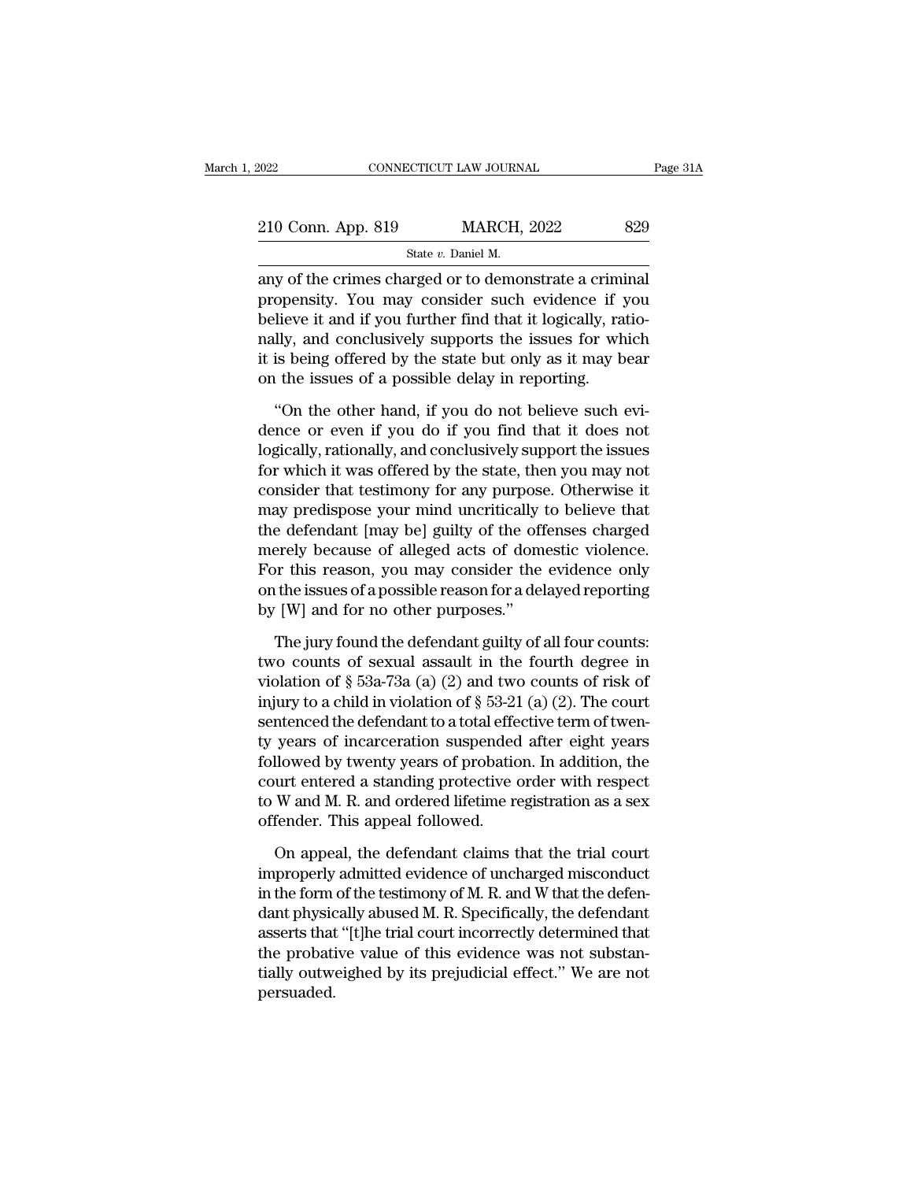| 2022                                                   | CONNECTICUT LAW JOURNAL |     |
|--------------------------------------------------------|-------------------------|-----|
| 210 Conn. App. 819                                     | <b>MARCH, 2022</b>      | 829 |
|                                                        | State v. Daniel M.      |     |
| any of the crimes charged or to demonstrate a criminal |                         |     |

CONNECTICUT LAW JOURNAL Page 3<br>
210 Conn. App. 819 MARCH, 2022 829<br>
State v. Daniel M.<br>
any of the crimes charged or to demonstrate a criminal<br>
propensity. You may consider such evidence if you<br>
believe it and if you furth 210 Conn. App. 819 MARCH, 2022 829<br>
State v. Daniel M.<br>
any of the crimes charged or to demonstrate a criminal<br>
propensity. You may consider such evidence if you<br>
believe it and if you further find that it logically, rati 210 Conn. App. 819 MARCH, 2022 829<br>
State v. Daniel M.<br>
any of the crimes charged or to demonstrate a criminal<br>
propensity. You may consider such evidence if you<br>
believe it and if you further find that it logically, rati 210 Conn. App. 819 MARCH, 2022 829<br>
State v. Daniel M.<br>
any of the crimes charged or to demonstrate a criminal<br>
propensity. You may consider such evidence if you<br>
believe it and if you further find that it logically, rati State  $v$ . Daniel M.<br>
any of the crimes charged or to demonstrate a criminal<br>
propensity. You may consider such evidence if you<br>
believe it and if you further find that it logically, ratio-<br>
nally, and conclusively suppor state *v*. Datter *M*.<br>any of the crimes charged or to demonstrate a crimi<br>propensity. You may consider such evidence if y<br>believe it and if you further find that it logically, ra<br>nally, and conclusively supports the issu believe it and if you may consider such evidence if you<br>
lieve it and if you further find that it logically, ratio-<br>
lly, and conclusively supports the issues for which<br>
is being offered by the state but only as it may bea believe it and if you further find that it logically, ratio-<br>nally, and conclusively supports the issues for which<br>it is being offered by the state but only as it may bear<br>on the issues of a possible delay in reporting.<br>"O

nally, and conclusively supports the issues for which<br>it is being offered by the state but only as it may bear<br>on the issues of a possible delay in reporting.<br>"On the other hand, if you do not believe such evi-<br>dence or ev it is being offered by the state but only as it may bear<br>on the issues of a possible delay in reporting.<br>"On the other hand, if you do not believe such evi-<br>dence or even if you do if you find that it does not<br>logically, r on the issues of a possible delay in reporting.<br>
"On the other hand, if you do not believe such evidence or even if you do if you find that it does not<br>
logically, rationally, and conclusively support the issues<br>
for which "On the other hand, if you do not believe such evi-<br>dence or even if you do if you find that it does not<br>logically, rationally, and conclusively support the issues<br>for which it was offered by the state, then you may not<br>co "On the other hand, if you do not believe such evi-<br>dence or even if you do if you find that it does not<br>logically, rationally, and conclusively support the issues<br>for which it was offered by the state, then you may not<br>co dence or even if you do if you find that it does not<br>logically, rationally, and conclusively support the issues<br>for which it was offered by the state, then you may not<br>consider that testimony for any purpose. Otherwise it<br> logically, rationally, and conclusively support the issues<br>for which it was offered by the state, then you may not<br>consider that testimony for any purpose. Otherwise it<br>may predispose your mind uncritically to believe that for which it was offered by the state, then you may not consider that testimony for any purpose. Otherwise it may predispose your mind uncritically to believe that the defendant [may be] guilty of the offenses charged mere consider that testimony for any purpose<br>may predispose your mind uncritically the defendant [may be] guilty of the off<br>merely because of alleged acts of dom<br>For this reason, you may consider the<br>on the issues of a possible e defendant [may be] guilty of the offenses charged<br>erely because of alleged acts of domestic violence.<br>or this reason, you may consider the evidence only<br>the issues of a possible reason for a delayed reporting<br>[W] and fo merely because of alleged acts of domestic violence.<br>For this reason, you may consider the evidence only<br>on the issues of a possible reason for a delayed reporting<br>by [W] and for no other purposes."<br>The jury found the def

For this reason, you may consider the evidence only<br>on the issues of a possible reason for a delayed reporting<br>by [W] and for no other purposes."<br>The jury found the defendant guilty of all four counts:<br>two counts of sexua on the issues of a possible reason for a delayed reporting<br>by [W] and for no other purposes."<br>The jury found the defendant guilty of all four counts:<br>two counts of sexual assault in the fourth degree in<br>violation of § 53a by [W] and for no other purposes."<br>The jury found the defendant guilty of all four counts:<br>two counts of sexual assault in the fourth degree in<br>violation of  $\S$  53a-73a (a) (2) and two counts of risk of<br>injury to a child The jury found the defendant guilty of all four counts:<br>two counts of sexual assault in the fourth degree in<br>violation of § 53a-73a (a) (2) and two counts of risk of<br>injury to a child in violation of § 53-21 (a) (2). The The jury found the defendant guilty of all four counts:<br>two counts of sexual assault in the fourth degree in<br>violation of § 53a-73a (a) (2) and two counts of risk of<br>injury to a child in violation of § 53-21 (a) (2). The two counts of sexual assault in the fourth degree in<br>violation of § 53a-73a (a) (2) and two counts of risk of<br>injury to a child in violation of § 53-21 (a) (2). The court<br>sentenced the defendant to a total effective term violation of § 53a-73a (a) (2) and two counts of risk of<br>injury to a child in violation of § 53-21 (a) (2). The court<br>sentenced the defendant to a total effective term of twen-<br>ty years of incarceration suspended after ei injury to a child in violation of  $\S$  53-21 (a) (2). The court<br>sentenced the defendant to a total effective term of twen-<br>ty years of incarceration suspended after eight years<br>followed by twenty years of probation. In add years of incarceration suspended after eight years<br>llowed by twenty years of probation. In addition, the<br>urt entered a standing protective order with respect<br>W and M. R. and ordered lifetime registration as a sex<br>fender. followed by twenty years of probation. In addition, the<br>court entered a standing protective order with respect<br>to W and M. R. and ordered lifetime registration as a sex<br>offender. This appeal followed.<br>On appeal, the defend

court entered a standing protective order with respect<br>to W and M. R. and ordered lifetime registration as a sex<br>offender. This appeal followed.<br>On appeal, the defendant claims that the trial court<br>improperly admitted evid to W and M. R. and ordered lifetime registration as a sex<br>offender. This appeal followed.<br>On appeal, the defendant claims that the trial court<br>improperly admitted evidence of uncharged misconduct<br>in the form of the testimo offender. This appeal followed.<br>
On appeal, the defendant claims that the trial court<br>
improperly admitted evidence of uncharged misconduct<br>
in the form of the testimony of M. R. and W that the defen-<br>
dant physically abus On appeal, the defendant claims that the trial court<br>improperly admitted evidence of uncharged misconduct<br>in the form of the testimony of M. R. and W that the defen-<br>dant physically abused M. R. Specifically, the defendant On appeal, the defendant claims that the trial court<br>improperly admitted evidence of uncharged misconduct<br>in the form of the testimony of M. R. and W that the defen-<br>dant physically abused M. R. Specifically, the defendant persuaded.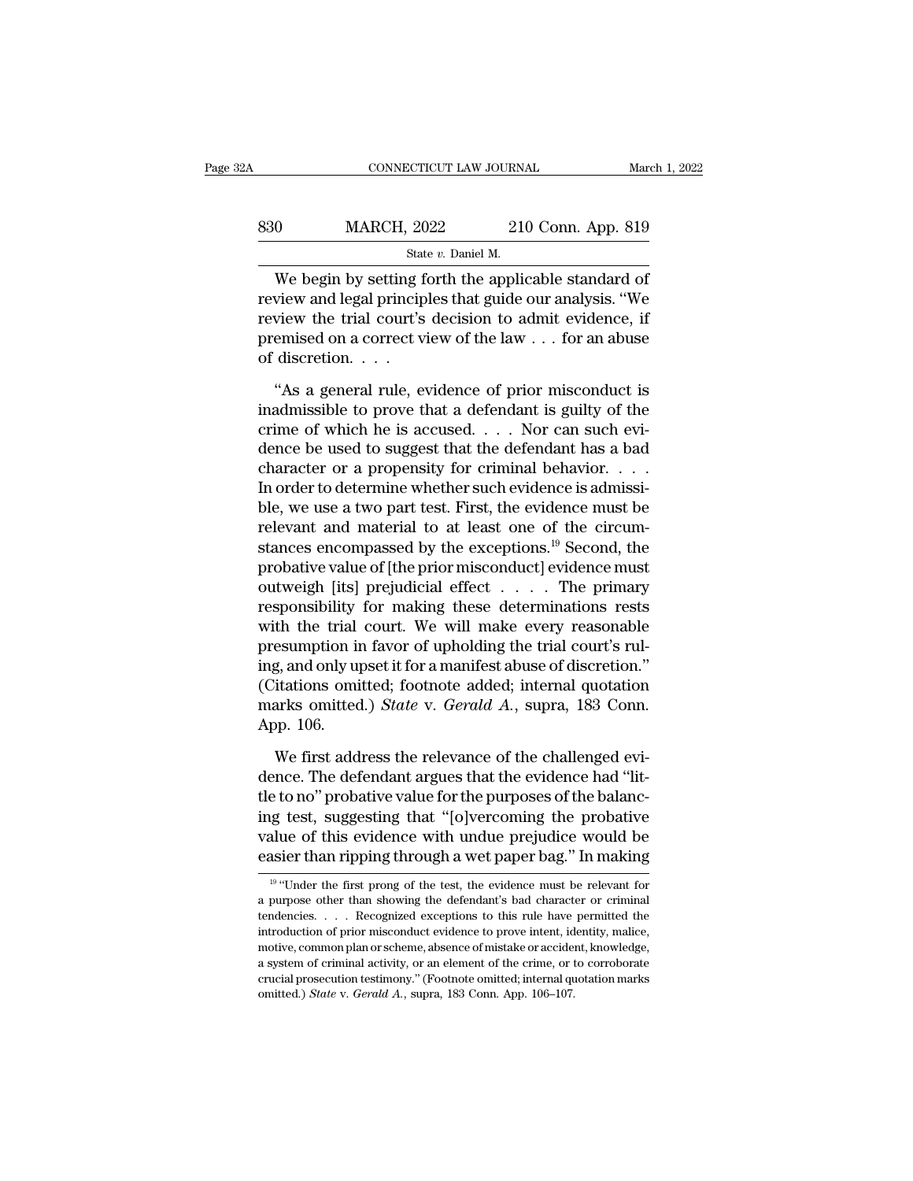# EXECUTE CONNECTICUT LAW JOURNAL March 1, 2022<br>
830 MARCH, 2022 210 Conn. App. 819<br>
84te v. Daniel M. STICUT LAW JOURNAL<br>
<u>2022 210</u><br>
State *v*. Daniel M.<br>
State *v*. Daniel M.

CONNECTICUT LAW JOURNAL March 1, 202<br>  $\begin{array}{r}\n 0 \text{ MARCH, } 2022 \text{ } 210 \text{ Conn. App. 819}\n \end{array}$ <br>
State v. Daniel M.<br>
We begin by setting forth the applicable standard of<br>
view and legal principles that guide our analysis. "We<br>
v 830 MARCH, 2022 210 Conn. App. 819<br>
State v. Daniel M.<br>
We begin by setting forth the applicable standard of<br>
review and legal principles that guide our analysis. "We<br>
review the trial court's decision to admit evidence, 830 MARCH, 2022 210 Conn. App. 819<br>
State v. Daniel M.<br>
We begin by setting forth the applicable standard of<br>
review and legal principles that guide our analysis. "We<br>
review the trial court's decision to admit evidence, premised on a correct view of the law . . . for an abuse State<br>
We begin by setting f<br>
review and legal princip<br>
review the trial court's<br>
premised on a correct v.<br>
of discretion. . . .<br>
"As a general rule, e We begin by setting forth the applicable standard of<br>
view and legal principles that guide our analysis. "We<br>
view the trial court's decision to admit evidence, if<br>
emised on a correct view of the law  $\dots$  for an abuse<br>
d review and legal principles that guide our analysis. "We<br>review the trial court's decision to admit evidence, if<br>premised on a correct view of the law  $\ldots$  for an abuse<br>of discretion.  $\ldots$ <br>"As a general rule, evidence o

review the trial court's decision to admit evidence, if<br>premised on a correct view of the law . . . for an abuse<br>of discretion. . . .<br>"As a general rule, evidence of prior misconduct is<br>inadmissible to prove that a defend premised on a correct view of the law . . . for an abuse<br>of discretion. . . .<br>"As a general rule, evidence of prior misconduct is<br>inadmissible to prove that a defendant is guilty of the<br>crime of which he is accused. . . . character or a propensity for criminal behavior.<br>
"As a general rule, evidence of prior misconduct is<br>
inadmissible to prove that a defendant is guilty of the<br>
crime of which he is accused. . . . Nor can such evi-<br>
dence "As a general rule, evidence of prior misconduct is<br>inadmissible to prove that a defendant is guilty of the<br>crime of which he is accused. . . . Nor can such evi-<br>dence be used to suggest that the defendant has a bad<br>chara "As a general rule, evidence of prior misconduct is<br>inadmissible to prove that a defendant is guilty of the<br>crime of which he is accused. . . . Nor can such evi-<br>dence be used to suggest that the defendant has a bad<br>chara inadmissible to prove that a defendant is guilty of the crime of which he is accused. . . . Nor can such evidence be used to suggest that the defendant has a bad character or a propensity for criminal behavior. . . . In o crime of which he is accused. . . . Nor can such evidence be used to suggest that the defendant has a bad character or a propensity for criminal behavior. . . . In order to determine whether such evidence is admissible, w dence be used to suggest that the defendant has a bad character or a propensity for criminal behavior. . . . In order to determine whether such evidence is admissible, we use a two part test. First, the evidence must be r character or a propensity for criminal behavior. . . . .<br>In order to determine whether such evidence is admissible, we use a two part test. First, the evidence must be<br>relevant and material to at least one of the circum-<br> In order to determine whether such evidence is admissible, we use a two part test. First, the evidence must be relevant and material to at least one of the circumstances encompassed by the exceptions.<sup>19</sup> Second, the prob ble, we use a two part test. First, the evidence must be<br>relevant and material to at least one of the circum-<br>stances encompassed by the exceptions.<sup>19</sup> Second, the<br>probative value of [the prior misconduct] evidence must<br>o relevant and material to at least one of the circum-<br>stances encompassed by the exceptions.<sup>19</sup> Second, the<br>probative value of [the prior misconduct] evidence must<br>outweigh [its] prejudicial effect . . . . . The primary<br>re stances encompassed by the exceptions.<sup>19</sup> Second, the<br>probative value of [the prior misconduct] evidence must<br>outweigh [its] prejudicial effect  $\dots$ . The primary<br>responsibility for making these determinations rests<br>with probative value of [the prior misconduct] evidence must<br>outweigh [its] prejudicial effect  $\dots$ . The primary<br>responsibility for making these determinations rests<br>with the trial court. We will make every reasonable<br>presumpt outweigh [its] prejudicial effect . . . . The primary responsibility for making these determinations rests with the trial court. We will make every reasonable presumption in favor of upholding the trial court's ruling, and responsibility<br>with the trial<br>presumption in<br>ing, and only uj<br>(Citations omi<br>marks omitted<br>App. 106.<br>We first add esumption in favor of upholding the trial court's rul-<br>g, and only upset it for a manifest abuse of discretion."<br>itations omitted; footnote added; internal quotation<br>arks omitted.) *State* v. *Gerald A*., supra, 183 Conn.<br> ing, and only upset it for a manifest abuse of discretion."<br>(Citations omitted; footnote added; internal quotation<br>marks omitted.) *State* v. *Gerald A*., supra, 183 Conn.<br>App. 106.<br>We first address the relevance of the ch

(Citations omitted; footnote added; internal quotation<br>marks omitted.) State v. Gerald A., supra, 183 Conn.<br>App. 106.<br>We first address the relevance of the challenged evi-<br>dence. The defendant argues that the evidence had marks omitted.) *State* v. *Gerald A.*, supra, 183 Conn.<br>App. 106.<br>We first address the relevance of the challenged evi-<br>dence. The defendant argues that the evidence had "lit-<br>tle to no" probative value for the purposes App. 106.<br>We first address the relevance of the challenged evidence. The defendant argues that the evidence had "lit-<br>tle to no" probative value for the purposes of the balanc-<br>ing test, suggesting that "[o]vercoming the p We first address the relevance of the challenged evidence. The defendant argues that the evidence had "little to no" probative value for the purposes of the balancing test, suggesting that "[o]vercoming the probative valu e to no" probative value for the purposes of the balancing test, suggesting that "[o]vercoming the probative alue of this evidence with undue prejudice would be asier than ripping through a wet paper bag." In making  $\frac{19$ ing test, suggesting that "[o]vercoming the probative value of this evidence with undue prejudice would be easier than ripping through a wet paper bag." In making  $\frac{10 \text{ V} \cdot \text{Under the first prop of the test, the evidence must be relevant for a purpose other than showing the defendant's bad character or criminal tendencies. . . . Reognized exceptions to this rule have permitted the$ 

value of this evidence with undue prejudice would be easier than ripping through a wet paper bag." In making  $\frac{10 \text{ °U}}{1000}$   $\frac{10 \text{ °U}}{1000}$  the first prong of the test, the evidence must be relevant for a purpose **Example 19 The United States of the state of prior**  $\overline{P}$  is  $\overline{P}$  in  $\overline{P}$  is  $\overline{P}$  if  $\overline{P}$  is  $\overline{P}$  if  $\overline{P}$  if  $\overline{P}$  if  $\overline{P}$  if  $\overline{P}$  if  $\overline{P}$  if  $\overline{P}$  if  $\overline{P}$  if  $\overline{P}$  if Easier trian ripping tirough a wet paper bag. In infiating<br>  $\frac{10}{10}$  "Under the first prong of the test, the evidence must be relevant for<br>
a purpose other than showing the defendant's bad character or criminal<br>
tenden <sup>19</sup> "Under the first prong of the test, the evidence must be relevant for a purpose other than showing the defendant's bad character or criminal tendencies. . . . Recognized exceptions to this rule have permitted the int a purpose other than showing the defendant's bad character or criminal tendencies.... Recognized exceptions to this rule have permitted the introduction of prior misconduct evidence to prove intent, identity, malice, moti tendencies. . . . Recognized exceptions to this rule have permitted the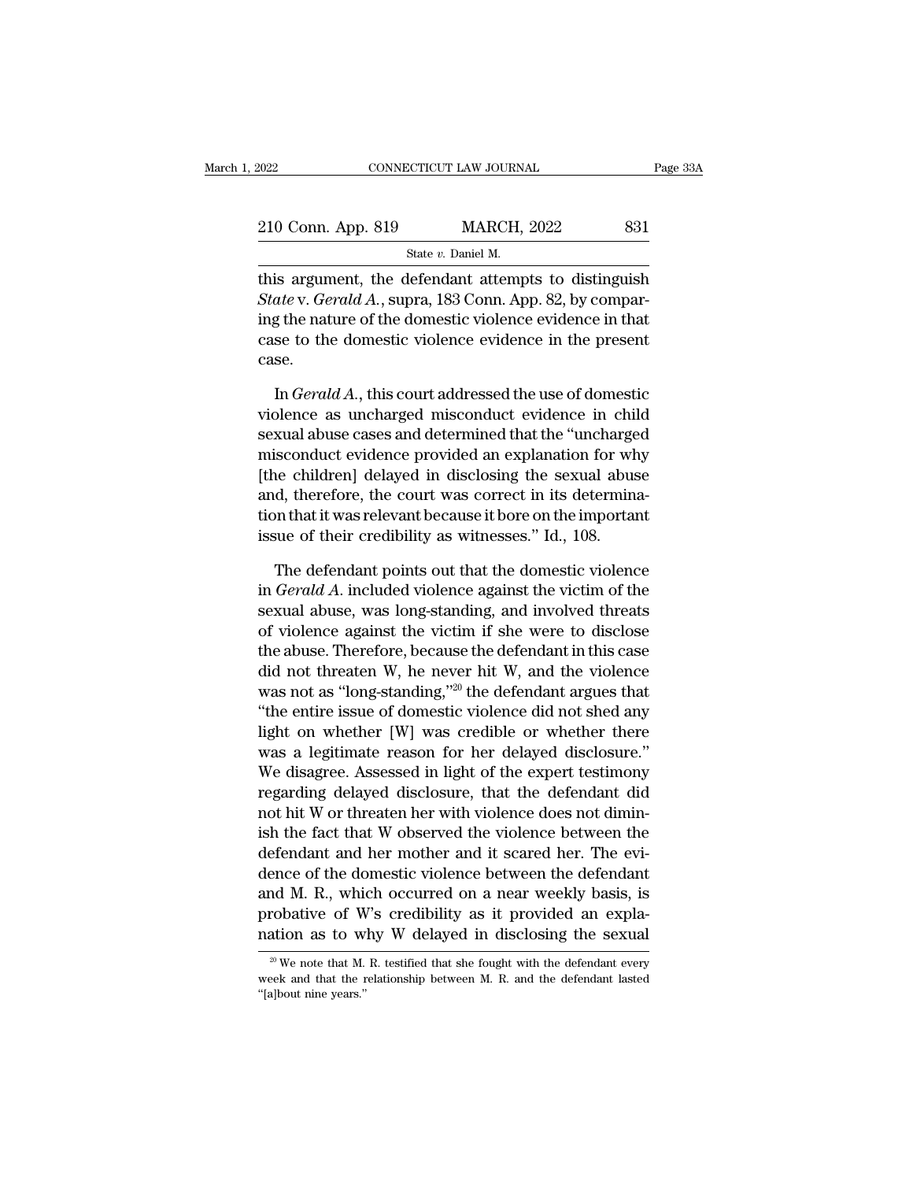| 2022                                                | CONNECTICUT LAW JOURNAL | Page 33A |
|-----------------------------------------------------|-------------------------|----------|
| 210 Conn. App. 819                                  | <b>MARCH, 2022</b>      | 831      |
|                                                     | State v. Daniel M.      |          |
| this aroument the defendant attempts to distinguish |                         |          |

EXECTE AN JOURNAL Page 33A<br>
210 Conn. App. 819 MARCH, 2022 831<br>
31 State v. Daniel M.<br>
21 Conn. App. 819 MARCH, 2022 831<br>
52 State v. Gerald A., supra, 183 Conn. App. 82, by comparing the nature of the democratic violence 210 Conn. App. 819 MARCH, 2022 831<br> *State v. Daniel M.*<br> *State v. Gerald A.*, supra, 183 Conn. App. 82, by comparing the nature of the domestic violence evidence in that 210 Conn. App. 819 MARCH, 2022 831<br>
State v. Daniel M.<br>
this argument, the defendant attempts to distinguish<br>
State v. Gerald A., supra, 183 Conn. App. 82, by compar-<br>
ing the nature of the domestic violence evidence in t 210 Conn. App. 819 MARCH, 2022 831<br>
State v. Daniel M.<br>
this argument, the defendant attempts to distinguish<br>
State v. Gerald A., supra, 183 Conn. App. 82, by compar-<br>
ing the nature of the domestic violence evidence in th case. is argument, the defendant attempts to distinguish<br> *ate* v. *Gerald A.*, supra, 183 Conn. App. 82, by compar-<br>
g the nature of the domestic violence evidence in that<br>
se to the domestic violence evidence in the present<br>
s State v. Gerald A., supra, 183 Conn. App. 82, by comparing the nature of the domestic violence evidence in that case to the domestic violence evidence in the present case.<br>
In Gerald A., this court addressed the use of do

ing the nature of the domestic violence evidence in that<br>case to the domestic violence evidence in the present<br>case.<br>In *Gerald A*., this court addressed the use of domestic<br>violence as uncharged misconduct evidence in chi case to the domestic violence evidence in the present<br>case.<br>In *Gerald A*., this court addressed the use of domestic<br>violence as uncharged misconduct evidence in child<br>sexual abuse cases and determined that the "uncharged<br> case.<br>
In  $GeraldA$ , this court addressed the use of domestic<br>
violence as uncharged misconduct evidence in child<br>
sexual abuse cases and determined that the "uncharged<br>
misconduct evidence provided an explanation for why<br>
[t In *Gerald A*., this court addressed the use of domestic violence as uncharged misconduct evidence in child sexual abuse cases and determined that the "uncharged misconduct evidence provided an explanation for why [the ch In Gerald A., this court addressed the use of domestic<br>violence as uncharged misconduct evidence in child<br>sexual abuse cases and determined that the "uncharged<br>misconduct evidence provided an explanation for why<br>[the chil violence as uncharged misconduct evidence in child<br>sexual abuse cases and determined that the "uncharge<br>misconduct evidence provided an explanation for wh<br>[the children] delayed in disclosing the sexual abus<br>and, therefore isconduct evidence provided an explanation for why<br>he children] delayed in disclosing the sexual abuse<br>d, therefore, the court was correct in its determina-<br>on that it was relevant because it bore on the important<br>sue of t [the children] delayed in disclosing the sexual abuse<br>and, therefore, the court was correct in its determina-<br>tion that it was relevant because it bore on the important<br>issue of their credibility as witnesses." Id., 108.<br>T

and, therefore, the court was correct in its determination that it was relevant because it bore on the important issue of their credibility as witnesses." Id., 108.<br>The defendant points out that the domestic violence in *G* tion that it was relevant because it bore on the important<br>issue of their credibility as witnesses." Id., 108.<br>The defendant points out that the domestic violence<br>in *Gerald A*. included violence against the victim of the issue of their credibility as witnesses." Id., 108.<br>The defendant points out that the domestic violence<br>in *Gerald A*. included violence against the victim of the<br>sexual abuse, was long-standing, and involved threats<br>of v The defendant points out that the domestic violence<br>in *Gerald A*. included violence against the victim of the<br>sexual abuse, was long-standing, and involved threats<br>of violence against the victim if she were to disclose<br>t The detendant points out that the domestic violence<br>
in *Gerald A*. included violence against the victim of the<br>
sexual abuse, was long-standing, and involved threats<br>
of violence against the victim if she were to disclos in *Gerald A*. included violence against the victim of the<br>sexual abuse, was long-standing, and involved threats<br>of violence against the victim if she were to disclose<br>the abuse. Therefore, because the defendant in this c sexual abuse, was long-standing, and involved threats<br>of violence against the victim if she were to disclose<br>the abuse. Therefore, because the defendant in this case<br>did not threaten W, he never hit W, and the violence<br>wa of violence against the victim if she were to disclose<br>the abuse. Therefore, because the defendant in this case<br>did not threaten W, he never hit W, and the violence<br>was not as "long-standing,"<sup>20</sup> the defendant argues that the abuse. Therefore, because the defendant in this case<br>did not threaten W, he never hit W, and the violence<br>was not as "long-standing,"<sup>20</sup> the defendant argues that<br>"the entire issue of domestic violence did not shed an did not threaten w, he never hit w, and the violence<br>was not as "long-standing,"<sup>20</sup> the defendant argues that<br>"the entire issue of domestic violence did not shed any<br>light on whether [W] was credible or whether there<br>was was not as "long-standing,"<sup>20</sup> the defendant argues that<br>"the entire issue of domestic violence did not shed any<br>light on whether [W] was credible or whether there<br>was a legitimate reason for her delayed disclosure."<br>We d "the entire issue of domestic violence did not shed any<br>light on whether [W] was credible or whether there<br>was a legitimate reason for her delayed disclosure."<br>We disagree. Assessed in light of the expert testimony<br>regardi light on whether  $[W]$  was credible or whether there<br>was a legitimate reason for her delayed disclosure."<br>We disagree. Assessed in light of the expert testimony<br>regarding delayed disclosure, that the defendant did<br>not hit was a legitimate reason for her delayed disclosure."<br>We disagree. Assessed in light of the expert testimony<br>regarding delayed disclosure, that the defendant did<br>not hit W or threaten her with violence does not dimin-<br>ish t We disagree. Assessed in light of the expert testimony<br>regarding delayed disclosure, that the defendant did<br>not hit W or threaten her with violence does not dimin-<br>ish the fact that W observed the violence between the<br>defe regarding delayed disclosure, that the detendant did<br>not hit W or threaten her with violence does not dimin-<br>ish the fact that W observed the violence between the<br>defendant and her mother and it scared her. The evi-<br>dence not hit W or threaten her with violence does not dimin-<br>ish the fact that W observed the violence between the<br>defendant and her mother and it scared her. The evi-<br>dence of the domestic violence between the defendant<br>and M dence of the domestic violence between the defendant and M. R., which occurred on a near weekly basis, is probative of W's credibility as it provided an explanation as to why W delayed in disclosing the sexual  $\frac{1}{\sqrt{2}}$ and M. R., which occurred on a near weekly basis, is<br>probative of W's credibility as it provided an expla-<br>nation as to why W delayed in disclosing the sexual<br> $\frac{1}{20}$ We note that M. R. testified that she fought with th probative of W<br>nation as to w<br> $\frac{1}{20}$  We note that M.<br>week and that the r<br>"[a]bout nine years."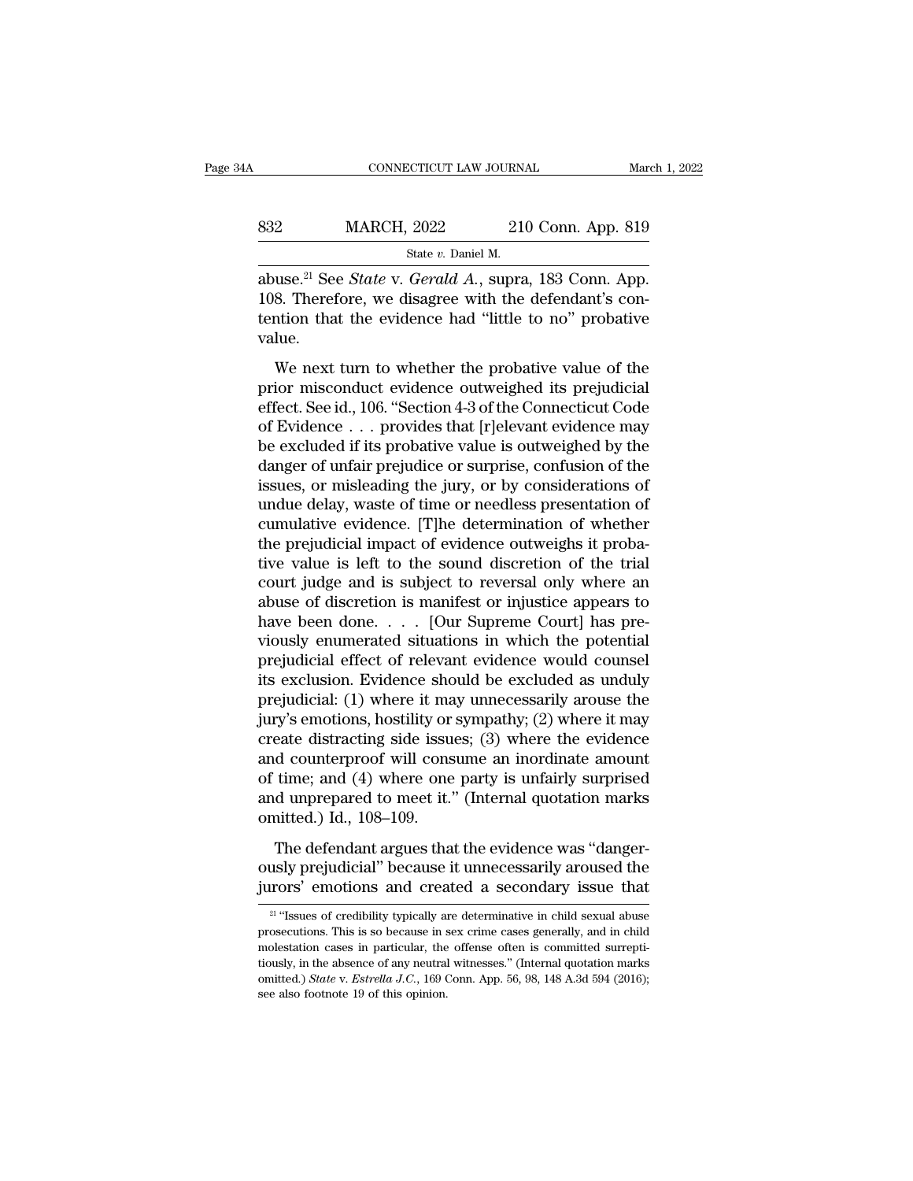| 1A  | CONNECTICUT LAW JOURNAL |                    | March 1, 2022 |
|-----|-------------------------|--------------------|---------------|
| 832 | <b>MARCH, 2022</b>      | 210 Conn. App. 819 |               |
|     | State v. Daniel M.      |                    |               |

CONNECTICUT LAW JOURNAL<br>
State *v.* Daniel M.<br>
State *v.* Daniel M.<br>
abuse.<sup>21</sup> See *State* v. *Gerald A.*, supra, 183 Conn. App.<br>
108. Therefore, we disagree with the defendant's con-<br>
tention that the evidence had "littl CONNECTICUT LAW JOURNAL March 1, 2<br>
832 MARCH, 2022 210 Conn. App. 819<br>
<sup>State v. Daniel M.</sup><br>
abuse.<sup>21</sup> See *State* v. *Gerald A.*, supra, 183 Conn. App.<br>
108. Therefore, we disagree with the defendant's contention that t MARCH, 2022 210 Conn. App. 819<br>
State v. Daniel M.<br>
abuse.<sup>21</sup> See *State* v. *Gerald A.*, supra, 183 Conn. App.<br>
108. Therefore, we disagree with the defendant's contention that the evidence had "little to no" probative value. State v. Daniel M.<br>
State v. Gerald A., supra, 183 Conn. App.<br>
8. Therefore, we disagree with the defendant's contion that the evidence had "little to no" probative<br>
lue.<br>
We next turn to whether the probative value of th abuse.<sup>21</sup> See *State* v. *Gerald A.*, supra, 183 Conn. App.<br>108. Therefore, we disagree with the defendant's contention that the evidence had "little to no" probative<br>value.<br>We next turn to whether the probative value of

distance. See *Blatte V*. derivative, paper, 105 containing the 108. Therefore, we disagree with the defendant's contention that the evidence had "little to no" probative value.<br>We next turn to whether the probative value Foot Therefore, we alsay be what the actordance of the<br>tention that the evidence had "little to no" probative<br>value.<br>We next turn to whether the probative value of the<br>prior misconduct evidence outweighed its prejudicial<br>e value.<br>
We next turn to whether the probative value of the<br>
prior misconduct evidence outweighed its prejudicial<br>
effect. See id., 106. "Section 4-3 of the Connecticut Code<br>
of Evidence . . . provides that [r]elevant evide We next turn to whether the probative value of the<br>prior misconduct evidence outweighed its prejudicial<br>effect. See id., 106. "Section 4-3 of the Connecticut Code<br>of Evidence  $\dots$  provides that [r]elevant evidence may<br>be We next turn to whether the probative value of the<br>prior misconduct evidence outweighed its prejudicial<br>effect. See id., 106. "Section 4-3 of the Connecticut Code<br>of Evidence . . . provides that [r]elevant evidence may<br>be prior misconduct evidence outweighed its prejudicial<br>effect. See id., 106. "Section 4-3 of the Connecticut Code<br>of Evidence . . . provides that [r]elevant evidence may<br>be excluded if its probative value is outweighed by th effect. See id., 106. "Section 4-3 of the Connecticut Code<br>of Evidence . . . provides that [r]elevant evidence may<br>be excluded if its probative value is outweighed by the<br>danger of unfair prejudice or surprise, confusion o of Evidence . . . provides that [r]elevant evidence may<br>be excluded if its probative value is outweighed by the<br>danger of unfair prejudice or surprise, confusion of the<br>issues, or misleading the jury, or by considerations be excluded if its probative value is outweighed by the danger of unfair prejudice or surprise, confusion of the issues, or misleading the jury, or by considerations of undue delay, waste of time or needless presentation o danger of unfair prejudice or surprise, confusion of the<br>issues, or misleading the jury, or by considerations of<br>undue delay, waste of time or needless presentation of<br>cumulative evidence. [T]he determination of whether<br>th issues, or misleading the jury, or by considerations of<br>undue delay, waste of time or needless presentation of<br>cumulative evidence. [T]he determination of whether<br>the prejudicial impact of evidence outweighs it proba-<br>tive undue delay, waste of time or needless presentation of<br>cumulative evidence. [T]he determination of whether<br>the prejudicial impact of evidence outweighs it proba-<br>tive value is left to the sound discretion of the trial<br>cour cumulative evidence. [T]he determination of whether<br>the prejudicial impact of evidence outweighs it proba-<br>tive value is left to the sound discretion of the trial<br>court judge and is subject to reversal only where an<br>abuse the prejudicial impact of evidence outweighs it probative value is left to the sound discretion of the trial<br>court judge and is subject to reversal only where an<br>abuse of discretion is manifest or injustice appears to<br>have tive value is left to the sound discretion of the trial<br>court judge and is subject to reversal only where an<br>abuse of discretion is manifest or injustice appears to<br>have been done. . . . [Our Supreme Court] has pre-<br>viousl court judge and is subject to reversal only where an<br>abuse of discretion is manifest or injustice appears to<br>have been done. . . . [Our Supreme Court] has pre-<br>viously enumerated situations in which the potential<br>prejudic abuse of discretion is manifest or injustice appears to<br>have been done. . . . [Our Supreme Court] has pre-<br>viously enumerated situations in which the potential<br>prejudicial effect of relevant evidence would counsel<br>its exc have been done. . . . [Our Supreme Court] has pre-<br>viously enumerated situations in which the potential<br>prejudicial effect of relevant evidence would counsel<br>its exclusion. Evidence should be excluded as unduly<br>prejudicia viously enumerated situations in which the potential<br>prejudicial effect of relevant evidence would counsel<br>its exclusion. Evidence should be excluded as unduly<br>prejudicial: (1) where it may unnecessarily arouse the<br>jury's prejudicial effect of relevant evidence would counsel<br>its exclusion. Evidence should be excluded as unduly<br>prejudicial: (1) where it may unnecessarily arouse the<br>jury's emotions, hostility or sympathy; (2) where it may<br>cre its exclusion. Evidence should be excluded as unduly<br>prejudicial: (1) where it may unnecessarily arouse the<br>jury's emotions, hostility or sympathy; (2) where it may<br>create distracting side issues; (3) where the evidence<br>an prejudicial: (1) where it ma<br>jury's emotions, hostility or<br>create distracting side issue<br>and counterproof will cons<br>of time; and (4) where one<br>and unprepared to meet it.'<br>omitted.) Id., 108–109.<br>The defendant argues tha eate distracting side issues; (3) where the evidence<br>eate distracting side issues; (3) where the evidence<br>d counterproof will consume an inordinate amount<br>time; and (4) where one party is unfairly surprised<br>d unprepared t and counterproof will consume an inordinate amount<br>of time; and (4) where one party is unfairly surprised<br>and unprepared to meet it." (Internal quotation marks<br>omitted.) Id., 108–109.<br>The defendant argues that the evidence of time; and (4) where one party is unfairly surprised<br>and unprepared to meet it." (Internal quotation marks<br>omitted.) Id., 108–109.<br>The defendant argues that the evidence was "danger-<br>ously prejudicial" because it unnece

The defendant argues that the evidence was "danger-<br>usly prejudicial" because it unnecessarily aroused the<br>rors' emotions and created a secondary issue that<br><sup>21</sup> "Issues of credibility typically are determinative in child The defendant argues that the evidence was "danger-<br>ously prejudicial" because it unnecessarily aroused the<br>jurors' emotions and created a secondary issue that<br> $\frac{21}{1}$ "Issues of credibility typically are determinative i

ously prejudicial" because it unnecessarily aroused the jurors' emotions and created a secondary issue that  $\frac{21 \text{ ft}}{21 \text{ ft}}$  "Issues of credibility typically are determinative in child sexual abuse prosecutions. This jurors' emotions and created a secondary issue that<br>
<sup>21</sup> "Issues of credibility typically are determinative in child sexual abuse<br>
prosecutions. This is so because in sex crime cases generally, and in child<br>
molestation <sup>21</sup> "Issues of credibility typically are determinative in child sexual abuse prosecutions. This is so because in sex crime cases generally, and in child molestation cases in particular, the offense often is committed surr <sup>21</sup> "Issues of credibility typically aprosecutions. This is so because in s<br>molestation cases in particular, the<br>tiously, in the absence of any neutral<br>omitted.) *State v. Estrella J.C.*, 169 (<br>see also footnote 19 of th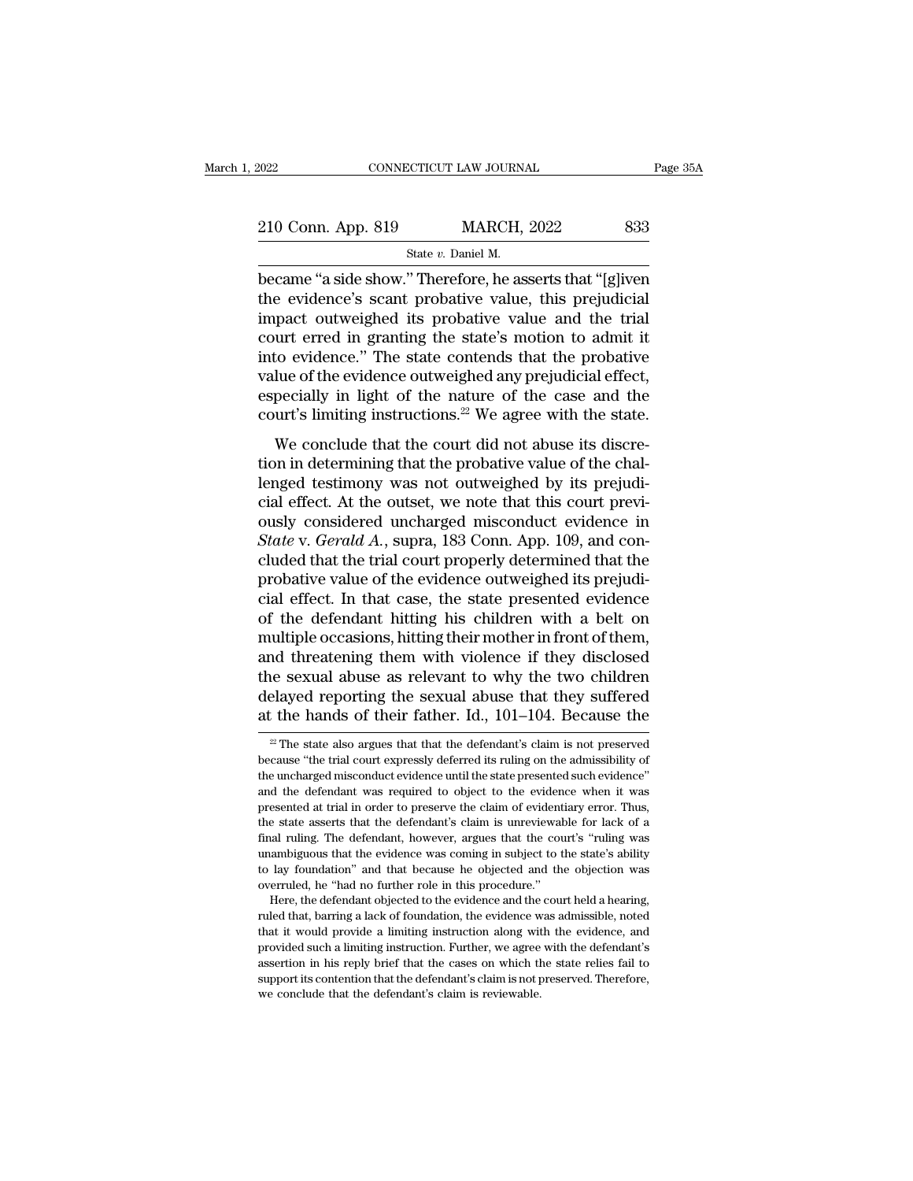EXECT CONNECTICUT LAW JOURNAL Page 35A<br>
210 Conn. App. 819 MARCH, 2022 833<br>
State v. Daniel M.<br>
became "a side show." Therefore, he asserts that "[g]iven<br>
the evidence's scant probative value, this prejudicial<br>
impact outw 210 Conn. App. 819 MARCH, 2022 833<br>
State v. Daniel M.<br>
became "a side show." Therefore, he asserts that "[g]iven<br>
the evidence's scant probative value, this prejudicial<br>
impact outweighed its probative value and the tria 210 Conn. App. 819 MARCH, 2022 833<br>
State v. Daniel M.<br>
became "a side show." Therefore, he asserts that "[g]iven<br>
the evidence's scant probative value, this prejudicial<br>
impact outweighed its probative value and the tria 210 Conn. App. 819 MARCH, 2022 833<br>
State v. Daniel M.<br>
became "a side show." Therefore, he asserts that "[g]iven<br>
the evidence's scant probative value, this prejudicial<br>
impact outweighed its probative value and the tria State v. Daniel M.<br>
became "a side show." Therefore, he asserts that "[g]iven<br>
the evidence's scant probative value, this prejudicial<br>
impact outweighed its probative value and the trial<br>
court erred in granting the state state v. Daniel M.<br>
became "a side show." Therefore, he asserts that "[g]iven<br>
the evidence's scant probative value, this prejudicial<br>
impact outweighed its probative value and the trial<br>
court erred in granting the state became "a side show." Therefore, he asserts that "[g]iven<br>the evidence's scant probative value, this prejudicial<br>impact outweighed its probative value and the trial<br>court erred in granting the state's motion to admit it<br>in the evidence's scant probative value, this prejudicial impact outweighed its probative value and the trial court erred in granting the state's motion to admit it into evidence." The state contends that the probative value pact outweghed its probative value and the that<br>urt erred in granting the state's motion to admit it<br>to evidence." The state contends that the probative<br>lue of the evidence outweighed any prejudicial effect,<br>pecially in li Figure 3.1 and the evidence." The state contends that the probative value of the evidence outweighed any prejudicial effect, especially in light of the nature of the case and the court's limiting instructions.<sup>22</sup> We agre

mo evidence. The state contends that the probative<br>value of the evidence outweighed any prejudicial effect,<br>especially in light of the nature of the case and the<br>court's limiting instructions.<sup>22</sup> We agree with the state.<br> value of the evidence outwerghed any prejudicial effect,<br>especially in light of the nature of the case and the<br>court's limiting instructions.<sup>22</sup> We agree with the state.<br>We conclude that the court did not abuse its discr court's limiting instructions.<sup>22</sup> We agree with the state.<br>We conclude that the court did not abuse its discretion in determining that the probative value of the challenged testimony was not outweighed by its prejudicial *State with the state with the state.*<br> *We conclude that the court did not abuse its discretion in determining that the probative value of the challenged testimony was not outweighed by its prejudicial effect. At the outs* We conclude that the court did not abuse its discretion in determining that the probative value of the challenged testimony was not outweighed by its prejudicial effect. At the outset, we note that this court previously co tion in determining that the probative value of the chal-<br>lenged testimony was not outweighed by its prejudi-<br>cial effect. At the outset, we note that this court previ-<br>ously considered uncharged misconduct evidence in<br>*St* lenged testimony was not outweighed by its prejudicial effect. At the outset, we note that this court previously considered uncharged misconduct evidence in *State* v. *Gerald A*., supra, 183 Conn. App. 109, and concluded cial effect. At the outset, we note that this court previously considered uncharged misconduct evidence in *State* v. *Gerald A.*, supra, 183 Conn. App. 109, and concluded that the trial court properly determined that the ously considered uncharged misconduct evidence in<br>State v. Gerald A., supra, 183 Conn. App. 109, and con-<br>cluded that the trial court properly determined that the<br>probative value of the evidence outweighed its prejudi-<br>cia State v. Gerald A., supra, 183 Conn. App. 109, and concluded that the trial court properly determined that the<br>probative value of the evidence outweighed its prejudi-<br>cial effect. In that case, the state presented evidence cluded that the trial court properly determined that the<br>probative value of the evidence outweighed its prejudi-<br>cial effect. In that case, the state presented evidence<br>of the defendant hitting his children with a belt on<br> probative value of the evidence outweighed its prejudicial effect. In that case, the state presented evidence of the defendant hitting his children with a belt on multiple occasions, hitting their mother in front of them, cial effect. In that case, the state presented evidence<br>of the defendant hitting his children with a belt on<br>multiple occasions, hitting their mother in front of them,<br>and threatening them with violence if they disclosed<br> and threatening them with violence if they disclosed<br>is escyllar alows as relevant to why the two children<br>elayed reporting the sexual abuse that they suffered<br>the hands of their father. Id.,  $101-104$ . Because the<br> $\frac{22$ the sexual abuse as relevant to why the two children delayed reporting the sexual abuse that they suffered at the hands of their father. Id.,  $101-104$ . Because the  $\frac{2}{x}$  The state also argues that that the defendant'

delayed reporting the sexual abuse that they suffered<br>at the hands of their father. Id.,  $101-104$ . Because the<br> $\frac{1}{2}$  The state also argues that that the defendant's claim is not preserved<br>because "the trial court exp at the hands of their father. Id.,  $101-104$ . Because the<br>
<sup>22</sup> The state also argues that that the defendant's claim is not preserved<br>
because "the trial court expressly deferred its ruling on the admissibility of<br>
the u at trie rialities of their ratifier. Id., 101–104. Decause the  $\frac{2}{x}$  The state also argues that that the defendant's claim is not preserved because "the trial court expressly deferred its ruling on the admissibility o  $^2$  The state also argues that that the defendant's claim is not preserved because "the trial court expressly deferred its ruling on the admissibility of the uncharged misconduct evidence until the state presented such e because "the trial court expressly deferred its ruling on the admissibility of the uncharged misconduct evidence until the state presented such evidence" and the defendant was required to object to the evidence when it was be uncharged misconduct evidence until the state presented such evidence"<br>and the defendant was required to object to the evidence when it was<br>presented at trial in order to preserve the claim of evidence when it was<br>prese and the defendant was required to object to the evidence when it was<br>presented at trial in order to preserve the claim of evidentiary error. Thus,<br>the state asserts that the defendant's claim is unreviewable for lack of a<br> presented at trial in order to preserve the claim of evident<br>the state asserts that the defendant's claim is unreviewal<br>final ruling. The defendant, however, argues that the cou<br>unambiguous that the evidence was coming in e state asserts that the defendant's claim is unreviewable for lack of a hal ruling. The defendant, however, argues that the court's "ruling was ambiguous that the evidence was coming in subject to the state's ability lay final ruling. The defendant, however, argues that the court's "ruling was unambiguous that the evidence was coming in subject to the state's ability to lay foundation" and that because he objected and the objection was ove

that it would be vidence was coming in subject to the state's ability<br>to lay foundation" and that because he objected and the objection was<br>overruled, he "had no further role in this procedure."<br>Here, the defendant objecte between the basis of the basis of the basis of the basis of the basis overruled, he "had no further role in this procedure."<br>Here, the defendant objected to the evidence and the court held a hearing, ruled that, barring a be a serticular that the move in the cases of the court held a hearing,<br>overruled, he "had no further role in this procedure."<br>There, the defendant objected to the evidence and the court held a hearing,<br>ruled that, barring Here, the defendant objected to the evidence and the court held a hearing,<br>There, the defendant objected to the evidence was admissible, noted<br>that it would provide a limiting instruction along with the evidence, and<br>provi ruled that, barring a lack of foundation, the evidence what it would provide a limiting instruction along with provided such a limiting instruction. Further, we agree assertion in his reply brief that the cases on which th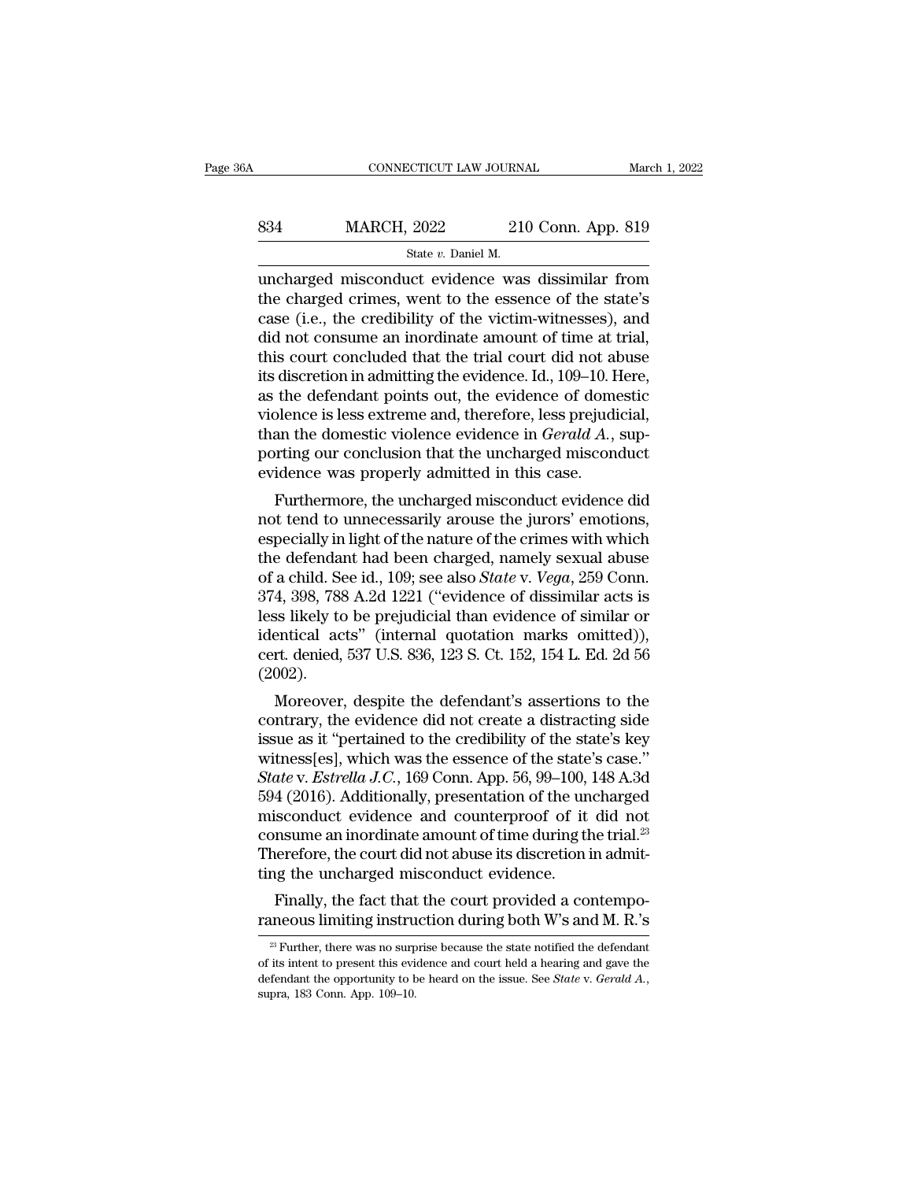# EXECUTE CONNECTICUT LAW JOURNAL March 1, 2022<br>
834 MARCH, 2022 210 Conn. App. 819<br>
84 State v. Daniel M. CONNECTICUT LAW JOURNAL MARTER MARTEN MARCH, 2022 210 Conn. App. 819<br>
State *v.* Daniel M.<br>
Uncharged misconduct evidence was dissimilar from

CONNECTICUT LAW JOURNAL March 1, 2022<br>
S34 MARCH, 2022 210 Conn. App. 819<br>
State v. Daniel M.<br>
uncharged misconduct evidence was dissimilar from<br>
the charged crimes, went to the essence of the state's<br>
case (i.e. the credi MARCH,  $2022$  210 Conn. App. 819<br>
State v. Daniel M.<br>
uncharged misconduct evidence was dissimilar from<br>
the charged crimes, went to the essence of the state's<br>
case (i.e., the credibility of the victim-witnesses), and<br>
d MARCH, 2022 210 Conn. App. 819<br>
State v. Daniel M.<br>
uncharged misconduct evidence was dissimilar from<br>
the charged crimes, went to the essence of the state's<br>
case (i.e., the credibility of the victim-witnesses), and<br>
did MARCH, 2022 210 Conn. App. 819<br>  $\frac{\text{State } v. \text{ Daniel M.}}{\text{uncharged misconduct evidence was dissimilar from}}$ <br>
the charged crimes, went to the essence of the state's<br>
case (i.e., the credibility of the victim-witnesses), and<br>
did not consume an inordinate amount of State v. Daniel M.<br>
State v. Daniel M.<br>
uncharged misconduct evidence was dissimilar from<br>
the charged crimes, went to the essence of the state's<br>
case (i.e., the credibility of the victim-witnesses), and<br>
did not consume state v. Damel M.<br>
uncharged misconduct evidence was dissimilar from<br>
the charged crimes, went to the essence of the state's<br>
case (i.e., the credibility of the victim-witnesses), and<br>
did not consume an inordinate amount uncharged misconduct evidence was dissimilar from<br>the charged crimes, went to the essence of the state's<br>case (i.e., the credibility of the victim-witnesses), and<br>did not consume an inordinate amount of time at trial,<br>this the charged crimes, went to the essence of the state's<br>case (i.e., the credibility of the victim-witnesses), and<br>did not consume an inordinate amount of time at trial,<br>this court concluded that the trial court did not abus case (i.e., the credibility of the victim-witnesses), and<br>did not consume an inordinate amount of time at trial,<br>this court concluded that the trial court did not abuse<br>its discretion in admitting the evidence. Id., 109–10 did not consume an inordinate amount of time at trial,<br>this court concluded that the trial court did not abuse<br>its discretion in admitting the evidence. Id., 109–10. Here,<br>as the defendant points out, the evidence of domes this court concluded that the trial court did not all<br>its discretion in admitting the evidence. Id., 109–10. F<br>as the defendant points out, the evidence of dome<br>violence is less extreme and, therefore, less prejudi<br>than th the defendant points out, the evidence of domestic<br>plence is less extreme and, therefore, less prejudicial,<br>an the domestic violence evidence in *Gerald A*., sup-<br>primg our conclusion that the uncharged misconduct<br>idence as the detendant points out, the evidence of domestic<br>violence is less extreme and, therefore, less prejudicial,<br>than the domestic violence evidence in  $Gerald A$ ., sup-<br>porting our conclusion that the uncharged misconduct<br>evi

whence is less extreme and, therefore, less prejudictal,<br>than the domestic violence evidence in *Gerald A*., sup-<br>porting our conclusion that the uncharged misconduct<br>evidence was properly admitted in this case.<br>Furthermo the definition of the defendant had been charged misconduct evidence was properly admitted in this case.<br>Furthermore, the uncharged misconduct evidence did<br>not tend to unnecessarily arouse the jurors' emotions,<br>especially porting our conclusion that the uncharged misconduct<br>evidence was properly admitted in this case.<br>Furthermore, the uncharged misconduct evidence did<br>not tend to unnecessarily arouse the jurors' emotions,<br>especially in ligh evidence was properly admitted in this case.<br>
Furthermore, the uncharged misconduct evidence did<br>
not tend to unnecessarily arouse the jurors' emotions,<br>
especially in light of the nature of the crimes with which<br>
the defe Furthermore, the uncharged misconduct evidence did<br>not tend to unnecessarily arouse the jurors' emotions,<br>especially in light of the nature of the crimes with which<br>the defendant had been charged, namely sexual abuse<br>of a not tend to unnecessarily arouse the jurors' emotions,<br>especially in light of the nature of the crimes with which<br>the defendant had been charged, namely sexual abuse<br>of a child. See id., 109; see also *State* v. *Vega*, 25 especially in light of the nature of the crimes with which<br>the defendant had been charged, namely sexual abuse<br>of a child. See id., 109; see also *State* v. *Vega*, 259 Conn.<br>374, 398, 788 A.2d 1221 ("evidence of dissimila (2002). a child. See id., 109; see also *Sidde* v. *vega*, 259 Confi.<br>4, 398, 788 A.2d 1221 ("evidence of dissimilar acts is<br>ss likely to be prejudicial than evidence of similar or<br>entical acts" (internal quotation marks omitted) 374, 398, 788 A.2d 1221 ( evidence of dissimilar acts is<br>less likely to be prejudicial than evidence of similar or<br>identical acts" (internal quotation marks omitted)),<br>cert. denied, 537 U.S. 836, 123 S. Ct. 152, 154 L. Ed.

issues intery to be prejudicial than evidence of simular or<br>identical acts" (internal quotation marks omitted)),<br>cert. denied, 537 U.S. 836, 123 S. Ct. 152, 154 L. Ed. 2d 56<br>(2002).<br>Moreover, despite the defendant's assert ndentical acts (internal quotation marks omitted)),<br>cert. denied, 537 U.S. 836, 123 S. Ct. 152, 154 L. Ed. 2d 56<br>(2002).<br>Moreover, despite the defendant's assertions to the<br>contrary, the evidence did not create a distracti *Called*, 337 U.S. 830, 123 S. Ct. 152, 154 L. Ed. 2d 56<br> *Called*).<br> *Moreover*, despite the defendant's assertions to the<br>
contrary, the evidence did not create a distracting side<br>
issue as it "pertained to the credibili (2002).<br>
Moreover, despite the defendant's assertions to the<br>
contrary, the evidence did not create a distracting side<br>
issue as it "pertained to the credibility of the state's key<br>
witness[es], which was the essence of t Moreover, despite the defendant's assertions to the contrary, the evidence did not create a distracting side issue as it "pertained to the credibility of the state's key witness[es], which was the essence of the state's c contrary, the evidence did not create a distracting side<br>issue as it "pertained to the credibility of the state's key<br>witness[es], which was the essence of the state's case."<br>State v. Estrella J.C., 169 Conn. App. 56, 99–1 issue as it "pertained to the credibility of the state's key<br>witness[es], which was the essence of the state's case."<br>State v. *Estrella J.C.*, 169 Conn. App. 56, 99–100, 148 A.3d<br>594 (2016). Additionally, presentation of witness[es], which was the essence of the state<br>State v. Estrella J.C., 169 Conn. App. 56, 99–100,<br>594 (2016). Additionally, presentation of the un<br>misconduct evidence and counterproof of it<br>consume an inordinate amount of die v. Estretua J.C., 109 Conn. App. 50, 99–100, 148 A.5d<br>4 (2016). Additionally, presentation of the uncharged<br>isconduct evidence and counterproof of it did not<br>nsume an inordinate amount of time during the trial.<sup>23</sup><br>ner  $2994$  ( $2010$ ). Additionally, presentation of the uncharged<br>misconduct evidence and counterproof of it did not<br>consume an inordinate amount of time during the trial.<sup>23</sup><br>Therefore, the court did not abuse its discretion

Therefore, the court did not abuse its discretion in admitting the uncharged misconduct evidence.<br>Finally, the fact that the court provided a contemporaneous limiting instruction during both W's and M. R.'s<br> $\frac{23}{12}$  Fu Finally, the fact that the court provided a contemporaneous limiting instruction during both W's and M. R.'s<br>
<sup>23</sup> Further, there was no surprise because the state notified the defendant of its intent to present this evid Finally, the fact that the court provided a contemporaneous limiting instruction during both W's and M. R.'s <sup>23</sup> Further, there was no surprise because the state notified the defendant of its intent to present this eviden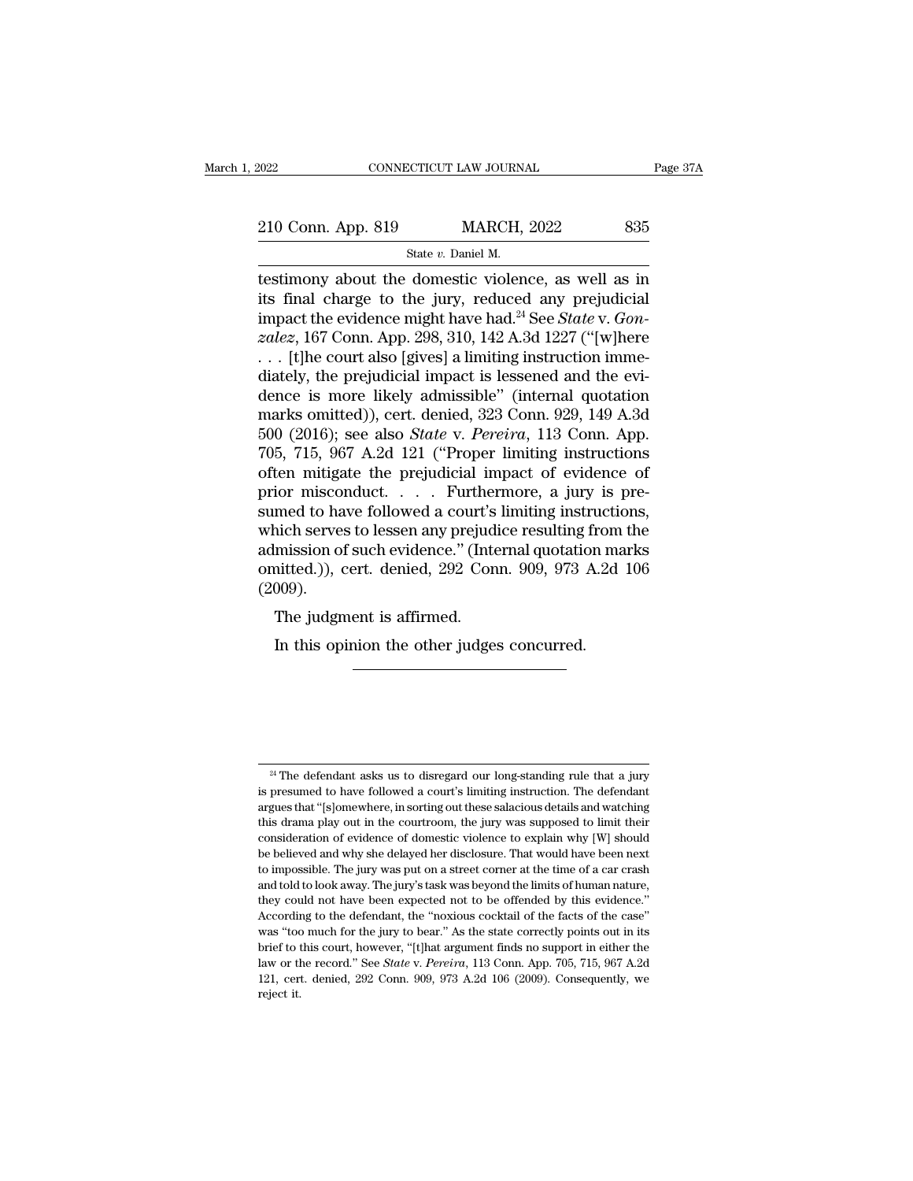| 2022                                                 | CONNECTICUT LAW JOURNAL | Page 37A |
|------------------------------------------------------|-------------------------|----------|
| 210 Conn. App. 819                                   | <b>MARCH, 2022</b>      | 835      |
|                                                      | State v. Daniel M.      |          |
| testimony about the domestic violence, as well as in |                         |          |

EXECT 2022 CONNECTICUT LAW JOURNAL Page 37A<br>
210 Conn. App. 819 MARCH, 2022 835<br>
State v. Daniel M.<br>
Testimony about the domestic violence, as well as in<br>
its final charge to the jury, reduced any prejudicial<br>
impact the 210 Conn. App. 819 MARCH, 2022 835<br>
State v. Daniel M.<br>
testimony about the domestic violence, as well as in<br>
its final charge to the jury, reduced any prejudicial<br>
impact the evidence might have had.<sup>24</sup> See State v. Gon 210 Conn. App. 819 MARCH, 2022 835<br>
State *v*. Daniel M.<br>
testimony about the domestic violence, as well as in<br>
its final charge to the jury, reduced any prejudicial<br>
impact the evidence might have had.<sup>24</sup> See *State* v. *zald Conn. App. 819 MARCH, 2022* 835<br> *zate v. Daniel M.*<br> *zate v. Daniel M.*<br> *zatesimony about the domestic violence, as well as in*<br> *its final charge to the jury, reduced any prejudicial*<br> *impact the evidence migh* State v. Daniel M.<br>
State v. Daniel M.<br>
testimony about the domestic violence, as well as in<br>
its final charge to the jury, reduced any prejudicial<br>
impact the evidence might have had.<sup>24</sup> See *State* v. *Gon-<br>
zalez*, 16 state v. Daniel M.<br>
destimony about the domestic violence, as well as in<br>
its final charge to the jury, reduced any prejudicial<br>
impact the evidence might have had.<sup>24</sup> See *State* v. *Gon-*<br>
zalez, 167 Conn. App. 298, 31 testimony about the domestic violence, as well as in<br>its final charge to the jury, reduced any prejudicial<br>impact the evidence might have had.<sup>24</sup> See *State* v. *Gon-<br>zalez*, 167 Conn. App. 298, 310, 142 A.3d 1227 ("[w]h its final charge to the jury, reduced any prejudicial<br>impact the evidence might have had.<sup>24</sup> See *State* v. *Gon-<br>zalez*, 167 Conn. App. 298, 310, 142 A.3d 1227 ("[w]here<br>... [t]he court also [gives] a limiting instructi impact the evidence might have had.<sup>24</sup> See *State* v. *Gon-<br>zalez*, 167 Conn. App. 298, 310, 142 A.3d 1227 ("[w]here<br>... [t]he court also [gives] a limiting instruction imme-<br>diately, the prejudicial impact is lessened an *zalez*, 167 Conn. App. 298, 310, 142 A.3d 1227 ("[w]here . . . . [t]he court also [gives] a limiting instruction immediately, the prejudicial impact is lessened and the evidence is more likely admissible" (internal quota ... [t]he court also [gives] a limiting instruction immediately, the prejudicial impact is lessened and the evidence is more likely admissible" (internal quotation marks omitted)), cert. denied, 323 Conn. 929, 149 A.3d 50 diately, the prejudicial impact is lessened and the evidence is more likely admissible" (internal quotation marks omitted)), cert. denied, 323 Conn. 929, 149 A.3d 500 (2016); see also *State v. Pereira*, 113 Conn. App. 705 dence is more likely admissible" (internal quotation<br>marks omitted)), cert. denied, 323 Conn. 929, 149 A.3d<br>500 (2016); see also *State* v. *Pereira*, 113 Conn. App.<br>705, 715, 967 A.2d 121 ("Proper limiting instructions<br>of marks omitted)), cert. denied, 323 Conn. 929, 149 A.3d<br>500 (2016); see also *State* v. *Pereira*, 113 Conn. App.<br>705, 715, 967 A.2d 121 ("Proper limiting instructions<br>often mitigate the prejudicial impact of evidence of<br>p 500 (2016); see also *State* v. *Pereira*, 113 Conn. App.<br>705, 715, 967 A.2d 121 ("Proper limiting instructions<br>often mitigate the prejudicial impact of evidence of<br>prior misconduct.... Furthermore, a jury is pre-<br>sumed t 705, 715, 967 A.2d 121 ("Proper limiting instructions<br>often mitigate the prejudicial impact of evidence of<br>prior misconduct..... Furthermore, a jury is pre-<br>sumed to have followed a court's limiting instructions,<br>which se (2009). The judgment is affirmed. inch serves to lessen any prejudice resulting from<br>Initiation of such evidence." (Internal quotation mainted.)), cert. denied, 292 Conn. 909, 973 A.2d<br>1009).<br>The judgment is affirmed.<br>In this opinion the other judges concu

 $^{24}$  The defendant asks us to disregard our long-standing rule that a jury presumed to have followed a court's limiting instruction. The defendant <sup>24</sup> The defendant asks us to disregard our long-standing rule that a jury<br>is presumed to have followed a court's limiting instruction. The defendant<br>argues that "[s]omewhere, in sorting out these salacious details and wa <sup>24</sup> The defendant asks us to disregard our long-standing rule that a jury<br>is presumed to have followed a court's limiting instruction. The defendant<br>argues that "[s]omewhere, in sorting out these salacious details and wa <sup>24</sup> The defendant asks us to disregard our long-standing rule that a jury is presumed to have followed a court's limiting instruction. The defendant argues that "[s]omewhere, in sorting out these salacious details and wa <sup>24</sup> The defendant asks us to disregard our long-standing rule that a jury is presumed to have followed a court's limiting instruction. The defendant argues that "[s]omewhere, in sorting out these salacious details and wa <sup>24</sup> The defendant asks us to disregard our long-standing rule that a jury<br>is presumed to have followed a court's limiting instruction. The defendant<br>argues that "[s]omewhere, in sorting out these salacious details and wa is presumed to have followed a court's limiting instruction. The defendant argues that "[s]omewhere, in sorting out these salacious details and watching this drama play out in the courtroom, the jury was supposed to limit argues that "[s]omewhere, in sorting out these salacious details and watching this drama play out in the courtroom, the jury was supposed to limit their consideration of evidence of domestic violence to explain why [W] sho this drama play out in the courtroom, the jury was supposed to limit their consideration of evidence of domestic violence to explain why  $[W]$  should be believed and why she delayed her disclosure. That would have been nex consideration of evidence of domestic violence to explain why [W] should<br>be believed and why she delayed her disclosure. That would have been next<br>to impossible. The jury was put on a street corner at the time of a car cr be believed and why she delayed her disclosure. That would have been next to impossible. The jury was put on a street corner at the time of a car crash and told to look away. The jury's task was beyond the limits of human brief to this court, however, "[t]hat argument finds no support in either the diverse of a carrow and told to look away. The jury's task was beyond the limits of human nature, they could not have been expected not to be o and told to look away. The jury's task was beyond the limits of human nature, they could not have been expected not to be offended by this evidence."<br>According to the defendant, the "noxious cocktail of the facts of the ca they could not have been expected not to be offended by this evidence."<br>According to the defendant, the "noxious cocktail of the facts of the case"<br>was "too much for the jury to bear." As the state correctly points out in they could not have been expected not to be offended by this evidence." According to the defendant, the "noxious cocktail of the facts of the case" was "too much for the jury to bear." As the state correctly points out in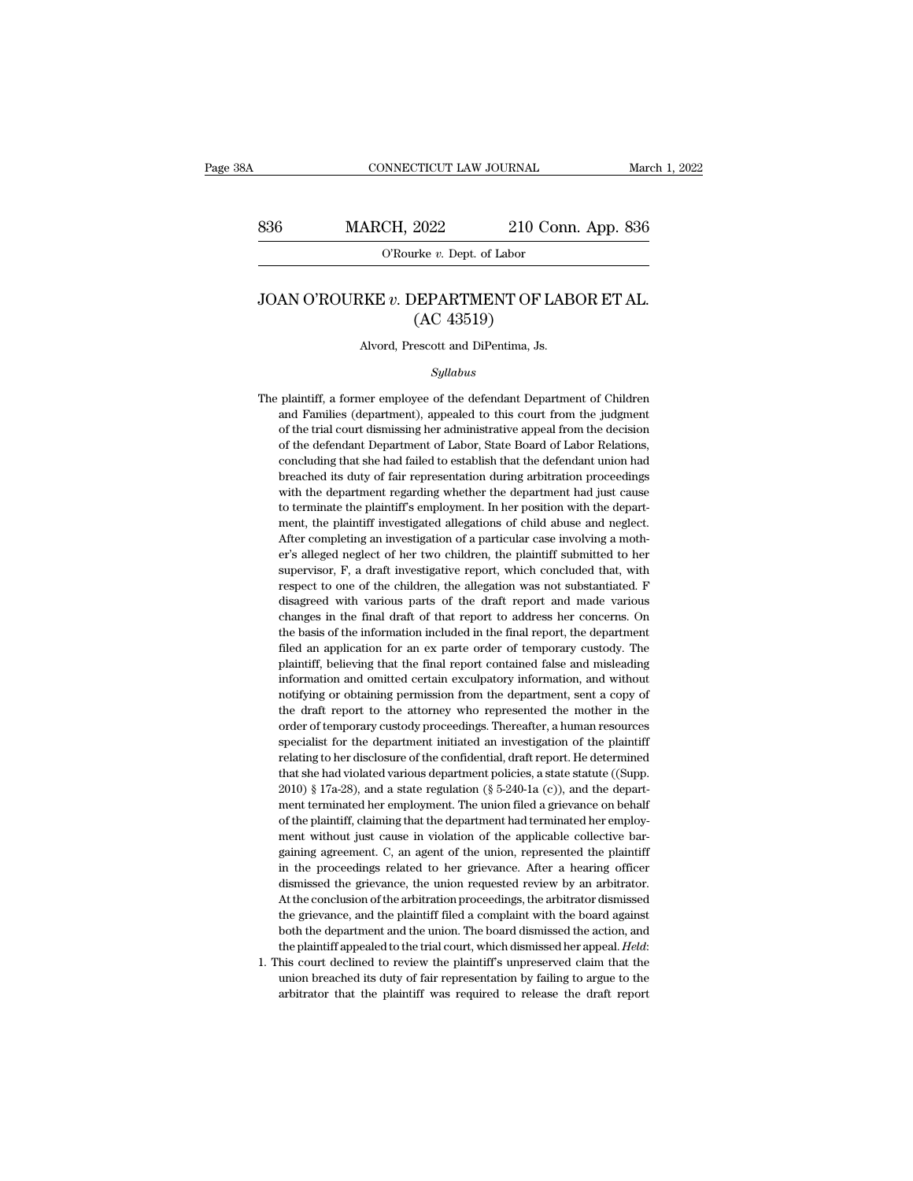# CONNECTICUT LAW JOURNAL March 1, 2022<br>836 MARCH, 2022 210 Conn. App. 836<br>C'Rourke v. Dept. of Labor NNECTICUT LAW JOURNAL<br>CH<sub>2</sub> 2022 210 Con<br>O'Rourke *v*. Dept. of Labor

### MARCH, 2022 210 Conn. App. 836<br>
O'Rourke *v*. Dept. of Labor<br>
JOAN O'ROURKE *v*. DEPARTMENT OF LABOR ET AL.<br>
(AC 43519) 2022 210 C<br>
The v. Dept. of Labor<br>
DEPARTMENT OF L<br>
(AC 43519)<br>
escott and DiPentima, Js. O'Rourke v. Dept. of Labor<br>
JOAN O'ROURKE v. DEPARTMENT OF LABOR ET AL.<br>
(AC 43519)<br>
Alvord, Prescott and DiPentima, Js.

### *Syllabus*

 $\rm (AC~43519)$ <br>Alvord, Prescott and DiPentima, Js.<br> $Syllabus$ <br>The plaintiff, a former employee of the defendant Department of Children<br>and Families (department), appealed to this court from the judgment Alvord, Prescott and DiPentima, Js.<br>
Syllabus<br>
plaintiff, a former employee of the defendant Department of Children<br>
and Families (department), appealed to this court from the judgment<br>
of the trial court dismissing her ad Alvord, Prescott and DiPentima, Js.<br>
Syllabus<br>
plaintiff, a former employee of the defendant Department of Children<br>
and Families (department), appealed to this court from the judgment<br>
of the trial court dismissing her ad Syllabus<br>
plaintiff, a former employee of the defendant Department of Children<br>
and Families (department), appealed to this court from the judgment<br>
of the trial court dismissing her administrative appeal from the decision Syllabus<br>plaintiff, a former employee of the defendant Department of Children<br>and Families (department), appealed to this court from the judgment<br>of the trial court dismissing her administrative appeal from the decision<br>of plaintiff, a former employee of the defendant Department of Children<br>and Families (department), appealed to this court from the judgment<br>of the trial court dismissing her administrative appeal from the decision<br>of the defe plant Families (department), appealed to this court from the judgment of the trial court dismissing her administrative appeal from the decision of the defendant Department of Labor, State Board of Labor Relations, concludi and Families (department), appealed to this court from the judgment of the trial court dismissing her administrative appeal from the decision of the defendant Department of Labor, State Board of Labor Relations, concluding of the defendant Department of Labor, State Board of Labor Relations, concluding that she had failed to establish that the defendant union had breached its duty of fair representation during arbitration proceedings with th concluding that she had failed to establish that the defendant union had breached its duty of fair representation during arbitration proceedings with the department regarding whether the department had just cause to termin breached its duty of fair representation during arbitration proceedings<br>with the department regarding whether the department had just cause<br>to terminate the plaintiff's employment. In her position with the depart-<br>ment, th with the department regarding whether the department had just cause<br>to terminate the plaintiff's employment. In her position with the department, the plaintiff investigated allegations of child abuse and neglect.<br>After com respect to terminate the plaintiff's employment. In her position with the department, the plaintiff's employment. In her position with the department, the plaintiff investigated allegations of child abuse and neglect. Afte ment, the plaintiff investigated allegations of child abuse and neglect.<br>After completing an investigation of a particular case involving a mother's alleged neglect of her two children, the plaintiff submitted to her super After completing an investigation of a particular case involving a mother's alleged neglect of her two children, the plaintiff submitted to her supervisor, F, a draft investigative report, which concluded that, with respec First sulleged neglect of her two children, the plaintiff submitted to her supervisor,  $F$ , a draft investigative report, which concluded that, with respect to one of the children, the allegation was not substantiated.  $F$ supervisor, F, a draft investigative report, which concluded that, with respect to one of the children, the allegation was not substantiated. F disagreed with various parts of the draft report and made various changes in t presect to one of the children, the allegation was not substantiated. F<br>disagreed with various parts of the draft report and made various<br>changes in the final draft of that report to address her concerns. On<br>the basis of t disagreed with various parts of the draft report and made various changes in the final draft of that report to address her concerns. On the basis of the information included in the final report, the department filed an app changes in the final draft of that report to address her concerns. On the basis of the information included in the final report, the department filed an application for an ex parte order of temporary custody. The plaintiff the basis of the information included in the final report, the department filed an application for an ex parte order of temporary custody. The plaintiff, believing that the final report contained false and misleading infor filed an application for an ex parte order of temporary custody. The plaintiff, believing that the final report contained false and misleading information and omitted certain exculpatory information, and without notifying meantiff, believing that the final report contained false and misleading information and omitted certain exculpatory information, and without notifying or obtaining permission from the department, sent a copy of the draft information and omitted certain exculpatory information, and without notifying or obtaining permission from the department, sent a copy of the draft report to the attorney who represented the mother in the order of tempora notifying or obtaining permission from the department, sent a copy of the draft report to the attorney who represented the mother in the order of temporary custody proceedings. Thereafter, a human resources specialist for notifying or obtaining permission from the department, sent a copy of the draft report to the attorney who represented the mother in the order of temporary custody proceedings. Thereafter, a human resources specialist for order of temporary custody proceedings. Thereafter, a human resources specialist for the department initiated an investigation of the plaintiff relating to her disclosure of the confidential, draft report. He determined t specialist for the department initiated an investigation of the plaintiff<br>relating to her disclosure of the confidential, draft report. He determined<br>that she had violated various department policies, a state statute ((Su relating to her disclosure of the confidential, draft report. He determined that she had violated various department policies, a state statute ((Supp. 2010) § 17a-28), and a state regulation (§ 5-240-1a (c)), and the depa that she had violated various department policies, a state statute ((Supp. 2010) § 17a-28), and a state regulation (§ 5-240-1a (c)), and the department terminated her employment. The union filed a grievance on behalf of t  $2010$ ) § 17a-28), and a state regulation (§ 5-240-1a (c)), and the department terminated her employment. The union filed a grievance on behalf of the plaintiff, claiming that the department had terminated her employment ment terminated her employment. The union filed a grievance on behalf of the plaintiff, claiming that the department had terminated her employment without just cause in violation of the applicable collective bargaining agr of the plaintiff, claiming that the department had terminated her employment without just cause in violation of the applicable collective bargaining agreement. C, an agent of the union, represented the plaintiff in the pro ment without just cause in violation of the applicable collective bargaining agreement. C, an agent of the union, represented the plaintiff in the proceedings related to her grievance. After a hearing officer dismissed the gaining agreement. C, an agent of the union, represented the plaintiff<br>in the proceedings related to her grievance. After a hearing officer<br>dismissed the grievance, the union requested review by an arbitrator.<br>At the concl in the proceedings related to her grievance. After a hearing officer dismissed the grievance, the union requested review by an arbitrator. At the conclusion of the arbitration proceedings, the arbitrator dismissed the grie At the conclusion of the arbitration proceedings, the arbitrator dismissed<br>the grievance, and the plaintiff filed a complaint with the board against<br>both the department and the union. The board dismissed the action, and<br>th At the conclusion of the arbitration proceedings, the arbitrator dismissed<br>the grievance, and the plaintiff filed a complaint with the board against<br>both the department and the union. The board dismissed the action, and<br>th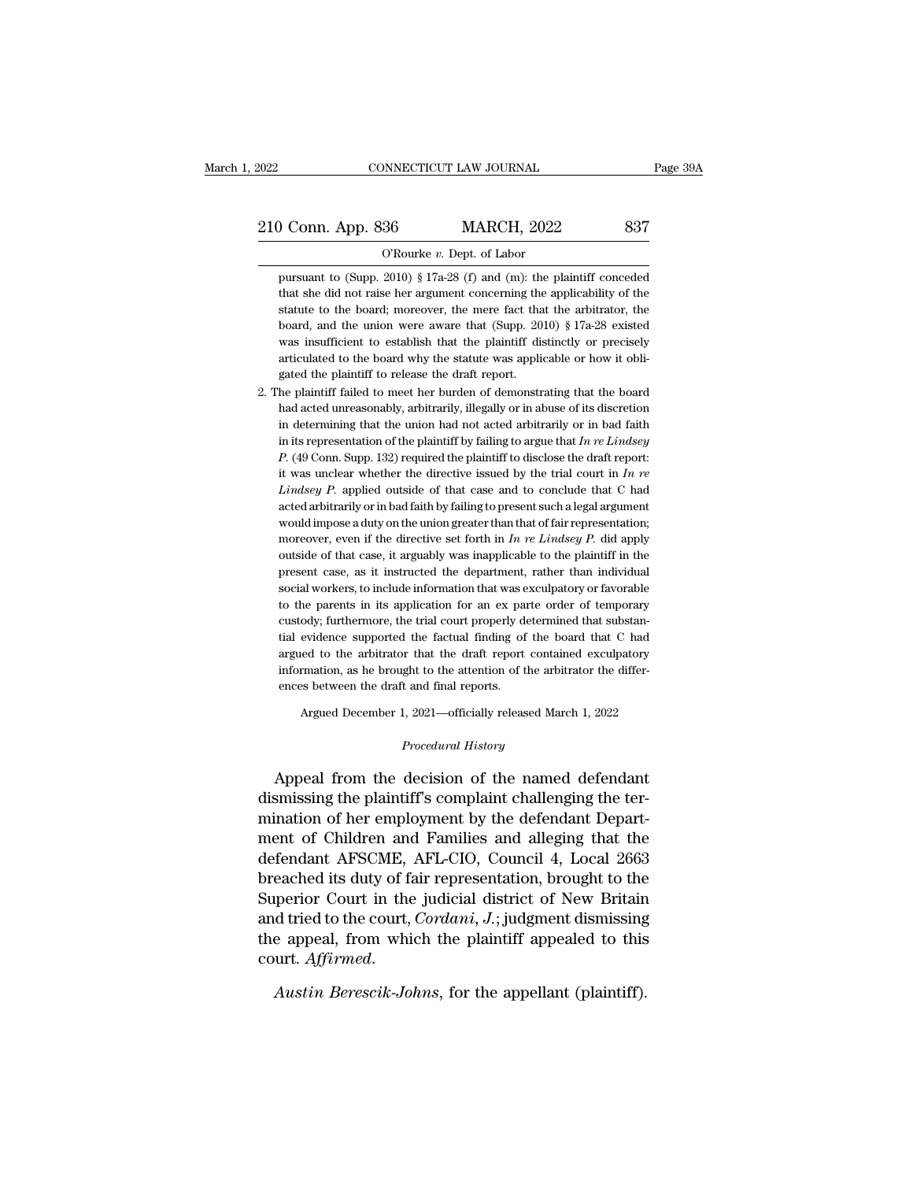9 Conn. App. 836 MARCH, 2022 837<br>
9 Courke v. Dept. of Labor<br>
pursuant to (Supp. 2010) § 17a-28 (f) and (m): the plaintiff conceded<br>
that she did not raise her argument concerning the applicability of the **that she did not raise here** argument concerning the applicability of the statute to the board; moreover, the mere fact that the arbitrator, the statute to the board; moreover, the mere fact that the arbitrator, the Statute to the board; moreover, the mere fact that the arbitrator, the board; moreover, the mere fact that the arbitrator, the board, and the union were aware that (Supp. 2010)  $\S 17a-28$  existed  $\S 17a-28$  existed  $\S 17a$ O'Rourke v. Dept. of Labor<br>pursuant to (Supp. 2010) § 17a-28 (f) and (m): the plaintiff conceded<br>that she did not raise her argument concerning the applicability of the<br>statute to the board; moreover, the mere fact that t O'Rourke v. Dept. of Labor<br>pursuant to (Supp. 2010) § 17a-28 (f) and (m): the plaintiff conceded<br>that she did not raise her argument concerning the applicability of the<br>statute to the board; moreover, the mere fact that t pursuant to (Supp. 2010) § 17a-28 (f) and (m): the plaintiff conceded that she did not raise her argument concerning the applicability of the statute to the board; moreover, the mere fact that the arbitrator, the board, a that she did not raise her argument concerning the applicability of the statute to the board; moreover, the mere fact that the arbitrator, the board, and the union were aware that (Supp. 2010)  $\S$  17a-28 existed was insuf statute to the board; moreover, the mere fact that the arbitrator, the board, and the union were aware that (Supp. 2010) § 17a-28 existed was insufficient to establish that the plaintiff distinctly or precisely articulate board, and the union were aware that (Supp. 2010) § 17a-28 existed was insufficient to establish that the plaintiff distinctly or precisely articulated to the board why the statute was applicable or how it obligated the p

was insufficient to establish that the plaintiff distinctly or precisely articulated to the board why the statute was applicable or how it obligated the plaintiff to release the draft report.<br>he plaintiff failed to meet h articulated to the board why the statute was applicable or how it obligated the plaintiff to release the draft report.<br>he plaintiff failed to meet her burden of demonstrating that the board had acted unreasonably, arbitrar gated the plaintiff to release the draft report.<br> *P.* (he plaintiff failed to meet her burden of demonstrating that the board<br> *P.* (and acted unreasonably, arbitrarily, illegally or in abuse of its discretion<br>
in determ he plaintiff failed to meet her burden of demonstrating that the board<br>had acted unreasonably, arbitrarily, illegally or in abuse of its discretion<br>in determining that the union had not acted arbitrarily or in bad faith<br>i had acted unreasonably, arbitrarily, illegally or in abuse of its discretion<br>in determining that the union had not acted arbitrarily or in bad faith<br>in its representation of the plaintiff by failing to argue that  $In re Lindsey$ <br> in determining that the union had not acted arbitrarily or in bad faith<br>in its representation of the plaintiff by failing to argue that  $In$   $re$   $Lindsey$ <br> $P.$  (49 Conn. Supp. 132) required the plaintiff to disclose the draft in its representation of the plaintiff by failing to argue that  $In$   $re$   $Lindsey$   $P.$  (49 Conn. Supp. 132) required the plaintiff to disclose the draft report: it was unclear whether the directive issued by the trial court i  $P.$  (49 Conn. Supp. 132) required the plaintiff to disclose the draft report:<br>it was unclear whether the directive issued by the trial court in  $In$   $re$ <br> $Lindsey$   $P.$  applied outside of that case and to conclude that  $C$  had it was unclear whether the directive issued by the trial court in  $In$   $re$   $Lindsey$   $P$ . applied outside of that case and to conclude that  $C$  had acted arbitrarily or in bad faith by failing to present such a legal argument *Lindsey P.* applied outside of that case and to conclude that C had acted arbitrarily or in bad faith by failing to present such a legal argument would impose a duty on the union greater than that of fair representation; acted arbitrarily or in bad faith by failing to present such a legal argument would impose a duty on the union greater than that of fair representation; moreover, even if the directive set forth in  $In$   $ne$   $Lindsey$   $P$ . did would impose a duty on the union greater than that of fair representation;<br>moreover, even if the directive set forth in  $In$   $re$  Lindsey  $P$ , did apply<br>outside of that case, it arguably was inapplicable to the plaintiff in present case, as it instructed the department, rather than individual social workers, to include information that was exculpatory or favorable to the parents in its application for an ex parte order of temporary custody; f outside of that case, it arguably was inapplicable to the plaintiff in the present case, as it instructed the department, rather than individual social workers, to include information that was exculpatory or favorable to t present case, as it instructed the department, rather than individual social workers, to include information that was exculpatory or favorable to the parents in its application for an ex parte order of temporary custody; f social workers, to include information that was exculpatory or favorable<br>to the parents in its application for an ex parte order of temporary<br>custody; furthermore, the trial court properly determined that substan-<br>tial evi to the parents in its application for an ex parents custody; furthermore, the trial court properly defined and final reported the factual finding of argued to the arbitrator that the draft report information, as he brought % tial evidence supported the factual finding of the board that C had argued to the arbitrator that the draft report contained exculpatory information, as he brought to the attention of the arbitrator the differences betw

Argued December 1, 2021—officially released March 1, 2022<br>*Procedural History*<br>Appeal from the decision of the named defendant argued to the anotrator that the diatt report contained excupatory<br>information, as he brought to the attention of the arbitrator the differ-<br>ences between the draft and final reports.<br>Argued December 1, 2021—officially rel ences between the draft and final reports.<br>
Argued December 1, 2021—officially released March 1, 2022<br> *Procedural History*<br>
Appeal from the decision of the named defendant<br>
dismissing the plaintiff's complaint challenging Argued December 1, 2021—officially released March 1, 2022<br> *Procedural History*<br>
Appeal from the decision of the named defendant<br>
dismissing the plaintiff's complaint challenging the ter-<br>
mination of her employment by the ment of Children and Families and alleging that the<br>defendant of the name of the name of defendant<br>dismissing the plaintiff's complaint challenging the ter-<br>mination of her employment by the defendant Depart-<br>ment of Child *Procedural History*<br>Appeal from the decision of the named defendant<br>dismissing the plaintiff's complaint challenging the ter-<br>mination of her employment by the defendant Depart-<br>ment of Children and Families and alleging Appeal from the decision of the named defendant<br>dismissing the plaintiff's complaint challenging the ter-<br>mination of her employment by the defendant Depart-<br>ment of Children and Families and alleging that the<br>defendant AF Appeal from the decision of the named defendant<br>dismissing the plaintiff's complaint challenging the ter-<br>mination of her employment by the defendant Depart-<br>ment of Children and Families and alleging that the<br>defendant A dismissing the plaintiff's complaint challenging the ter-<br>mination of her employment by the defendant Depart-<br>ment of Children and Families and alleging that the<br>defendant AFSCME, AFL-CIO, Council 4, Local 2663<br>breached it mination of her employment by the defendant Depart-<br>ment of Children and Families and alleging that the<br>defendant AFSCME, AFL-CIO, Council 4, Local 2663<br>breached its duty of fair representation, brought to the<br>Superior Cou breached its duty of fair representation, brought to the Superior Court in the judicial district of New Britain and tried to the court, *Cordani*, *J*.; judgment dismissing the appeal, from which the plaintiff appealed to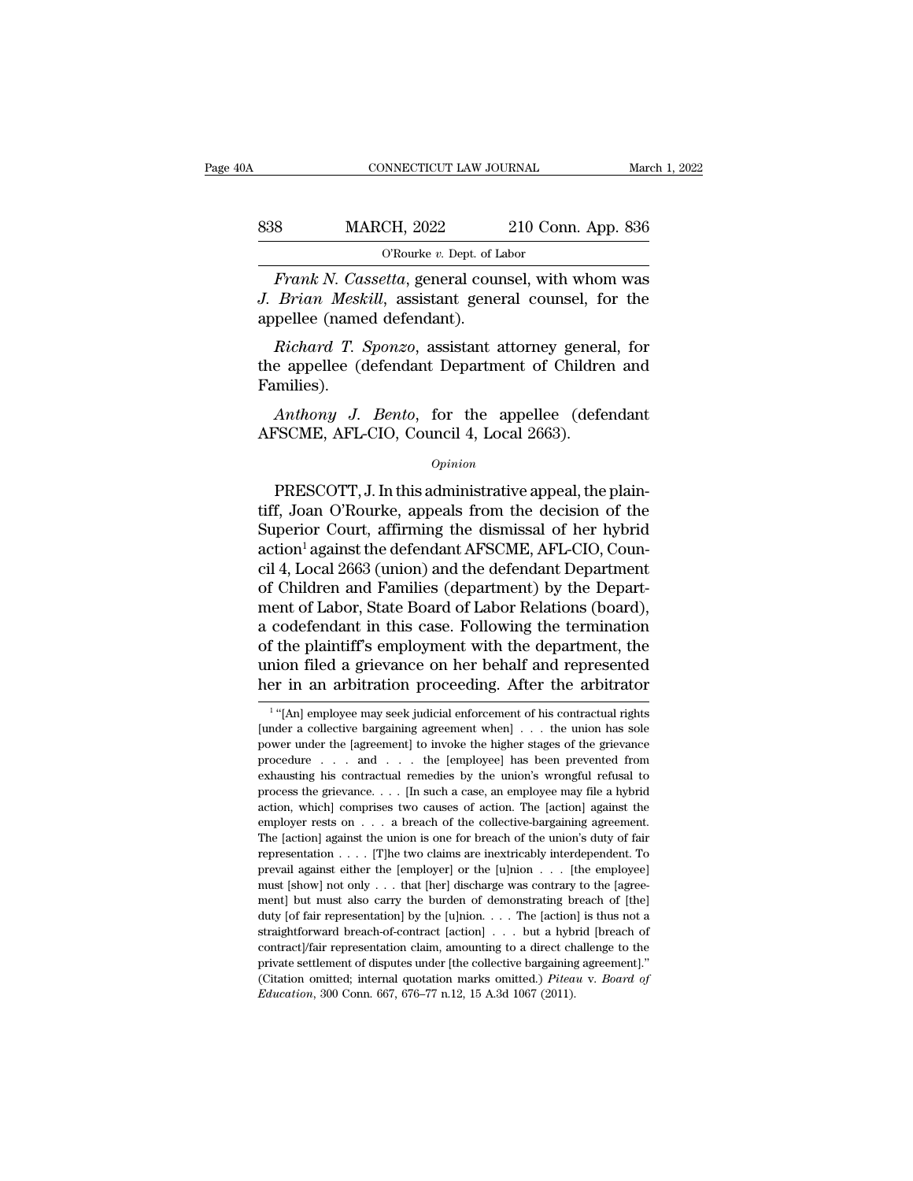# CONNECTICUT LAW JOURNAL March 1, 2022<br>838 MARCH, 2022 210 Conn. App. 836<br>C'Rourke v. Dept. of Labor NNECTICUT LAW JOURNAL<br>CH, 2022 210 Con<br><sup>O'Rourke v. Dept. of Labor<br>*otta. se*neral counsel with</sup>

*Frank N. Cassetta*, general counsel, with whom was<br>*Frank N. Cassetta*, general counsel, with whom was<br>*Frank N. Cassetta*, general counsel, with whom was<br>*Brian Meskill*, assistant general counsel, for the<br>pollog (named *J. Brian Meskill*, assistant general counsel, for the appellee (named defendant). 838 MARCH, 2022<br>
O'Rourke v. Dept. of L<br>
Frank N. Cassetta, general cour<br>
J. Brian Meskill, assistant gene<br>
appellee (named defendant).<br>
Richard T. Sponzo, assistant a *Richard MARCH, 2022* 210 Conn. App. 836<br> *Richard CRourke v. Dept. of Labor*<br> *Richard Meskill, assistant general counsel, for the*<br>
pellee (named defendant).<br> *Richard T. Sponzo, assistant attorney general, for*<br> *Richar* 

O'Rourke v. Dept. of Labor<br>Frank N. Cassetta, general counsel, with whom was<br>J. Brian Meskill, assistant general counsel, for the<br>appellee (named defendant).<br>Richard T. Sponzo, assistant attorney general, for<br>the appellee Families). *Brian Meskill*, assistant general counsel, for the pellee (named defendant).<br>*Richard T. Sponzo*, assistant attorney general, for<br>e appellee (defendant Department of Children and<br>unilies).<br>*Anthony J. Bento*, for the appe appellee (named defendant).<br> *Richard T. Sponzo*, assistant attorney generate<br>
the appellee (defendant Department of Childre:<br>
Families).<br> *Anthony J. Bento*, for the appellee (defe<br>
AFSCME, AFL-CIO, Council 4, Local 2663)

### *Opinion*

E appenee (defendant Department of Cindrent and<br>millies).<br>FSCME, AFL-CIO, Council 4, Local 2663).<br>*Opinion*<br>PRESCOTT, J. In this administrative appeal, the plain-<br>f, Joan O'Rourke, appeals from the decision of the<br>provier tiff, Joan O'Rourke, appeals from the decision of the Anthony J. Bento, for the appellee (defendant<br>AFSCME, AFL-CIO, Council 4, Local 2663).<br>
Opinion<br>
PRESCOTT, J. In this administrative appeal, the plain-<br>
tiff, Joan O'Rourke, appeals from the decision of the<br>
Superior Court AFSCME, AFL-CIO, Council 4, Local 2663).<br>
opinion<br>
PRESCOTT, J. In this administrative appeal, the plain-<br>
tiff, Joan O'Rourke, appeals from the decision of the<br>
Superior Court, affirming the dismissal of her hybrid<br>
actio opinion<br>
PRESCOTT, J. In this administrative appeal, the plain-<br>
tiff, Joan O'Rourke, appeals from the decision of the<br>
Superior Court, affirming the dismissal of her hybrid<br>
action<sup>1</sup> against the defendant AFSCME, AFL-CIO opmon<br>
PRESCOTT, J. In this administrative appeal, the plain-<br>
tiff, Joan O'Rourke, appeals from the decision of the<br>
Superior Court, affirming the dismissal of her hybrid<br>
action<sup>1</sup> against the defendant AFSCME, AFL-CIO, PRESCOTT, J. In this administrative appeal, the plain-<br>tiff, Joan O'Rourke, appeals from the decision of the<br>Superior Court, affirming the dismissal of her hybrid<br>action<sup>1</sup> against the defendant AFSCME, AFL-CIO, Coun-<br>cil tiff, Joan O'Rourke, appeals from the decision of the<br>Superior Court, affirming the dismissal of her hybrid<br>action<sup>1</sup> against the defendant AFSCME, AFL-CIO, Coun-<br>cil 4, Local 2663 (union) and the defendant Department<br>of C Superior Court, affirming the dismissal of her hybrid<br>action<sup>1</sup> against the defendant AFSCME, AFL-CIO, Coun-<br>cil 4, Local 2663 (union) and the defendant Department<br>of Children and Families (department) by the Depart-<br>ment action<sup>1</sup> against the defendant AFSCME, AFL-CIO, Council 4, Local 2663 (union) and the defendant Department<br>of Children and Families (department) by the Department of Labor, State Board of Labor Relations (board),<br>a codefe cil 4, Local 2663 (union) and the defendant Department<br>of Children and Families (department) by the Depart-<br>ment of Labor, State Board of Labor Relations (board),<br>a codefendant in this case. Following the termination<br>of th a codefendant in this case. Following the termination<br>of the plaintiff's employment with the department, the<br>union filed a grievance on her behalf and represented<br>her in an arbitration proceeding. After the arbitrator<br> $\frac$ of the plaintiff's employment with the department, the union filed a grievance on her behalf and represented her in an arbitration proceeding. After the arbitrator  $\frac{1}{1}$  "[An] employee may seek judicial enforcement of

<sup>&</sup>lt;sup>1</sup> "[An] employee may seek judicial enforcement of his contractual rights union filed a grievance on her behalf and represented<br>her in an arbitration proceeding. After the arbitrator<br> $\frac{1}{1}$ "[An] employee may seek judicial enforcement of his contractual rights<br>[under a collective bargaining a the mean and arbitration proceeding. After the arbitrator<br>  $\frac{1}{1}$  "[An] employee may seek judicial enforcement of his contractual rights<br>
[under a collective bargaining agreement when] . . . the union has sole<br>
power u The mean and distribution proceeding. After the arbitration<br>  $\frac{1}{1}$  "[An] employee may seek judicial enforcement of his contractual rights<br>
[under a collective bargaining agreement when] . . . the union has sole<br>
prove <sup>1</sup>"[An] employee may seek judicial enforcement of his contractual rights [under a collective bargaining agreement when] . . . the union has sole power under the [agreement] to invoke the higher stages of the grievance pr [under a collective bargaining agreement when] . . . the union has sole power under the [agreement] to invoke the higher stages of the grievance procedure . . . and . . . the [employee] has been prevented from exhausting power under the [agreement] to invoke the higher stages of the grievance procedure . . . and . . . the [employee] has been prevented from exhausting his contractual remedies by the union's wrongful refusal to process the procedure  $\ldots$  and  $\ldots$  the [employee] has been prevented from exhausting his contractual remedies by the union's wrongful refusal to process the grievance.  $\ldots$  [In such a case, an employee may file a hybrid action, w **Exhausting his contractual remedies by the union's wrongful refusal to exhausting his contractual remedies by the union's wrongful refusal to process the grievance. . . . [In such a case, an employee may file a hybrid ac** process the grievance.... [In such a case, an employee may file a hybrid action, which] comprises two causes of action. The [action] against the employer rests on ... a breach of the collective-bargaining agreement. The [ action, which] comprises two causes of action. The [action] against the employer rests on  $\ldots$  a breach of the collective-bargaining agreement.<br>The [action] against the union is one for breach of the union's duty of fair employer rests on  $\ldots$  a breach of the collective-bargaining agreement.<br>The [action] against the union is one for breach of the union's duty of fair<br>representation  $\ldots$ . [T]he two claims are inextricably interdependent. The [action] against the union is one for breach of the union's duty of fair representation . . . . [T]he two claims are inextricably interdependent. To prevail against either the [employer] or the [u]nion . . . [the empl representation . . . . [T]<br>he two claims are inextricably interdependent. To prevail against either the [employer] or the [u]<br>nion . . . [the employee] must [show] not only . . . that [her] discharge was contrary to the [ prevail against either the [employer] or the [u]nion  $\ldots$  [the employee] must [show] not only  $\ldots$  that [her] discharge was contrary to the [agreement] but must also carry the burden of demonstrating breach of [the] dut must [show] not only . . . that [her] discharge was contrary to the [agreement] but must also carry the burden of demonstrating breach of [the] duty [of fair representation] by the [u]nion. . . . The [action] is thus not ment] but must also carry the burden of demonstrating breach of [the] duty [of fair representation] by the [u]nion. . . . The [action] is thus not a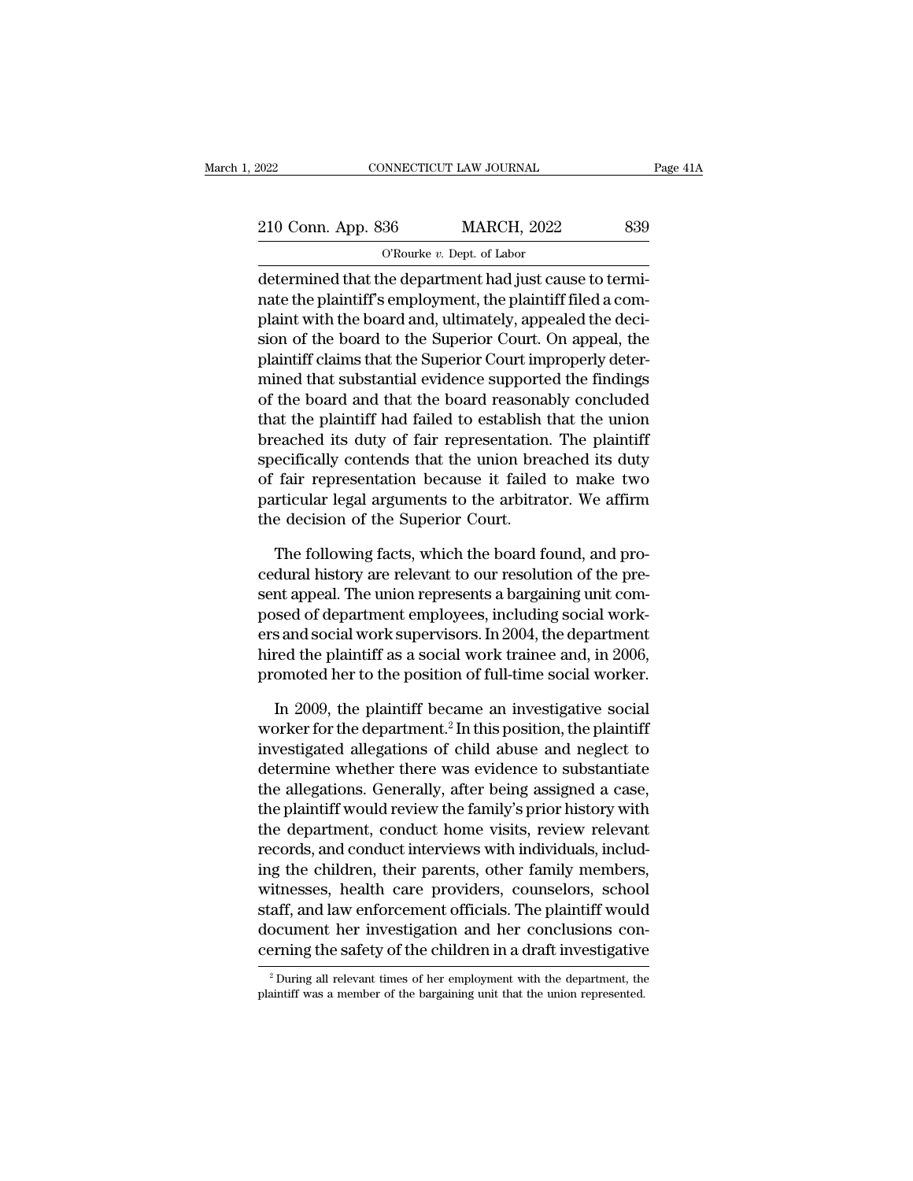| 2022               | CONNECTICUT LAW JOURNAL                                 | Page 41A |
|--------------------|---------------------------------------------------------|----------|
| 210 Conn. App. 836 | <b>MARCH, 2022</b>                                      | 839      |
|                    | O'Rourke $v$ . Dept. of Labor                           |          |
|                    | determined that the department had just cause to termi- |          |

CONNECTICUT LAW JOURNAL<br>
210 Conn. App. 836 MARCH, 2022 839<br>
O'Rourke v. Dept. of Labor<br>
determined that the department had just cause to termi-<br>
nate the plaintiff's employment, the plaintiff filed a complete with the boa 210 Conn. App. 836 MARCH, 2022 839<br>  $O$ Rourke v. Dept. of Labor<br>
determined that the department had just cause to termi-<br>
nate the plaintiff's employment, the plaintiff filed a com-<br>
plaint with the board and, ultimately, 210 Conn. App. 836 MARCH, 2022 839<br>
O'Rourke v. Dept. of Labor<br>
determined that the department had just cause to termi-<br>
nate the plaintiff's employment, the plaintiff filed a com-<br>
plaint with the board and, ultimately, 210 Conn. App. 836 MARCH, 2022 839<br>  $\overline{O$  The board to the Superior Court.<br>
determined that the department had just cause to terminate the plaintiff's employment, the plaintiff filed a complaint with the board and, ulti  $O$ Rourke  $v$ . Dept. of Labor<br>determined that the department had just cause to termi-<br>nate the plaintiff's employment, the plaintiff filed a com-<br>plaint with the board and, ultimately, appealed the deci-<br>sion of the board  $\frac{6 \text{ m} \cdot \text{m} \cdot \text{m} \cdot \text{m} \cdot \text{m} \cdot \text{m} \cdot \text{m}}{2 \text{ d} \cdot \text{m} \cdot \text{m} \cdot \text{m} \cdot \text{m} \cdot \text{m} \cdot \text{m} \cdot \text{m} \cdot \text{m} \cdot \text{m} \cdot \text{m}}$  and just cause to terminate the plaintiff's employment, the plaintiff filed a complaint wi determined that the department had just cause to termi-<br>nate the plaintiff's employment, the plaintiff filed a com-<br>plaint with the board and, ultimately, appealed the deci-<br>sion of the board to the Superior Court. On appe nate the plaintiff's employment, the plaintiff filed a complaint with the board and, ultimately, appealed the decision of the board to the Superior Court. On appeal, the plaintiff claims that the Superior Court improperly plaint with the board and, ultimately, appealed the decision of the board to the Superior Court. On appeal, the plaintiff claims that the Superior Court improperly determined that substantial evidence supported the finding sion of the board to the Superior Court. On appeal, the<br>plaintiff claims that the Superior Court improperly deter-<br>mined that substantial evidence supported the findings<br>of the board and that the board reasonably concluded plaintiff claims that the Superior Court improperly deter-<br>mined that substantial evidence supported the findings<br>of the board and that the board reasonably concluded<br>that the plaintiff had failed to establish that the uni mined that substantial evidence supported the findings<br>of the board and that the board reasonably concluded<br>that the plaintiff had failed to establish that the union<br>breached its duty of fair representation. The plaintiff<br> of the board and that the board reasona<br>that the plaintiff had failed to establish<br>breached its duty of fair representation<br>specifically contends that the union breacher<br>of fair representation because it failed<br>particular eached its duty of fair representation. The plaintiff<br>ecifically contends that the union breached its duty<br>fair representation because it failed to make two<br>rticular legal arguments to the arbitrator. We affirm<br>e decision specifically contends that the union breached its duty<br>of fair representation because it failed to make two<br>particular legal arguments to the arbitrator. We affirm<br>the decision of the Superior Court.<br>The following facts, w

of fair representation because it failed to make two<br>particular legal arguments to the arbitrator. We affirm<br>the decision of the Superior Court.<br>The following facts, which the board found, and pro-<br>cedural history are rele particular legal arguments to the arbitrator. We affirm<br>the decision of the Superior Court.<br>The following facts, which the board found, and pro-<br>cedural history are relevant to our resolution of the pre-<br>sent appeal. The u the decision of the Superior Court.<br>The following facts, which the board found, and pro-<br>cedural history are relevant to our resolution of the pre-<br>sent appeal. The union represents a bargaining unit com-<br>posed of departme The following facts, which the board found, and procedural history are relevant to our resolution of the present appeal. The union represents a bargaining unit composed of department employees, including social work-<br>ers a The following facts, which the board found, and procedural history are relevant to our resolution of the present appeal. The union represents a bargaining unit composed of department employees, including social workers and nt appeal. The union represents a bargaining unit com-<br>sed of department employees, including social work-<br>s and social work supervisors. In 2004, the department<br>red the plaintiff as a social work trainee and, in 2006,<br>omo posed of department employees, including social work-<br>ers and social work supervisors. In 2004, the department<br>hired the plaintiff as a social work trainee and, in 2006,<br>promoted her to the position of full-time social wor

ers and social work supervisors. In 2004, the department<br>hired the plaintiff as a social work trainee and, in 2006,<br>promoted her to the position of full-time social worker.<br>In 2009, the plaintiff became an investigative so hired the plaintiff as a social work trainee and, in 2006,<br>promoted her to the position of full-time social worker.<br>In 2009, the plaintiff became an investigative social<br>worker for the department.<sup>2</sup> In this position, the promoted her to the position of full-time social worker.<br>
In 2009, the plaintiff became an investigative social<br>
worker for the department.<sup>2</sup> In this position, the plaintiff<br>
investigated allegations of child abuse and ne In 2009, the plaintiff became an investigative social<br>worker for the department.<sup>2</sup> In this position, the plaintiff<br>investigated allegations of child abuse and neglect to<br>determine whether there was evidence to substantiat In 2009, the plaintiff became an investigative social<br>worker for the department.<sup>2</sup> In this position, the plaintiff<br>investigated allegations of child abuse and neglect to<br>determine whether there was evidence to substantiat worker for the department.<sup>2</sup> In this position, the plaintiff<br>investigated allegations of child abuse and neglect to<br>determine whether there was evidence to substantiate<br>the allegations. Generally, after being assigned a c investigated allegations of child abuse and neglect to<br>determine whether there was evidence to substantiate<br>the allegations. Generally, after being assigned a case,<br>the plaintiff would review the family's prior history wit determine whether there was evidence to substantiate<br>the allegations. Generally, after being assigned a case,<br>the plaintiff would review the family's prior history with<br>the department, conduct home visits, review relevant<br> the allegations. Generally, after being assigned a case,<br>the plaintiff would review the family's prior history with<br>the department, conduct home visits, review relevant<br>records, and conduct interviews with individuals, inc the plaintiff would review the family's prior history with<br>the department, conduct home visits, review relevant<br>records, and conduct interviews with individuals, includ-<br>ing the children, their parents, other family member the department, conduct home visits, review relevant<br>records, and conduct interviews with individuals, includ-<br>ing the children, their parents, other family members,<br>witnesses, health care providers, counselors, school<br>sta witnesses, health care providers, counselors, school staff, and law enforcement officials. The plaintiff would document her investigation and her conclusions concerning the safety of the children in a draft investigative cerning the safety of the children in a draft investigative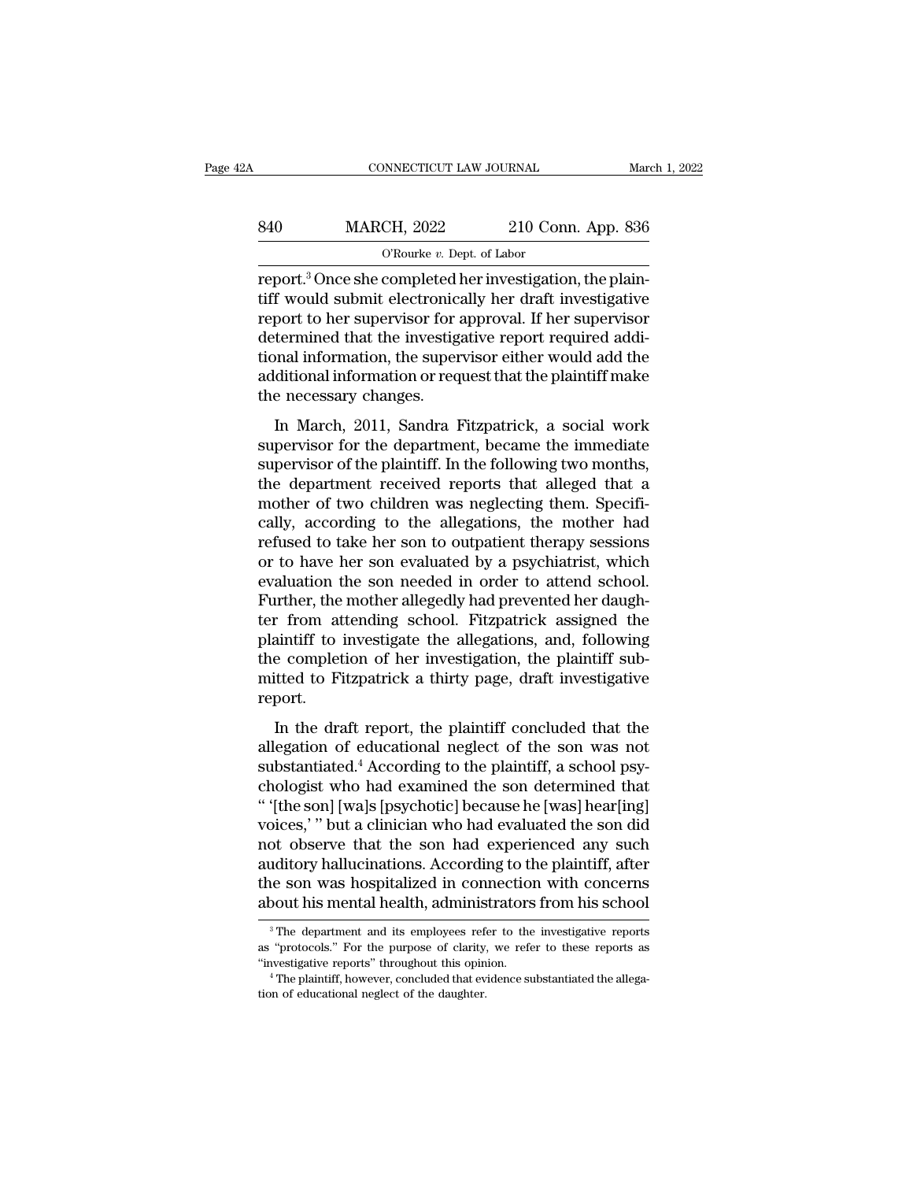| 2Α  | CONNECTICUT LAW JOURNAL                                                                                                                                                                   |                    | March 1, 2022 |
|-----|-------------------------------------------------------------------------------------------------------------------------------------------------------------------------------------------|--------------------|---------------|
| 840 | <b>MARCH, 2022</b>                                                                                                                                                                        | 210 Conn. App. 836 |               |
|     | O'Rourke $v$ . Dept. of Labor                                                                                                                                                             |                    |               |
|     | report. <sup>3</sup> Once she completed her investigation, the plain-<br>tiff would submit electronically her draft investigative<br>report to be superisor for epproval If her superisor |                    |               |

MARCH, 2022 210 Conn. App. 836<br>
O'Rourke v. Dept. of Labor<br>
Teport.<sup>3</sup> Once she completed her investigation, the plain-<br>
tiff would submit electronically her draft investigative<br>
report to her supervisor for approval. If h  $\begin{tabular}{ll} \bf 840 & MARCH, 2022 & 210 Conn. App. 836 \\ \hline \multicolumn{3}{l}{\textcolor{red}{\bf 0}} {\rm {\bf 7}6} {\rm {\bf 8}7} {\rm {\bf 8}8} {\rm {\bf 7}} & 210 Conn. App. 836 \\ \hline \multicolumn{2}{l}{\bf 7} {\rm {\bf 8}7} & 210 Conn. App. 836 \\ \hline \multicolumn{2}{l}{\bf 8} {\rm {\bf 7}} & 210 Conn. App. 836 \\ \hline \multicolumn{2}{l}{\bf 8} {\rm {\bf 7}} & 210 Conn. App.$  $\begin{tabular}{ll} \bf 840 & MARCH, 2022 & 210 Conn. App. 836 \\ \hline \multicolumn{3}{l}{\textcolor{red}{\bf 0}} {\textcolor{red}{\bf 0}} {\textcolor{red}{\bf 0}} {\textcolor{red}{\bf 0}} {\textcolor{red}{\bf 0}} {\textcolor{red}{\bf 0}} {\textcolor{red}{\bf 0}} {\textcolor{red}{\bf 0}} {\textcolor{red}{\bf 0}} {\textcolor{red}{\bf 0}} {\textcolor{red}{\bf 0}} {\textcolor{red}{\bf 0}} {\textcolor{red}{\bf 0}} {\textcolor{red}{\bf 0}} {\textcolor{red}{\bf 0}} {\textcolor{red}{$ The Columbury of the Columbury of the Columbury of Columbury (Columbury 1990)<br>
Teport.<sup>3</sup> Once she completed her investigation, the plain-<br>
tiff would submit electronically her draft investigative<br>
report to her supervisor  $\alpha$  or report.<sup>3</sup> Once she completed her investigation, the plaintiff would submit electronically her draft investigative report to her supervisor for approval. If her supervisor determined that the investigative report report.<sup>3</sup> Once she completed l<br>tiff would submit electronic:<br>report to her supervisor for :<br>determined that the investig<br>tional information, the super<br>additional information or req<br>the necessary changes.<br>In March, 2011, S In March, 2011, Sandra Fitzpatrick, a social work<br>port to her supervisor for approval. If her supervisor<br>termined that the investigative report required addi-<br>and information, the supervisor either would add the<br>ditional i supervisor for approval. If the supervisor<br>determined that the investigative report required additional information, the supervisor either would add the<br>additional information or request that the plaintiff make<br>the necessa

supervisor of the supervisor either would add the<br>additional information or request that the plaintiff make<br>the necessary changes.<br>In March, 2011, Sandra Fitzpatrick, a social work<br>supervisor for the department, became the additional information, the supervisor cliner would did the<br>additional information or request that the plaintiff make<br>the necessary changes.<br>In March, 2011, Sandra Fitzpatrick, a social work<br>supervisor for the department, motional mothiation of request that the plantin make<br>the necessary changes.<br>In March, 2011, Sandra Fitzpatrick, a social work<br>supervisor for the department, became the immediate<br>supervisor of the plaintiff. In the followin In March, 2011, Sandra Fitzpatrick, a social work<br>supervisor for the department, became the immediate<br>supervisor of the plaintiff. In the following two months,<br>the department received reports that alleged that a<br>mother of In March, 2011, Sandra Fitzpatrick, a social work<br>supervisor for the department, became the immediate<br>supervisor of the plaintiff. In the following two months,<br>the department received reports that alleged that a<br>mother of supervisor for the department, became the immediate<br>supervisor of the plaintiff. In the following two months,<br>the department received reports that alleged that a<br>mother of two children was neglecting them. Specifi-<br>cally, supervisor of the plaintiff. In the following two months,<br>the department received reports that alleged that a<br>mother of two children was neglecting them. Specifi-<br>cally, according to the allegations, the mother had<br>refused the department received reports that alleged that a<br>mother of two children was neglecting them. Specifi-<br>cally, according to the allegations, the mother had<br>refused to take her son to outpatient therapy sessions<br>or to have mother of two children was neglecting them. Specifically, according to the allegations, the mother had refused to take her son to outpatient therapy sessions or to have her son evaluated by a psychiatrist, which evaluation cally, according to the allegations, the mother had<br>refused to take her son to outpatient therapy sessions<br>or to have her son evaluated by a psychiatrist, which<br>evaluation the son needed in order to attend school.<br>Further, refused to take her son to outpatient therapy sessions<br>or to have her son evaluated by a psychiatrist, which<br>evaluation the son needed in order to attend school.<br>Further, the mother allegedly had prevented her daugh-<br>ter f or to have her son evaluated by a psychiatrist, which<br>evaluation the son needed in order to attend school.<br>Further, the mother allegedly had prevented her daugh-<br>ter from attending school. Fitzpatrick assigned the<br>plaintif report. In the draft report. The investigate the allegations, and, following<br>
a completion of her investigation, the plaintiff sub-<br>
itted to Fitzpatrick a thirty page, draft investigative<br>
port.<br>
In the draft report, the plaintif Let Hom attending School. Trapartek assigned the<br>plaintiff to investigate the allegations, and, following<br>the completion of her investigation, the plaintiff sub-<br>mitted to Fitzpatrick a thirty page, draft investigative<br>rep

plantant to investigate the directions, that, following<br>the completion of her investigation, the plaintiff sub-<br>mitted to Fitzpatrick a thirty page, draft investigative<br>report.<br>In the draft report, the plaintiff concluded and the completion of her investigation, the plaintiff sometries in the distribution of educational neglect of the son was not substantiated.<sup>4</sup> According to the plaintiff, a school psychologist who had examined the son de mated to Trapatrick a time, page, that investigative<br>
report.<br>
In the draft report, the plaintiff concluded that the<br>
allegation of educational neglect of the son was not<br>
substantiated.<sup>4</sup> According to the plaintiff, a sc In the draft report, the plaintiff concluded that the<br>allegation of educational neglect of the son was not<br>substantiated.<sup>4</sup> According to the plaintiff, a school psy-<br>chologist who had examined the son determined that<br>" ([ In the draft report, the plaintiff concluded that the<br>allegation of educational neglect of the son was not<br>substantiated.<sup>4</sup> According to the plaintiff, a school psy-<br>chologist who had examined the son determined that<br>"[th allegation of educational neglect of the son was not<br>substantiated.<sup>4</sup> According to the plaintiff, a school psy-<br>chologist who had examined the son determined that<br>" (the son] [wa]s [psychotic] because he [was] hear[ing]<br>v substantiated.<sup>4</sup> According to the plaintiff, a school psychologist who had examined the son determined that " [the son] [wa]s [psychotic] because he [was] hear[ing] voices," " but a clinician who had evaluated the son did chologist who had examined the son determined that<br>"'[the son] [wa]s [psychotic] because he [was] hear[ing]<br>voices,'" but a clinician who had evaluated the son did<br>not observe that the son had experienced any such<br>auditory 3 The department and its employees refer to the plaintiff, after the son was hospitalized in connection with concerns bout his mental health, administrators from his school <sup>3</sup> The department and its employees refer to the auditory hallucinations. According to the plaintiff, after<br>the son was hospitalized in connection with concerns<br>about his mental health, administrators from his school<br><sup>3</sup>The department and its employees refer to the inves

the son was hospitalized in connection with concerns<br>about his mental health, administrators from his school<br><sup>3</sup>The department and its employees refer to the investigative reports<br>as "protocols." For the purpose of clarity  $^3$  The department and its employees refer to the investigative reports as "protocols." For the purpose of clarity, we refer to these reports as "investigative reports" throughout this opinion.<br> $^4$  The plaintiff, howeve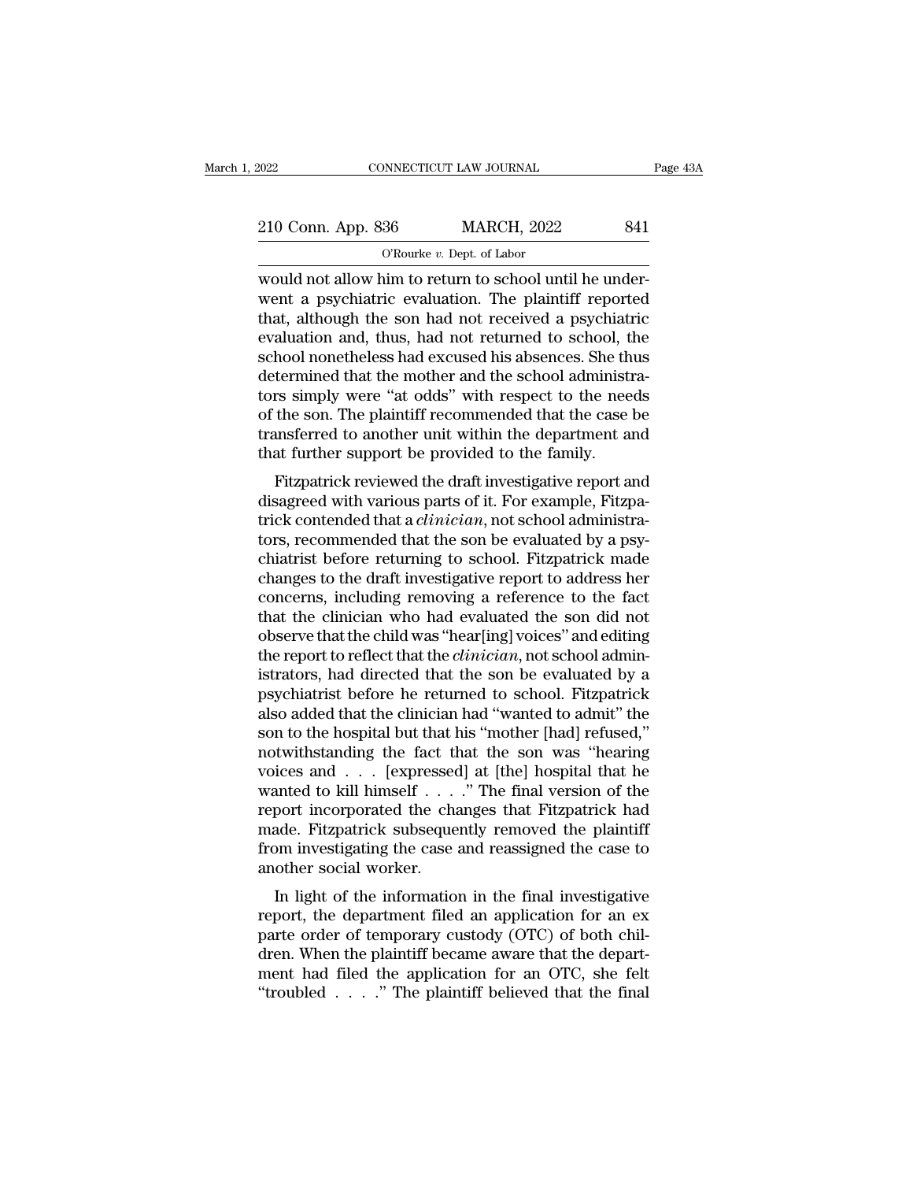| 2022               | CONNECTICUT LAW JOURNAL                                 | Page 43A |
|--------------------|---------------------------------------------------------|----------|
|                    |                                                         |          |
| 210 Conn. App. 836 | <b>MARCH, 2022</b>                                      | 841      |
|                    | O'Rourke $v$ . Dept. of Labor                           |          |
|                    | would not allow him to return to school until he under- |          |

CONNECTICUT LAW JOURNAL<br>
210 Conn. App. 836 MARCH, 2022 841<br>
C'Rourke v. Dept. of Labor<br>
would not allow him to return to school until he under-<br>
would not allow him to return to school until he under-<br>
whet a psychiatric 210 Conn. App. 836 MARCH, 2022 841<br>
O'Rourke v. Dept. of Labor<br>
would not allow him to return to school until he under-<br>
went a psychiatric evaluation. The plaintiff reported<br>
that, although the son had not received a psyc 210 Conn. App. 836 MARCH, 2022 841<br>
O'Rourke v. Dept. of Labor<br>
would not allow him to return to school until he under-<br>
went a psychiatric evaluation. The plaintiff reported<br>
that, although the son had not received a psy 210 Conn. App. 836 MARCH, 2022 841<br>
O'Rourke v. Dept. of Labor<br>
would not allow him to return to school until he under-<br>
went a psychiatric evaluation. The plaintiff reported<br>
that, although the son had not received a psy  $\begin{array}{l}\n\hline\n\text{SCAR} \rightarrow \text{Pp} \text{SOC} & \text{SCAR} \text{SOCR} \text{COCR} \text{COCR} \text{COCR} \text{COCR} \text{COCR} \text{COCR} \text{COCR} \text{COCR} \text{COCR} \text{COCR} \text{COCR} \text{COCR} \text{COCR} \text{COCR} \text{COCR} \text{COCR} \text{COCR} \text{COCR} \text{COCR} \text{COCR} \text{COCR} \text{COCR} \text{COCR} \text{COCR} \text{C$  $\alpha$  o'Rourke v. Dept. of Labor<br>would not allow him to return to school until he under-<br>went a psychiatric evaluation. The plaintiff reported<br>that, although the son had not received a psychiatric<br>evaluation and, thus, had would not allow him to return to school until he underwent a psychiatric evaluation. The plaintiff reported that, although the son had not received a psychiatric evaluation and, thus, had not returned to school, the school went a psychiatric evaluation. The plaintiff reported<br>that, although the son had not received a psychiatric<br>evaluation and, thus, had not returned to school, the<br>school nonetheless had excused his absences. She thus<br>determ that, although the son had not received a psychiatric<br>evaluation and, thus, had not returned to school, the<br>school nonetheless had excused his absences. She thus<br>determined that the mother and the school administra-<br>tors s evaluation and, thus, had not returned to school, t<br>school nonetheless had excused his absences. She th<br>determined that the mother and the school administ<br>tors simply were "at odds" with respect to the nee<br>of the son. The Friend that the mother and the school administrative remined that the mother and the school administrative simply were "at odds" with respect to the needs the son. The plaintiff recommended that the case be unsferred to an determined that the mother and the school administra-<br>tors simply were "at odds" with respect to the needs<br>of the son. The plaintiff recommended that the case be<br>transferred to another unit within the department and<br>that f

tors simply were at odds whit respect to the heeds<br>of the son. The plaintiff recommended that the case be<br>transferred to another unit within the department and<br>that further support be provided to the family.<br>Fitzpatrick re of the son. The plantificant recommended that the case be transferred to another unit within the department and that further support be provided to the family.<br>Fitzpatrick reviewed the draft investigative report and disagr transferred to another unit whill the department and<br>that further support be provided to the family.<br>Fitzpatrick reviewed the draft investigative report and<br>disagreed with various parts of it. For example, Fitzpa-<br>trick co Fitzpatrick reviewed the draft investigative report and<br>disagreed with various parts of it. For example, Fitzpa-<br>trick contended that a *clinician*, not school administra-<br>tors, recommended that the son be evaluated by a p Fitzpatrick reviewed the draft investigative report and<br>disagreed with various parts of it. For example, Fitzpa-<br>trick contended that a *clinician*, not school administra-<br>tors, recommended that the son be evaluated by a p disagreed with various parts of it. For example, Fitzpatrick contended that a *clinician*, not school administrators, recommended that the son be evaluated by a psychiatrist before returning to school. Fitzpatrick made cha trick contended that a *clinician*, not school administrators, recommended that the son be evaluated by a psy-<br>chiatrist before returning to school. Fitzpatrick made<br>changes to the draft investigative report to address her tors, recommended that the son be evaluated by a psy-<br>chiatrist before returning to school. Fitzpatrick made<br>changes to the draft investigative report to address her<br>concerns, including removing a reference to the fact<br>tha chiatrist before returning to school. Fitzpatrick made<br>changes to the draft investigative report to address her<br>concerns, including removing a reference to the fact<br>that the clinician who had evaluated the son did not<br>obse changes to the draft investigative report to address her concerns, including removing a reference to the fact that the clinician who had evaluated the son did not observe that the child was "hear[ing] voices" and editing t concerns, including removing a reference to the fact<br>that the clinician who had evaluated the son did not<br>observe that the child was "hear[ing] voices" and editing<br>the report to reflect that the *clinician*, not school adm that the clinician who had evaluated the son did not<br>observe that the child was "hear[ing] voices" and editing<br>the report to reflect that the *clinician*, not school admin-<br>istrators, had directed that the son be evaluated % observe that the child was "hear[ing] voices" and editing<br>the report to reflect that the *clinician*, not school admin-<br>istrators, had directed that the son be evaluated by a<br>psychiatrist before he returned to school. F the report to reflect that the *clinician*, not school administrators, had directed that the son be evaluated by a psychiatrist before he returned to school. Fitzpatrick also added that the clinician had "wanted to admit" istrators, had directed that the son be evaluated by a<br>psychiatrist before he returned to school. Fitzpatrick<br>also added that the clinician had "wanted to admit" the<br>son to the hospital but that his "mother [had] refused," psychiatrist before he returned to school. Fitzpatrick<br>also added that the clinician had "wanted to admit" the<br>son to the hospital but that his "mother [had] refused,"<br>notwithstanding the fact that the son was "hearing<br>voi also added that the clinician had "wanted to admit" the<br>son to the hospital but that his "mother [had] refused,"<br>notwithstanding the fact that the son was "hearing<br>voices and . . . [expressed] at [the] hospital that he<br>wan son to the hospital but that his "mother [had] refused,"<br>notwithstanding the fact that the son was "hearing<br>voices and  $\ldots$  [expressed] at [the] hospital that he<br>wanted to kill himself  $\ldots$ ." The final version of the<br>re notwithstanding the fact the voices and . . . [expressed wanted to kill himself . . . . report incorporated the channade. Fitzpatrick subseque from investigating the case another social worker. In light of the information In light of the information in the final version of the port incorporated the changes that Fitzpatrick had ade. Fitzpatrick subsequently removed the plaintiff om investigating the case and reassigned the case to other soc wanted to kin infilsen  $\ldots$  . The film version of the<br>report incorporated the changes that Fitzpatrick had<br>made. Fitzpatrick subsequently removed the plaintiff<br>from investigating the case and reassigned the case to<br>anoth

report incorporated the changes that Fitzparrick had<br>made. Fitzpatrick subsequently removed the plaintiff<br>from investigating the case and reassigned the case to<br>another social worker.<br>In light of the information in the fin made. Fizpatrick subsequently removed the plaintiff<br>from investigating the case and reassigned the case to<br>another social worker.<br>In light of the information in the final investigative<br>report, the department filed an appli mont investigating the case and reassigned the case to<br>another social worker.<br>In light of the information in the final investigative<br>report, the department filed an application for an ex<br>parte order of temporary custody (O another social worker.<br>
In light of the information in the final investigative<br>
report, the department filed an application for an ex<br>
parte order of temporary custody (OTC) of both chil-<br>
dren. When the plaintiff became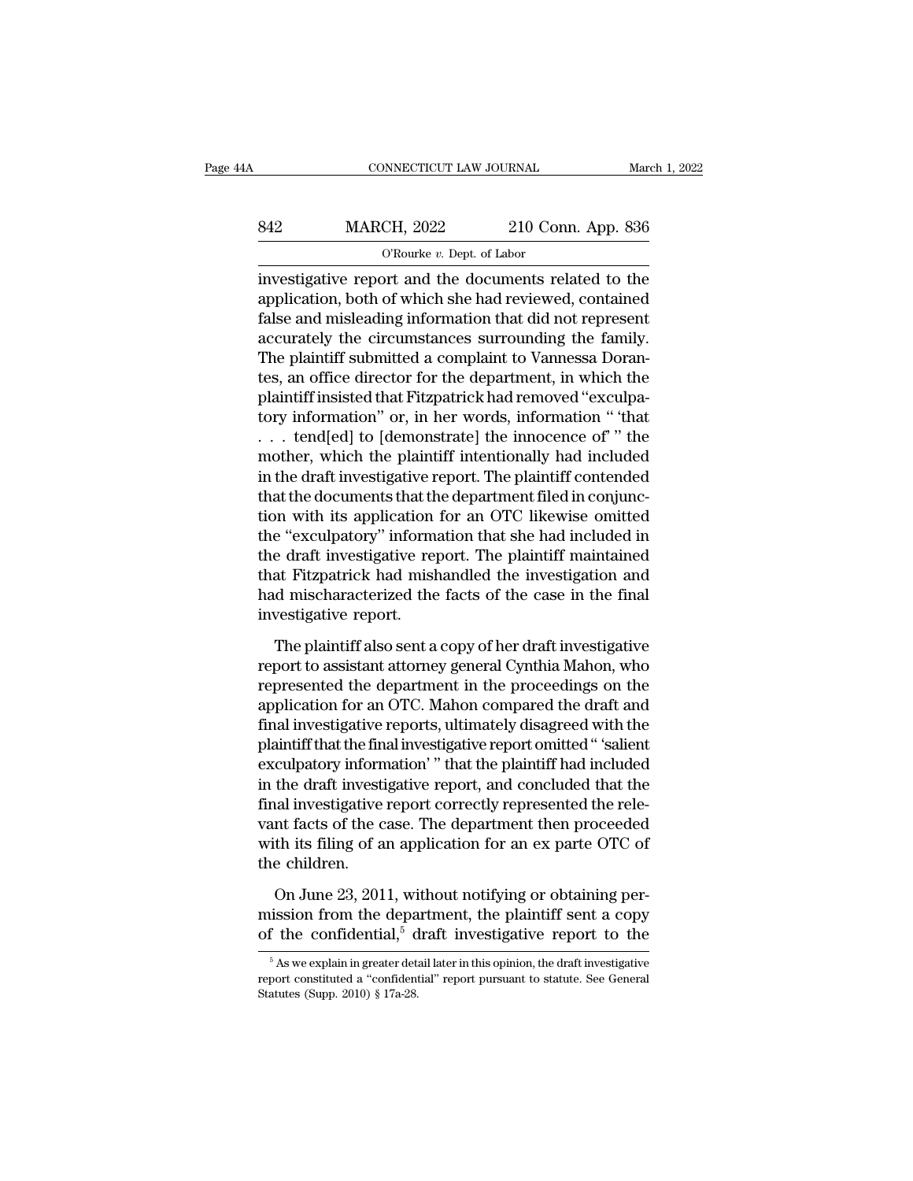# CONNECTICUT LAW JOURNAL March 1, 2022<br>842 MARCH, 2022 210 Conn. App. 836<br>C'Rourke v. Dept. of Labor NNECTICUT LAW JOURNAL<br>CH, 2022 210 Con<br><sup>O'Rourke *v*. Dept. of Labor<br>nrt. and the documents rel</sup>

CONNECTICUT LAW JOURNAL March 1, 2022<br> **EXECUTE AN ARCH, 2022** 210 Conn. App. 836<br>
The origin of Rourke v. Dept. of Labor<br>
investigative report and the documents related to the application, both of which she had reviewed, MARCH, 2022 210 Conn. App. 836<br>
O'Rourke v. Dept. of Labor<br>
investigative report and the documents related to the<br>
application, both of which she had reviewed, contained<br>
false and misleading information that did not repre  $\begin{array}{r} \text{MARCH, 2022} \ \text{O} & \text{210 Conn. App. 836} \ \hline \text{or} \ \text{investigative report and the documents related to the application, both of which she had reviewed, contained false and misleading information that did not represent accurately the circumstances surrounding the family.} \end{array}$  $\begin{tabular}{ll} \bf 842 & \tt {MARCH, 2022} & \tt 210 Conn. App. 836 \\ \hline \hline \end{tabular}$   $\begin{tabular}{ll} \hline \textbf{or} \\ \hline \end{tabular} \end{tabular} \textbf{investigative report and the documents related to the application, both of which she had reviewed, contained false and misleading information that did not represent accurately the circumstances surrounding the family. The plaintiff submitted a complaint to Vannesa Dorantes, an office director for the department in which the$  $O$ <sup>N</sup>Rourke *v*. Dept. of Labor<br>investigative report and the documents related to the<br>application, both of which she had reviewed, contained<br>false and misleading information that did not represent<br>accurately the circumst  $\sigma$  is being order to the dependent of the application, both of which she had reviewed, contained false and misleading information that did not represent accurately the circumstances surrounding the family. The plaintiff investigative report and the documents related to the application, both of which she had reviewed, contained false and misleading information that did not represent accurately the circumstances surrounding the family. The application, both of which she had reviewed, contained<br>false and misleading information that did not represent<br>accurately the circumstances surrounding the family.<br>The plaintiff submitted a complaint to Vannessa Doran-<br>tes false and misleading information that did not represent<br>accurately the circumstances surrounding the family.<br>The plaintiff submitted a complaint to Vannessa Doran-<br>tes, an office director for the department, in which the<br>p accurately the circumstances surrounding the family.<br>The plaintiff submitted a complaint to Vannessa Dorantes, an office director for the department, in which the<br>plaintiff insisted that Fitzpatrick had removed "exculpa-<br>t The plaintiff submitted a complaint to Vannessa Dorantes, an office director for the department, in which the plaintiff insisted that Fitzpatrick had removed "exculpatory information" or, in her words, information " 'that tes, an office director for the department, in which the plaintiff insisted that Fitzpatrick had removed "exculpatory information" or, in her words, information " 'that . . . tend[ed] to [demonstrate] the innocence of " th plaintiff insisted that Fitzpatrick had removed "exculpatory information" or, in her words, information "'that<br>
... tend[ed] to [demonstrate] the innocence of " the<br>
mother, which the plaintiff intentionally had included<br> tory information" or, in her words, information " "that<br>
... tend[ed] to [demonstrate] the innocence of " the<br>
mother, which the plaintiff intentionally had included<br>
in the draft investigative report. The plaintiff conten ... tend[ed] to [demonstrate] the innocence of" " the<br>mother, which the plaintiff intentionally had included<br>in the draft investigative report. The plaintiff contended<br>that the documents that the department filed in conju mother, which the plaintiff intentionally had included<br>in the draft investigative report. The plaintiff contended<br>that the documents that the department filed in conjunc-<br>tion with its application for an OTC likewise omitt in the draft investigative report. The plaintiff contended<br>that the documents that the department filed in conjunc-<br>tion with its application for an OTC likewise omitted<br>the "exculpatory" information that she had included that the documents that the<br>tion with its application<br>the "exculpatory" inform.<br>the draft investigative rep<br>that Fitzpatrick had mish<br>had mischaracterized the<br>investigative report.<br>The plaintiff also sent a e "exculpatory" information that she had included in<br>e draft investigative report. The plaintiff maintained<br>at Fitzpatrick had mishandled the investigation and<br>d mischaracterized the facts of the case in the final<br>vestigat the draft investigative report. The plaintiff maintained<br>that Fitzpatrick had mishandled the investigation and<br>had mischaracterized the facts of the case in the final<br>investigative report.<br>The plaintiff also sent a copy of

that Fitzpatrick had mishandled the investigation and<br>had mischaracterized the facts of the case in the final<br>investigative report.<br>The plaintiff also sent a copy of her draft investigative<br>report to assistant attorney gen had mischaracterized the facts of the case in the final<br>investigative report.<br>The plaintiff also sent a copy of her draft investigative<br>report to assistant attorney general Cynthia Mahon, who<br>represented the department in investigative report.<br>The plaintiff also sent a copy of her draft investigative<br>report to assistant attorney general Cynthia Mahon, who<br>represented the department in the proceedings on the<br>application for an OTC. Mahon com The plaintiff also sent a copy of her draft investigative<br>report to assistant attorney general Cynthia Mahon, who<br>represented the department in the proceedings on the<br>application for an OTC. Mahon compared the draft and<br>fi The plaintiff also sent a copy of her draft investigative<br>report to assistant attorney general Cynthia Mahon, who<br>represented the department in the proceedings on the<br>application for an OTC. Mahon compared the draft and<br>fi report to assistant attorney general Cynthia Mahon, who<br>represented the department in the proceedings on the<br>application for an OTC. Mahon compared the draft and<br>final investigative reports, ultimately disagreed with the<br>p represented the department in the proceedings on the application for an OTC. Mahon compared the draft and final investigative reports, ultimately disagreed with the plaintiff that the final investigative report omitted " ' application for an OTC. Mahon compared the draft and<br>final investigative reports, ultimately disagreed with the<br>plaintiff that the final investigative report omitted " 'salient<br>exculpatory information' " that the plaintiff final investigative reports, ultimately disagreed with the plaintiff that the final investigative report omitted " 'salient exculpatory information' " that the plaintiff had included in the draft investigative report, and plaintiff that the finexculpatory inform<br>in the draft investifinal investigative<br>vant facts of the c<br>with its filing of a<br>the children.<br>On June 23, 201 the draft investigative report, and concluded that the<br>aal investigative report correctly represented the rele-<br>ant facts of the case. The department then proceeded<br>th its filing of an application for an ex parte OTC of<br>e final investigative report correctly represented the relevant facts of the case. The department then proceeded<br>with its filing of an application for an ex parte OTC of<br>the children.<br>On June 23, 2011, without notifying or vant facts of the case. The department then proceeded<br>with its filing of an application for an ex parte OTC of<br>the children.<br>On June 23, 2011, without notifying or obtaining per-<br>mission from the department, the plaintiff

On June 23, 2011, without notifying or obtaining perission from the department, the plaintiff sent a copy f the confidential,<sup>5</sup> draft investigative report to the  $\frac{5}{10}$  As we explain in greater detail later in this o On June 23, 2011, without notifying or obtaining per-<br>mission from the department, the plaintiff sent a copy<br>of the confidential,<sup>5</sup> draft investigative report to the<br> $\frac{5}{10}$  As we explain in greater detail later in th

mission from the depart of the confidential,  $5\text{ d}$ <br> $\frac{5}{16}$  As we explain in greater detained a "confident Statutes (Supp. 2010) § 17a-28.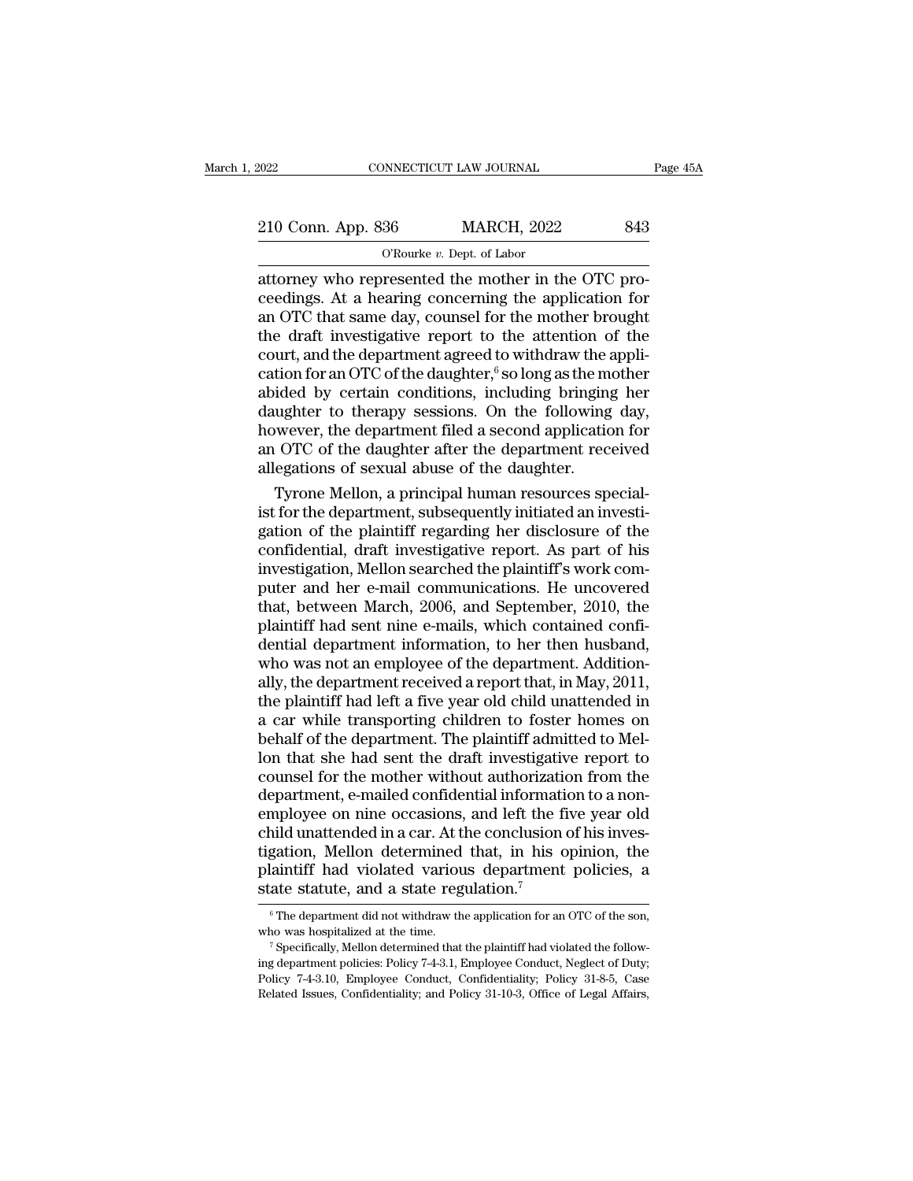| 2022               | CONNECTICUT LAW JOURNAL                             | Page 45A |
|--------------------|-----------------------------------------------------|----------|
|                    |                                                     |          |
| 210 Conn. App. 836 | <b>MARCH, 2022</b>                                  | 843      |
|                    | O'Rourke $v$ . Dept. of Labor                       |          |
|                    | attorney who represented the mother in the OTC pro- |          |

connectricut LAW JOURNAL<br>
210 Conn. App. 836 MARCH, 2022 843<br>
0'Rourke v. Dept. of Labor<br>
attorney who represented the mother in the OTC pro-<br>
ceedings. At a hearing concerning the application for<br>
an OTC that same day cou 210 Conn. App. 836 MARCH, 2022 843<br>
O'Rourke v. Dept. of Labor<br>
attorney who represented the mother in the OTC pro-<br>
ceedings. At a hearing concerning the application for<br>
an OTC that same day, counsel for the mother broug 210 Conn. App. 836 MARCH, 2022 843<br>
O'Rourke v. Dept. of Labor<br>
attorney who represented the mother in the OTC pro-<br>
ceedings. At a hearing concerning the application for<br>
an OTC that same day, counsel for the mother brou 210 Conn. App. 836 MARCH, 2022 843<br>
O'Rourke v. Dept. of Labor<br>
attorney who represented the mother in the OTC pro-<br>
ceedings. At a hearing concerning the application for<br>
an OTC that same day, counsel for the mother brou COURTER COURTED TREET COURTER THE OTC DEPTENDENT ORDER ALL DEPTENDENT ALL OF CONCREDING A BET A learning concerning the application for an OTC that same day, counsel for the mother brought the draft investigative report t <sup>O'Rourke v. Dept. of Labor<br>attorney who represented the mother in the OTC pro-<br>ceedings. At a hearing concerning the application for<br>an OTC that same day, counsel for the mother brought<br>the draft investigative report to </sup> attorney who represented the mother in the OTC proceedings. At a hearing concerning the application for<br>an OTC that same day, counsel for the mother brought<br>the draft investigative report to the attention of the<br>court, and ceedings. At a hearing concerning the application for<br>an OTC that same day, counsel for the mother brought<br>the draft investigative report to the attention of the<br>court, and the department agreed to withdraw the appli-<br>cati an OTC that same day, counsel for the mother brought<br>the draft investigative report to the attention of the<br>court, and the department agreed to withdraw the appli-<br>cation for an OTC of the daughter,  $\stackrel{6}{\ }$  so long as the draft investigative report to the attention of the<br>court, and the department agreed to withdraw the appli-<br>cation for an OTC of the daughter,<sup>6</sup> so long as the mother<br>abided by certain conditions, including bringing he court, and the department agreed to withdraw the accretion for an OTC of the daughter,<sup>6</sup> so long as the m abided by certain conditions, including bringing daughter to therapy sessions. On the following however, the depart tion for an OTC of the daughter,<sup>6</sup> so long as the mother<br>ided by certain conditions, including bringing her<br>ughter to therapy sessions. On the following day,<br>wever, the department filed a second application for<br>OTC of the abided by certain conditions, including bringing her<br>daughter to therapy sessions. On the following day,<br>however, the department filed a second application for<br>an OTC of the daughter after the department received<br>allegatio

daughter to therapy sessions. On the following day,<br>however, the department filed a second application for<br>an OTC of the daughter after the department received<br>allegations of sexual abuse of the daughter.<br>Tyrone Mellon, a however, the department filed a second application for<br>an OTC of the daughter after the department received<br>allegations of sexual abuse of the daughter.<br>Tyrone Mellon, a principal human resources special-<br>ist for the depar an OTC of the daughter after the department received<br>allegations of sexual abuse of the daughter.<br>Tyrone Mellon, a principal human resources special-<br>ist for the department, subsequently initiated an investi-<br>gation of the allegations of sexual abuse of the daughter.<br>Tyrone Mellon, a principal human resources special-<br>ist for the department, subsequently initiated an investi-<br>gation of the plaintiff regarding her disclosure of the<br>confidenti Tyrone Mellon, a principal human resources specialist for the department, subsequently initiated an investigation of the plaintiff regarding her disclosure of the confidential, draft investigative report. As part of his in ist for the department, subsequently initiated an investigation of the plaintiff regarding her disclosure of the confidential, draft investigative report. As part of his investigation, Mellon searched the plaintiff's work gation of the plaintiff regarding her disclosure of the<br>confidential, draft investigative report. As part of his<br>investigation, Mellon searched the plaintiff's work com-<br>puter and her e-mail communications. He uncovered<br>th confidential, draft investigative report. As part of his<br>investigation, Mellon searched the plaintiff's work com-<br>puter and her e-mail communications. He uncovered<br>that, between March, 2006, and September, 2010, the<br>plaint investigation, Mellon searched the plaintiff's work computer and her e-mail communications. He uncovered<br>that, between March, 2006, and September, 2010, the<br>plaintiff had sent nine e-mails, which contained confi-<br>dential d puter and her e-mail communications. He uncovered<br>that, between March, 2006, and September, 2010, the<br>plaintiff had sent nine e-mails, which contained confi-<br>dential department information, to her then husband,<br>who was not that, between March, 2006, and September, 2010, the plaintiff had sent nine e-mails, which contained confidential department information, to her then husband, who was not an employee of the department. Additionally, the de plaintiff had sent nine e-mails, which contained confidential department information, to her then husband, who was not an employee of the department. Additionally, the department received a report that, in May, 2011, the p dential department information, to her then husband,<br>who was not an employee of the department. Addition-<br>ally, the department received a report that, in May, 2011,<br>the plaintiff had left a five year old child unattended i who was not an employee of the department. Additionally, the department received a report that, in May, 2011, the plaintiff had left a five year old child unattended in a car while transporting children to foster homes on ally, the department received a report that, in May, 2011, the plaintiff had left a five year old child unattended in a car while transporting children to foster homes on behalf of the department. The plaintiff admitted to the plaintiff had left a five year old child unattended in<br>a car while transporting children to foster homes on<br>behalf of the department. The plaintiff admitted to Mel-<br>lon that she had sent the draft investigative report a car while transporting children to foster homes on<br>behalf of the department. The plaintiff admitted to Mel-<br>lon that she had sent the draft investigative report to<br>counsel for the mother without authorization from the<br>de behalf of the department. The plaintiff admitted to Mellon that she had sent the draft investigative report to counsel for the mother without authorization from the department, e-mailed confidential information to a non-<br>e lon that she had sent the draft investigative report to counsel for the mother without authorization from the department, e-mailed confidential information to a non-employee on nine occasions, and left the five year old ch counsel for the mother without authorization<br>department, e-mailed confidential information.<br>employee on nine occasions, and left the fichild unattended in a car. At the conclusion<br>tigation, Mellon determined that, in his mild unattended in a car. At the conclusion of his inves-<br>gation, Mellon determined that, in his opinion, the<br>laintiff had violated various department policies, a<br>ate statute, and a state regulation.<sup>7</sup><br> $\,^6$ The departme tigation, Mellon determined that, in his opinion, the plaintiff had violated various department policies, a state statute, and a state regulation.<sup>7</sup>  $\circ$ The department did not withdraw the application for an OTC of the s

plant in Trade Volated Various department policies, a<br>state statute, and a state regulation.<sup>7</sup><br><sup>6</sup> The department did not withdraw the application for an OTC of the son,<br>who was hospitalized at the time.<br><sup>7</sup> Specifically, State Statute, and a State regulation.<br>
<sup>6</sup> The department did not withdraw the application for an OTC of the son,<br>
<sup>7</sup> Specifically, Mellon determined that the plaintiff had violated the follow-<br>
<sup>7</sup> Specifically, Mellon <sup>6</sup> The department did not withdraw the application for an OTC of the son, who was hospitalized at the time.<br><sup>7</sup> Specifically, Mellon determined that the plaintiff had violated the following department policies: Policy 74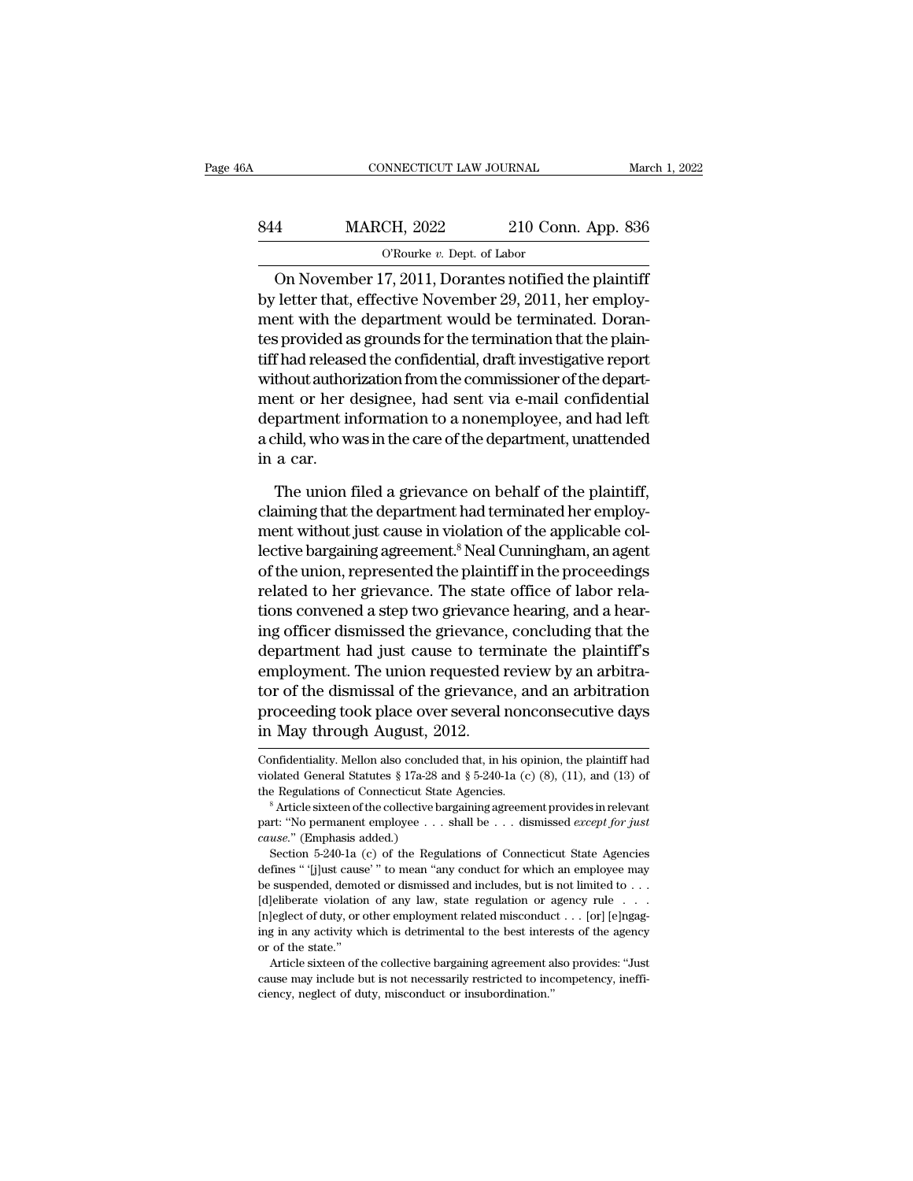| 6A  | CONNECTICUT LAW JOURNAL                               |                    | March 1, 2022 |
|-----|-------------------------------------------------------|--------------------|---------------|
| 844 | <b>MARCH, 2022</b>                                    | 210 Conn. App. 836 |               |
|     | O'Rourke $v$ . Dept. of Labor                         |                    |               |
|     | On November 17, 2011, Dorantes notified the plaintiff |                    |               |

CONNECTICUT LAW JOURNAL March 1, 202<br>
4<br>
MARCH, 2022 210 Conn. App. 836<br>
O'Rourke v. Dept. of Labor<br>
On November 17, 2011, Dorantes notified the plaintiff<br>
letter that, effective November 29, 2011, her employ-844 MARCH, 2022 210 Conn. App. 836<br>
O'Rourke v. Dept. of Labor<br>
On November 17, 2011, Dorantes notified the plaintiff<br>
by letter that, effective November 29, 2011, her employ-<br>
ment with the department would be terminated. MARCH, 2022 210 Conn. App. 836<br>  $\overline{O \text{Rourke } v. \text{ Dept. of Labor}}$ <br>
On November 17, 2011, Dorantes notified the plaintiff<br>
by letter that, effective November 29, 2011, her employ-<br>
ment with the department would be terminated. Dor MARCH,  $2022$  210 Conn. App. 836<br>
O'Rourke v. Dept. of Labor<br>
On November 17, 2011, Dorantes notified the plaintiff<br>
by letter that, effective November 29, 2011, her employ-<br>
ment with the department would be terminated. OROURE v. Dept. of Labor<br>
On November 17, 2011, Dorantes notified the plaintiff<br>
by letter that, effective November 29, 2011, her employ-<br>
ment with the department would be terminated. Doran-<br>
tes provided as grounds for O November 17, 2011, Dorantes notified the plaintiff<br>by letter that, effective November 29, 2011, her employ-<br>ment with the department would be terminated. Doran-<br>tes provided as grounds for the termination that the plain On November 17, 2011, Dorantes notified the plaintiff<br>by letter that, effective November 29, 2011, her employ-<br>ment with the department would be terminated. Doran-<br>tes provided as grounds for the termination that the plain by letter that, effective November 29, 2011, her employ-<br>ment with the department would be terminated. Doran-<br>tes provided as grounds for the termination that the plain-<br>tiff had released the confidential, draft investigat ment with the department would be terminated. Dorantes provided as grounds for the termination that the plaintiff had released the confidential, draft investigative report without authorization from the commissioner of the tes provided a<br>tiff had release<br>without author<br>ment or her d<br>department ir<br>a child, who w<br>in a car.<br>The union 1 thout authorization from the commissioner of the depart-<br>ent or her designee, had sent via e-mail confidential<br>partment information to a nonemployee, and had left<br>thild, who was in the care of the department, unattended<br>a ment or her designee, had sent via e-mail confidential<br>department information to a nonemployee, and had left<br>a child, who was in the care of the department, unattended<br>in a car.<br>The union filed a grievance on behalf of the

department information to a nonemployee, and had left<br>a child, who was in the care of the department, unattended<br>in a car.<br>The union filed a grievance on behalf of the plaintiff,<br>claiming that the department had terminated a child, who was in the care of the department, unattended<br>in a car.<br>The union filed a grievance on behalf of the plaintiff,<br>claiming that the department had terminated her employ-<br>ment without just cause in violation of t in a car.<br>The union filed a grievance on behalf of the plaintiff,<br>claiming that the department had terminated her employ-<br>ment without just cause in violation of the applicable col-<br>lective bargaining agreement.<sup>8</sup> Neal Cu The union filed a grievance on behalf of the plaintiff,<br>claiming that the department had terminated her employ-<br>ment without just cause in violation of the applicable col-<br>lective bargaining agreement.<sup>8</sup> Neal Cunningham, The union filed a grievance on behalf of the plaintiff,<br>claiming that the department had terminated her employ-<br>ment without just cause in violation of the applicable col-<br>lective bargaining agreement.<sup>8</sup> Neal Cunningham, claiming that the department had terminated her employ-<br>ment without just cause in violation of the applicable col-<br>lective bargaining agreement.<sup>8</sup> Neal Cunningham, an agent<br>of the union, represented the plaintiff in the ment without just cause in violation of the applicable collective bargaining agreement.<sup>8</sup> Neal Cunningham, an agent of the union, represented the plaintiff in the proceedings related to her grievance. The state office of lective bargaining agreement.<sup>8</sup> Neal Cunningham, an agent<br>of the union, represented the plaintiff in the proceedings<br>related to her grievance. The state office of labor rela-<br>tions convened a step two grievance hearing, a of the union, represented the plaintiff in the proceedings<br>related to her grievance. The state office of labor rela-<br>tions convened a step two grievance hearing, and a hear-<br>ing officer dismissed the grievance, concluding related to her grievance. The state office of labor relations convened a step two grievance hearing, and a hearing officer dismissed the grievance, concluding that the department had just cause to terminate the plaintiff's tions convened a step two grievance<br>ing officer dismissed the grievance,<br>department had just cause to term<br>employment. The union requested if<br>tor of the dismissal of the grievance<br>proceeding took place over several in<br>May employment. The union requested review by an arbitration<br>tor of the dismissal of the grievance, and an arbitration<br>proceeding took place over several nonconsecutive days<br>in May through August, 2012.<br>Confidentiality. Mello

proceeding took place over several nonconsecutive days<br>in May through August, 2012.<br>Confidentiality. Mellon also concluded that, in his opinion, the plaintiff had<br>violated General Statutes § 17a-28 and § 5-240-1a (c) (8), proceeding took place over several nonconsecutive days<br>in May through August, 2012.<br>Confidentiality. Mellon also concluded that, in his opinion, the plaintiff had<br>violated General Statutes § 17a-28 and § 5-240-1a (c) (8), part: ''Mondellign' August, 2012.<br>
Confidentiality. Mellon also concluded that, in his opinion, the plaintiff had<br>
violated General Statutes § 17a-28 and § 5-240-1a (c) (8), (11), and (13) of<br>
the Regulations of Connecticu

part: "No permanent employee . . . shall be . . . dismissed except for just cause." (Emphasis added.)<br>Section 5-240-1a (c) of the Regulations of Connecticut State Agencies

the Regulations of Connecticut State Agencies.<br>
<sup>8</sup> Article sixteen of the collective bargaining agreement provides in relevant<br>
part: "No permanent employee . . . shall be . . . dismissed *except for just*<br> *cause.*" (Em <sup>8</sup> Article sixteen of the collective bargaining agreement provides in relevant part: "No permanent employee . . . shall be . . . dismissed *except for just cause.*" (Emphasis added.) Section 5-240-1a (c) of the Regulatio part: "No permanent employee . . . shall be . . . dismissed *except for just* cause." (Emphasis added.)<br>Section 5-240-1a (c) of the Regulations of Connecticut State Agencies<br>defines " '[j]ust cause' " to mean "any conduct From the Fremhasis added.)<br>
Section 5-240-1a (c) of the Regulations of Connecticut State Agencies<br>
defines " [j]ust cause " to mean "any conduct for which an employee may<br>
be suspended, demoted or dismissed and includes, Section 5-240-1a (c) of the Regulations of Connecticut State Agencies<br>defines " [j]ust cause' " to mean "any conduct for which an employee may<br>be suspended, demoted or dismissed and includes, but is not limited to . . .<br>[ defines " '[j]ust cause<br>be suspended, demo<br>[d]eliberate violation<br>[n]eglect of duty, or of may activity w<br>or of the state."<br>Article sixteen of t Article sixteen of the collective bargaining agreement also provides: ''Just' and includes: but is not limited to  $\ldots$  leglect of duty, or other employment related misconduct  $\ldots$  [or] [e]ngaging in any activity which i [d]eliberate violation of any law, state regulation or agency rule . . . [n] [e]ngaging in any activity which is detrimental to the best interests of the agency or of the state." Article sixteen of the collective bargaini [n]eglect of duty, or other employment related misconduct . . . [or] [e]ngag-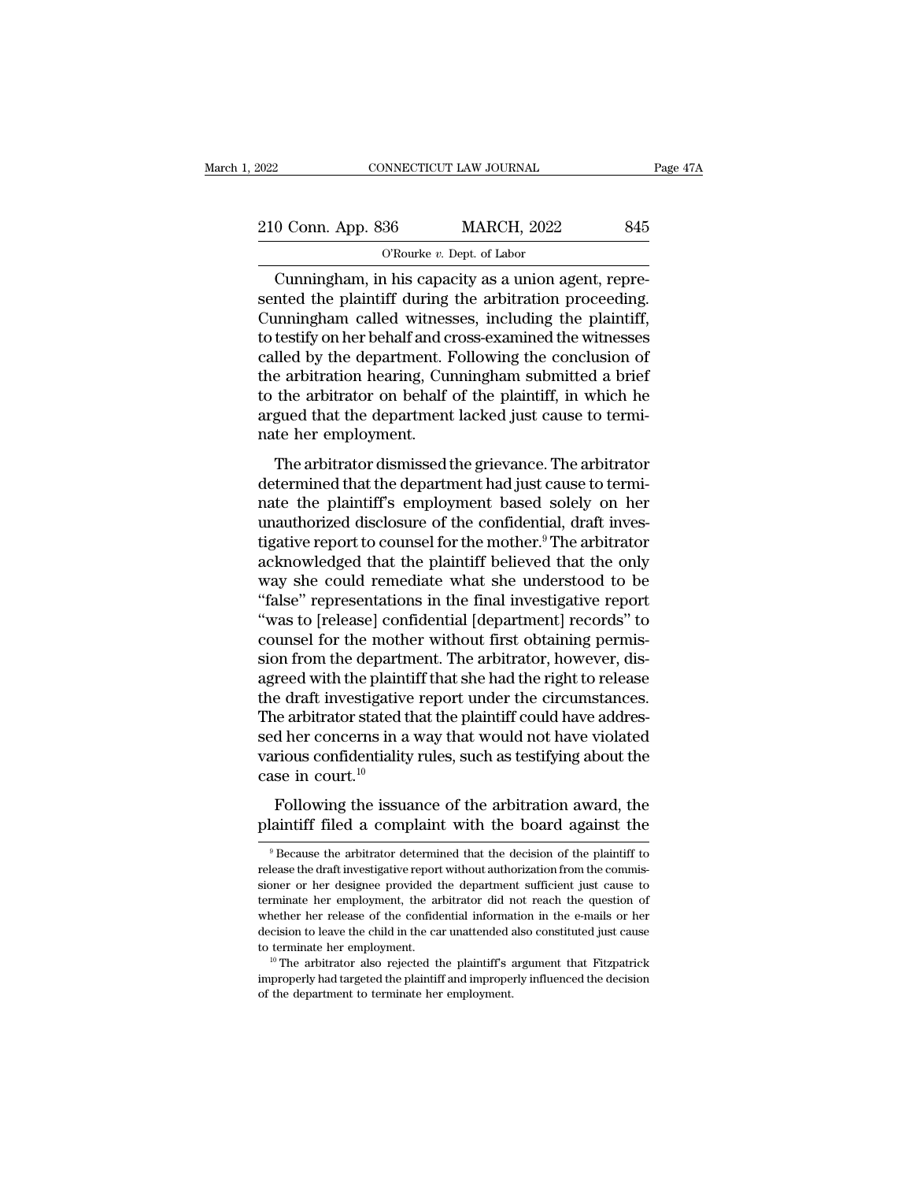| 2022               | CONNECTICUT LAW JOURNAL                            | Page 47A |
|--------------------|----------------------------------------------------|----------|
|                    |                                                    |          |
| 210 Conn. App. 836 | <b>MARCH, 2022</b>                                 | 845      |
|                    | O'Rourke $v$ . Dept. of Labor                      |          |
|                    | Cunningham in his canacity as a union agent repre- |          |

CONNECTICUT LAW JOURNAL<br>
O Conn. App. 836 MARCH, 2022 845<br>
O'Rourke v. Dept. of Labor<br>
Cunningham, in his capacity as a union agent, repre-<br>
nted the plaintiff during the arbitration proceeding.  $\frac{210 \text{ Conn. App. 836}}{\text{O'Rowke } v. \text{ Dept. of Labor}}$ <br>Cunningham, in his capacity as a union agent, represented the plaintiff during the arbitration proceeding.<br>Cunningham called witnesses, including the plaintiff, to testify on her beh  $\frac{210 \text{ Conn. App. 836}}{\text{O'Rowke } v. \text{ Dept. of Labor}}$ <br>Cunningham, in his capacity as a union agent, represented the plaintiff during the arbitration proceeding.<br>Cunningham called witnesses, including the plaintiff, to testify on her beh 210 Conn. App. 836 MARCH, 2022 845<br>
O'Rourke v. Dept. of Labor<br>
Cunningham, in his capacity as a union agent, represented the plaintiff during the arbitration proceeding.<br>
Cunningham called witnesses, including the plaint Cunningham, in his capacity as a union agent, represented the plaintiff during the arbitration proceeding.<br>Cunningham called witnesses, including the plaintiff, to testify on her behalf and cross-examined the witnesses ca Cunningham, in his capacity as a union agent, represented the plaintiff during the arbitration proceeding.<br>Cunningham called witnesses, including the plaintiff, to testify on her behalf and cross-examined the witnesses ca Cunningham, in his capacity as a union agent, represented the plaintiff during the arbitration proceeding.<br>Cunningham called witnesses, including the plaintiff, to testify on her behalf and cross-examined the witnesses<br>cal sented the plaintiff during the arbitration proceeding.<br>Cunningham called witnesses, including the plaintiff,<br>to testify on her behalf and cross-examined the witnesses<br>called by the department. Following the conclusion of<br> Cunningham called witnes<br>to testify on her behalf and c<br>called by the department. If<br>the arbitration hearing, Cu<br>to the arbitrator on behalf<br>argued that the department<br>nate her employment.<br>The arbitrator dismissed t Eastly of the behala and cross examined the whitesses<br>lled by the department. Following the conclusion of<br>e arbitrator on behalf of the plaintiff, in which he<br>gued that the department lacked just cause to termi-<br>te her emp determined by the department. Tolowing the conclusion of<br>the arbitration hearing, Cunningham submitted a brief<br>to the arbitrator on behalf of the plaintiff, in which he<br>argued that the department lacked just cause to termi

nate the arbitrator nearing, curring<br>that the department lacked just cause to termi-<br>nate her employment.<br>The arbitrator dismissed the grievance. The arbitrator<br>determined that the department had just cause to termi-<br>nate us are arbitrator on bentan of the planning, in which its<br>argued that the department lacked just cause to termi-<br>nate her employment.<br>The arbitrator dismissed the grievance. The arbitrator<br>determined that the department ha the arbitrator dismissed the grievance. The arbitrator<br>the arbitrator dismissed the grievance. The arbitrator<br>determined that the department had just cause to termi-<br>nate the plaintiff's employment based solely on her<br>unau The arbitrator dismissed the grievance. The arbitrator<br>determined that the department had just cause to termi-<br>nate the plaintiff's employment based solely on her<br>unauthorized disclosure of the confidential, draft inves-<br>t The arbitrator dismissed the grievance. The arbitrator<br>determined that the department had just cause to termi-<br>nate the plaintiff's employment based solely on her<br>unauthorized disclosure of the confidential, draft inves-<br>t determined that the department had just cause to termi-<br>nate the plaintiff's employment based solely on her<br>unauthorized disclosure of the confidential, draft inves-<br>tigative report to counsel for the mother.<sup>9</sup> The arbitr nate the plaintiff's employment based solely on her<br>unauthorized disclosure of the confidential, draft inves-<br>tigative report to counsel for the mother.<sup>9</sup> The arbitrator<br>acknowledged that the plaintiff believed that the o unauthorized disclosure of the confidential, draft inves-<br>tigative report to counsel for the mother.<sup>9</sup> The arbitrator<br>acknowledged that the plaintiff believed that the only<br>way she could remediate what she understood to b tigative report to counsel for the mother.<sup>9</sup> The arbitrator acknowledged that the plaintiff believed that the only way she could remediate what she understood to be "false" representations in the final investigative repor acknowledged that the plaintiff believed that the only<br>way she could remediate what she understood to be<br>"false" representations in the final investigative report<br>"was to [release] confidential [department] records" to<br>cou way she could remediate what she understood to be "false" representations in the final investigative report "was to [release] confidential [department] records" to counsel for the mother without first obtaining permission "false" representations in the final investigative report<br>"was to [release] confidential [department] records" to<br>counsel for the mother without first obtaining permis-<br>sion from the department. The arbitrator, however, di "was to [release] confidential [department] records" to<br>counsel for the mother without first obtaining permis-<br>sion from the department. The arbitrator, however, dis-<br>agreed with the plaintiff that she had the right to re counsel for the mother without first obtaining permis-<br>sion from the department. The arbitrator, however, dis-<br>agreed with the plaintiff that she had the right to release<br>the draft investigative report under the circumsta sion from the departn<br>agreed with the plaint<br>the draft investigative<br>The arbitrator stated t<br>sed her concerns in a<br>various confidentiality<br>case in court.<sup>10</sup><br>Following the issua Following the issuance of the arbitration award, the arbitrator stated that the plaintiff could have addresd her concerns in a way that would not have violated rious confidentiality rules, such as testifying about the se i The arbitrator stated that the plaintiff could have addressed her concerns in a way that would not have violated various confidentiality rules, such as testifying about the case in court.<sup>10</sup><br>Following the issuance of the

9 Because the arbitration award, the arbitration award, the laintiff filed a complaint with the board against the  $9^9$  Because the arbitrator determined that the decision of the plaintiff to lease the draft investigative

Following the issuance of the arbitration award, the plaintiff filed a complaint with the board against the  $\frac{9}{2}$  Because the arbitrator determined that the decision of the plaintiff to release the draft investigative Following the issuance of the arbitration award, the plaintiff filed a complaint with the board against the <br>
<sup>9</sup> Because the arbitrator determined that the decision of the plaintiff to release the draft investigative repo plaintiff filed a complaint with the board against the<br>
<sup>9</sup> Because the arbitrator determined that the decision of the plaintiff to<br>
release the draft investigative report without authorization from the commis-<br>
sioner or  $\degree$  Because the arbitrator determined that the decision of the plaintiff to release the draft investigative report without authorization from the commissioner or her designee provided the department sufficient just cause <sup>9</sup> Because the arbitrator determined that the decision of the plaintiff to release the draft investigative report without authorization from the commissioner or her designee provided the department sufficient just cause release the draft investigative report without authorization from the commissioner or her designee provided the department sufficient just cause to terminate her employment, the arbitrator did not reach the question of whe Exercise the remployment, the arbitrator did not reach the question of whether her employment, the arbitrator did not reach the question of whether her release of the confidential information in the e-mails or her decisio whether her release of the confidential information in the e-mails or her decision to leave the child in the car unattended also constituted just cause to terminate her employment.<br><sup>10</sup> The arbitrator also rejected the pl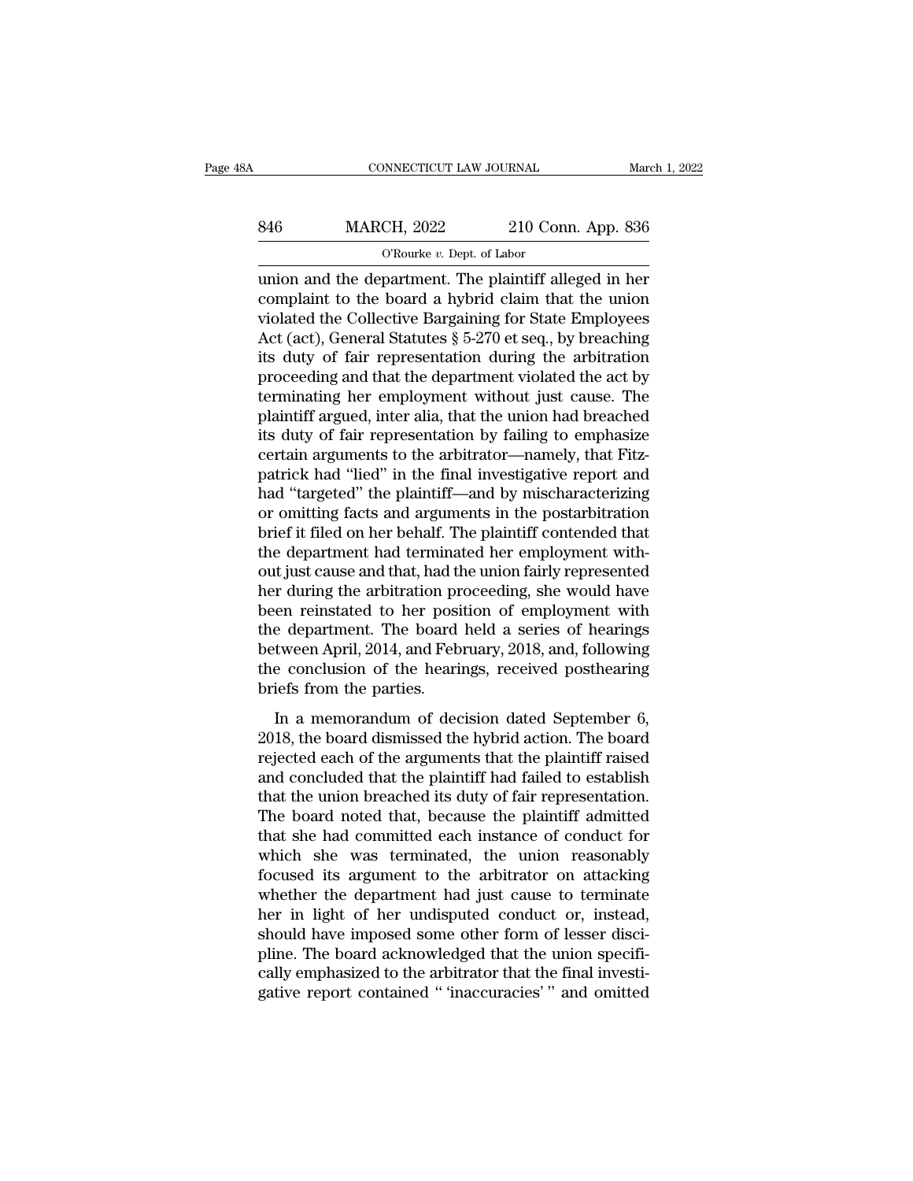# CONNECTICUT LAW JOURNAL March 1, 2022<br>846 MARCH, 2022 210 Conn. App. 836<br>C'Rourke v. Dept. of Labor NNECTICUT LAW JOURNAL<br>CH, 2022 210 Con<br><sup>O'Rourke v.</sup> Dept. of Labor<br>partment. The plaintiff all

CONNECTICUT LAW JOURNAL March 1, 2022<br>
MARCH, 2022 210 Conn. App. 836<br>
O'Rourke v. Dept. of Labor<br>
Union and the department. The plaintiff alleged in her<br>
complaint to the board a hybrid claim that the union<br>
Michael the C MARCH, 2022 210 Conn. App. 836<br>
C'Rourke v. Dept. of Labor<br>
union and the department. The plaintiff alleged in her<br>
complaint to the board a hybrid claim that the union<br>
violated the Collective Bargaining for State Employ 846 MARCH, 2022 210 Conn. App. 836<br>
O'Rourke v. Dept. of Labor<br>
union and the department. The plaintiff alleged in her<br>
complaint to the board a hybrid claim that the union<br>
violated the Collective Bargaining for State Em MARCH, 2022 210 Conn. App. 836<br>
O'Rourke v. Dept. of Labor<br>
union and the department. The plaintiff alleged in her<br>
complaint to the board a hybrid claim that the union<br>
violated the Collective Bargaining for State Employ Figure 2.1 The Collective Baranteent Collective Bulletin and the department. The plaintiff alleged in her complaint to the board a hybrid claim that the union violated the Collective Bargaining for State Employees Act (ac  $\sigma$  consider the department. The plaintiff alleged in her complaint to the board a hybrid claim that the union violated the Collective Bargaining for State Employees Act (act), General Statutes  $\S~5$ -270 et seq., by brea union and the department. The plaintiff alleged in her complaint to the board a hybrid claim that the union violated the Collective Bargaining for State Employees Act (act), General Statutes § 5-270 et seq., by breaching i complaint to the board a hybrid claim that the union<br>violated the Collective Bargaining for State Employees<br>Act (act), General Statutes § 5-270 et seq., by breaching<br>its duty of fair representation during the arbitration<br>p violated the Collective Bargaining for State Employees<br>Act (act), General Statutes § 5-270 et seq., by breaching<br>its duty of fair representation during the arbitration<br>proceeding and that the department violated the act by Act (act), General Statutes  $\S$  5-270 et seq., by breaching<br>its duty of fair representation during the arbitration<br>proceeding and that the department violated the act by<br>terminating her employment without just cause. The<br> its duty of fair representation during the arbitration<br>proceeding and that the department violated the act by<br>terminating her employment without just cause. The<br>plaintiff argued, inter alia, that the union had breached<br>its proceeding and that the department violated the act by<br>terminating her employment without just cause. The<br>plaintiff argued, inter alia, that the union had breached<br>its duty of fair representation by failing to emphasize<br>ce terminating her employment without just cause. The<br>plaintiff argued, inter alia, that the union had breached<br>its duty of fair representation by failing to emphasize<br>certain arguments to the arbitrator—namely, that Fitz-<br>pa plaintiff argued, inter alia, that the union had breached<br>its duty of fair representation by failing to emphasize<br>certain arguments to the arbitrator—namely, that Fitz-<br>patrick had "lied" in the final investigative report its duty of fair representation by failing to emphasize<br>certain arguments to the arbitrator—namely, that Fitz-<br>patrick had "lied" in the final investigative report and<br>had "targeted" the plaintiff—and by mischaracterizing<br> certain arguments to the arbitrator—namely, that Fitz-<br>patrick had "lied" in the final investigative report and<br>had "targeted" the plaintiff—and by mischaracterizing<br>or omitting facts and arguments in the postarbitration<br>b patrick had "lied" in the final investigative report and<br>had "targeted" the plaintiff—and by mischaracterizing<br>or omitting facts and arguments in the postarbitration<br>brief it filed on her behalf. The plaintiff contended th had "targeted" the plaintiff—and by mischaracterizing<br>or omitting facts and arguments in the postarbitration<br>brief it filed on her behalf. The plaintiff contended that<br>the department had terminated her employment with-<br>out or omitting facts and arguments in the postarbitration<br>brief it filed on her behalf. The plaintiff contended that<br>the department had terminated her employment with-<br>out just cause and that, had the union fairly represented brief it filed on her behalf. The plaintiff contended that<br>the department had terminated her employment with-<br>out just cause and that, had the union fairly represented<br>her during the arbitration proceeding, she would have<br> the department had terminated her employment with-<br>out just cause and that, had the union fairly represented<br>her during the arbitration proceeding, she would have<br>been reinstated to her position of employment with<br>the depa out just cause and that, had the<br>her during the arbitration pr<br>been reinstated to her posi<br>the department. The board<br>between April, 2014, and Feb<br>the conclusion of the heari<br>briefs from the parties.<br>In a memorandum of dec In a memorandum of decision dated September 6,<br>In a memorandum of the hearings tween April, 2014, and February, 2018, and, following<br>tween April, 2014, and February, 2018, and, following<br>e conclusion of the hearings, recei been femsuated to her position of employment what<br>the department. The board held a series of hearings<br>between April, 2014, and February, 2018, and, following<br>the conclusion of the hearings, received posthearing<br>briefs from

reference approaches. The board field a series of hearings<br>between April, 2014, and February, 2018, and, following<br>the conclusion of the hearings, received posthearing<br>briefs from the parties.<br>In a memorandum of decision d between Fight, 2011, and February, 2010, and, following<br>the conclusion of the hearings, received posthearing<br>briefs from the parties.<br>In a memorandum of decision dated September 6,<br>2018, the board dismissed the hybrid acti that the union of the mannifer, it is due to posite and the parties.<br>In a memorandum of decision dated September 6,<br>2018, the board dismissed the hybrid action. The board<br>rejected each of the arguments that the plaintiff r In a memorandum of decision dated September 6,<br>2018, the board dismissed the hybrid action. The board<br>rejected each of the arguments that the plaintiff raised<br>and concluded that the plaintiff had failed to establish<br>that t In a memorandum of decision dated September 6,<br>2018, the board dismissed the hybrid action. The board<br>rejected each of the arguments that the plaintiff raised<br>and concluded that the plaintiff had failed to establish<br>that t 2018, the board dismissed the hybrid action. The board<br>rejected each of the arguments that the plaintiff raised<br>and concluded that the plaintiff had failed to establish<br>that the union breached its duty of fair representati rejected each of the arguments that the plaintiff raised<br>and concluded that the plaintiff had failed to establish<br>that the union breached its duty of fair representation.<br>The board noted that, because the plaintiff admitte and concluded that the plaintiff had failed to establish<br>that the union breached its duty of fair representation.<br>The board noted that, because the plaintiff admitted<br>that she had committed each instance of conduct for<br>whi that the union breached its duty of fair representation.<br>The board noted that, because the plaintiff admitted<br>that she had committed each instance of conduct for<br>which she was terminated, the union reasonably<br>focused its a The board noted that, because the plaintiff admitted<br>that she had committed each instance of conduct for<br>which she was terminated, the union reasonably<br>focused its argument to the arbitrator on attacking<br>whether the depart that she had committed each instance of conduct for<br>which she was terminated, the union reasonably<br>focused its argument to the arbitrator on attacking<br>whether the department had just cause to terminate<br>her in light of her which she was terminated, the union reasonably<br>focused its argument to the arbitrator on attacking<br>whether the department had just cause to terminate<br>her in light of her undisputed conduct or, instead,<br>should have imposed focused its argument to the arbitrator on attacking<br>whether the department had just cause to terminate<br>her in light of her undisputed conduct or, instead,<br>should have imposed some other form of lesser disci-<br>pline. The boa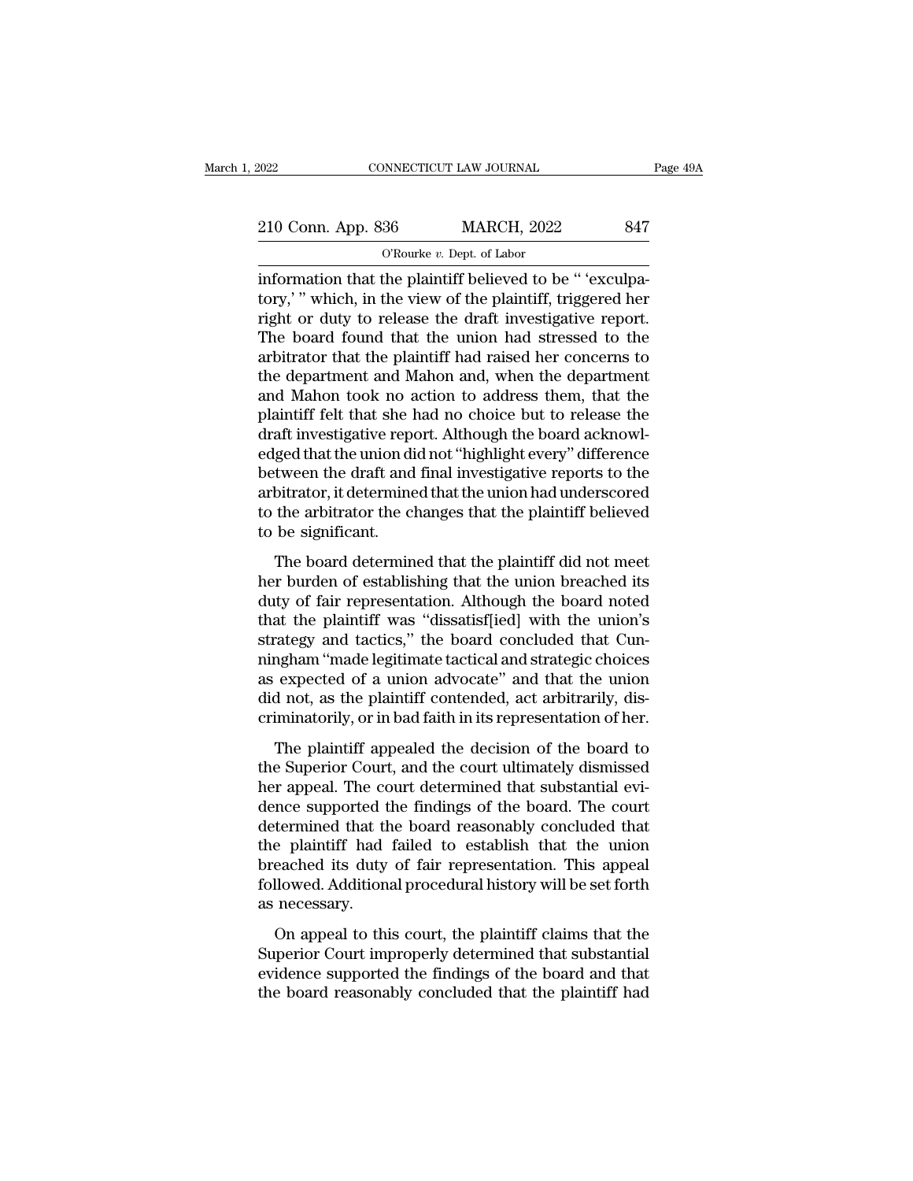| 2022               | CONNECTICUT LAW JOURNAL                                   | Page 49A |
|--------------------|-----------------------------------------------------------|----------|
|                    |                                                           |          |
| 210 Conn. App. 836 | <b>MARCH, 2022</b>                                        | 847      |
|                    | O'Rourke $v$ . Dept. of Labor                             |          |
|                    | information that the plaintiff believed to be " 'exculpa- |          |

EXECTE AN SOURNAL<br>
210 Conn. App. 836 MARCH, 2022 847<br>
CRourke v. Dept. of Labor<br>
information that the plaintiff believed to be " 'exculpa-<br>
tory,' " which, in the view of the plaintiff, triggered her<br>
right or duty to rel 210 Conn. App. 836 MARCH, 2022 847<br>
O'Rourke v. Dept. of Labor<br>
information that the plaintiff believed to be " 'exculpa-<br>
tory,' " which, in the view of the plaintiff, triggered her<br>
right or duty to release the draft inv 210 Conn. App. 836 MARCH, 2022 847<br>
O'Rourke v. Dept. of Labor<br>
information that the plaintiff believed to be "'exculpa-<br>
tory,' " which, in the view of the plaintiff, triggered her<br>
right or duty to release the draft inv 210 Conn. App. 836 MARCH, 2022 847<br>  $\overline{O}$  Connected to Dept. of Labor<br>
information that the plaintiff believed to be " 'exculpa-<br>
tory,' " which, in the view of the plaintiff, triggered her<br>
right or duty to release th  $\frac{1}{2}$  obstaint  $\frac{1}{2}$  or  $\frac{1}{2}$  or  $\frac{1}{2}$  or  $\frac{1}{2}$  or  $\frac{1}{2}$  or  $\frac{1}{2}$  or  $\frac{1}{2}$  or  $\frac{1}{2}$  or  $\frac{1}{2}$  or  $\frac{1}{2}$  or  $\frac{1}{2}$  or  $\frac{1}{2}$  or  $\frac{1}{2}$  or  $\frac{1}{2}$  or  $\frac{1}{2}$  or  $\frac{1}{2$ The department and the plaintiff believed to be " 'exculpatory,' " which, in the view of the plaintiff, triggered her right or duty to release the draft investigative report.<br>The board found that the union had stressed to information that the plaintiff believed to be "'exculpatory,'" which, in the view of the plaintiff, triggered her right or duty to release the draft investigative report.<br>The board found that the union had stressed to the tory,'" which, in the view of the plaintiff, triggered her<br>right or duty to release the draft investigative report.<br>The board found that the union had stressed to the<br>arbitrator that the plaintiff had raised her concerns t right or duty to release the draft investigative report.<br>The board found that the union had stressed to the<br>arbitrator that the plaintiff had raised her concerns to<br>the department and Mahon and, when the department<br>and Mah The board found that the union had stressed to the<br>arbitrator that the plaintiff had raised her concerns to<br>the department and Mahon and, when the department<br>and Mahon took no action to address them, that the<br>plaintiff fel arbitrator that the plaintiff had raised her concerns to<br>the department and Mahon and, when the department<br>and Mahon took no action to address them, that the<br>plaintiff felt that she had no choice but to release the<br>draft i the department and Mahon and, when the department<br>and Mahon took no action to address them, that the<br>plaintiff felt that she had no choice but to release the<br>draft investigative report. Although the board acknowl-<br>edged th and Mahon took no action to address them, that the plaintiff felt that she had no choice but to release the draft investigative report. Although the board acknowledged that the union did not "highlight every" difference be plaintiff felt that she l<br>draft investigative repe<br>edged that the union di<br>between the draft and<br>arbitrator, it determine<br>to the arbitrator the cl<br>to be significant.<br>The board determin The board determined that the plaintiff did not meet<br>tween the draft and final investigative reports to the<br>bitrator, it determined that the union had underscored<br>the arbitrator the changes that the plaintiff believed<br>be s between the draft and final investigative reports to the<br>arbitrator, it determined that the union had underscored<br>to the arbitrator the changes that the plaintiff believed<br>to be significant.<br>The board determined that the p

between the that and that investigative reports to the<br>arbitrator, it determined that the union had underscored<br>to be significant.<br>The board determined that the plaintiff did not meet<br>her burden of establishing that the un that the arbitrator, it determined that the union had diactrises<br>of to the arbitrator the changes that the plaintiff believed<br>to be significant.<br>The board determined that the plaintiff did not meet<br>her burden of establishi to be significant.<br>The board determined that the plaintiff did not meet<br>her burden of establishing that the union breached its<br>duty of fair representation. Although the board noted<br>that the plaintiff was "dissatisf[ied] wi The board determined that the plaintiff did not meet<br>her burden of establishing that the union breached its<br>duty of fair representation. Although the board noted<br>that the plaintiff was "dissatisf[ied] with the union's<br>stra The board determined that the plaintiff did not meet<br>her burden of establishing that the union breached its<br>duty of fair representation. Although the board noted<br>that the plaintiff was "dissatisf[ied] with the union's<br>stra her burden of establishing that the union breached its<br>duty of fair representation. Although the board noted<br>that the plaintiff was "dissatisf[ied] with the union's<br>strategy and tactics," the board concluded that Cun-<br>ning duty of fair representation. Although the board noted<br>that the plaintiff was "dissatisf[ied] with the union's<br>strategy and tactics," the board concluded that Cun-<br>ningham "made legitimate tactical and strategic choices<br>as The plaintiff appealed the decision of the board concluded that Cun-<br>ngham "made legitimate tactical and strategic choices<br>expected of a union advocate" and that the union<br>d not, as the plaintiff contended, act arbitrarily baraces, and decres, are board concluded and strategic minigham "made legitimate tactical and strategic choices<br>as expected of a union advocate" and that the union<br>did not, as the plaintiff contended, act arbitrarily, dis-

here are a sexpected of a union advocate" and substantial evidences<br>as expected of a union advocate" and that the union<br>did not, as the plaintiff contended, act arbitrarily, dis-<br>criminatorily, or in bad faith in its repre did not, as the plaintiff contended, act arbitrarily, discriminatorily, or in bad faith in its representation of her.<br>The plaintiff appealed the decision of the board to<br>the Superior Court, and the court ultimately dismiss dual ros, as are plantial estimated, are distributed, and contributed the controllation of her.<br>The plaintiff appealed the decision of the board to<br>the Superior Court, and the court ultimately dismissed<br>her appeal. The cou The plaintiff appealed the decision of the board to<br>the Superior Court, and the court ultimately dismissed<br>her appeal. The court determined that substantial evi-<br>dence supported the findings of the board. The court<br>determi The plaintiff appealed the decision of the board to<br>the Superior Court, and the court ultimately dismissed<br>her appeal. The court determined that substantial evi-<br>dence supported the findings of the board. The court<br>determi the Superior Court, and the court ultimately dismissed<br>her appeal. The court determined that substantial evi-<br>dence supported the findings of the board. The court<br>determined that the board reasonably concluded that<br>the pla her appeal. The comported that the plaintiff had breached its duty<br>followed. Addition<br>as necessary.<br>On appeal to thi The supposed are mangle of all board. The court<br>termined that the board reasonably concluded that<br>e plaintiff had failed to establish that the union<br>eached its duty of fair representation. This appeal<br>llowed. Additional pr determined that the board reasonably concluded that<br>the plaintiff had failed to establish that the union<br>breached its duty of fair representation. This appeal<br>followed. Additional procedural history will be set forth<br>as ne

evidence frame and the finding between the finding between the supported its duty of fair representation. This appeal followed. Additional procedural history will be set forth as necessary.<br>On appeal to this court, the pla the board reasonably concluded that the plaintiff had the board reasonably concluded that the plaintiff had the board reasonably concluded that the plaintiff had the board reasonably concluded that the plaintiff had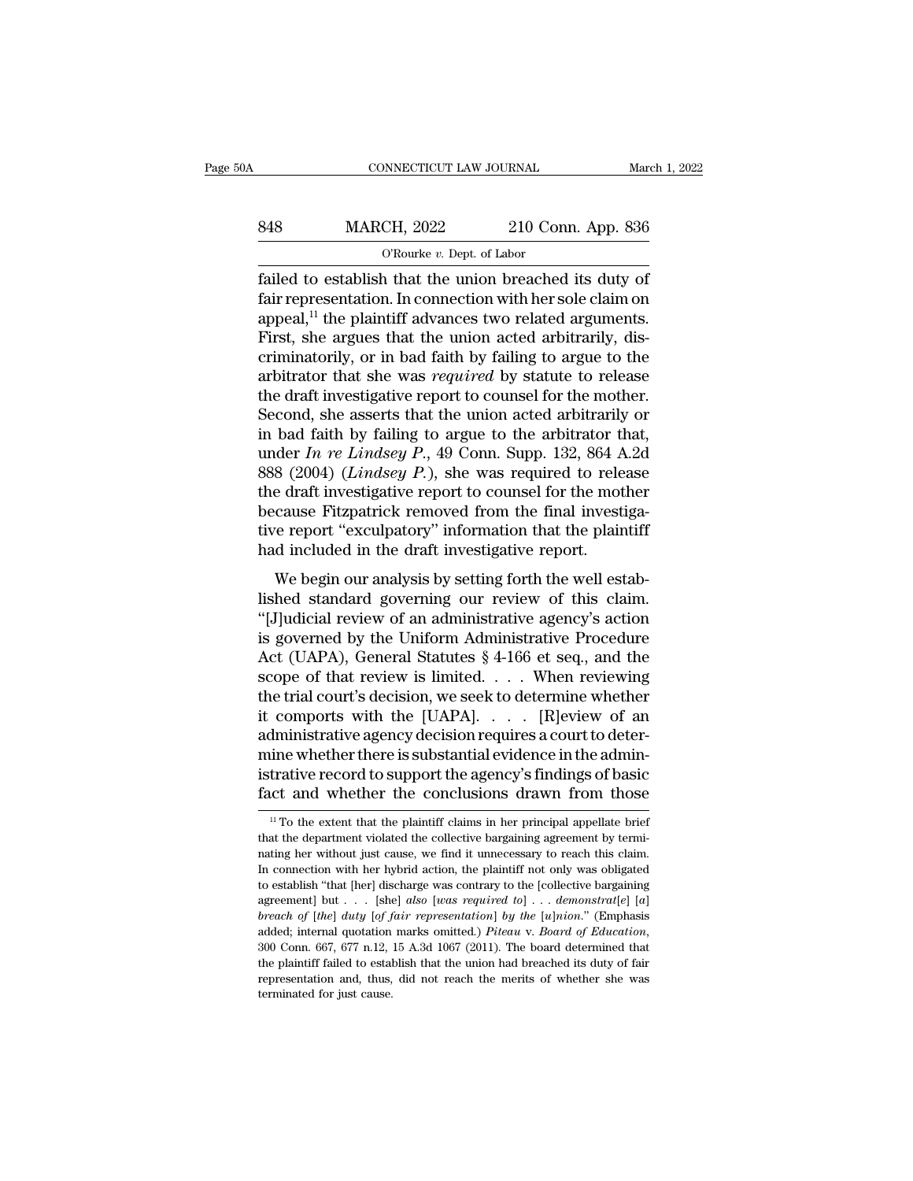| 0A  | CONNECTICUT LAW JOURNAL                                 |                    | March 1, 2022 |
|-----|---------------------------------------------------------|--------------------|---------------|
| 848 | <b>MARCH, 2022</b>                                      | 210 Conn. App. 836 |               |
|     | O'Rourke $v$ . Dept. of Labor                           |                    |               |
|     | failed to establish that the union breached its duty of |                    |               |

Failed to establish that the union breached its duty of<br>
the plaintiff advances two related arguments<br>
the union breached its duty of<br>
failed to establish that the union breached its duty of<br>
fair representation. In connec Fair representation. In connection with her sole claim on<br>appeal,<sup>11</sup> the plaintiff advances two related arguments.<br>First, she entitled with her sole claim on<br>First, she entitled with the union acted arbitrarily distingui  $\begin{tabular}{ll} \multicolumn{1}{l}{{\bf{0.836}}} & {\bf{MARCH, 2022}} & {\bf{210 Conn. App. 836}} \\ \hline \hline \multicolumn{1}{l}{\text{0.836}} & {\bf{0.836}} \\ \hline \multicolumn{1}{l}{\text{436}} & {\bf{0.836}} \\ \hline \multicolumn{1}{l}{\text{436}} & {\bf{0.836}} \\ \hline \multicolumn{1}{l}{\text{436}} & {\bf{0.836}} \\ \hline \multicolumn{1}{l}{\text{436}} & {\bf{0.836}} \\ \hline \multicolumn{$ First, MARCH, 2022 210 Conn. App. 836<br>
Tailed to establish that the union breached its duty of<br>
fair representation. In connection with her sole claim on<br>
appeal,<sup>11</sup> the plaintiff advances two related arguments.<br>
First, CROWER 2. Dept. of Labor<br>
failed to establish that the union breached its duty of<br>
fair representation. In connection with her sole claim on<br>
appeal,<sup>11</sup> the plaintiff advances two related arguments.<br>
First, she argues th O'Rourke *v*. Dept. of Labor<br>
failed to establish that the union breached its duty of<br>
fair representation. In connection with her sole claim on<br>
appeal,<sup>11</sup> the plaintiff advances two related arguments.<br>
First, she argue failed to establish that the union breached its duty of<br>fair representation. In connection with her sole claim on<br>appeal,<sup>11</sup> the plaintiff advances two related arguments.<br>First, she argues that the union acted arbitrarily fair representation. In connection with her sole claim on<br>appeal,<sup>11</sup> the plaintiff advances two related arguments.<br>First, she argues that the union acted arbitrarily, dis-<br>criminatorily, or in bad faith by failing to arg appeal,<sup>11</sup> the plaintiff advances two related arguments.<br>First, she argues that the union acted arbitrarily, discriminatorily, or in bad faith by failing to argue to the arbitrator that she was *required* by statute to r First, she argues that the union acted arbitrarily, discriminatorily, or in bad faith by failing to argue to the arbitrator that she was *required* by statute to release the draft investigative report to counsel for the mo criminatorily, or in bad faith by failing to argue to the<br>arbitrator that she was *required* by statute to release<br>the draft investigative report to counsel for the mother.<br>Second, she asserts that the union acted arbitrar arbitrator that she was *required* by statute to release<br>the draft investigative report to counsel for the mother.<br>Second, she asserts that the union acted arbitrarily or<br>in bad faith by failing to argue to the arbitrator the draft investigative report to counsel for the mother.<br>Second, she asserts that the union acted arbitrarily or<br>in bad faith by failing to argue to the arbitrator that,<br>under  $In$   $re$  Lindsey  $P$ ., 49 Conn. Supp. 132, 86 Second, she asserts that the union acted arbitrarily or<br>in bad faith by failing to argue to the arbitrator that,<br>under  $In$   $re$   $Lindsey$   $P$ ,  $49$  Conn. Supp. 132, 864 A.2d<br>888 (2004) ( $Lindsey$   $P$ .), she was required to release in bad faith by failing to argue to the arbitrator tunder *In re Lindsey P.*, 49 Conn. Supp. 132, 864 *A* 888 (2004) (*Lindsey P.*), she was required to rele the draft investigative report to counsel for the mot because F  $W$  behavior  $H$ , 45 Colli. Supp. 152, 664 A.2d  $(2004)$  (*Lindsey P.*), she was required to release e draft investigative report to counsel for the mother cause Fitzpatrick removed from the final investigate report "excu  $\frac{1}{2004}$  (*Linuseg* 1.), site was required to release<br>the draft investigative report to counsel for the mother<br>because Fitzpatrick removed from the final investiga-<br>tive report "exculpatory" information that the plain

the dark hivestigative report to counser for the model<br>
because Fitzpatrick removed from the final investiga-<br>
tive report "exculpatory" information that the plaintiff<br>
had included in the draft investigative report.<br>
We b because Theparick removed nomine manimizesigative report "exculpatory" information that the plaintiff<br>had included in the draft investigative report.<br>We begin our analysis by setting forth the well estab-<br>lished standard From the draft investigative report.<br>
We begin our analysis by setting forth the well established standard governing our review of this claim.<br>
"[J]udicial review of an administrative agency's action<br>
is governed by the Un We begin our analysis by setting forth the well established standard governing our review of this claim.<br>
"[J]udicial review of an administrative agency's action<br>
is governed by the Uniform Administrative Procedure<br>
Act ( We begin our analysis by setting forth the well established standard governing our review of this claim.<br>"[J]udicial review of an administrative agency's action<br>is governed by the Uniform Administrative Procedure<br>Act (UAP lished standard governing our review of this claim.<br>
"[J]udicial review of an administrative agency's action<br>
is governed by the Uniform Administrative Procedure<br>
Act (UAPA), General Statutes § 4-166 et seq., and the<br>
scop "[J]udicial review of an administrative agency's action<br>is governed by the Uniform Administrative Procedure<br>Act (UAPA), General Statutes  $\S 4{\text -}166$  et seq., and the<br>scope of that review is limited. . . . When reviewing<br> is governed by the Uniform Administrative Procedure<br>Act (UAPA), General Statutes  $\S$  4-166 et seq., and the<br>scope of that review is limited. . . . When reviewing<br>the trial court's decision, we seek to determine whether<br>it Act (UAPA), General Statutes  $\S$  4-166 et seq., and the scope of that review is limited. . . . When reviewing the trial court's decision, we seek to determine whether it comports with the [UAPA]. . . . . [R]eview of an ad scope of that review is limited. . . . When reviewing<br>the trial court's decision, we seek to determine whether<br>it comports with the [UAPA]. . . . [R]eview of an<br>administrative agency decision requires a court to deter-<br>mi administrative agency decision requires a court to determine whether there is substantial evidence in the administrative record to support the agency's findings of basic fact and whether the conclusions drawn from those mine whether there is substantial evidence in the administrative record to support the agency's findings of basic<br>fact and whether the conclusions drawn from those<br> $\frac{11}{10}$  To the extent that the plaintiff claims in her

istrative record to support the agency's findings of basic fact and whether the conclusions drawn from those  $\frac{11}{10}$  the extent that the plaintiff claims in her principal appellate brief that the department violated t In the extent that the plaintiff claims in her principal appellate brief<br>In To the extent that the plaintiff claims in her principal appellate brief<br>that the department violated the collective bargaining agreement by termi The extent that the plaintiff claims in her principal appellate brief<br><sup>11</sup> To the extent that the plaintiff claims in her principal appellate brief<br>that the department violated the collective bargaining agreement by termi <sup>11</sup> To the extent that the plaintiff claims in her principal appellate brief that the department violated the collective bargaining agreement by terminating her without just cause, we find it unnecessary to reach this cl *b* that the department violated the collective bargaining agreement by terminating her without just cause, we find it unnecessary to reach this claim. In connection with her hybrid action, the plaintiff not only was obli and marks omitted.) *Piteau* is the land marking ber without just cause, we find it unnecessary to reach this claim.<br>In connection with her hybrid action, the plaintiff not only was obligated to establish "that [her] di In connection with her hybrid action, the plaintiff not only was obligated to establish "that [her] discharge was contrary to the [collective bargaining agreement] but . . . [she] *also* [*was required to*] . . . *demonst* agreement] but . . . [she] also [was required to] . . . demonstrat[e] [a] breach of  $[the]$  duty  $[of fair representation]$  by the  $[u]nion."$  (Emphasis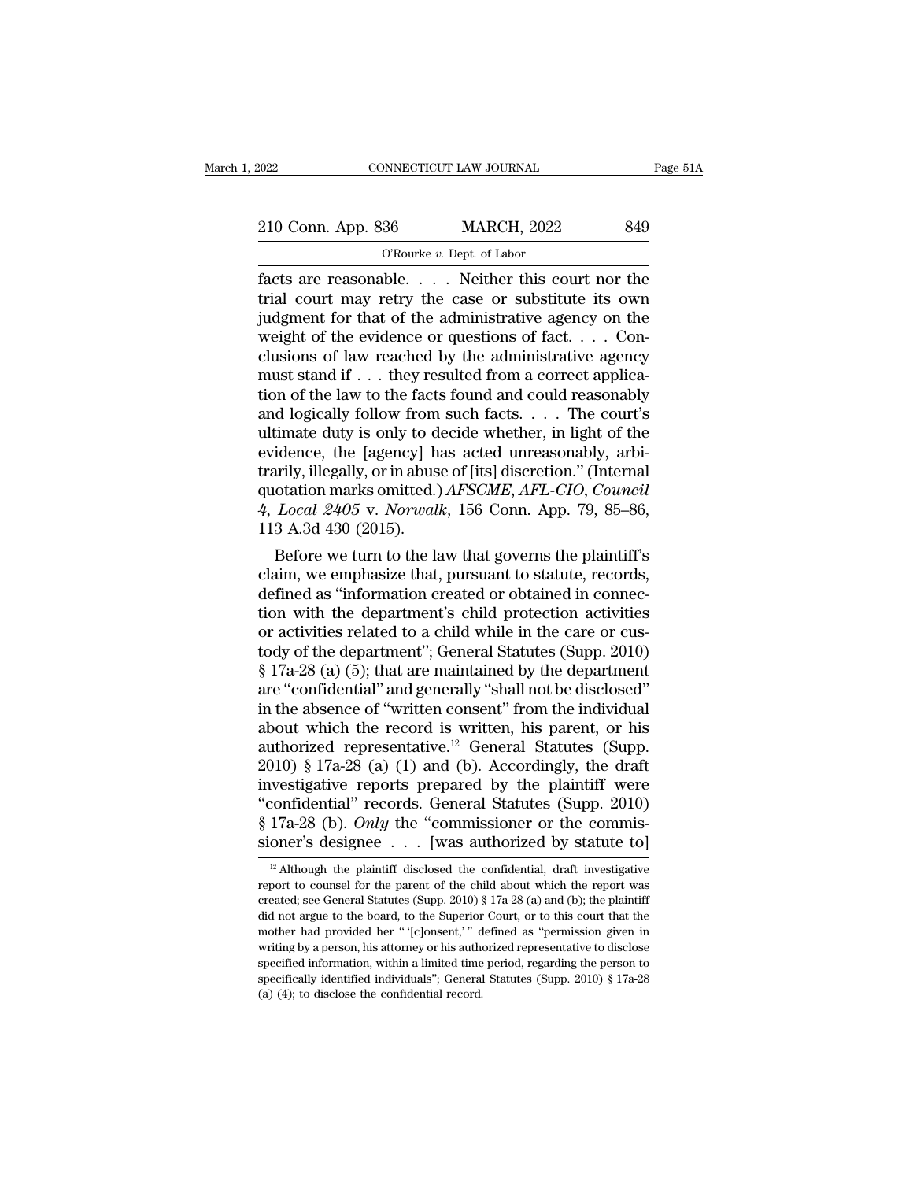Fage 51A<br>
Fage 51A<br>
210 Conn. App. 836 MARCH, 2022 849<br>
O'Rourke v. Dept. of Labor<br>
facts are reasonable. . . . . Neither this court nor the<br>
trial court may retry the case or substitute its own<br>
independ for that of the a 210 Conn. App. 836 MARCH, 2022 849<br>
O'Rourke v. Dept. of Labor<br>
facts are reasonable.... Neither this court nor the<br>
trial court may retry the case or substitute its own<br>
judgment for that of the administrative agency on 210 Conn. App. 836 MARCH, 2022 849<br>
O'Rourke v. Dept. of Labor<br>
facts are reasonable.... Neither this court nor the<br>
trial court may retry the case or substitute its own<br>
judgment for that of the administrative agency on 210 Conn. App. 836 MARCH, 2022 849<br>
O'Rourke v. Dept. of Labor<br>
facts are reasonable. . . . Neither this court nor the<br>
trial court may retry the case or substitute its own<br>
judgment for that of the administrative agency Cluster of Law reachest  $\frac{1}{2}$  of Labor<br>
facts are reasonable. . . . Neither this court nor the<br>
trial court may retry the case or substitute its own<br>
judgment for that of the administrative agency on the<br>
weight of th O'Rourke v. Dept. of Labor<br>
facts are reasonable. . . . Neither this court nor the<br>
trial court may retry the case or substitute its own<br>
judgment for that of the administrative agency on the<br>
weight of the evidence or qu facts are reasonable. . . . . Neither this court nor the<br>trial court may retry the case or substitute its own<br>judgment for that of the administrative agency on the<br>weight of the evidence or questions of fact. . . . Con-<br>c trial court may retry the case or substitute its own<br>judgment for that of the administrative agency on the<br>weight of the evidence or questions of fact. . . . Con-<br>clusions of law reached by the administrative agency<br>must judgment for that of the administrative agency on the<br>weight of the evidence or questions of fact. . . . Con-<br>clusions of law reached by the administrative agency<br>must stand if . . . they resulted from a correct applica-<br> weight of the evidence or questions of fact. . . . Conclusions of law reached by the administrative agency<br>must stand if . . . they resulted from a correct applica-<br>tion of the law to the facts found and could reasonably<br> clusions of law reached by the administrative agency<br>must stand if . . . they resulted from a correct applica-<br>tion of the law to the facts found and could reasonably<br>and logically follow from such facts. . . . The court' must stand if . . . they resulted from a correct application of the law to the facts found and could reasonably and logically follow from such facts. . . . The court's ultimate duty is only to decide whether, in light of t tion of the law to the facts found and could reasonably<br>and logically follow from such facts. . . . The court's<br>ultimate duty is only to decide whether, in light of the<br>evidence, the [agency] has acted unreasonably, arbi-<br> and logically follow from<br>ultimate duty is only to devidence, the [agency] h:<br>trarily, illegally, or in abus<br>quotation marks omitted.)<br> $4, Local$   $2405$  v. Norwall<br>113 A.3d  $430$  (2015).<br>Before we turn to the la timate duty is only to decide whether, in light of the<br>idence, the [agency] has acted unreasonably, arbi-<br>arily, illegally, or in abuse of [its] discretion." (Internal<br>otation marks omitted.)  $AFSCME$ ,  $AFL-CIO$ ,  $Council$ <br> $Local 2405$ evidence, the [agency] has acted unreasonably, arbitrarily, illegally, or in abuse of [its] discretion." (Internal<br>quotation marks omitted.) AFSCME, AFL-CIO, Council<br>4, Local 2405 v. Norwalk, 156 Conn. App. 79, 85–86,<br>113

trarity, inegally, or in abuse or [its] discretion. (internal<br>quotation marks omitted.)  $AFSCME$ ,  $AFL$ -CIO, Council<br>4, Local 2405 v. Norwalk, 156 Conn. App. 79, 85–86,<br>113 A.3d 430 (2015).<br>Before we turn to the law that gove quotation marks omitted.) *AFSCME*, *AFL-CIO*, *Councit*<br>4, *Local 2405* v. *Norwalk*, 156 Conn. App. 79, 85–86,<br>113 A.3d 430 (2015).<br>Before we turn to the law that governs the plaintiff's<br>claim, we emphasize that, pursua 4, *Local 2405* V. *Norwalk*, 150 Conn. App. 79, 85–80, 113 A.3d 430 (2015).<br>
Before we turn to the law that governs the plaintiff's claim, we emphasize that, pursuant to statute, records, defined as "information created 113 A.3d 430 (2015).<br>
Before we turn to the law that governs the plaintiff's<br>
claim, we emphasize that, pursuant to statute, records,<br>
defined as "information created or obtained in connec-<br>
tion with the department's chi Before we turn to the law that governs the plaintiff's<br>claim, we emphasize that, pursuant to statute, records,<br>defined as "information created or obtained in connec-<br>tion with the department's child protection activities<br>o claim, we emphasize that, pursuant to statute, records,<br>defined as "information created or obtained in connec-<br>tion with the department's child protection activities<br>or activities related to a child while in the care or cu defined as "information created or obtained in connection with the department's child protection activities<br>or activities related to a child while in the care or cus-<br>tody of the department''; General Statutes (Supp. 2010) tion with the department's child protection activities<br>or activities related to a child while in the care or cus-<br>tody of the department"; General Statutes (Supp. 2010)<br>§ 17a-28 (a) (5); that are maintained by the departm or activities related to a child while in the care or cus-<br>tody of the department"; General Statutes (Supp. 2010)<br>§ 17a-28 (a) (5); that are maintained by the department<br>are "confidential" and generally "shall not be disc tody of the department"; General Statutes (Supp. 2010)<br>
§ 17a-28 (a) (5); that are maintained by the department<br>
are "confidential" and generally "shall not be disclosed"<br>
in the absence of "written consent" from the indi § 17a-28 (a) (5); that are maintained by the department<br>are "confidential" and generally "shall not be disclosed"<br>in the absence of "written consent" from the individual<br>about which the record is written, his parent, or h are "confidential" and generally "shall not be disclosed"<br>
in the absence of "written consent" from the individual<br>
about which the record is written, his parent, or his<br>
authorized representative.<sup>12</sup> General Statutes (Su in the absence of "written consent" from the individual<br>about which the record is written, his parent, or his<br>authorized representative.<sup>12</sup> General Statutes (Supp.<br>2010) § 17a-28 (a) (1) and (b). Accordingly, the draft<br>i about which the record is written, his parent, or his authorized representative.<sup>12</sup> General Statutes (Supp. 2010) § 17a-28 (a) (1) and (b). Accordingly, the draft investigative reports prepared by the plaintiff were "con westigative reports prepared by the plaintiff were<br>confidential" records. General Statutes (Supp. 2010)<br>17a-28 (b). *Only* the "commissioner or the commis-<br>oner's designee . . . [was authorized by statute to]<br><sup>12</sup> Althoug "confidential" records. General Statutes (Supp. 2010)<br>
§ 17a-28 (b). *Only* the "commissioner or the commissioner's designee . . . [was authorized by statute to]<br>
<sup>12</sup> Although the plaintiff disclosed the confidential, dr

<sup>§ 17</sup>a-28 (b). *Only* the "commissioner or the commissioner's designee . . . [was authorized by statute to]<br><sup>12</sup> Although the plaintiff disclosed the confidential, draft investigative report to counsel for the parent of th sioner's designee . . . [was authorized by statute to]<br> $\frac{12}{12}$  Although the plaintiff disclosed the confidential, draft investigative<br>report to counsel for the parent of the child about which the report was<br>created; s SIOTIET S CURSTURE . . . [WAS AULTIOTIZECT DY STATUTE TO  $\frac{12}{12}$  Although the plaintiff disclosed the confidential, draft investigative report to counsel for the parent of the child about which the report was created; <sup>12</sup> Although the plaintiff disclosed the confidential, draft investigative report to counsel for the parent of the child about which the report was created; see General Statutes (Supp. 2010) § 17a-28 (a) and (b); the pla report to counsel for the parent of the child about which the report was created; see General Statutes (Supp. 2010) § 17a-28 (a) and (b); the plaintiff did not argue to the board, to the Superior Court, or to this court t reposed is see General Statutes (Supp. 2010) § 17a-28 (a) and (b); the plaintiff did not argue to the board, to the Superior Court, or to this court that the mother had provided her "[c]onsent,'" defined as "permission gi created; see General Statutes (Supp. 2010) § 17a-28 (a) and (b); the plaintiff did not argue to the board, to the Superior Court, or to this court that the mother had provided her "'[c]onsent,'" defined as "permission giv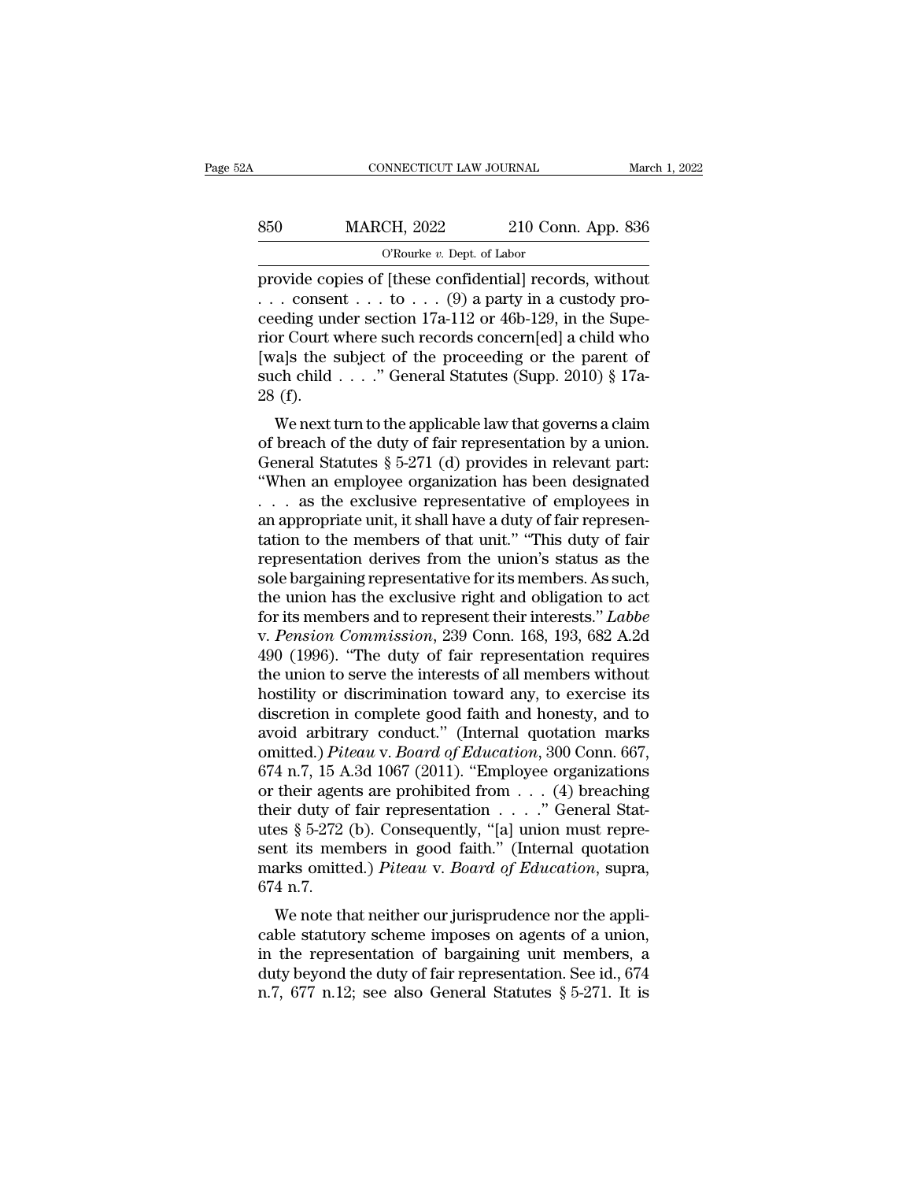| 52A | CONNECTICUT LAW JOURNAL                                                                                                                                                    |                    | March 1, 2022 |
|-----|----------------------------------------------------------------------------------------------------------------------------------------------------------------------------|--------------------|---------------|
| 850 | <b>MARCH, 2022</b>                                                                                                                                                         | 210 Conn. App. 836 |               |
|     | O'Rourke $v$ . Dept. of Labor                                                                                                                                              |                    |               |
|     | provide copies of [these confidential] records, without<br>consent  to $(9)$ a party in a custody pro-<br>cooding under section 17 <sub>2</sub> 112 or 46b 120 in the Supe |                    |               |

850 MARCH, 2022 210 Conn. App. 836<br>
O'Rourke v. Dept. of Labor<br>
provide copies of [these confidential] records, without<br>
... consent ... to ... (9) a party in a custody pro-<br>
ceeding under section 17a-112 or 46b-129, in t 850 MARCH, 2022 210 Conn. App. 836<br>
CRourke v. Dept. of Labor<br>
provide copies of [these confidential] records, without<br>
... consent ... to ... (9) a party in a custody pro-<br>
ceeding under section 17a-112 or 46b-129, in th 850 MARCH, 2022 210 Conn. App. 836<br>
O'Rourke v. Dept. of Labor<br>
provide copies of [these confidential] records, without<br>
... consent ... to ... (9) a party in a custody pro-<br>
ceeding under section 17a-112 or 46b-129, in t [wa]s the subject of the proceeding or the parent of O'Rourke v. Dept. of Labor<br>provide copies of [these confidential] records, without<br>... consent ... to ... (9) a party in a custody pro-<br>ceeding under section 17a-112 or 46b-129, in the Supe-<br>rior Court where such records provide cop<br>
... conser<br>
ceeding une<br>
rior Court v<br>
[wa]s the s<br>
such child<br>
28 (f).<br>
We next t Consent  $\ldots$  to  $\ldots$  (3) a party in a custody pro-<br>eding under section 17a-112 or 46b-129, in the Supe-<br>or Court where such records concern[ed] a child who<br>als the subject of the proceeding or the parent of<br>ch child . . ceeding under section 174-112 or 400-129, in the super-<br>rior Court where such records concern[ed] a child who<br>[wa]s the subject of the proceeding or the parent of<br>such child . . . . " General Statutes (Supp. 2010) § 17a-<br>

From Court where such records concernied a child who<br>[wa]s the subject of the proceeding or the parent of<br>such child . . . ." General Statutes (Supp. 2010) § 17a-<br>28 (f).<br>We next turn to the applicable law that governs a [wa]s the subject of the proceeding of the parent of<br>such child . . . ." General Statutes (Supp. 2010) § 17a-<br>28 (f).<br>We next turn to the applicable law that governs a claim<br>of breach of the duty of fair representation by Such child . . . . General statutes (Supp. 2010)  $\S$  17a-28 (f).<br>
We next turn to the applicable law that governs a claim<br>
of breach of the duty of fair representation by a union.<br>
General Statutes  $\S$  5-271 (d) provides 20 (1).<br>We next turn to the applicable law that governs a claim<br>of breach of the duty of fair representation by a union.<br>General Statutes § 5-271 (d) provides in relevant part:<br>"When an employee organization has been desi We next turn to the applicable law that governs a claim<br>of breach of the duty of fair representation by a union.<br>General Statutes § 5-271 (d) provides in relevant part:<br>"When an employee organization has been designated<br>% of breach of the duty of fair representation by a union.<br>
General Statutes § 5-271 (d) provides in relevant part:<br>
"When an employee organization has been designated<br>  $\dots$  as the exclusive representative of employees in General Statutes § 5-271 (d) provides in relevant part:<br>
"When an employee organization has been designated<br>  $\ldots$  as the exclusive representative of employees in<br>
an appropriate unit, it shall have a duty of fair represe "When an employee organization has been designated<br>
. . . as the exclusive representative of employees in<br>
an appropriate unit, it shall have a duty of fair represen-<br>
tation to the members of that unit." "This duty of fa For an appropriate unit, it shall have a duty of fair representation to the members of that unit." "This duty of fair representation to the members of that unit." "This duty of fair representation derives from the union's an appropriate unit, it shall have a duty of fair representation to the members of that unit." "This duty of fair representation derives from the union's status as the sole bargaining representative for its members. As suc tation to the members of that unit." "This duty of fair<br>representation derives from the union's status as the<br>sole bargaining representative for its members. As such,<br>the union has the exclusive right and obligation to ac representation derives from the union's status as the sole bargaining representative for its members. As such, the union has the exclusive right and obligation to act for its members and to represent their interests." *Lab* sole bargaining representative for its members. As such,<br>the union has the exclusive right and obligation to act<br>for its members and to represent their interests." *Labbe*<br>v. *Pension Commission*, 239 Conn. 168, 193, 682 A the union has the exclusive right and obligation to act<br>for its members and to represent their interests." *Labbe*<br>v. *Pension Commission*, 239 Conn. 168, 193, 682 A.2d<br>490 (1996). "The duty of fair representation require for its members and to represent their interests." *Labbe*<br>v. *Pension Commission*, 239 Conn. 168, 193, 682 A.2d<br>490 (1996). "The duty of fair representation requires<br>the union to serve the interests of all members withou v. *Pension Commission*, 239 Conn. 168, 193, 682 A.2d<br>490 (1996). "The duty of fair representation requires<br>the union to serve the interests of all members without<br>hostility or discrimination toward any, to exercise its<br>di 490 (1996). "The duty of fair representation requires<br>the union to serve the interests of all members without<br>hostility or discrimination toward any, to exercise its<br>discretion in complete good faith and honesty, and to<br>a the union to serve the interests of all members without<br>hostility or discrimination toward any, to exercise its<br>discretion in complete good faith and honesty, and to<br>avoid arbitrary conduct." (Internal quotation marks<br>omi hostility or discrimination toward any, to exercise its<br>discretion in complete good faith and honesty, and to<br>avoid arbitrary conduct." (Internal quotation marks<br>omitted.) *Piteau* v. *Board of Education*, 300 Conn. 667,<br> discretion in complete good faith and honesty, and to<br>avoid arbitrary conduct." (Internal quotation marks<br>omitted.) *Piteau v. Board of Education*, 300 Conn. 667,<br>674 n.7, 15 A.3d 1067 (2011). "Employee organizations<br>or t avoid arbitrary conduct." (Internal quotation marks<br>omitted.) *Piteau* v. *Board of Education*, 300 Conn. 667,<br>674 n.7, 15 A.3d 1067 (2011). "Employee organizations<br>or their agents are prohibited from . . . . ." General St omitted.) *Piteau* v. *Board of Education*, 300 Conn. 667, 674 n.7, 15 A.3d 1067 (2011). "Employee organizations or their agents are prohibited from . . . (4) breaching their duty of fair representation . . . . " General S 674 n.7, 15 A<br>or their agen<br>their duty of<br>utes  $\S~5$ -272<br>sent its men<br>marks omitte<br>674 n.7.<br>We note th The agents are promoted from  $\ldots$  (4) breaching<br>eir duty of fair representation  $\ldots$ ." General Stat-<br>es § 5-272 (b). Consequently, "[a] union must repre-<br>nt its members in good faith." (Internal quotation<br>arks omitted.) calculated status of an imposed in the status status  $\S$  5-272 (b). Consequently, "[a] union must represent its members in good faith." (Internal quotation marks omitted.) *Piteau v. Board of Education*, supra, 674 n.7.<br>W

the represent its members in good faith." (Internal quotation<br>marks omitted.) *Piteau v. Board of Education*, supra,<br>674 n.7.<br>We note that neither our jurisprudence nor the appli-<br>cable statutory scheme imposes on agents marks omitted.) *Piteau v. Board of Education*, supra, 674 n.7.<br>We note that neither our jurisprudence nor the applicable statutory scheme imposes on agents of a union, in the representation of bargaining unit members, a marks onlined.) Theod v. Board of Baucation, supra, 674 n.7.<br>We note that neither our jurisprudence nor the applicable statutory scheme imposes on agents of a union, in the representation of bargaining unit members, a dut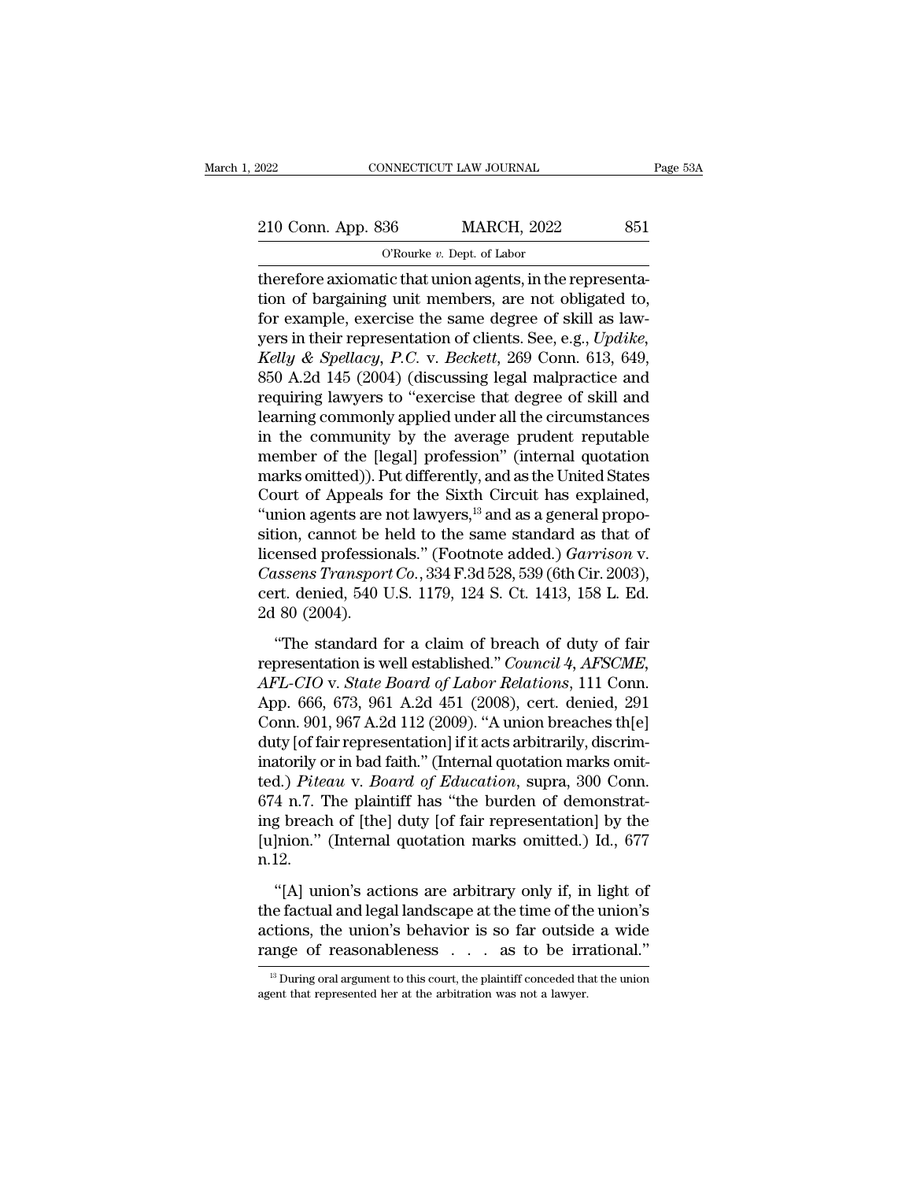EXECUTE CONNECTICUT LAW JOURNAL Page 53A<br>210 Conn. App. 836 MARCH, 2022 851<br>C'Rourke v. Dept. of Labor NNECTICUT LAW JOURNAL<br>36 MARCH, 2022<br><sup>O'Rourke *v.* Dept. of Labor<br>tic that union agents in the</sup>

Therefore axiomatic that union agents, in the representa-<br>therefore axiomatic that union agents, in the representa-<br>tion of bargaining unit members, are not obligated to,<br>for evenuals exercise the same degree of skill as l 210 Conn. App. 836 MARCH, 2022 851<br>
O'Rourke v. Dept. of Labor<br>
therefore axiomatic that union agents, in the representa-<br>
tion of bargaining unit members, are not obligated to,<br>
for example, exercise the same degree of s 210 Conn. App. 836 MARCH, 2022 851<br>
C'Rourke v. Dept. of Labor<br>
therefore axiomatic that union agents, in the representa-<br>
tion of bargaining unit members, are not obligated to,<br>
for example, exercise the same degree of s 210 Conn. App. 836 MARCH, 2022 851<br>
O'Rourke v. Dept. of Labor<br>
therefore axiomatic that union agents, in the representa-<br>
tion of bargaining unit members, are not obligated to,<br>
for example, exercise the same degree of sk *CROWRE v. Dept. of Labor*<br> *CROWRE v. Dept. of Labor*<br> *Kerefore axiomatic that union agents, in the representa-*<br> *Kelly exercise the same degree of skill as law-*<br> *Kelly & Spellacy, P.C. v. Beckett*, 269 Conn. 613, 649  $\sigma$  Rourke *v*. Dept. of Labor<br>therefore axiomatic that union agents, in the representa-<br>tion of bargaining unit members, are not obligated to,<br>for example, exercise the same degree of skill as law-<br>yers in their represe therefore axiomatic that union agents, in the representation of bargaining unit members, are not obligated to, for example, exercise the same degree of skill as lawyers in their representation of clients. See, e.g., *Updik* tion of bargaining unit members, are not obligated to,<br>for example, exercise the same degree of skill as law-<br>yers in their representation of clients. See, e.g.,  $Update$ ,<br> $Kelly \& Spellacy, P.C. v. Beckett, 269$  Conn. 613, 649,<br>850 A.2d 145 (2 for example, exercise the same degree of skill as law-<br>yers in their representation of clients. See, e.g.,  $Update$ ,<br> $Kelly & Spellacy, P.C. v. Beckett, 269$  Conn. 613, 649,<br>850 A.2d 145 (2004) (discussing legal malpractice and<br>requiring lawyers yers in their representation of clients. See, e.g., Updike,<br>Kelly & Spellacy, P.C. v. Beckett, 269 Conn. 613, 649,<br>850 A.2d 145 (2004) (discussing legal malpractice and<br>requiring lawyers to "exercise that degree of skill a Kelly & Spellacy, P.C. v. Beckett, 269 Conn. 613, 649,<br>850 A.2d 145 (2004) (discussing legal malpractice and<br>requiring lawyers to "exercise that degree of skill and<br>learning commonly applied under all the circumstances<br>in 850 A.2d 145 (2004) (discussing legal malpractice and<br>requiring lawyers to "exercise that degree of skill and<br>learning commonly applied under all the circumstances<br>in the community by the average prudent reputable<br>member requiring lawyers to "exercise that degree of skill and<br>learning commonly applied under all the circumstances<br>in the community by the average prudent reputable<br>member of the [legal] profession" (internal quotation<br>marks om learning commonly applied under all the circumstances<br>in the community by the average prudent reputable<br>member of the [legal] profession" (internal quotation<br>marks omitted)). Put differently, and as the United States<br>Cour in the community by the average prudent reputable<br>member of the [legal] profession" (internal quotation<br>marks omitted)). Put differently, and as the United States<br>Court of Appeals for the Sixth Circuit has explained,<br>"unio member of the [legal] profession" (internal quotation<br>marks omitted)). Put differently, and as the United States<br>Court of Appeals for the Sixth Circuit has explained,<br>"union agents are not lawyers,<sup>13</sup> and as a general pro marks omitted)). Put differently, and as the United States<br>Court of Appeals for the Sixth Circuit has explained,<br>"union agents are not lawyers,<sup>13</sup> and as a general propo-<br>sition, cannot be held to the same standard as tha Court of Appeals<br>"union agents are i<br>sition, cannot be l<br>licensed professio:<br>*Cassens Transpor*<br>cert. denied, 540 U<br>2d 80 (2004).<br>"The standard f Then ugents are necessary  $\sigma$  and a calculate propertion, cannot be held to the same standard as that of ensed professionals." (Footnote added.) *Garrison* v.<br> *ussens Transport Co.*, 334 F.3d 528, 539 (6th Cir. 2003),<br> icensed professionals." (Footnote added.) *Garrison v.*<br>Cassens Transport Co., 334 F.3d 528, 539 (6th Cir. 2003),<br>cert. denied, 540 U.S. 1179, 124 S. Ct. 1413, 158 L. Ed.<br>2d 80 (2004).<br>"The standard for a claim of breach o

*Cassens Transport Co.*, 334 F.3d 528, 539 (6th Cir. 2003),<br>
cert. denied, 540 U.S. 1179, 124 S. Ct. 1413, 158 L. Ed.<br>
2d 80 (2004).<br>
"The standard for a claim of breach of duty of fair<br>
representation is well established. cert. denied, 540 U.S. 1179, 124 S. Ct. 1413, 158 L. Ed.<br>2d 80 (2004).<br>"The standard for a claim of breach of duty of fair<br>representation is well established." *Council 4, AFSCME,<br>AFL-CIO v. State Board of Labor Relations* 2d 80 (2004).<br>
"The standard for a claim of breach of duty of fair<br>
representation is well established." *Council 4, AFSCME,*<br> *AFL-CIO v. State Board of Labor Relations*, 111 Conn.<br>
App. 666, 673, 961 A.2d 451 (2008), ce The standard for a claim of breach of duty of fair<br>representation is well established." *Council 4, AFSCME,*<br>*AFL-CIO v. State Board of Labor Relations*, 111 Conn.<br>App. 666, 673, 961 A.2d 451 (2008), cert. denied, 291<br>Con "The standard for a claim of breach of duty of fair<br>representation is well established." *Council 4, AFSCME,*<br>AFL-CIO v. *State Board of Labor Relations*, 111 Conn.<br>App. 666, 673, 961 A.2d 451 (2008), cert. denied, 291<br>Co representation is well established." *Council 4, AFSCME,*<br>AFL-CIO v. *State Board of Labor Relations*, 111 Conn.<br>App. 666, 673, 961 A.2d 451 (2008), cert. denied, 291<br>Conn. 901, 967 A.2d 112 (2009). "A union breaches th[e] AFL-CIO v. State Board of Labor Relations, 111 Conn.<br>App. 666, 673, 961 A.2d 451 (2008), cert. denied, 291<br>Conn. 901, 967 A.2d 112 (2009). "A union breaches th[e]<br>duty [of fair representation] if it acts arbitrarily, disc App. 666, 673, 961 A.2d 451 (2008), cert. denied, 291<br>Conn. 901, 967 A.2d 112 (2009). "A union breaches th[e]<br>duty [of fair representation] if it acts arbitrarily, discrim-<br>inatorily or in bad faith." (Internal quotation m Conn. 901, 967 A.2d 112 (2009). "A union breaches th[e]<br>duty [of fair representation] if it acts arbitrarily, discrim-<br>inatorily or in bad faith." (Internal quotation marks omit-<br>ted.) *Piteau* v. *Board of Education*, sup n.12. (Al.) *Piteau* v. *Board of Education*, supra, 300 Conn.<br>4 n.7. The plaintiff has "the burden of demonstrat-<br>g breach of [the] duty [of fair representation] by the<br>lnion." (Internal quotation marks omitted.) Id., 677<br>12.<br> 674 n.7. The plaintiff has "the burden of demonstrating breach of [the] duty [of fair representation] by the [u]nion." (Internal quotation marks omitted.) Id., 677 n.12.<br>"[A] union's actions are arbitrary only if, in ligh

ing breach of [the] duty [of fair representation] by the [u]nion." (Internal quotation marks omitted.) Id., 677 n.12.<br>"[A] union's actions are arbitrary only if, in light of the factual and legal landscape at the time of [u]nion." (Internal quotation marks omitted.) Id., 677<br>n.12.<br>"[A] union's actions are arbitrary only if, in light of<br>the factual and legal landscape at the time of the union's<br>actions, the union's behavior is so far outsi "[A] union's actions are arbitrary only if, in light of<br>the factual and legal landscape at the time of the union's<br>actions, the union's behavior is so far outside a wide<br>range of reasonableness  $\ldots$  as to be irrational." range of reasonableness . . . as to be irrational."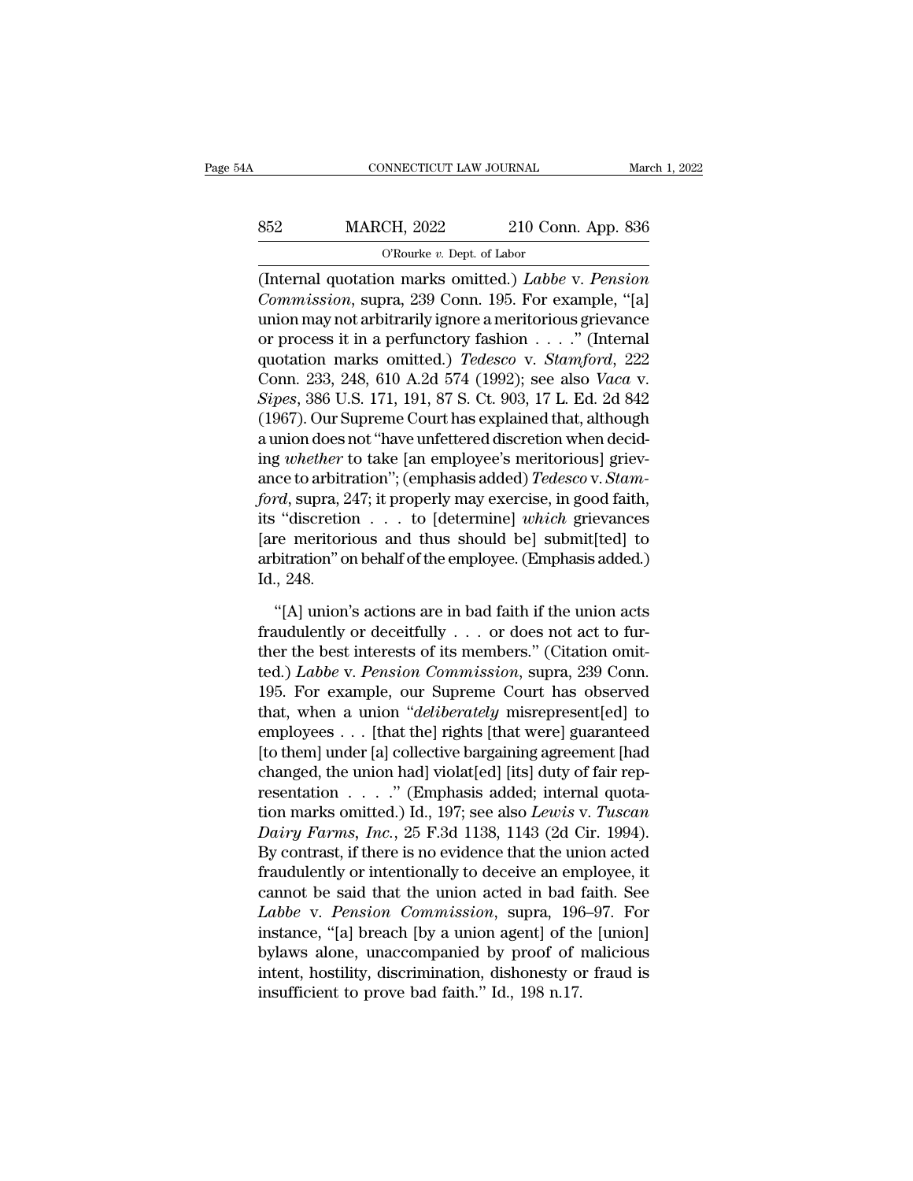# CONNECTICUT LAW JOURNAL March 1, 2022<br>852 MARCH, 2022 210 Conn. App. 836<br>C'Rourke v. Dept. of Labor NNECTICUT LAW JOURNAL<br>CH, 2022 210 Con<br><sup>O'Rourke v. Dept. of Labor<br>nn marks omitted ) *Labbe*</sup>

(INTER 1, 2022 MARCH, 2022 210 Conn. App. 836<br>
The original quotation marks omitted.) *Labbe* v. *Pension*<br>
(Internal quotation marks omitted.) *Labbe* v. *Pension*<br>
Commission, supra, 239 Conn. 195. For example, "[a] *CROWER 2022* 210 Conn. App. 836<br> *CROWER v. Dept. of Labor*<br> *Commission, supra, 239 Conn. 195. For example, "[a]*<br> *Commission, supra, 239 Conn. 195. For example, "[a]*<br>
union may not arbitrarily ignore a meritorious gri 852 MARCH, 2022 210 Conn. App. 836<br>
O'Rourke v. Dept. of Labor<br>
(Internal quotation marks omitted.) *Labbe* v. *Pension*<br> *Commission*, supra, 239 Conn. 195. For example, "[a]<br>
union may not arbitrarily ignore a meritorio MARCH, 2022 210 Conn. App. 836<br>
O'Rourke v. Dept. of Labor<br>
(Internal quotation marks omitted.) *Labbe v. Pension*<br>
Commission, supra, 239 Conn. 195. For example, "[a]<br>
union may not arbitrarily ignore a meritorious grieva GRourke v. Dept. of Labor<br>
(Internal quotation marks omitted.) *Labbe* v. *Pension*<br> *Commission*, supra, 239 Conn. 195. For example, "[a]<br>
union may not arbitrarily ignore a meritorious grievance<br>
or process it in a perfu Chinal quotation marks omitted.) *Labbe v. Pension*<br>Commission, supra, 239 Conn. 195. For example, "[a]<br>union may not arbitrarily ignore a meritorious grievance<br>or process it in a perfunctory fashion . . . ." (Internal<br>quo (Internal quotation marks omitted.) *Labbe v. Pension*<br> *Commission*, supra, 239 Conn. 195. For example, "[a]<br>
union may not arbitrarily ignore a meritorious grievance<br>
or process it in a perfunctory fashion . . . . ." (In Commission, supra, 239 Conn. 195. For example, "[a]<br>union may not arbitrarily ignore a meritorious grievance<br>or process it in a perfunctory fashion  $\ldots$ ." (Internal<br>quotation marks omitted.) *Tedesco* v. *Stamford*, 222<br> union may not arbitrarily ignore a meritorious grievance<br>or process it in a perfunctory fashion  $\ldots$ ." (Internal<br>quotation marks omitted.) *Tedesco* v. *Stamford*, 222<br>Conn. 233, 248, 610 A.2d 574 (1992); see also *Vaca* or process it in a perfunctory fashion . . . . ." (Internal<br>quotation marks omitted.) *Tedesco* v. *Stamford*, 222<br>Conn. 233, 248, 610 A.2d 574 (1992); see also *Vaca* v.<br>*Sipes*, 386 U.S. 171, 191, 87 S. Ct. 903, 17 L. Ed quotation marks omitted.) *Tedesco* v. *Stamford*, 222<br>Conn. 233, 248, 610 A.2d 574 (1992); see also *Vaca* v.<br>*Sipes*, 386 U.S. 171, 191, 87 S. Ct. 903, 17 L. Ed. 2d 842<br>(1967). Our Supreme Court has explained that, altho Conn. 233, 248, 610 A.2d 574 (1992); see also *Vaca v.*<br> *Sipes*, 386 U.S. 171, 191, 87 S. Ct. 903, 17 L. Ed. 2d 842<br>
(1967). Our Supreme Court has explained that, although<br>
a union does not "have unfettered discretion whe Sipes, 386 U.S. 171, 191, 87 S. Ct. 903, 17 L. Ed. 2d 842<br>(1967). Our Supreme Court has explained that, although<br>a union does not "have unfettered discretion when decid-<br>ing *whether* to take [an employee's meritorious] gr (1967). Our Supreme Court has explained that, although<br>a union does not "have unfettered discretion when decid-<br>ing *whether* to take [an employee's meritorious] griev-<br>ance to arbitration"; (emphasis added) *Tedesco* v. a union does not "have unfettered discretion when decid-<br>ing *whether* to take [an employee's meritorious] griev-<br>ance to arbitration"; (emphasis added) *Tedesco* v. *Stam-*<br>ford, supra, 247; it properly may exercise, in g ing *whether* t<br>ance to arbitr<br>*ford*, supra, 2<br>its "discretio<br>[are meritori<br>arbitration" or<br>Id., 248.<br>"[A] union" *rd*, supra, 247; it properly may exercise, in good faith,<br>
"discretion  $\ldots$  to [determine] *which* grievances<br>
re meritorious and thus should be] submit[ted] to<br>
bitration" on behalf of the employee. (Emphasis added.)<br> its "discretion . . . to [determine] *which* grievances<br>[are meritorious and thus should be] submit[ted] to<br>arbitration" on behalf of the employee. (Emphasis added.)<br>Id., 248.<br>"[A] union's actions are in bad faith if the

[are meritorious and thus should be] submit[ted] to<br>arbitration" on behalf of the employee. (Emphasis added.)<br>Id., 248.<br>"[A] union's actions are in bad faith if the union acts<br>fraudulently or deceitfully  $\dots$  or does not arbitration" on behalf of the employee. (Emphasis added.)<br>
Id., 248.<br>
"[A] union's actions are in bad faith if the union acts<br>
fraudulently or deceitfully . . . or does not act to fur-<br>
ther the best interests of its membe 1d., 248.<br>
"[A] union's actions are in bad faith if the union acts<br>
fraudulently or deceitfully . . . or does not act to fur-<br>
ther the best interests of its members." (Citation omit-<br>
ted.) *Labbe* v. *Pension Commission* "[A] union's actions are in bad faith if the union acts<br>fraudulently or deceitfully . . . or does not act to fur-<br>ther the best interests of its members." (Citation omit-<br>ted.) *Labbe* v. *Pension Commission*, supra, 239 "[A] union's actions are in bad faith if the union acts<br>fraudulently or deceitfully . . . or does not act to fur-<br>ther the best interests of its members." (Citation omit-<br>ted.) *Labbe* v. *Pension Commission*, supra, 239 fraudulently or deceitfully . . . or does not act to fur-<br>ther the best interests of its members." (Citation omit-<br>ted.) *Labbe* v. *Pension Commission*, supra, 239 Conn.<br>195. For example, our Supreme Court has observed<br>t ther the best interests of its members." (Citation omit-<br>ted.) *Labbe v. Pension Commission*, supra, 239 Conn.<br>195. For example, our Supreme Court has observed<br>that, when a union "*deliberately* misrepresent[ed] to<br>employ ted.) *Labbe v. Pension Commission*, supra, 239 Conn.<br>195. For example, our Supreme Court has observed<br>that, when a union "deliberately misrepresent[ed] to<br>employees . . . [that the] rights [that were] guaranteed<br>[to them 195. For example, our Supreme Court has observed<br>that, when a union "*deliberately* misrepresent[ed] to<br>employees . . . [that the] rights [that were] guaranteed<br>[to them] under [a] collective bargaining agreement [had<br>chan that, when a union "*deliberately* misrepresent[ed] to<br>employees . . . [that the] rights [that were] guaranteed<br>[to them] under [a] collective bargaining agreement [had<br>changed, the union had] violat[ed] [its] duty of fair employees . . . [that the] rights [that were] guaranteed<br>[to them] under [a] collective bargaining agreement [had<br>changed, the union had] violat[ed] [its] duty of fair rep-<br>resentation . . . . . " (Emphasis added; interna [to them] under [a] collective bargaining agreement [had changed, the union had] violat[ed] [its] duty of fair representation  $\ldots$  . . ." (Emphasis added; internal quotation marks omitted.) Id., 197; see also *Lewis* v. changed, the union had] violat[ed] [its] duty of fair representation  $\ldots$  ." (Emphasis added; internal quotation marks omitted.) Id., 197; see also *Lewis v. Tuscan Dairy Farms, Inc.*, 25 F.3d 1138, 1143 (2d Cir. 1994) resentation . . . . ." (Emphasis added; internal quotation marks omitted.) Id., 197; see also *Lewis v. Tuscan Dairy Farms, Inc.*, 25 F.3d 1138, 1143 (2d Cir. 1994). By contrast, if there is no evidence that the union ac tion marks omitted.) Id., 197; see also *Lewis v. Tuscan*<br>Dairy Farms, Inc., 25 F.3d 1138, 1143 (2d Cir. 1994).<br>By contrast, if there is no evidence that the union acted<br>fraudulently or intentionally to deceive an employee Dairy Farms, Inc., 25 F.3d 1138, 1143 (2d Cir. 1994).<br>By contrast, if there is no evidence that the union acted<br>fraudulently or intentionally to deceive an employee, it<br>cannot be said that the union acted in bad faith. Se By contrast, if there is no evidence that the union acted<br>fraudulently or intentionally to deceive an employee, it<br>cannot be said that the union acted in bad faith. See<br>*Labbe* v. *Pension Commission*, supra, 196–97. For<br>i fraudulently or intentionally to deceive an em<br>cannot be said that the union acted in bad if<br>*Labbe* v. *Pension Commission*, supra, 196<br>instance, "[a] breach [by a union agent] of th<br>bylaws alone, unaccompanied by proof o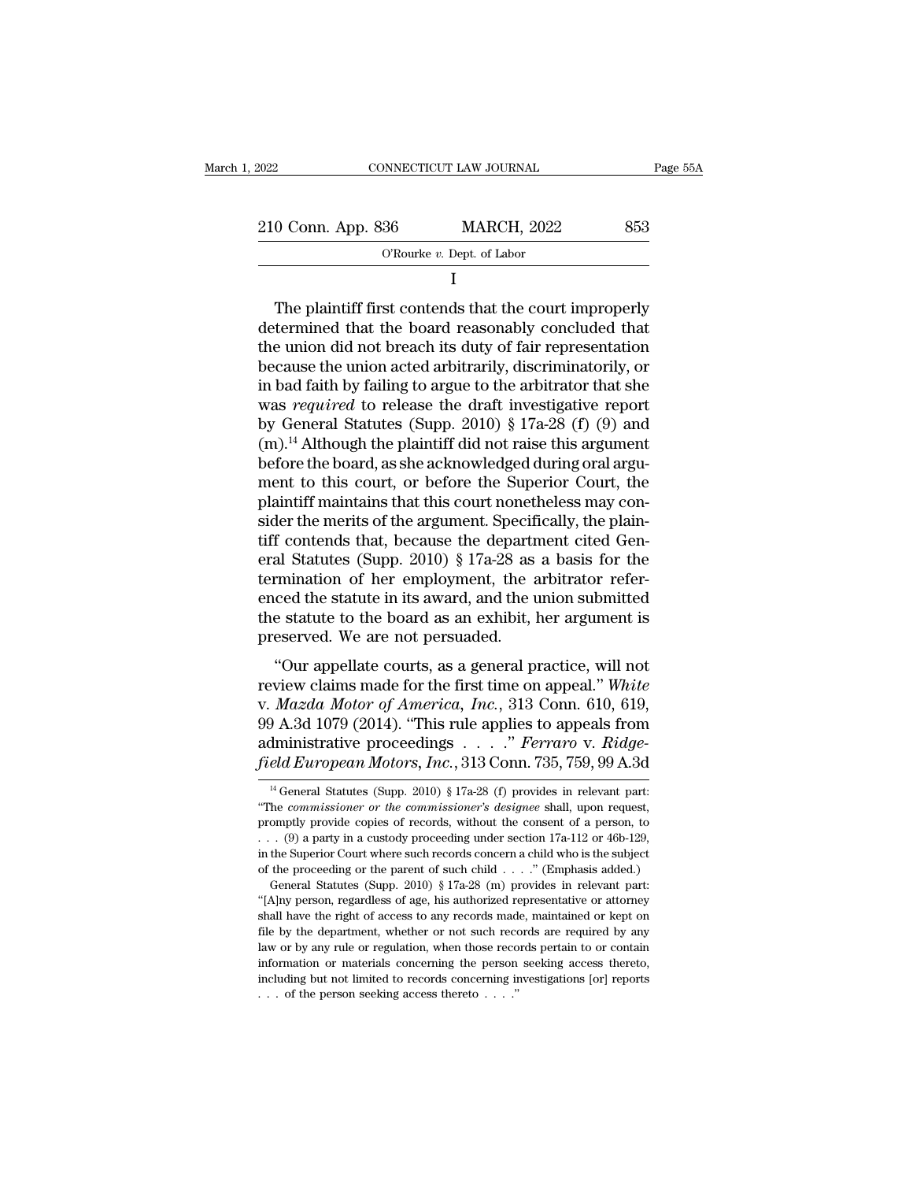| ,2022              | CONNECTICUT LAW JOURNAL                                                                                                                                                   | Page 55A |
|--------------------|---------------------------------------------------------------------------------------------------------------------------------------------------------------------------|----------|
| 210 Conn. App. 836 | <b>MARCH, 2022</b>                                                                                                                                                        | 853      |
|                    | O'Rourke $v$ . Dept. of Labor                                                                                                                                             |          |
|                    |                                                                                                                                                                           |          |
|                    | The plaint if first contends that the court improperly<br>determined that the board reasonably concluded that<br>the union did not broach its duty of foir representation |          |

210 Conn. App. 836 MARCH, 2022 853<br>
O'Rourke v. Dept. of Labor<br>
I<br>
The plaintiff first contends that the court improperly<br>
determined that the board reasonably concluded that<br>
the union did not breach its duty of fair rep 210 Conn. App. 836 MARCH, 2022 853<br>
O'Rourke v. Dept. of Labor<br>
I<br>
The plaintiff first contends that the court improperly<br>
determined that the board reasonably concluded that<br>
the union did not breach its duty of fair rep  $\overline{O}$  The plaintiff first contends that the court improperly<br>determined that the board reasonably concluded that<br>the union did not breach its duty of fair representation<br>because the union acted arbitrarily, discriminat I<br>
The plaintiff first contends that the court improperly<br>
determined that the board reasonably concluded that<br>
the union did not breach its duty of fair representation<br>
because the union acted arbitrarily, discriminatori The plaintiff first contends that the court improperly<br>determined that the board reasonably concluded that<br>the union did not breach its duty of fair representation<br>because the union acted arbitrarily, discriminatorily, or The plaintiff first contends that the court improperly<br>determined that the board reasonably concluded that<br>the union did not breach its duty of fair representation<br>because the union acted arbitrarily, discriminatorily, or determined that the board reasonably concluded that<br>the union did not breach its duty of fair representation<br>because the union acted arbitrarily, discriminatorily, or<br>in bad faith by failing to argue to the arbitrator that the union did not breach its duty of fair representation<br>because the union acted arbitrarily, discriminatorily, or<br>in bad faith by failing to argue to the arbitrator that she<br>was *required* to release the draft investigat because the union acted arbitrarily, discriminatorily, or<br>in bad faith by failing to argue to the arbitrator that she<br>was *required* to release the draft investigative report<br>by General Statutes (Supp. 2010) § 17a-28 (f) in bad faith by failing to argue to the arbitrator that she<br>was *required* to release the draft investigative report<br>by General Statutes (Supp. 2010) § 17a-28 (f) (9) and<br>(m).<sup>14</sup> Although the plaintiff did not raise this was *required* to release the draft investigative report<br>by General Statutes (Supp. 2010) § 17a-28 (f) (9) and<br>(m).<sup>14</sup> Although the plaintiff did not raise this argument<br>before the board, as she acknowledged during oral by General Statutes (Supp. 2010) § 17a-28 (f) (9) and (m).<sup>14</sup> Although the plaintiff did not raise this argument before the board, as she acknowledged during oral argument to this court, or before the Superior Court, the (m).<sup>14</sup> Although the plaintiff did not raise this argument<br>before the board, as she acknowledged during oral argument to this court, or before the Superior Court, the<br>plaintiff maintains that this court nonetheless may c before the board, as she acknowledged during oral argument to this court, or before the Superior Court, the plaintiff maintains that this court nonetheless may consider the merits of the argument. Specifically, the plainti ment to this court, or before the Superior Court, the<br>plaintiff maintains that this court nonetheless may con-<br>sider the merits of the argument. Specifically, the plain-<br>tiff contends that, because the department cited Gen plaintiff maintains that this court nonetheless may consider the merits of the argument. Specifically, the plaintiff contends that, because the department cited General Statutes (Supp. 2010) § 17a-28 as a basis for the ter sider the merits of the argument. Specifitiff contends that, because the departmeral Statutes (Supp. 2010) § 17a-28 as termination of her employment, the a enced the statute in its award, and the use the statute to the boa Triangulary 1921–28 as a basis for the mination of her employment, the arbitrator refer-<br>ced the statute in its award, and the union submitted<br>e statute to the board as an exhibit, her argument is<br>eserved. We are not pers rear statutes (supp. 2010) § 17a-23 as a basis for the<br>termination of her employment, the arbitrator refer-<br>enced the statute in its award, and the union submitted<br>the statute to the board as an exhibit, her argument is<br>pr

vernimation of the employment, the arbitration referenced the statute in its award, and the union submitted the statute to the board as an exhibit, her argument is preserved. We are not persuaded.<br>
"Our appellate courts, a enced the statute in its award, and the union submitted<br>the statute to the board as an exhibit, her argument is<br>preserved. We are not persuaded.<br>"Our appellate courts, as a general practice, will not<br>review claims made fo administrative proceedings . . . .'' *Ferraro* v. *Ridgefield European Motors, Inc.*, 313 Conn. 735, 759, 99 A.3d <sup>14</sup> General Statutes (Supp. 2010) § 17a-28 (f) provides in relevant particular Chemeral Statutes (Supp. 2010) § 17a-28 (f) provides in relevant particular Chemera *Mazda Motor of America, Inc.*, 313 Conn. 610, 619,  $\theta$  A.3d 1079 (2014). "This rule applies to appeals from dministrative proceedings . . . ." *Ferraro v. Ridge-*<br>*eld European Motors, Inc.*, 313 Conn. 735, 759, 99 A.3d 99 A.3d 1079 (2014). "This rule applies to appeals from<br>administrative proceedings . . . . " *Ferraro* v. *Ridge-<br>field European Motors, Inc.*, 313 Conn. 735, 759, 99 A.3d<br><sup>14</sup> General Statutes (Supp. 2010) § 17a-28 (f) pr

administrative proceedings . . . . " Ferraro v. Ridge-<br>field European Motors, Inc., 313 Conn. 735, 759, 99 A.3d<br><sup>14</sup> General Statutes (Supp. 2010) § 17a-28 (f) provides in relevant part:<br>"The *commissioner or the commissi* Field European Motors, Inc., 313 Conn. 735, 759, 99 A.3d<br>
<sup>14</sup> General Statutes (Supp. 2010) § 17a-28 (f) provides in relevant part:<br>
"The *commissioner or the commissioner's designee* shall, upon request,<br>
promptly provi in the Superior Court MOCOS, The SUPER 199, 199, 199, 39 A.500<br>
<sup>14</sup> General Statutes (Supp. 2010) § 17a-28 (f) provides in relevant part:<br>
"The *commissioner or the commissioner's designee* shall, upon request,<br>
promptly <sup>14</sup> General Statutes (Supp. 2010) § 17a-28 (f) provides in relevant part:<br>"The *commissioner or the commissioner's designee* shall, upon request,<br>promptly provide copies of records, without the consent of a person, to<br>. The *commissioner or the commissioner's designee* shall, upon request, omptly provide copies of records, without the consent of a person, to . (9) a party in a custody proceeding under section 17a-112 or 46b-129, the Supe promptly provide copies of records, without the consent of a person, to . . . (9) a party in a custody proceeding under section 17a-112 or 46b-129, in the Superior Court where such records concern a child who is the subje

shall have the right of access to any records made, maintained or kept on the byperform of such provides in the supject of the proceeding or the parent of such child . . . ." (Emphasis added.) General Statutes (Supp. 2010 file by the department, where such records concern a child who is the subject<br>of the proceeding or the parent of such child  $\ldots$ ." (Emphasis added.)<br>General Statutes (Supp. 2010) § 17a-28 (m) provides in relevant part:<br>" In the proceeding or the parent of such child  $\ldots$ ." (Emphasis added.)<br>
General Statutes (Supp. 2010) § 17a-28 (m) provides in relevant part:<br>
"[A]ny person, regardless of age, his authorized representative or attorney<br> General Statutes (Supp. 2010) § 17a-28 (m) provides in relevant part:<br>
"(Alny person, regardless of age, his authorized representative or attorney<br>
shall have the right of access to any records made, maintained or kept on<br> "(A) and but not limited to records and performance of the person, regardless of age, his authorized representative or attorney shall have the right of access to any records made, maintained or kept on file by the departm shall have the right of access to any records made, maintained or kept on file by the department, whether or not such records are required by any law or by any rule or regulation, when those records pertain to or contain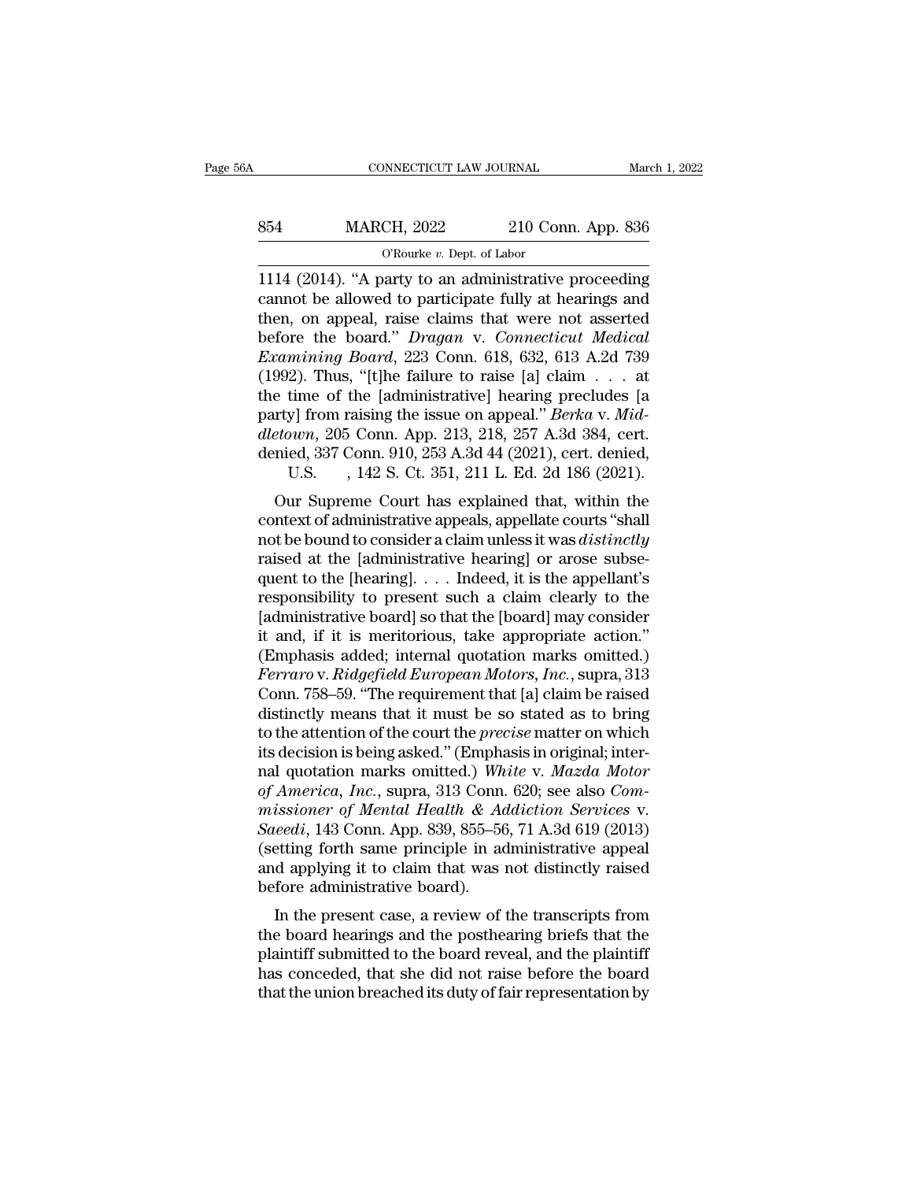# CONNECTICUT LAW JOURNAL March 1, 2022<br>854 MARCH, 2022 210 Conn. App. 836<br>C'Rourke v. Dept. of Labor NNECTICUT LAW JOURNAL<br>CH, 2022 210 Con<br><sup>O'Rourke v. Dept. of Labor<br>party to an administrative</sup>

CONNECTICUT LAW JOURNAL March 1, 2022<br>
1114 (2014). ''A party to an administrative proceeding<br>
1114 (2014). ''A party to an administrative proceeding<br>
1114 (2014). ''A party to an administrative proceeding<br>
1114 (2014). '' MARCH, 2022 210 Conn. App. 836<br>
CROWERE v. Dept. of Labor<br>
1114 (2014). "A party to an administrative proceeding<br>
cannot be allowed to participate fully at hearings and<br>
then, on appeal, raise claims that were not asserted MARCH, 2022 210 Conn. App. 836<br>
O'Rourke v. Dept. of Labor<br>
1114 (2014). "A party to an administrative proceeding<br>
cannot be allowed to participate fully at hearings and<br>
then, on appeal, raise claims that were not assert 854 MARCH, 2022 210 Conn. App. 836<br>
<sup>O'Rourke v. Dept. of Labor<br>
1114 (2014). "A party to an administrative proceeding<br>
cannot be allowed to participate fully at hearings and<br>
then, on appeal, raise claims that were not as</sup> *Examinion, 2022*<br> *Examining Board, 14pp.* 000<br> **Examining Connect Solution**<br> **Examining Board**, raise claims that were not asserted<br>
before the board." *Dragan* v. *Connecticut Medical*<br> *Examining Board*, 223 Conn. 618, (1992). Thus, "[t]he failure to raise failure to respect the band of the allowed to participate fully at hearings and then, on appeal, raise claims that were not asserted before the board." *Dragan* v. *Connecticut Medica* 1114 (2014). "A party to an administrative proceeding<br>cannot be allowed to participate fully at hearings and<br>then, on appeal, raise claims that were not asserted<br>before the board." *Dragan* v. *Connecticut Medical*<br>*Exami* cannot be allowed to participate fully at hearings and<br>then, on appeal, raise claims that were not asserted<br>before the board.'' *Dragan* v. *Connecticut Medical*<br>*Examining Board*, 223 Conn. 618, 632, 613 A.2d 739<br>(1992). then, on appeal, raise claims that were not asserted<br>before the board." *Dragan* v. *Connecticut Medical*<br>*Examining Board*, 223 Conn. 618, 632, 613 A.2d 739<br>(1992). Thus, "[t]he failure to raise [a] claim . . . at<br>the tim before the board." *Dragan* v. *Connecticut Medical* Examining Board, 223 Conn. 618, 632, 613 A.2d 739 (1992). Thus, "[t]he failure to raise [a] claim . . . at the time of the [administrative] hearing precludes [a party] f mining Board, 223 Conn. 618, 632, 613 A.2d 739<br>2). Thus, "[t]he failure to raise [a] claim . . . at<br>time of the [administrative] hearing precludes [a<br>y] from raising the issue on appeal." *Berka v. Mid-*<br>*own*, 205 Conn. by 2). Thus, [t] the Tanure to Tase [a] claim  $\cdot \cdot \cdot$  at<br>e time of the [administrative] hearing precludes [a<br>rty] from raising the issue on appeal." *Berka* v. *Mid-*<br>etown, 205 Conn. App. 213, 218, 257 A.3d 384, cert.<br>n the time of the [administrative] hearing precides [a]<br>party] from raising the issue on appeal." *Berka* v. *Mid-<br>dletown*, 205 Conn. App. 213, 218, 257 A.3d 384, cert.<br>denied, 337 Conn. 910, 253 A.3d 44 (2021), cert. deni

party] Hold raising the issue of appear. *Berka v. maddletown*, 205 Conn. App. 213, 218, 257 A.3d 384, cert.<br>denied, 337 Conn. 910, 253 A.3d 44 (2021), cert. denied,<br>U.S. , 142 S. Ct. 351, 211 L. Ed. 2d 186 (2021).<br>Our Sup detailed, 337 Conn. 810, 253 A.3d 44 (2021), cert. denied, 337 Conn. 910, 253 A.3d 44 (2021), cert. denied, U.S. , 142 S. Ct. 351, 211 L. Ed. 2d 186 (2021).<br>Our Supreme Court has explained that, within the context of admi defined, 357 Collit. 910, 253 A.3d 44 (2021), cert. defined,<br>U.S. , 142 S. Ct. 351, 211 L. Ed. 2d 186 (2021).<br>Our Supreme Court has explained that, within the<br>context of administrative appeals, appellate courts "shall<br>not C.S.  $\rightarrow$  142 S. Ct. 351, 211 L. Ed. 2d 160 (2021).<br>Our Supreme Court has explained that, within the<br>context of administrative appeals, appellate courts "shall<br>not be bound to consider a claim unless it was *distinctly*<br>r Our Supreme Court has explained that, within the context of administrative appeals, appellate courts "shall not be bound to consider a claim unless it was *distinctly* raised at the [administrative hearing] or arose subse context of administrative appeals, appellate courts "shall<br>not be bound to consider a claim unless it was *distinctly*<br>raised at the [administrative hearing] or arose subse-<br>quent to the [hearing].... Indeed, it is the ap not be bound to consider a claim unless it was *distinctly*<br>raised at the [administrative hearing] or arose subse-<br>quent to the [hearing]. . . . Indeed, it is the appellant's<br>responsibility to present such a claim clearly raised at the [administrative hearing] or arose subsequent to the [hearing]. . . . Indeed, it is the appellant's responsibility to present such a claim clearly to the [administrative board] so that the [board] may consider quent to the [hearing].  $\ldots$  Indeed, it is the appellant's<br>responsibility to present such a claim clearly to the<br>[administrative board] so that the [board] may consider<br>it and, if it is meritorious, take appropriate acti responsibility to present such a claim clearly to the<br>[administrative board] so that the [board] may consider<br>it and, if it is meritorious, take appropriate action."<br>(Emphasis added; internal quotation marks omitted.)<br>*Fer* [administrative board] so that the [board] may consider<br>it and, if it is meritorious, take appropriate action."<br>(Emphasis added; internal quotation marks omitted.)<br>*Ferraro* v. *Ridgefield European Motors*, *Inc.*, supra, it and, if it is meritorious, take appropriate action."<br>(Emphasis added; internal quotation marks omitted.)<br>Ferraro v. Ridgefield European Motors, Inc., supra, 313<br>Conn. 758–59. "The requirement that [a] claim be raised<br>d (Emphasis added; internal quotation marks omitted.)<br>*Ferraro* v. *Ridgefield European Motors*, *Inc.*, supra, 313<br>Conn. 758–59. "The requirement that [a] claim be raised<br>distinctly means that it must be so stated as to bri *Ferraro* v. *Ridgefield European Motors, Inc.*, supra, 313<br>
Conn. 758–59. "The requirement that [a] claim be raised<br>
distinctly means that it must be so stated as to bring<br>
to the attention of the court the *precise* matt Conn. 758–59. "The requirement that [a] claim be raised<br>distinctly means that it must be so stated as to bring<br>to the attention of the court the *precise* matter on which<br>its decision is being asked." (Emphasis in original distinctly means that it must be so stated as to bring<br>to the attention of the court the *precise* matter on which<br>its decision is being asked." (Emphasis in original; inter-<br>nal quotation marks omitted.) White v. Mazda Mo to the attention of the court the *precise* matter on which<br>its decision is being asked." (Emphasis in original; inter-<br>nal quotation marks omitted.) White v. Mazda Motor<br>of America, Inc., supra, 313 Conn. 620; see also Co its decision is being asked." (Emphasis in original; inter-<br>nal quotation marks omitted.) White v. Mazda Motor<br>of America, Inc., supra, 313 Conn. 620; see also Com-<br>missioner of Mental Health & Addiction Services v.<br>Saeedi nal quotation marks omitted.) Wh<br>of America, Inc., supra, 313 Conn.<br>missioner of Mental Health & Ac<br>Saeedi, 143 Conn. App. 839, 855–56<br>(setting forth same principle in ac<br>and applying it to claim that was before administr America,  $mc$ , supra, 313 Collit. 020, see also Com-<br>issioner of Mental Health & Addiction Services v.<br>leedi, 143 Conn. App. 839, 855–56, 71 A.3d 619 (2013)<br>etting forth same principle in administrative appeal<br>d applying i *the board*, 143 Conn. App. 839, 855–56, 71 A.3d 619 (2013)<br>(setting forth same principle in administrative appeal<br>and applying it to claim that was not distinctly raised<br>before administrative board).<br>In the present case,

suceut, 145 Colli. App. 639, 635–50, 71 A.5d 019 (2015)<br>(setting forth same principle in administrative appeal<br>and applying it to claim that was not distinctly raised<br>before administrative board).<br>In the present case, a r (setting forth same principle in administrative appear)<br>and applying it to claim that was not distinctly raised<br>before administrative board).<br>In the present case, a review of the transcripts from<br>the board hearings and the and applying it to claim that was not usunctly raised<br>before administrative board).<br>In the present case, a review of the transcripts from<br>the board hearings and the posthearing briefs that the<br>plaintiff submitted to the bo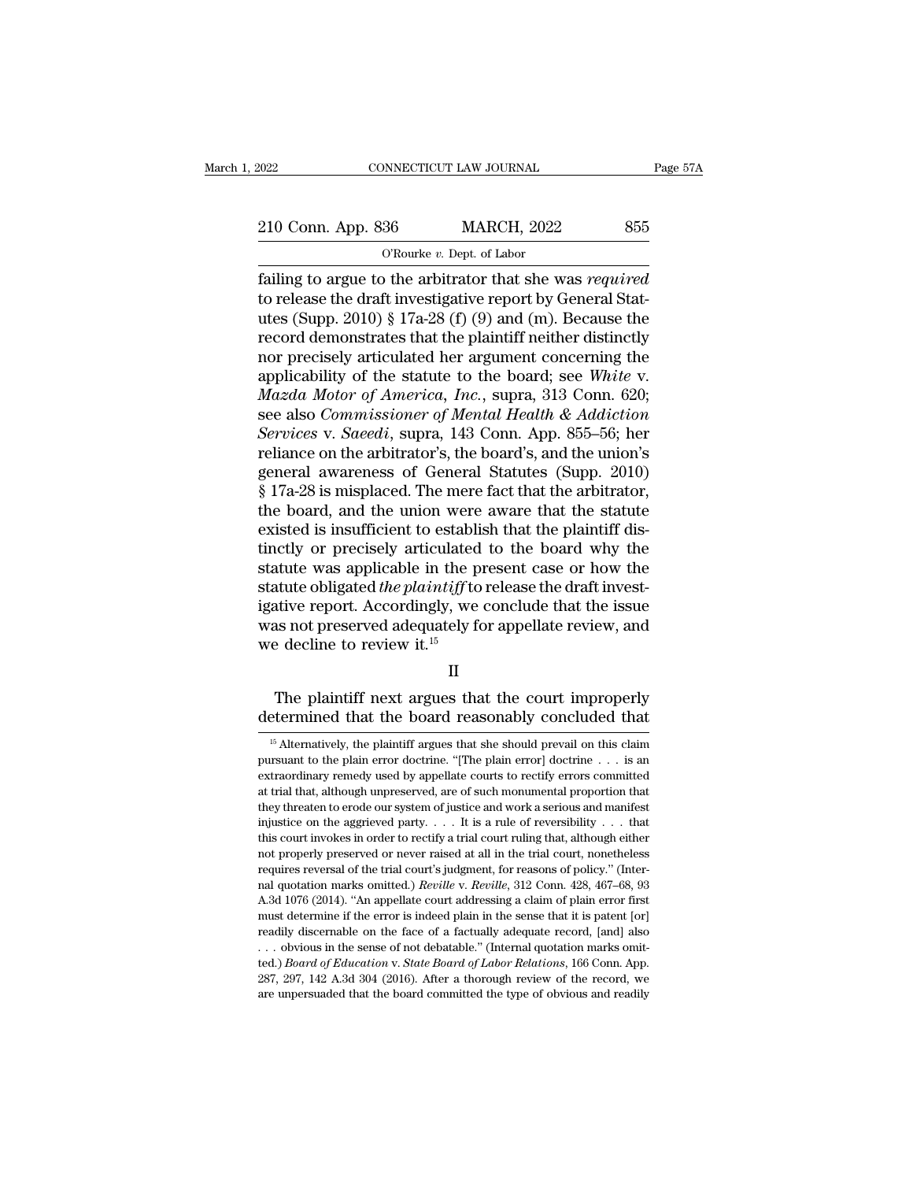EXECUTE CONNECTICUT LAW JOURNAL Page 57A<br>210 Conn. App. 836 MARCH, 2022 855<br>C'Rourke v. Dept. of Labor NNECTICUT LAW JOURNAL<br>
36 MARCH, 2022<br>
<sup>O'Rourke *v*. Dept. of Labor<br>
p the arbitrator that she w</sup>

Fage 57A<br>
Fage 57A<br>
10 Conn. App. 836 MARCH, 2022 855<br>
The order of Labor<br>
Tailing to argue to the arbitrator that she was *required*<br>
to release the draft investigative report by General Stat-210 Conn. App. 836 MARCH, 2022 855<br>
O'Rourke v. Dept. of Labor<br>
failing to argue to the arbitrator that she was *required*<br>
to release the draft investigative report by General Stat-<br>
utes (Supp. 2010) § 17a-28 (f) (9) an 210 Conn. App. 836 MARCH, 2022 855<br>
O'Rourke v. Dept. of Labor<br>
failing to argue to the arbitrator that she was *required*<br>
to release the draft investigative report by General Stat-<br>
utes (Supp. 2010) § 17a-28 (f) (9) an 210 Conn. App. 836 MARCH, 2022 855<br>
O'Rourke v. Dept. of Labor<br>
failing to argue to the arbitrator that she was *required*<br>
to release the draft investigative report by General Stat-<br>
utes (Supp. 2010) § 17a-28 (f) (9) an The state of the arbitrator of Labor<br>
failing to argue to the arbitrator that she was *required*<br>
to release the draft investigative report by General Stat-<br>
utes (Supp. 2010) § 17a-28 (f) (9) and (m). Because the<br>
record CROUTKE *v.* Dept. of Labor<br>
failing to argue to the arbitrator that she was *required*<br>
to release the draft investigative report by General Stat-<br>
utes (Supp. 2010) § 17a-28 (f) (9) and (m). Because the<br>
record demonstra failing to argue to the arbitrator that she was *required*<br>to release the draft investigative report by General Stat-<br>utes (Supp. 2010) § 17a-28 (f) (9) and (m). Because the<br>record demonstrates that the plaintiff neither d to release the draft investigative report by General Stat-<br>utes (Supp. 2010) § 17a-28 (f) (9) and (m). Because the<br>record demonstrates that the plaintiff neither distinctly<br>nor precisely articulated her argument concerning utes (Supp. 2010) § 17a-28 (f) (9) and (m). Because the<br>record demonstrates that the plaintiff neither distinctly<br>nor precisely articulated her argument concerning the<br>applicability of the statute to the board; see *White* record demonstrates that the plaintiff neither distinctly<br>nor precisely articulated her argument concerning the<br>applicability of the statute to the board; see White v.<br>Mazda Motor of America, Inc., supra, 313 Conn. 620;<br>se nor precisely articulated her argument concerning the<br>applicability of the statute to the board; see White v.<br>Mazda Motor of America, Inc., supra, 313 Conn. 620;<br>see also Commissioner of Mental Health & Addiction<br>Services applicability of the statute to the board; see White v.<br>Mazda Motor of America, Inc., supra, 313 Conn. 620;<br>see also Commissioner of Mental Health & Addiction<br>Services v. Saeedi, supra, 143 Conn. App. 855–56; her<br>reliance Mazda Motor of America, Inc., supra, 313 Conn. 620;<br>see also Commissioner of Mental Health & Addiction<br>Services v. Saeedi, supra, 143 Conn. App. 855–56; her<br>reliance on the arbitrator's, the board's, and the union's<br>gener see also *Commissioner of Mental Health & Addiction*<br>Services v. Saeedi, supra, 143 Conn. App. 855–56; her<br>reliance on the arbitrator's, the board's, and the union's<br>general awareness of General Statutes (Supp. 2010)<br>§ 17a Services v. Saeedi, supra, 143 Conn. App. 855–56; her reliance on the arbitrator's, the board's, and the union's general awareness of General Statutes (Supp. 2010) § 17a-28 is misplaced. The mere fact that the arbitrator, reliance on the arbitrator's, the board's, and the union's<br>general awareness of General Statutes (Supp. 2010)<br> $§ 17a-28$  is misplaced. The mere fact that the arbitrator,<br>the board, and the union were aware that the statut general awareness of General Statutes (Supp. 2010)<br>§ 17a-28 is misplaced. The mere fact that the arbitrator,<br>the board, and the union were aware that the statute<br>existed is insufficient to establish that the plaintiff dis-§ 17a-28 is misplaced. The mere fact that the arbitrator,<br>the board, and the union were aware that the statute<br>existed is insufficient to establish that the plaintiff dis-<br>tinctly or precisely articulated to the board why the board, and the union were aware that the statute<br>existed is insufficient to establish that the plaintiff dis-<br>tinctly or precisely articulated to the board why the<br>statute was applicable in the present case or how the existed is insufficient to establi<br>tinctly or precisely articulated<br>statute was applicable in the p<br>statute obligated *the plaintiff* to<br>igative report. Accordingly, we<br>was not preserved adequately fo<br>we decline to review Must a be plaintiff to release the draft invest-<br>tive report. Accordingly, we conclude that the issue<br>as not preserved adequately for appellate review, and<br>education in the court improperly<br> $\Pi$ <br>The plaintiff next argues igative report. Accordingly, we conclude that the issue<br>was not preserved adequately for appellate review, and<br>we decline to review it.<sup>15</sup><br> $II$ <br>The plaintiff next argues that the court improperly<br>determined that the board

II

II<br>
15 The plaintiff next argues that the court improperly<br>
determined that the board reasonably concluded that<br>
<sup>15</sup> Alternatively, the plaintiff argues that she should prevail on this claim<br>
argues that she should prevai

The plaintiff next argues that the court improperly<br>determined that the board reasonably concluded that<br> $\frac{15}{15}$  Alternatively, the plaintiff argues that she should prevail on this claim<br>pursuant to the plain error doc The plaintiff next argues that the court improperly<br>determined that the board reasonably concluded that<br> $\frac{15}{15}$  Alternatively, the plaintiff argues that she should prevail on this claim<br>pursuant to the plain error doc determined that the board reasonably concluded that<br>
<sup>15</sup> Alternatively, the plaintiff argues that she should prevail on this claim<br>
pursuant to the plain error doctrine. "[The plain error] doctrine  $\dots$  is an<br>
extraordin determined that the board reasonably concluded that<br>
<sup>15</sup> Alternatively, the plaintiff argues that she should prevail on this claim<br>
pursuant to the plain error doctrine. "[The plain error] doctrine . . . is an<br>
extraordi <sup>15</sup> Alternatively, the plaintiff argues that she should prevail on this claim pursuant to the plain error doctrine. "[The plain error] doctrine . . . is an extraordinary remedy used by appellate courts to rectify errors pursuant to the plain error doctrine. "[The plain error] doctrine  $\ldots$  is an extraordinary remedy used by appellate courts to rectify errors committed at trial that, although unpreserved, are of such monumental proportio pextraordinary remedy used by appellate courts to rectify errors committed at trial that, although unpreserved, are of such monumental proportion that they threaten to erode our system of justice and work a serious and man at trial that, although unpreserved, are of such monumental proportion that they threaten to erode our system of justice and work a serious and manifest injustice on the aggrieved party.  $\dots$  It is a rule of reversibility they threaten to erode our system of justice and work a serious and manifest<br>injustice on the aggrieved party. . . . It is a rule of reversibility . . . that<br>this court invokes in order to rectify a trial court ruling that injustice on the aggrieved party.  $\ldots$  It is a rule of reversibility  $\ldots$  that this court invokes in order to rectify a trial court ruling that, although either not properly preserved or never raised at all in the trial must determine if the error is indeed plain in the sense that it is patent for energing the range reversal of the trial court's judgment, for reasons of policy." (Internal quotation marks omitted.) *Reville* v. *Reville*, not properly preserved or never raised at all in the trial court, nonetheless<br>requires reversal of the trial court's judgment, for reasons of policy." (Inter-<br>nal quotation marks omitted.) *Reville* v. *Reville*, 312 Conn. not properly preserved or never raised at all in the trial court, nonetheless<br>requires reversal of the trial court's judgment, for reasons of policy." (Inter-<br>nal quotation marks omitted.) *Reville* v. *Reville*, 312 Conn nal quotation marks omitted.) *Reville* v. *Reville*, 312 Conn. 428, 467–68, 93<br>A.3d 1076 (2014). "An appellate court addressing a claim of plain error first<br>must determine if the error is indeed plain in the sense that it A.3d 1076 (2014). "An appellate court addressing a claim of plain error first must determine if the error is indeed plain in the sense that it is patent [or] readily discernable on the face of a factually adequate record, must determine if the error is indeed plain in the sense that it is patent [or]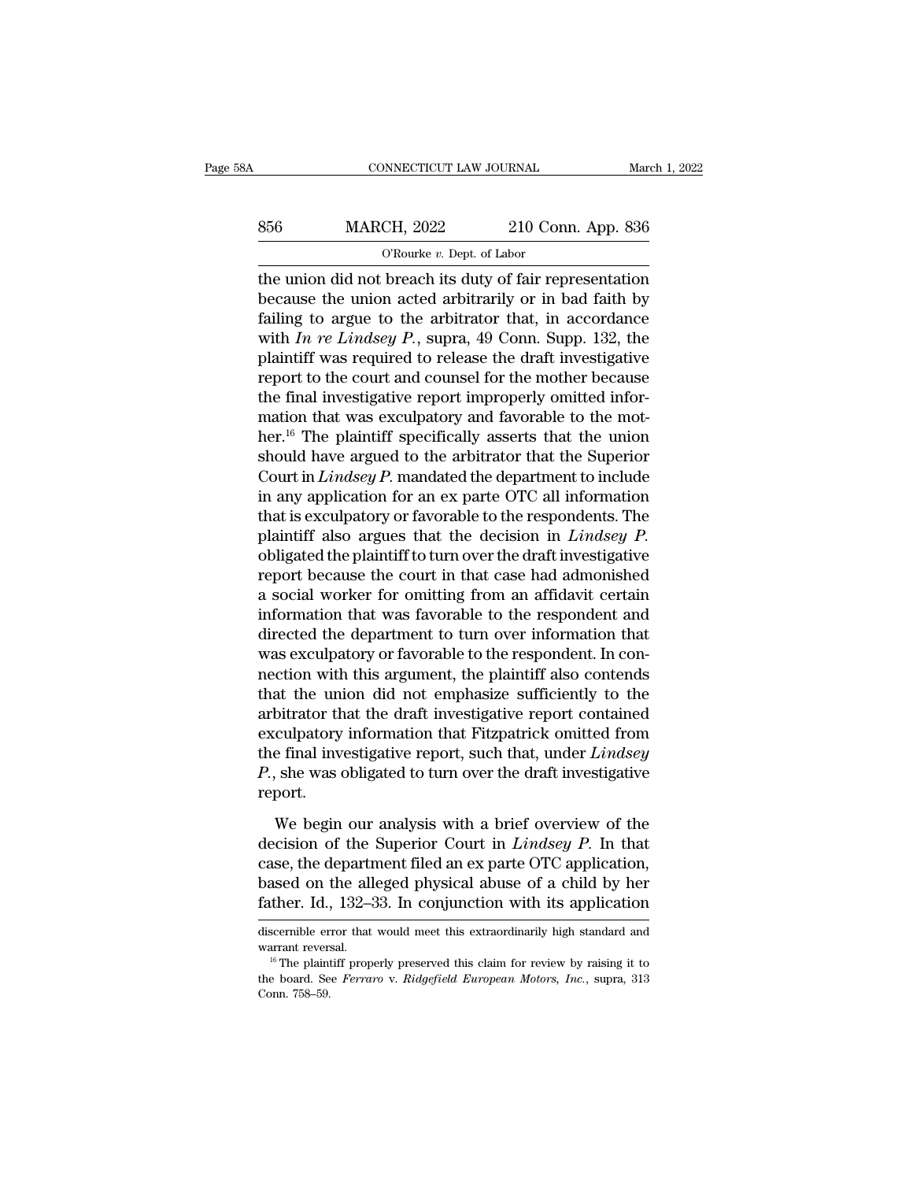# CONNECTICUT LAW JOURNAL March 1, 2022<br>856 MARCH, 2022 210 Conn. App. 836<br>C'Rourke v. Dept. of Labor NNECTICUT LAW JOURNAL<br>CH, 2022 210 Con<br><sup>O'Rourke v.</sup> Dept. of Labor<br>breach its duty of fair ren

CONNECTICUT LAW JOURNAL March 1, 2022<br>
S56 MARCH, 2022 210 Conn. App. 836<br>
O'Rourke v. Dept. of Labor<br>
the union did not breach its duty of fair representation<br>
because the union acted arbitrarily or in bad faith by<br>
faili  $\begin{array}{r} \text{856} \text{} \text{MARCH, 2022} \text{210 Conn. App. 836} \\ \text{0'Rowike } v. \text{ Dept. of Labor} \\ \text{the union did not breach its duty of fair representation} \\ \text{because the union acted arbitrarily or in bad faith by failing to argue to the arbitrary or in according to a specific image.} \\ \text{with $l_1$ are labeled $l_2$ sums 40 Conn. Sumn. 132, the$ Failing to argue to the arbitrator that, in accordance<br>
with the union did not breach its duty of fair representation<br>
because the union acted arbitrarily or in bad faith by<br>
failing to argue to the arbitrator that, in ac MARCH, 2022 210 Conn. App. 836<br>
<sup>O'Rourke v. Dept. of Labor<br>
the union did not breach its duty of fair representation<br>
because the union acted arbitrarily or in bad faith by<br>
failing to argue to the arbitrator that, in acc</sup> Planet is duty of fair representation<br>the union did not breach its duty of fair representation<br>because the union acted arbitrarily or in bad faith by<br>failing to argue to the arbitrator that, in accordance<br>with *In re Lind*  $\sigma$  is the courting of Kourke *v*. Dept. of Eabor<br>the union did not breach its duty of fair representation<br>because the union acted arbitrarily or in bad faith by<br>failing to argue to the arbitrator that, in accordance<br>wit the union did not breach its duty of fair representation<br>because the union acted arbitrarily or in bad faith by<br>failing to argue to the arbitrator that, in accordance<br>with  $In$   $re$  Lindsey  $P$ ., supra, 49 Conn. Supp. 132, because the union acted arbitrarily or in bad faith by<br>failing to argue to the arbitrator that, in accordance<br>with  $In$   $re$  Lindsey  $P$ ., supra, 49 Conn. Supp. 132, the<br>plaintiff was required to release the draft investiga failing to argue to the arbitrator that, in accordance<br>with *In re Lindsey P*., supra, 49 Conn. Supp. 132, the<br>plaintiff was required to release the draft investigative<br>report to the court and counsel for the mother becau with *In re Lindsey P.*, supra, 49 Conn. Supp. 132, the plaintiff was required to release the draft investigative report to the court and counsel for the mother because the final investigative report improperly omitted in plaintiff was required to release the draft investigative<br>report to the court and counsel for the mother because<br>the final investigative report improperly omitted infor-<br>mation that was exculpatory and favorable to the mot report to the court and counsel for the mother because<br>the final investigative report improperly omitted infor-<br>mation that was exculpatory and favorable to the mot-<br>her.<sup>16</sup> The plaintiff specifically asserts that the uni the final investigative report improperly omitted information that was exculpatory and favorable to the mother.<sup>16</sup> The plaintiff specifically asserts that the union should have argued to the arbitrator that the Superior mation that was exculpatory and favorable to the mother.<sup>16</sup> The plaintiff specifically asserts that the union should have argued to the arbitrator that the Superior Court in *Lindsey P*. mandated the department to include her.<sup>16</sup> The plaintiff specifically asserts that the union<br>should have argued to the arbitrator that the Superior<br>Court in *Lindsey P*. mandated the department to include<br>in any application for an ex parte OTC all informa should have argued to the arbitrator that the Superior<br>Court in  $Lindsey P$ , mandated the department to include<br>in any application for an ex parte OTC all information<br>that is exculpatory or favorable to the respondents. The<br>pl Court in *Lindsey P*. mandated the department to include<br>in any application for an ex parte OTC all information<br>that is exculpatory or favorable to the respondents. The<br>plaintiff also argues that the decision in *Lindsey* in any application for an ex parte OTC all information<br>that is exculpatory or favorable to the respondents. The<br>plaintiff also argues that the decision in *Lindsey P*.<br>obligated the plaintiff to turn over the draft invest that is exculpatory or favorable to the respondents. The<br>plaintiff also argues that the decision in *Lindsey P*.<br>obligated the plaintiff to turn over the draft investigative<br>report because the court in that case had admoni plaintiff also argues that the decision in *Lindsey P*.<br>obligated the plaintiff to turn over the draft investigative<br>report because the court in that case had admonished<br>a social worker for omitting from an affidavit certa obligated the plaintiff to turn over the draft investigative<br>report because the court in that case had admonished<br>a social worker for omitting from an affidavit certain<br>information that was favorable to the respondent and<br> report because the court in that case had admonished<br>a social worker for omitting from an affidavit certain<br>information that was favorable to the respondent and<br>directed the department to turn over information that<br>was exc a social worker for omitting from an affidavit certain<br>information that was favorable to the respondent and<br>directed the department to turn over information that<br>was exculpatory or favorable to the respondent. In con-<br>nec information that was favorable to the respondent and<br>directed the department to turn over information that<br>was exculpatory or favorable to the respondent. In con-<br>nection with this argument, the plaintiff also contends<br>tha directed the department to turn over information that<br>was exculpatory or favorable to the respondent. In con-<br>nection with this argument, the plaintiff also contends<br>that the union did not emphasize sufficiently to the<br>arb was exculpatory or favorable to the respondent. In connection with this argument, the plaintiff also contends that the union did not emphasize sufficiently to the arbitrator that the draft investigative report contained ex report. bitrator that the draft investigative report contained<br>culpatory information that Fitzpatrick omitted from<br>e final investigative report, such that, under *Lindsey*<br>, she was obligated to turn over the draft investigative<br> exculpatory information that Fitzpatrick omitted from<br>the final investigative report, such that, under *Lindsey*<br>*P.*, she was obligated to turn over the draft investigative<br>report.<br>We begin our analysis with a brief overv

the final investigative report, such that, under *Lindsey*<br>  $P$ , she was obligated to turn over the draft investigative<br>
report.<br>
We begin our analysis with a brief overview of the<br>
decision of the Superior Court in *Lind P*., she was obligated to turn over the draft investigative report.<br>We begin our analysis with a brief overview of the decision of the Superior Court in *Lindsey P*. In that case, the department filed an ex parte OTC app Freport.<br>We begin our analysis with a brief overview of the<br>decision of the Superior Court in *Lindsey P*. In that<br>case, the department filed an ex parte OTC application,<br>based on the alleged physical abuse of a child by h decision of the superior Court in *Lindsey P*. In that case, the department filed an ex parte OTC application, based on the alleged physical abuse of a child by her father. Id., 132–33. In conjunction with its application case, the department filed an ex parte OTC application,<br>based on the alleged physical abuse of a child by her<br>father. Id., 132–33. In conjunction with its application<br>discernible error that would meet this extraordinarily

Father. Id., 132–33. In conjunction with its application<br>discernible error that would meet this extraordinarily high standard and<br>warrant reversal.<br><sup>16</sup> The plaintiff properly preserved this claim for review by raising it discernible error that would meet this extraordinarily high standard and warrant reversal.<br><sup>16</sup> The plaintiff properly preserved this claim for review by raising it to the board. See *Ferraro v. Ridgefield European Motors*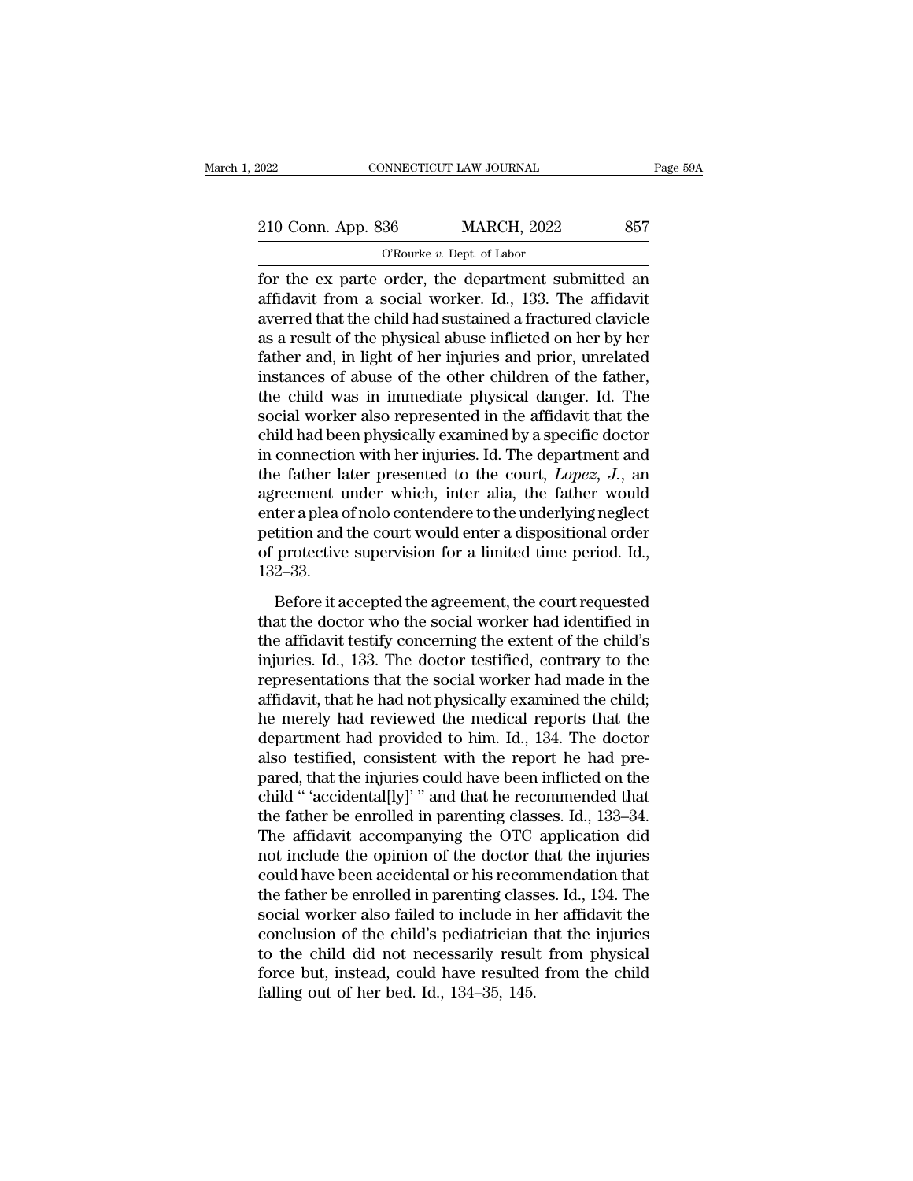| 2022               | CONNECTICUT LAW JOURNAL                             | Page 59A |
|--------------------|-----------------------------------------------------|----------|
|                    |                                                     |          |
| 210 Conn. App. 836 | <b>MARCH, 2022</b>                                  | 857      |
|                    | O'Rourke $v$ . Dept. of Labor                       |          |
|                    | for the ex parte order, the department submitted an |          |

Fage 59A<br>
Fage 59A<br>
210 Conn. App. 836 MARCH, 2022 857<br>
O'Rourke v. Dept. of Labor<br>
for the ex parte order, the department submitted an<br>
affidavit from a social worker. Id., 133. The affidavit<br>
averred that the child had s 210 Conn. App. 836 MARCH, 2022 857<br>
O'Rourke v. Dept. of Labor<br>
for the ex parte order, the department submitted an<br>
affidavit from a social worker. Id., 133. The affidavit<br>
averred that the child had sustained a fracture 210 Conn. App. 836 MARCH, 2022 857<br>
O'Rourke v. Dept. of Labor<br>
for the ex parte order, the department submitted an<br>
affidavit from a social worker. Id., 133. The affidavit<br>
averred that the child had sustained a fracture 210 Conn. App. 836 MARCH, 2022 857<br>
O'Rourke v. Dept. of Labor<br>
for the ex parte order, the department submitted an<br>
affidavit from a social worker. Id., 133. The affidavit<br>
averred that the child had sustained a fracture For the expansion of Rourke v. Dept. of Labor<br>for the exparte order, the department submitted an<br>affidavit from a social worker. Id., 133. The affidavit<br>averred that the child had sustained a fractured clavicle<br>as a resul For the exparte order, the department submitted an affidavit from a social worker. Id., 133. The affidavit averred that the child had sustained a fractured clavicle as a result of the physical abuse inflicted on her by he for the ex parte order, the department submitted an affidavit from a social worker. Id., 133. The affidavit averred that the child had sustained a fractured clavicle as a result of the physical abuse inflicted on her by he affidavit from a social worker. Id., 133. The affidavit<br>averred that the child had sustained a fractured clavicle<br>as a result of the physical abuse inflicted on her by her<br>father and, in light of her injuries and prior, un averred that the child had sustained a fractured clavicle<br>as a result of the physical abuse inflicted on her by her<br>father and, in light of her injuries and prior, unrelated<br>instances of abuse of the other children of the as a result of the physical abuse inflicted on her by her<br>father and, in light of her injuries and prior, unrelated<br>instances of abuse of the other children of the father,<br>the child was in immediate physical danger. Id. T father and, in light of her injuries and prior, unrelated<br>instances of abuse of the other children of the father,<br>the child was in immediate physical danger. Id. The<br>social worker also represented in the affidavit that the instances of abuse of the other children of the father,<br>the child was in immediate physical danger. Id. The<br>social worker also represented in the affidavit that the<br>child had been physically examined by a specific doctor<br> the child was in immediate physical danger. Id. The social worker also represented in the affidavit that the child had been physically examined by a specific doctor in connection with her injuries. Id. The department and social worker also represented in the affidavit that the child had been physically examined by a specific doctor in connection with her injuries. Id. The department and the father later presented to the court,  $Lopez$ ,  $J$ . child had been physically examined by a specific doctor<br>in connection with her injuries. Id. The department and<br>the father later presented to the court, *Lopez*, *J*., an<br>agreement under which, inter alia, the father woul 132–33. Frame in the agreement under which, inter alia, the father would<br>ter a plea of nolo contendere to the underlying neglect<br>tition and the court would enter a dispositional order<br>protective supervision for a limited time peri reflerence and the court who the doctor the underlying neglect<br>petition and the court would enter a dispositional order<br>of protective supervision for a limited time period. Id.,<br>132–33.<br>Before it accepted the agreement, th

the affidavit testified in the court would enter a dispositional order<br>of protective supervision for a limited time period. Id.,<br>132–33.<br>Before it accepted the agreement, the court requested<br>that the doctor who the social injuries. Id., 133. The doctor testified, contrary to the representations that the doctor who the social worker had identified in the affidavit testify concerning the extent of the child's injuries. Id., 133. The doctor te represente supervision for a intitive alternative ferrories. Tal.,<br>132–33.<br>Before it accepted the agreement, the court requested<br>that the doctor who the social worker had identified in<br>the affidavit testify concerning the Before it accepted the agreement, the court requested<br>that the doctor who the social worker had identified in<br>the affidavit testify concerning the extent of the child's<br>injuries. Id., 133. The doctor testified, contrary t Before it accepted the agreement, the court requested<br>that the doctor who the social worker had identified in<br>the affidavit testify concerning the extent of the child's<br>injuries. Id., 133. The doctor testified, contrary to that the doctor who the social worker had identified in<br>the affidavit testify concerning the extent of the child's<br>injuries. Id., 133. The doctor testified, contrary to the<br>representations that the social worker had made i the affidavit testify concerning the extent of the child's<br>injuries. Id., 133. The doctor testified, contrary to the<br>representations that the social worker had made in the<br>affidavit, that he had not physically examined the injuries. Id., 133. The doctor testified, contrary to the<br>representations that the social worker had made in the<br>affidavit, that he had not physically examined the child;<br>he merely had reviewed the medical reports that the representations that the social worker had made in the affidavit, that he had not physically examined the child;<br>he merely had reviewed the medical reports that the<br>department had provided to him. Id., 134. The doctor<br>also affidavit, that he had not physically examined the child;<br>he merely had reviewed the medical reports that the<br>department had provided to him. Id., 134. The doctor<br>also testified, consistent with the report he had pre-<br>pare he merely had reviewed the medical reports that the<br>department had provided to him. Id., 134. The doctor<br>also testified, consistent with the report he had pre-<br>pared, that the injuries could have been inflicted on the<br>chil department had provided to him. Id., 134. The doctor<br>also testified, consistent with the report he had pre-<br>pared, that the injuries could have been inflicted on the<br>child " 'accidental[ly]' " and that he recommended that<br> also testified, consistent with the report he had pre-<br>pared, that the injuries could have been inflicted on the<br>child " 'accidental[ly]' " and that he recommended that<br>the father be enrolled in parenting classes. Id., 133 pared, that the injuries could have been inflicted on the child " 'accidental[ly]' " and that he recommended that the father be enrolled in parenting classes. Id., 133–34. The affidavit accompanying the OTC application did child " 'accidental[ly]' " and that he recommended that<br>the father be enrolled in parenting classes. Id., 133–34.<br>The affidavit accompanying the OTC application did<br>not include the opinion of the doctor that the injuries<br>c the father be enrolled in parenting classes. Id., 133–34.<br>The affidavit accompanying the OTC application did<br>not include the opinion of the doctor that the injuries<br>could have been accidental or his recommendation that<br>the The affidavit accompanying the OTC application did<br>not include the opinion of the doctor that the injuries<br>could have been accidental or his recommendation that<br>the father be enrolled in parenting classes. Id., 134. The<br>s not include the opinion of the doctor that the injuries<br>could have been accidental or his recommendation that<br>the father be enrolled in parenting classes. Id., 134. The<br>social worker also failed to include in her affidavit could have been accidental or his recon<br>the father be enrolled in parenting class<br>social worker also failed to include in l<br>conclusion of the child's pediatrician t<br>to the child did not necessarily result<br>force but, instea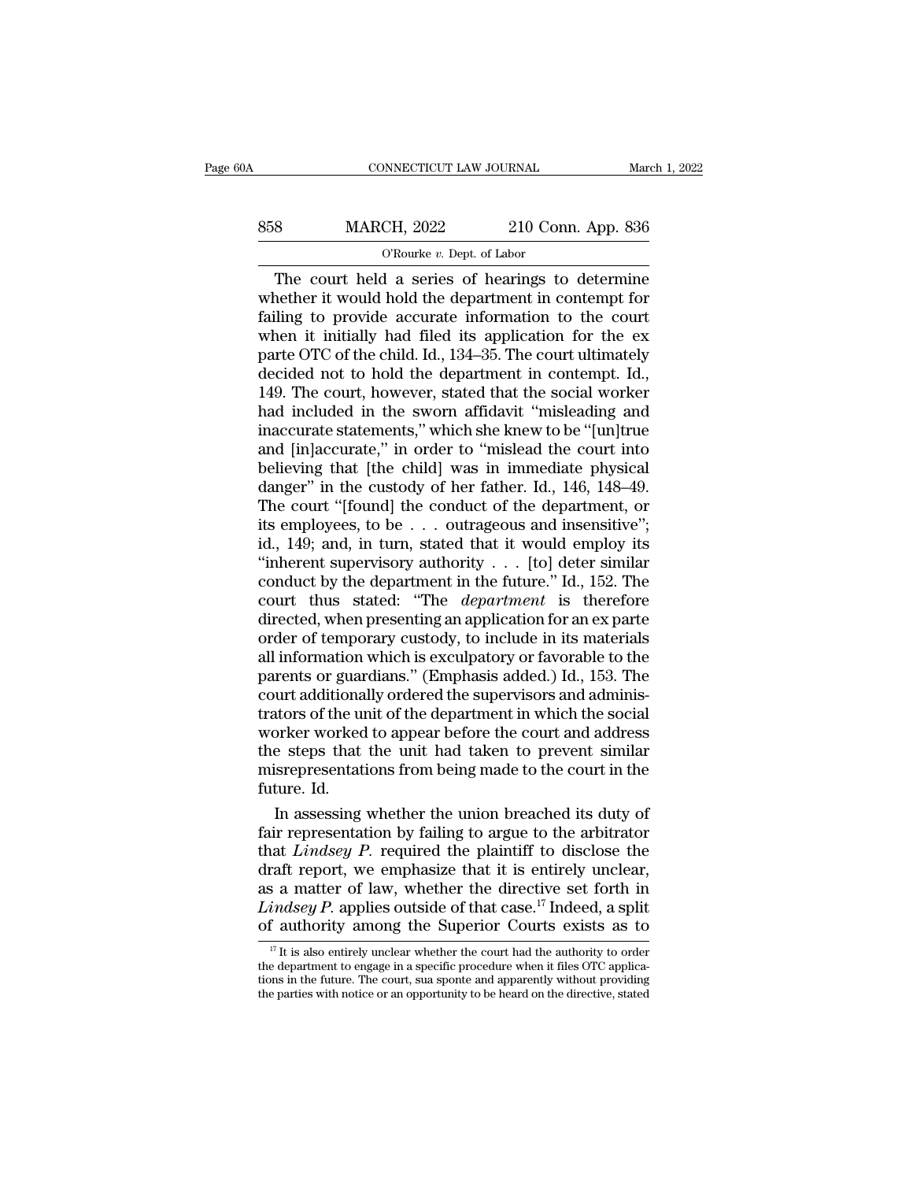| 30A | CONNECTICUT LAW JOURNAL                          |                    | March 1, 2022 |
|-----|--------------------------------------------------|--------------------|---------------|
| 858 | <b>MARCH, 2022</b>                               | 210 Conn. App. 836 |               |
|     | O'Rourke $v$ . Dept. of Labor                    |                    |               |
|     | The court held a series of hearings to determine |                    |               |

CONNECTICUT LAW JOURNAL March 1, 2022<br>
Sandwick MARCH, 2022 210 Conn. App. 836<br>
CRourke v. Dept. of Labor<br>
The court held a series of hearings to determine<br>
The court held a series of hearings to determine<br>
The court held WARCH, 2022 210 Conn. App. 836<br>
O'Rourke v. Dept. of Labor<br>
The court held a series of hearings to determine<br>
whether it would hold the department in contempt for<br>
failing to provide accurate information to the court<br>
when Failing to provide a series of hearings to determine<br>whether it would hold the department in contempt for<br>failing to provide accurate information to the court<br>when it initially had filed its application for the ex WARCH, 2022 210 Conn. App. 836<br>
O'Rourke v. Dept. of Labor<br>
The court held a series of hearings to determine<br>
whether it would hold the department in contempt for<br>
failing to provide accurate information to the court<br>
whe Provide *v.* Dept. of Labor<br>
The court held a series of hearings to determine<br>
whether it would hold the department in contempt for<br>
failing to provide accurate information to the court<br>
when it initially had filed its ap  $\alpha$  a series of hearings to determine<br>
whether it would hold the department in contempt for<br>
failing to provide accurate information to the court<br>
when it initially had filed its application for the ex<br>
parte OTC of the The court held a series of hearings to determine<br>whether it would hold the department in contempt for<br>failing to provide accurate information to the court<br>when it initially had filed its application for the ex<br>parte OTC of whether it would hold the department in contempt for<br>failing to provide accurate information to the court<br>when it initially had filed its application for the ex<br>parte OTC of the child. Id., 134–35. The court ultimately<br>dec failing to provide accurate information to the court<br>when it initially had filed its application for the ex<br>parte OTC of the child. Id., 134–35. The court ultimately<br>decided not to hold the department in contempt. Id.,<br>149 when it initially had filed its application for the ex<br>parte OTC of the child. Id., 134–35. The court ultimately<br>decided not to hold the department in contempt. Id.,<br>149. The court, however, stated that the social worker<br>h parte OTC of the child. Id., 134–35. The court ultimately<br>decided not to hold the department in contempt. Id.,<br>149. The court, however, stated that the social worker<br>had included in the sworn affidavit "misleading and<br>inac decided not to hold the department in contempt. Id., 149. The court, however, stated that the social worker had included in the sworn affidavit "misleading and inaccurate statements," which she knew to be "[un]true and [in 149. The court, however, stated that the social worker<br>had included in the sworn affidavit "misleading and<br>inaccurate statements," which she knew to be "[un]true<br>and [in]accurate," in order to "mislead the court into<br>beli had included in the sworn affidavit "misleading and<br>inaccurate statements," which she knew to be "[un]true<br>and [in]accurate," in order to "mislead the court into<br>believing that [the child] was in immediate physical<br>danger" inaccurate statements," which she knew to be "[un]true<br>and [in]accurate," in order to "mislead the court into<br>believing that [the child] was in immediate physical<br>danger" in the custody of her father. Id., 146, 148–49.<br>Th and [in]accurate," in order to "mislead the court into<br>believing that [the child] was in immediate physical<br>danger" in the custody of her father. Id., 146, 148–49.<br>The court "[found] the conduct of the department, or<br>its believing that [the child] was in immediate physical<br>danger" in the custody of her father. Id., 146, 148–49.<br>The court "[found] the conduct of the department, or<br>its employees, to be  $\ldots$  outrageous and insensitive";<br>id. danger" in the custody of her father. Id.,  $146$ ,  $148-49$ .<br>The court "[found] the conduct of the department, or<br>its employees, to be . . . outrageous and insensitive";<br>id., 149; and, in turn, stated that it would employ The court "[found] the conduct of the department, or<br>its employees, to be  $\ldots$  outrageous and insensitive";<br>id., 149; and, in turn, stated that it would employ its<br>"inherent supervisory authority  $\ldots$  [to] deter similar its employees, to be  $\ldots$  outrageous and insensitive";<br>id., 149; and, in turn, stated that it would employ its<br>"inherent supervisory authority  $\ldots$  [to] deter similar<br>conduct by the department in the future." Id., 152. id., 149; and, in turn, stated that it would employ its<br>
"inherent supervisory authority . . . [to] deter similar<br>
conduct by the department in the future." Id., 152. The<br>
court thus stated: "The *department* is therefore "inherent supervisory authority  $\ldots$  [to] deter similar conduct by the department in the future." Id., 152. The court thus stated: "The *department* is therefore directed, when presenting an application for an ex parte o conduct by the department in the future." Id., 152. The court thus stated: "The *department* is therefore directed, when presenting an application for an ex parte order of temporary custody, to include in its materials all court thus stated: "The *department* is therefore directed, when presenting an application for an ex parte order of temporary custody, to include in its materials all information which is exculpatory or favorable to the pa directed, when presenting an application for an ex parte<br>order of temporary custody, to include in its materials<br>all information which is exculpatory or favorable to the<br>parents or guardians." (Emphasis added.) Id., 153. T order of temporary custody, to include in its materials<br>all information which is exculpatory or favorable to the<br>parents or guardians." (Emphasis added.) Id., 153. The<br>court additionally ordered the supervisors and adminis all information which is exculpatory or favorable to the parents or guardians." (Emphasis added.) Id., 153. The court additionally ordered the supervisors and administrators of the unit of the department in which the socia parents or guar<br>court additiona<br>trators of the un<br>worker worked<br>the steps that<br>misrepresentat<br>future. Id.<br>In assessing urt additionally ordered the supervisors and adminis-<br>tors of the unit of the department in which the social<br>orker worked to appear before the court and address<br>e steps that the unit had taken to prevent similar<br>isreprese trators of the unit of the department in which the social<br>worker worked to appear before the court and address<br>the steps that the unit had taken to prevent similar<br>misrepresentations from being made to the court in the<br>fu

worker worked to appear before the court and address<br>the steps that the unit had taken to prevent similar<br>misrepresentations from being made to the court in the<br>future. Id.<br>In assessing whether the union breached its duty the steps that the unit had taken to prevent similar<br>misrepresentations from being made to the court in the<br>future. Id.<br>In assessing whether the union breached its duty of<br>fair representation by failing to argue to the ar misrepresentations from being made to the court in the<br>future. Id.<br>In assessing whether the union breached its duty of<br>fair representation by failing to argue to the arbitrator<br>that *Lindsey P*. required the plaintiff to future. Id.<br>In assessing whether the union breached its duty of<br>fair representation by failing to argue to the arbitrator<br>that *Lindsey P*. required the plaintiff to disclose the<br>draft report, we emphasize that it is entir In assessing whether the union breached its duty of<br>fair representation by failing to argue to the arbitrator<br>that *Lindsey P*. required the plaintiff to disclose the<br>draft report, we emphasize that it is entirely unclear raft report, we emphasize that it is entirely unclear,<br>
is a matter of law, whether the directive set forth in<br>
indsey P. applies outside of that case.<sup>17</sup> Indeed, a split<br>
if authority among the Superior Courts exists as as a matter of law, whether the directive set forth in *Lindsey P*. applies outside of that case.<sup>17</sup> Indeed, a split of authority among the Superior Courts exists as to  $\frac{17}{17}$  It is also entirely unclear whether the

as a matter of law, whether the directive set forth in *Lindsey P*. applies outside of that case.<sup>17</sup> Indeed, a split of authority among the Superior Courts exists as to  $\frac{\pi}{L}$  it is also entirely unclear whether the c *Lindsey P*. applies outside of that case.<sup>14</sup> Indeed, a split of authority among the Superior Courts exists as to  $\frac{\pi}{1}$  it is also entirely unclear whether the court had the authority to order the department to engag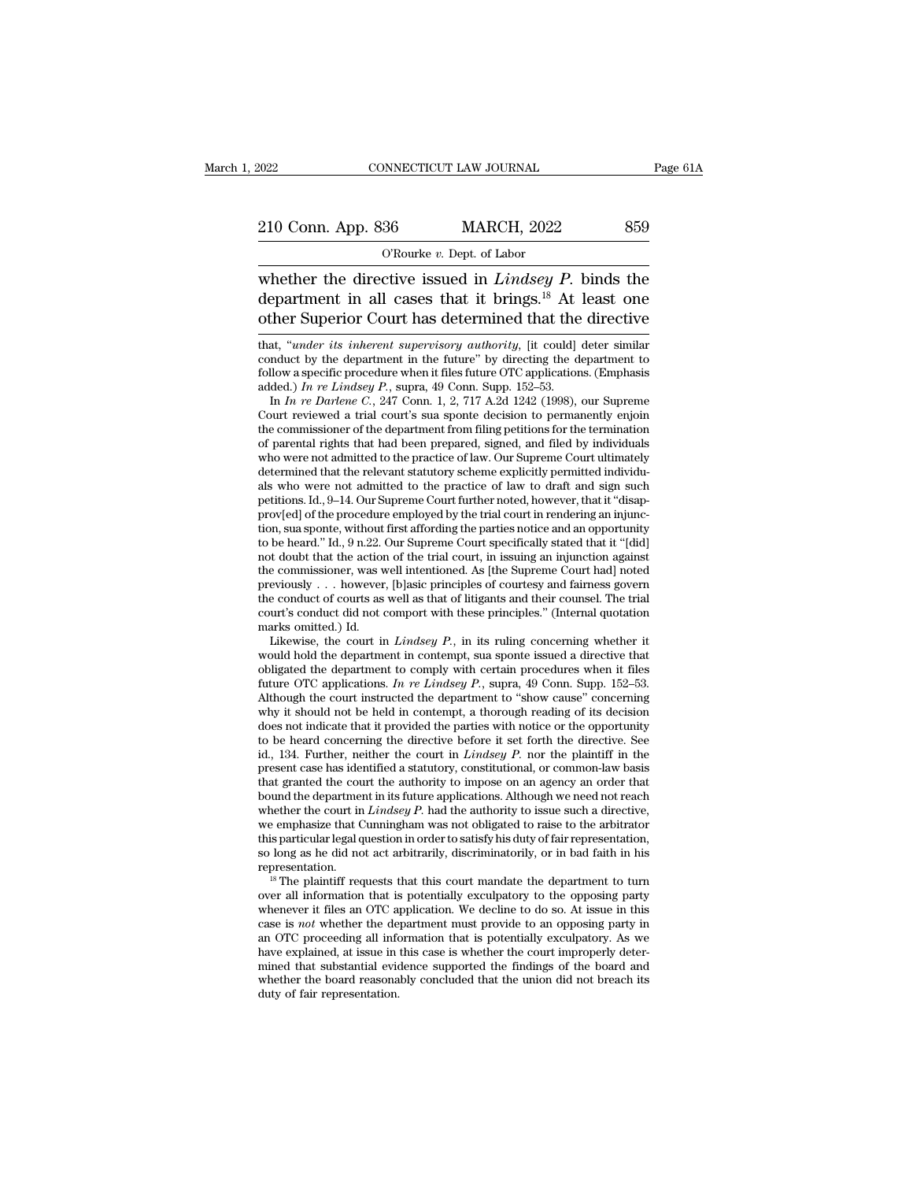NNECTICUT LAW JOURNAL<br>
36 MARCH, 2022<br>
<sup>O'Rourke *v.* Dept. of Labor<br>
ctive issued in *Lindseu F*</sup> CONNECTICUT LAW JOURNAL Page 61A<br>
210 Conn. App. 836 MARCH, 2022 859<br>
O'Rourke v. Dept. of Labor<br>
whether the directive issued in *Lindsey P*. binds the<br>
department in all cases that it brings.<sup>18</sup> At least one<br>
other Supe 210 Conn. App. 836 MARCH, 2022 859<br>
O'Rourke v. Dept. of Labor<br>
whether the directive issued in *Lindsey P*. binds the<br>
department in all cases that it brings.<sup>18</sup> At least one<br>
other Superior Court has determined that the 210 Conn. App. 836 MARCH, 2022 859<br>
O'Rourke v. Dept. of Labor<br>
whether the directive issued in *Lindsey P*. binds the<br>
department in all cases that it brings.<sup>18</sup> At least one<br>
other Superior Court has determined that th <sup>o</sup> *Kourke <i>v*. Dept. of Easor<br>whether the directive issued in *Lindsey P*. binds the<br>department in all cases that it brings.<sup>18</sup> At least one<br>other Superior Court has determined that the directive<br>that, "*under its inher* whether the directive issued in *Lindsey P*. binds the<br>department in all cases that it brings.<sup>18</sup> At least one<br>other Superior Court has determined that the directive<br> $\frac{1}{\text{that}}$ , "*under its inherent supervisory authori* 

department in all cases that it brings.<sup>18</sup> At least one<br>other Superior Court has determined that the directive<br>that, "*under its inherent supervisory authority*, [it could] deter similar<br>conduct by the department in the department in all cases that it brings.<sup>15</sup> At other Superior Court has determined that the that, "*under its inherent supervisory authority*, [it could] conduct by the department in the future" by directing the d follow a ther Superior Court has determined that the directive<br>at, "*under its inherent supervisory authority*, [it could] deter similar<br>mduct by the department in the future" by directing the department to<br>llow a specific procedur That, "*under its inherent supervisory authority*, [it could] deter similar conduct by the department in the future" by directing the department to follow a specific procedure when it files future OTC applications. (Empha

that, "*under its inherent supervisory authority*, [it could] deter similar conduct by the department in the future" by directing the department to follow a specific procedure when it files future OTC applications. (Empha conduct by the department in the future" by directing the department to follow a specific procedure when it files future OTC applications. (Emphasis added.) *In re Lindsey P.*, supra, 49 Conn. Supp. 152–53. In *In re Darl* follow a specific procedure when it files future OTC applications. (Emphasis added.) *In re Lindsey P.*, supra, 49 Conn. Supp.  $152-53$ .<br>In *In re Darlene C.*, 247 Conn. 1, 2, 717 A.2d 1242 (1998), our Supreme Court revie added.) In re Lindsey P., supra, 49 Conn. Supp. 152–53.<br>In In re Darlene C., 247 Conn. 1, 2, 717 A.2d 1242 (1998), our Supreme Court reviewed a trial court's sua sponte decision to permanently enjoin<br>the commissioner of t In *In re Darlene C.*, 247 Conn. 1, 2, 717 A.2d 1242 (1998), our Supreme Court reviewed a trial court's sua sponte decision to permanently enjoin the commissioner of the department from filing petitions for the terminatio Court reviewed a trial court's sua sponte decision to permanently enjoin<br>the commissioner of the department from filing petitions for the termination<br>of parental rights that had been prepared, signed, and filed by individu the commissioner of the department from filing petitions for the termination<br>of parental rights that had been prepared, signed, and filed by individuals<br>who were not admitted to the practice of law. Our Supreme Court ulti of parental rights that had been prepared, signed, and filed by individuals<br>who were not admitted to the practice of law. Our Supreme Court ultimately<br>determined that the relevant statutory scheme explicitly permitted indi who were not admitted to the practice of law. Our Supreme Court ultimately<br>determined that the relevant statutory scheme explicitly permitted individuals<br>who were not admitted to the practice of law to draft and sign such<br> determined that the relevant statutory scheme explicitly permitted individuals who were not admitted to the practice of law to draft and sign such petitions. Id., 9–14. Our Supreme Court further noted, however, that it "di als who were not admitted to the practice of law to draft and sign such petitions. Id., 9–14. Our Supreme Court further noted, however, that it "disapprov[ed] of the procedure employed by the trial court in rendering an i petitions. Id., 9–14. Our Supreme Court further noted, however, that it "disapprov[ed] of the procedure employed by the trial court in rendering an injunction, sua sponte, without first affording the parties notice and an prov[ed] of the procedure employed by the trial court in rendering an injunction, sua sponte, without first affording the parties notice and an opportunity to be heard." Id., 9 n.22. Our Supreme Court specifically stated t tion, sua sponte, without first affording the parties notice and an opportunity<br>to be heard." Id., 9 n.22. Our Supreme Court specifically stated that it "[did]<br>not doubt that the action of the trial court, in issuing an i to be heard." Id.,  $9$  n.22. (<br>not doubt that the action<br>the commissioner, was w<br>previously . . . however<br>the conduct of courts as<br>court's conduct did not comarks omitted.) Id.<br>Likewise, the court in<br>likewise, the court i It doubt that the action of the trial court, in issuing an injunction against<br>
e commissioner, was well intentioned. As [the Supreme Court had] noted<br>
eviously . . . however, [b]asic principles of courtesy and fairness gov the commissioner, was well intentioned. As [the Supreme Court had] noted<br>previously . . . however, [b]asic principles of courtesy and fairness govern<br>the conduct of courts as well as that of litigants and their counsel. T

previously . . . however, [b]asic principles of courtesy and fairness govern<br>the conduct of courts as well as that of litigants and their counsel. The trial<br>court's conduct did not comport with these principles." (Interna the conduct of courts as well as that of litigants and their counsel. The trial court's conduct did not comport with these principles." (Internal quotation marks omitted.) Id. Likewise, the court in *Lindsey P.*, in its ru court's conduct did not comport with these principles." (Internal quotation marks omitted.) Id.<br>
Likewise, the court in *Lindsey P.*, in its ruling concerning whether it would hold the department in contempt, sua sponte i marks omitted.) Id.<br>
Likewise, the court in *Lindsey P.*, in its ruling concerning whether it<br>
would hold the department in contempt, sua sponte issued a directive that<br>
obligated the department to comply with certain pro Likewise, the court in *Lindsey P*., in its ruling concerning whether it would hold the department in contempt, sua sponte issued a directive that obligated the department to comply with certain procedures when it files f would hold the department in contempt, sua sponte issued a directive that obligated the department to comply with certain procedures when it files future OTC applications. *In re Lindsey P*., supra, 49 Conn. Supp. 152–53. obligated the department to comply with certain procedures when it files future OTC applications. *In re Lindsey P.*, supra, 49 Conn. Supp. 152–53. Although the court instructed the department to "show cause" concerning w future OTC applications. *In re Lindsey P.*, supra, 49 Conn. Supp. 152–53.<br>Although the court instructed the department to "show cause" concerning<br>why it should not be held in contempt, a thorough reading of its decision<br> Although the court instructed the department to "show cause" concerning<br>why it should not be held in contempt, a thorough reading of its decision<br>does not indicate that it provided the parties with notice or the opportuni why it should not be held in contempt, a thorough reading of its decision does not indicate that it provided the parties with notice or the opportunity to be heard concerning the directive before it set forth the directiv does not indicate that it provided the parties with notice or the opportunity<br>to be heard concerning the directive before it set forth the directive. See<br>id., 134. Further, neither the court in *Lindsey P*. nor the plainti to be heard concerning the directive before it set forth the directive. See id., 134. Further, neither the court in *Lindsey P*. nor the plaintiff in the present case has identified a statutory, constitutional, or commonid., 134. Further, neither the court in *Lindsey P*. nor the plaintiff in the present case has identified a statutory, constitutional, or common-law basis that granted the court the authority to impose on an agency an ord present case has identified a statutory, constitutional, or common-law basis<br>that granted the court the authority to impose on an agency an order that<br>bound the department in its future applications. Although we need not representation. bound the department in its future applications. Although we need not reach<br>
nether the court in *Lindsey P*. had the authority to issue such a directive,<br>
e emphasize that Cunningham was not obligated to raise to the arb whether the court in *Lindsey P*. had the authority to issue such a directive, we emphasize that Cunningham was not obligated to raise to the arbitrator this particular legal question in order to satisfy his duty of fair

we emphasize that Cunningham was not obligated to raise to the arbitrator<br>this particular legal question in order to satisfy his duty of fair representation,<br>so long as he did not act arbitrarily, discriminatorily, or in this particular legal question in order to satisfy his duty of fair representation,<br>so long as he did not act arbitrarily, discriminatorily, or in bad faith in his<br>representation.<br><sup>18</sup> The plaintiff requests that this cour so long as he did not act arbitrarily, discriminatorily, or in bad faith in his representation.<br><sup>18</sup> The plaintiff requests that this court mandate the department to turn over all information that is potentially exculpato representation.<br>
<sup>18</sup> The plaintiff requests that this court mandate the department to turn<br>
over all information that is potentially exculpatory to the opposing party<br>
whenever it files an OTC application. We decline to <sup>18</sup> The plaintiff requests that this court mandate the department to turn over all information that is potentially exculpatory to the opposing party whenever it files an OTC application. We decline to do so. At issue in over all information that is potentially exculpatory to the opposing party whenever it files an OTC application. We decline to do so. At issue in this case is *not* whether the department must provide to an opposing party whenever it files an OTC a<br>case is *not* whether the de<br>an OTC proceeding all info<br>have explained, at issue in<br>mined that substantial evid<br>whether the board reasona<br>duty of fair representation.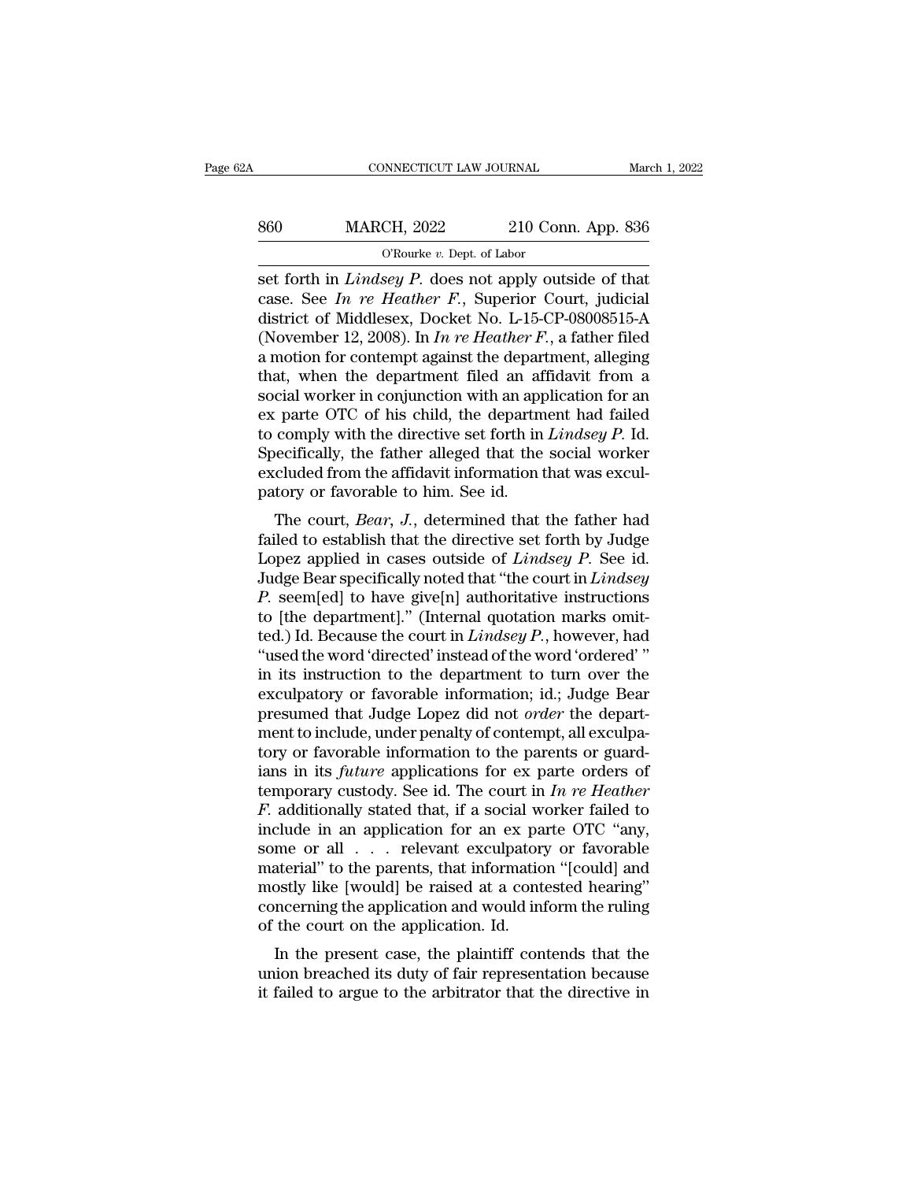| 2Α  | CONNECTICUT LAW JOURNAL                                      |                    | March 1, 2022 |
|-----|--------------------------------------------------------------|--------------------|---------------|
| 860 | <b>MARCH, 2022</b>                                           | 210 Conn. App. 836 |               |
|     | O'Rourke $v$ . Dept. of Labor                                |                    |               |
|     | set forth in <i>Lindseu P</i> does not apply outside of that |                    |               |

Set forth in *Lindsey P.* does not apply outside of that<br>
that case. See *In re Heather F.*, Superior Court, judicial<br>
district of Middlesey P. does not apply outside of that<br>
district of Middlesey Docket No. 1.15 CP 08008 Example 19 2022<br>
See *In re Heather F.*, Superior Court, judicial<br>
See *In re Heather F.*, Superior Court, judicial<br>
district of Middlesex, Docket No. L-15-CP-08008515-A<br>
(November 12, 2008). In *In re Heather F.*, a fathe MARCH, 2022 210 Conn. App. 836<br>  $\overline{O\text{Rourke } v. \text{ Dept. of Labor}}$ <br>
set forth in *Lindsey P*. does not apply outside of that<br>
case. See *In re Heather F*., Superior Court, judicial<br>
district of Middlesex, Docket No. L-15-CP-080085 MARCH, 2022 210 Conn. App. 836<br>
<sup>O'Rourke v. Dept. of Labor<br>
set forth in *Lindsey P*. does not apply outside of that<br>
case. See *In re Heather F*., Superior Court, judicial<br>
district of Middlesex, Docket No. L-15-CP-08008</sup> CONDUCTERT CONSUMBED TO CONSUMPT THE CONSUMING SET OF CONSUMING SET OF CONTROLLATION CONSUMING A Case. See *In re Heather F.*, Superior Court, judicial district of Middlesex, Docket No. L-15-CP-08008515-A (November 12, 20 ORourke v. Dept. of Labor<br>
set forth in *Lindsey P.* does not apply outside of that<br>
case. See *In re Heather F.*, Superior Court, judicial<br>
district of Middlesex, Docket No. L-15-CP-08008515-A<br>
(November 12, 2008). In *I* set forth in *Lindsey P*. does not apply outside of that<br>case. See *In re Heather F*., Superior Court, judicial<br>district of Middlesex, Docket No. L-15-CP-08008515-A<br>(November 12, 2008). In *In re Heather F*., a father fil case. See In re Heather F., Superior Court, judicial<br>district of Middlesex, Docket No. L-15-CP-08008515-A<br>(November 12, 2008). In In re Heather F., a father filed<br>a motion for contempt against the department, alleging<br>tha district of Middlesex, Docket No. L-15-CP-08008515-A<br>(November 12, 2008). In *In re Heather F*., a father filed<br>a motion for contempt against the department, alleging<br>that, when the department filed an affidavit from a<br>soc (November 12, 2008). In *In re Heather F*., a father filed<br>a motion for contempt against the department, alleging<br>that, when the department filed an affidavit from a<br>social worker in conjunction with an application for an a motion for contempt against the department, alleging that, when the department filed an affidavit from a social worker in conjunction with an application for an ex parte OTC of his child, the department had failed to co that, when the department filed an af<br>social worker in conjunction with an app<br>ex parte OTC of his child, the departm<br>to comply with the directive set forth in<br>Specifically, the father alleged that the<br>excluded from the a Early with the directive set forth in *Lindsey P.* Id.<br>
ie parte OTC of his child, the department had failed<br>
comply with the directive set forth in *Lindsey P.* Id.<br>
iecifically, the father alleged that the social worker Ex parte OTC of first child, the department had failed<br>to comply with the directive set forth in *Lindsey P*. Id.<br>Specifically, the father alleged that the social worker<br>excluded from the affidavit information that was ex

Lo comply with the directive set forth in *Lindsey P.* 1d.<br>Specifically, the father alleged that the social worker<br>excluded from the affidavit information that was excul-<br>patory or favorable to him. See id.<br>The court, *Bea* specifically, the failer aneged that the social worker<br>excluded from the affidavit information that was excul-<br>patory or favorable to him. See id.<br>The court, *Bear*, *J*., determined that the father had<br>failed to establish Excluded Hold the amazon information that was exclu-<br>patory or favorable to him. See id.<br>**The court,** *Bear*, *J.*, determined that the father had<br>failed to establish that the directive set forth by Judge<br>Lopez applied in patory of favorable to film. See id.<br>The court, *Bear*, *J*., determined that the father had<br>failed to establish that the directive set forth by Judge<br>Lopez applied in cases outside of *Lindsey P*. See id.<br>Judge Bear spec The court, *Bear*, *J.*, determined that the father had failed to establish that the directive set forth by Judge Lopez applied in cases outside of *Lindsey P*. See id. Judge Bear specifically noted that "the court in *Lin* failed to establish that the directive set forth by Judge<br>Lopez applied in cases outside of *Lindsey P*. See id.<br>Judge Bear specifically noted that "the court in *Lindsey*<br>*P*. seem[ed] to have give[n] authoritative instru Lopez applied in cases outside of *Lindsey P*. See id.<br>Judge Bear specifically noted that "the court in *Lindsey*<br>*P*. seem[ed] to have give[n] authoritative instructions<br>to [the department]." (Internal quotation marks omi Judge Bear specifically noted that "the court in  $Lindsey$ <br>  $P$ . seem[ed] to have give[n] authoritative instructions<br>
to [the department]." (Internal quotation marks omit-<br>
ted.) Id. Because the court in  $Lindsey$   $P$ ., however, *P.* seem[ed] to have give[n] authoritative instructions<br>to [the department]." (Internal quotation marks omit-<br>ted.) Id. Because the court in *Lindsey P.*, however, had<br>"used the word 'directed' instead of the word 'ordere to [the department]." (Internal quotation marks omit-<br>ted.) Id. Because the court in *Lindsey P*., however, had<br>"used the word 'directed' instead of the word 'ordered'"<br>in its instruction to the department to turn over th ted.) Id. Because the court in *Lindsey P.*, however, had<br>"used the word 'directed' instead of the word 'ordered' "<br>in its instruction to the department to turn over the<br>exculpatory or favorable information; id.; Judge Be "used the word 'directed' instead of the word 'ordered' "<br>in its instruction to the department to turn over the<br>exculpatory or favorable information; id.; Judge Bear<br>presumed that Judge Lopez did not *order* the depart-<br>m in its instruction to the department to turn over the exculpatory or favorable information; id.; Judge Bear<br>presumed that Judge Lopez did not *order* the depart-<br>ment to include, under penalty of contempt, all exculpa-<br>to exculpatory or favorable information; id.; Judge Bear<br>presumed that Judge Lopez did not *order* the depart-<br>ment to include, under penalty of contempt, all exculpa-<br>tory or favorable information to the parents or guard-<br>ia presumed that Judge Lopez did not *order* the department to include, under penalty of contempt, all exculpatory or favorable information to the parents or guardians in its *future* applications for ex parte orders of temp ment to include, under penalty of contempt, all exculpatory or favorable information to the parents or guardians in its *future* applications for ex parte orders of temporary custody. See id. The court in *In re Heather F* tory or favorable information to the parents or guardians in its *future* applications for ex parte orders of temporary custody. See id. The court in  $In$   $re$  *Heather*  $F$ . additionally stated that, if a social worker fai ians in its *future* applications for ex parte orders of temporary custody. See id. The court in *In re Heather F*. additionally stated that, if a social worker failed to include in an application for an ex parte OTC "any temporary custody. See id. The court in *In re Heather*  $F$ . additionally stated that, if a social worker failed to include in an application for an ex parte OTC "any, some or all  $\ldots$  relevant exculpatory or favorable m F. additionally stated that, if a social winclude in an application for an ex pa some or all  $\ldots$  relevant exculpatory material" to the parents, that informatio mostly like [would] be raised at a controncerning the appli Figure in an application for an ex-parte OTC any,<br>
me or all  $\ldots$  relevant exculpatory or favorable<br>
aterial" to the parents, that information "[could] and<br>
ostly like [would] be raised at a contested hearing"<br>
necerning some of an  $\cdot \cdot \cdot$  relevant excurpatory of favorable material" to the parents, that information "[could] and mostly like [would] be raised at a contested hearing" concerning the application and would inform the ruling of materiar to the parents, that mormation [could] and<br>mostly like [would] be raised at a contested hearing"<br>concerning the application and would inform the ruling<br>of the court on the application. Id.<br>In the present case, the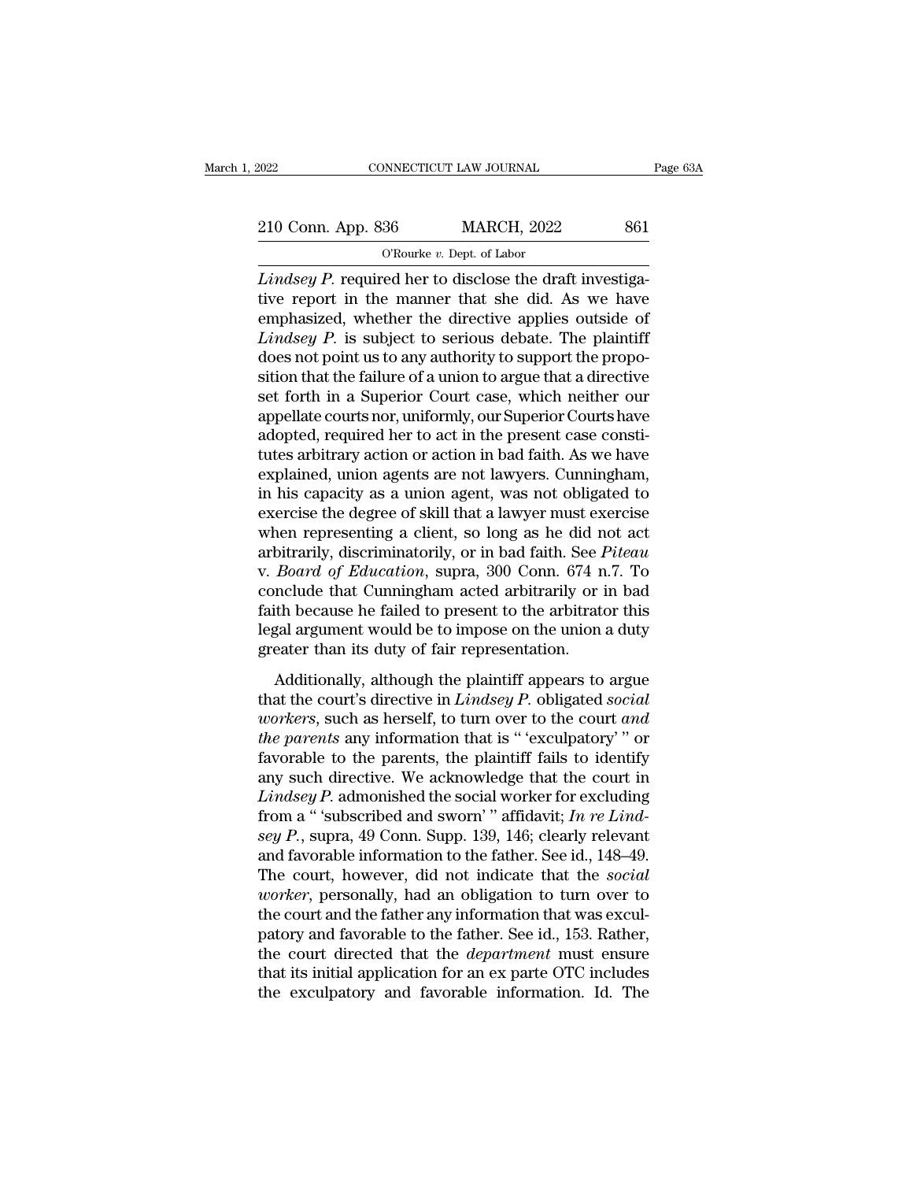EXECUTE CONNECTICUT LAW JOURNAL Page 63A<br>210 Conn. App. 836 MARCH, 2022 861<br>C'Rourke v. Dept. of Labor NNECTICUT LAW JOURNAL<br>36 MARCH, 2022<br><sup>O'Rourke *v.* Dept. of Labor<br>red her to disclose the dra</sup>

<sup>2022</sup> CONNECTICUT LAW JOURNAL<br>
<sup>210</sup> Conn. App. 836 MARCH, 2022 861<br>
<sup>O'Rourke v. Dept. of Labor<br> *Lindsey P*. required her to disclose the draft investiga-<br>
tive report in the manner that she did. As we have</sup> 210 Conn. App. 836 MARCH, 2022 861<br>
O'Rourke v. Dept. of Labor<br>
Lindsey P. required her to disclose the draft investiga-<br>
tive report in the manner that she did. As we have<br>
emphasized, whether the directive applies outsi 210 Conn. App. 836 MARCH, 2022 861<br>
O'Rourke v. Dept. of Labor<br>
Lindsey P. required her to disclose the draft investiga-<br>
tive report in the manner that she did. As we have<br>
emphasized, whether the directive applies outsi 210 Conn. App. 836 MARCH, 2022 861<br> *CRourke v. Dept. of Labor*<br> *Lindsey P.* required her to disclose the draft investiga-<br>
tive report in the manner that she did. As we have<br>
emphasized, whether the directive applies out  $O$ Rourke v. Dept. of Labor<br>Lindsey P. required her to disclose the draft investiga-<br>tive report in the manner that she did. As we have<br>emphasized, whether the directive applies outside of<br>Lindsey P. is subject to serious O Rourke v. Dept. of Labor<br>Lindsey P. required her to disclose the draft investiga-<br>tive report in the manner that she did. As we have<br>emphasized, whether the directive applies outside of<br>Lindsey P. is subject to serious Lindsey P. required her to disclose the draft investigative report in the manner that she did. As we have emphasized, whether the directive applies outside of Lindsey P. is subject to serious debate. The plaintiff does not tive report in the manner that she did. As we have<br>emphasized, whether the directive applies outside of<br>*Lindsey P*. is subject to serious debate. The plaintiff<br>does not point us to any authority to support the propo-<br>siti emphasized, whether the directive applies outside of *Lindsey P*. is subject to serious debate. The plaintiff does not point us to any authority to support the proposition that the failure of a union to argue that a direct Lindsey P. is subject to serious debate. The plaintiff<br>does not point us to any authority to support the propo-<br>sition that the failure of a union to argue that a directive<br>set forth in a Superior Court case, which neither does not point us to any authority to support the proposition that the failure of a union to argue that a directive<br>set forth in a Superior Court case, which neither our<br>appellate courts nor, uniformly, our Superior Courts sition that the failure of a union to argue that a directive<br>set forth in a Superior Court case, which neither our<br>appellate courts nor, uniformly, our Superior Courts have<br>adopted, required her to act in the present case set forth in a Superior Court case, which neither our<br>appellate courts nor, uniformly, our Superior Courts have<br>adopted, required her to act in the present case consti-<br>tutes arbitrary action or action in bad faith. As we appellate courts nor, uniformly, our Superior Courts have<br>adopted, required her to act in the present case consti-<br>tutes arbitrary action or action in bad faith. As we have<br>explained, union agents are not lawyers. Cunning adopted, required her to act in the present case constitutes arbitrary action or action in bad faith. As we have explained, union agents are not lawyers. Cunningham, in his capacity as a union agent, was not obligated to e tutes arbitrary action or action in bad faith. As we have<br>explained, union agents are not lawyers. Cunningham,<br>in his capacity as a union agent, was not obligated to<br>exercise the degree of skill that a lawyer must exercise explained, union agents are not lawyers. Cunningham,<br>in his capacity as a union agent, was not obligated to<br>exercise the degree of skill that a lawyer must exercise<br>when representing a client, so long as he did not act<br>arb in his capacity as a union agent, was not obligated to exercise the degree of skill that a lawyer must exercise when representing a client, so long as he did not act arbitrarily, discriminatorily, or in bad faith. See *Pit* exercise the degree of skill that a lawyer must exercise<br>when representing a client, so long as he did not act<br>arbitrarily, discriminatorily, or in bad faith. See *Piteau*<br>v. *Board of Education*, supra, 300 Conn. 674 n.7. when representing a client, so long as he did n<br>arbitrarily, discriminatorily, or in bad faith. See  $I$ <br>v. *Board of Education*, supra, 300 Conn. 674 n<br>conclude that Cunningham acted arbitrarily or i<br>faith because he fail Board of Education, supra, 300 Conn. 674 n.7. To<br>nelude that Cunningham acted arbitrarily or in bad<br>ith because he failed to present to the arbitrator this<br>gal argument would be to impose on the union a duty<br>eater than it the conclude that Cunningham acted arbitrarily or in bad faith because he failed to present to the arbitrator this legal argument would be to impose on the union a duty greater than its duty of fair representation.<br>Additio

Faith because he failed to present to the arbitrator this<br>legal argument would be to impose on the union a duty<br>greater than its duty of fair representation.<br>Additionally, although the plaintiff appears to argue<br>that the c *the parents* and the parents and the parents and the parents and the parents than its duty of fair representation.<br> *Additionally, although the plaintiff appears to argue*<br> *that the court's directive in Lindsey P. obliga* factor than its duty of fair representation.<br>
Additionally, although the plaintiff appears to argue<br>
that the court's directive in *Lindsey P*. obligated social<br> *workers*, such as herself, to turn over to the court *and* Additionally, although the plaintiff appears to argue<br>that the court's directive in *Lindsey P*. obligated social<br>workers, such as herself, to turn over to the court and<br>the parents any information that is "'exculpatory'' Additionally, although the plaintiff appears to argue<br>that the court's directive in *Lindsey P.* obligated *social*<br>*workers*, such as herself, to turn over to the court *and*<br>*the parents* any information that is "exculp that the court's directive in *Lindsey P*. obligated *social workers*, such as herself, to turn over to the court and the parents any information that is "exculpatory" or favorable to the parents, the plaintiff fails to *uorkers*, such as herself, to turn over to the court *and*<br>*the parents* any information that is "'exculpatory'" or<br>favorable to the parents, the plaintiff fails to identify<br>any such directive. We acknowledge that the cou the parents any information that is "exculpatory" " or<br>favorable to the parents, the plaintiff fails to identify<br>any such directive. We acknowledge that the court in<br>*Lindsey P*. admonished the social worker for excluding<br> favorable to the parents, the plaintiff fails to identify<br>any such directive. We acknowledge that the court in<br>*Lindsey P*. admonished the social worker for excluding<br>from a " 'subscribed and sworn' " affidavit; *In re Lin* any such directive. We acknowledge that the court in *Lindsey P*. admonished the social worker for excluding from a " 'subscribed and sworn' " affidavit; *In re Lindsey P*., supra, 49 Conn. Supp. 139, 146; clearly relevant Lindsey P. admonished the social worker for excluding<br>from a "'subscribed and sworn'" affidavit; In re Lind-<br>sey P., supra, 49 Conn. Supp. 139, 146; clearly relevant<br>and favorable information to the father. See id., 148–49 from a "subscribed and sworn'" affidavit; *In re Lindsey P.*, supra, 49 Conn. Supp. 139, 146; clearly relevant and favorable information to the father. See id., 148–49. The court, however, did not indicate that the *socia* sey P., supra, 49 Conn. Supp. 139, 146; clearly relevant<br>and favorable information to the father. See id., 148–49.<br>The court, however, did not indicate that the *social*<br>*worker*, personally, had an obligation to turn over and favorable information to the father. See id., 148–49.<br>The court, however, did not indicate that the *social*<br>*worker*, personally, had an obligation to turn over to<br>the court and the father any information that was exc The court, however, did not indicate that the *social* worker, personally, had an obligation to turn over to the court and the father any information that was exculpatory and favorable to the father. See id., 153. Rather,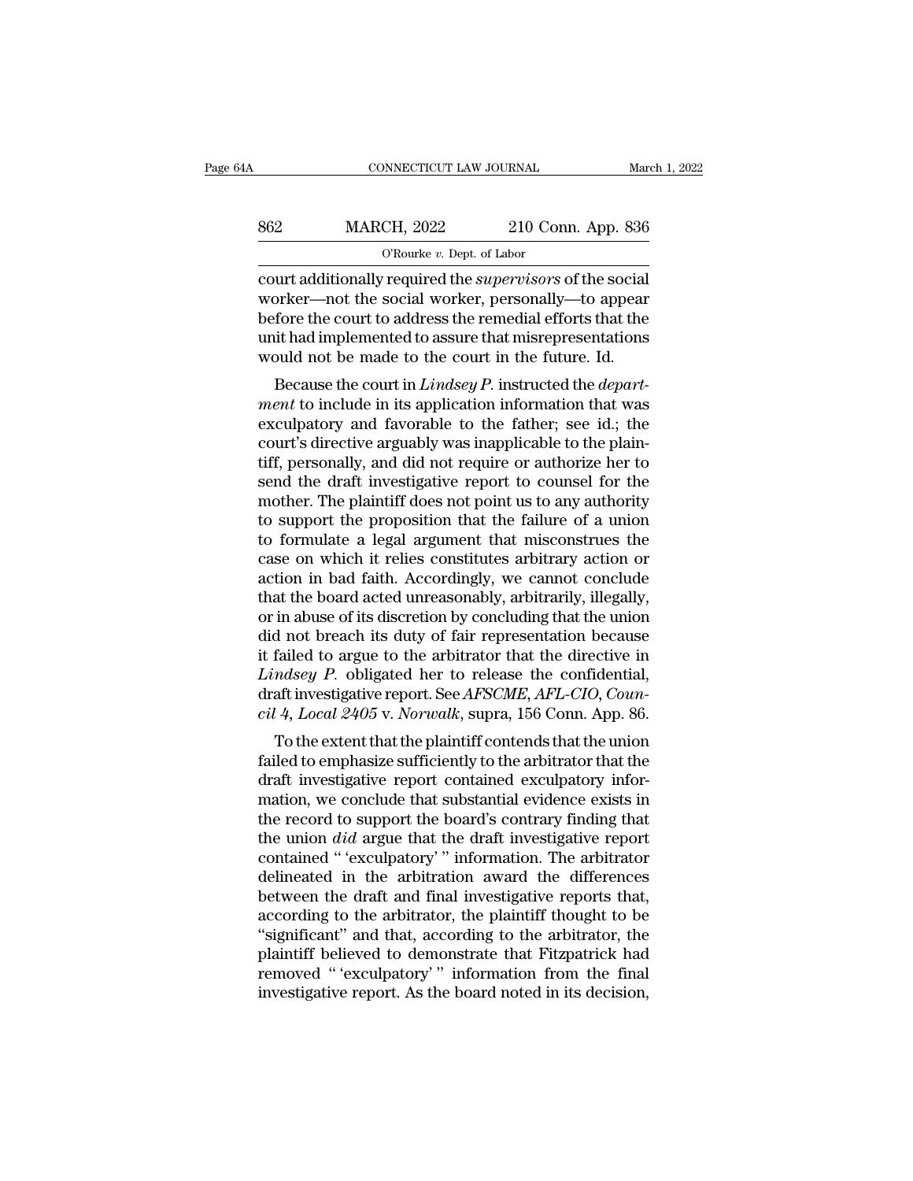| 4Α  | CONNECTICUT LAW JOURNAL                                          |                    | March 1, 2022 |
|-----|------------------------------------------------------------------|--------------------|---------------|
| 862 | <b>MARCH, 2022</b>                                               | 210 Conn. App. 836 |               |
|     | O'Rourke $v$ . Dept. of Labor                                    |                    |               |
|     | court additionally required the <i>supervisors</i> of the social |                    |               |

connectricut LAW JOURNAL March 1, 20<br>
862 MARCH, 2022 210 Conn. App. 836<br>
<sup>O'Rourke v. Dept. of Labor</sup><br>
court additionally required the *supervisors* of the social<br>
worker—not the social worker, personally—to appear<br>
hofor MARCH, 2022 210 Conn. App. 836<br>
O'Rourke v. Dept. of Labor<br>
Court additionally required the *supervisors* of the social<br>
worker—not the social worker, personally—to appear<br>
before the court to address the remedial efforts  $\begin{array}{r} \text{862}\ \text{9862}\ \text{98636}\ \text{9864}\ \text{19864}\ \text{10864}\ \text{10864}\ \text{10864}\ \text{10864}\ \text{10864}\ \text{10864}\ \text{10864}\ \text{10864}\ \text{10864}\ \text{10864}\ \text{10864}\ \text{10864}\ \text{10864}\ \text{10864}\ \text{10864}\ \text{10864}\ \text{10864}\ \text{10864}\ \text{10864}\ \$ MARCH, 2022 210 Conn. App. 836<br>
O'Rourke v. Dept. of Labor<br>
court additionally required the *supervisors* of the social<br>
worker—not the social worker, personally—to appear<br>
before the court to address the remedial efforts WE CONDEVED TO COUNTERPT OF THE COUNTERPT OF THE COUNTERPT OF THE COUNTERPT COUNTERPT COUNTERPT COUNTERPT COURT AND NOTE THE MOREOVER THE MANGE WORKER THE UNIT AND MOREOVERT AND NOTE THAT MISS WOULD not be made to the cou urt additionally required the *supervisors* of the social<br>prker—not the social worker, personally—to appear<br>fore the court to address the remedial efforts that the<br>it had implemented to assure that misrepresentations<br>pull court additionally required the *supervisors* of the social<br>worker—not the social worker, personally—to appear<br>before the court to address the remedial efforts that the<br>unit had implemented to assure that misrepresentation

worker—not the social worker, personally—to appear<br>before the court to address the remedial efforts that the<br>unit had implemented to assure that misrepresentations<br>would not be made to the court in the future. Id.<br>Because before the court to address the reinfedial enors that the<br>unit had implemented to assure that misrepresentations<br>would not be made to the court in the future. Id.<br>Because the court in *Lindsey P*. instructed the *depart-<br>* would not be made to the court in the future. Id.<br>Because the court in Lindsey P. instructed the *depart-*<br>ment to include in its application information that was<br>exculpatory and favorable to the father; see id.; the<br>cour secause the court in the future. In:<br>Because the court in *Lindsey P*. instructed the *depart-*<br>ment to include in its application information that was<br>exculpatory and favorable to the father; see id.; the<br>court's directi Because the court in *Lindsey P*. instructed the *department* to include in its application information that was exculpatory and favorable to the father; see id.; the court's directive arguably was inapplicable to the pla ment to include in its application information that was<br>exculpatory and favorable to the father; see id.; the<br>court's directive arguably was inapplicable to the plain-<br>tiff, personally, and did not require or authorize her exculpatory and favorable to the father; see id.; the<br>court's directive arguably was inapplicable to the plain-<br>tiff, personally, and did not require or authorize her to<br>send the draft investigative report to counsel for t court's directive arguably was inapplicable to the plain-<br>tiff, personally, and did not require or authorize her to<br>send the draft investigative report to counsel for the<br>mother. The plaintiff does not point us to any auth tiff, personally, and did not require or authorize her to<br>send the draft investigative report to counsel for the<br>mother. The plaintiff does not point us to any authority<br>to support the proposition that the failure of a uni send the draft investigative report to counsel for the mother. The plaintiff does not point us to any authority to support the proposition that the failure of a union to formulate a legal argument that misconstrues the cas mother. The plaintiff does not point us to any authority<br>to support the proposition that the failure of a union<br>to formulate a legal argument that misconstrues the<br>case on which it relies constitutes arbitrary action or<br>ac to support the proposition that the failure of a union<br>to formulate a legal argument that misconstrues the<br>case on which it relies constitutes arbitrary action or<br>action in bad faith. Accordingly, we cannot conclude<br>that to formulate a legal argument that misconstrues the<br>case on which it relies constitutes arbitrary action or<br>action in bad faith. Accordingly, we cannot conclude<br>that the board acted unreasonably, arbitrarily, illegally,<br>o case on which it relies constitutes arbitrary action or<br>action in bad faith. Accordingly, we cannot conclude<br>that the board acted unreasonably, arbitrarily, illegally,<br>or in abuse of its discretion by concluding that the u action in bad faith. Accordingly, we cannot conclude<br>that the board acted unreasonably, arbitrarily, illegally,<br>or in abuse of its discretion by concluding that the union<br>did not breach its duty of fair representation beca that the board acted unreasonably, arbitrarily, illegally,<br>or in abuse of its discretion by concluding that the union<br>did not breach its duty of fair representation because<br>it failed to argue to the arbitrator that the dir In abuse of its uscretion by concluding that the union<br>d not breach its duty of fair representation because<br>failed to argue to the arbitrator that the directive in<br>*ndsey P*. obligated her to release the confidential,<br>aft it failed to argue to the arbitrator that the directive in<br>Lindsey P. obligated her to release the confidential,<br>draft investigative report. See AFSCME, AFL-CIO, Coun-<br>cil 4, Local 2405 v. Norwalk, supra, 156 Conn. App. 86

draft investigative report. See *AFSCME*, *AFL-CIO*, *Council 4*, *Local 2405* v. *Norwalk*, supra, 156 Conn. App. 86.<br>To the extent that the plaintiff contends that the union failed to emphasize sufficiently to the arbitr Ethistory 1 : obligated the to telease the confidential,<br>draft investigative report. See *AFSCME*, *AFL-CIO*, *Coun-*<br>cil 4, *Local 2405* v. *Norwalk*, supra, 156 Conn. App. 86.<br>To the extent that the plaintiff contends t of the extent that the plaintiff contends that the union<br>failed to emphasize sufficiently to the arbitrator that the<br>draft investigative report contained exculpatory infor-<br>mation, we conclude that substantial evidence ex the extent that the plaintiff contends that the union failed to emphasize sufficiently to the arbitrator that the draft investigative report contained exculpatory information, we conclude that substantial evidence exists i To the extent that the plaintiff contends that the union<br>failed to emphasize sufficiently to the arbitrator that the<br>draft investigative report contained exculpatory infor-<br>mation, we conclude that substantial evidence exi failed to emphasize sufficiently to the arbitrator that the<br>draft investigative report contained exculpatory infor-<br>mation, we conclude that substantial evidence exists in<br>the record to support the board's contrary finding draft investigative report contained exculpatory information, we conclude that substantial evidence exists in<br>the record to support the board's contrary finding that<br>the union *did* argue that the draft investigative repor mation, we conclude that substantial evidence exists in<br>the record to support the board's contrary finding that<br>the union *did* argue that the draft investigative report<br>contained "'exculpatory'' information. The arbitrato the record to support the board's contrary finding that<br>the union *did* argue that the draft investigative report<br>contained "'exculpatory'' information. The arbitrator<br>delineated in the arbitration award the differences<br>be the union *did* argue that the draft investigative report<br>contained "'exculpatory'" information. The arbitrator<br>delineated in the arbitration award the differences<br>between the draft and final investigative reports that,<br>ac contained "'exculpatory'" information. The arbitrator<br>delineated in the arbitration award the differences<br>between the draft and final investigative reports that,<br>according to the arbitrator, the plaintiff thought to be<br>"si delineated in the arbitration award the differences<br>between the draft and final investigative reports that,<br>according to the arbitrator, the plaintiff thought to be<br>"significant" and that, according to the arbitrator, the<br>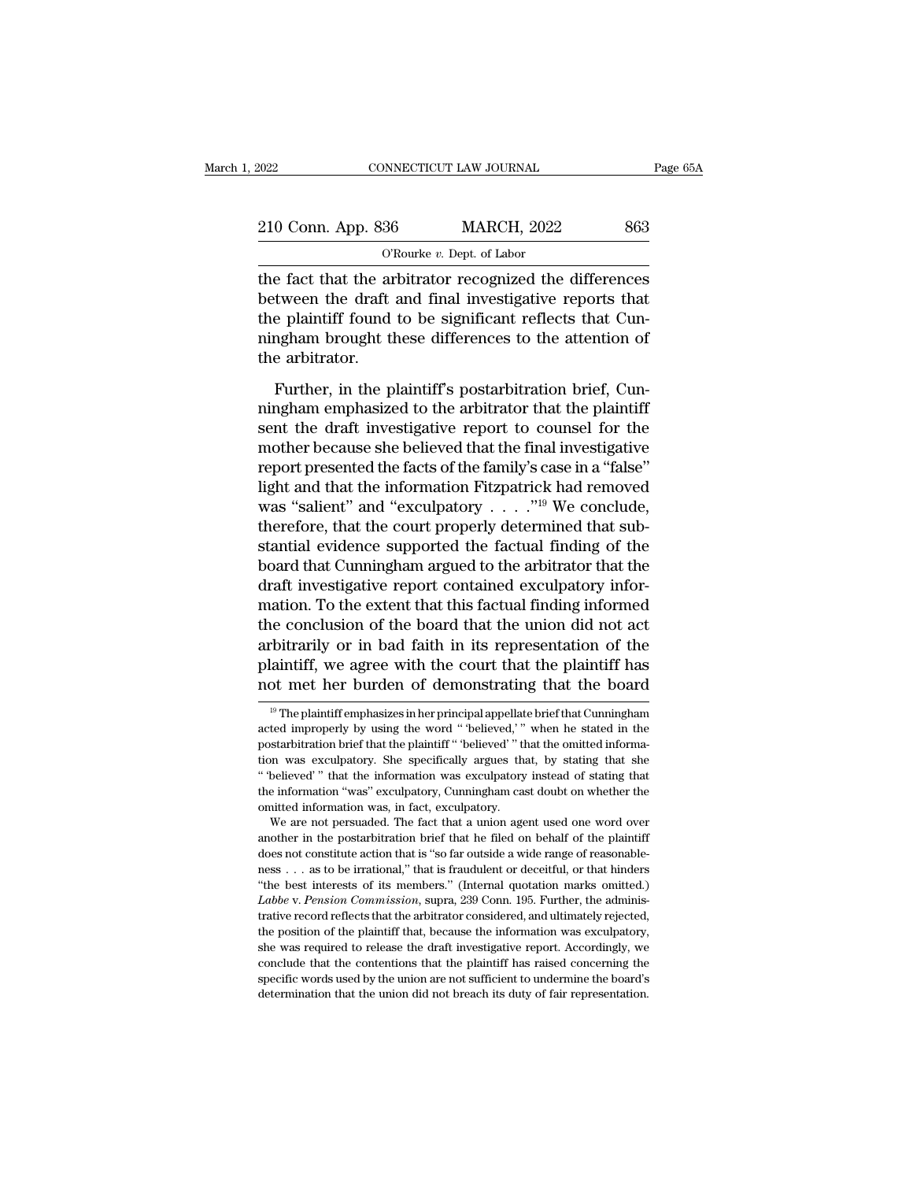| 2022               | CONNECTICUT LAW JOURNAL                                 | Page 65A |
|--------------------|---------------------------------------------------------|----------|
|                    |                                                         |          |
| 210 Conn. App. 836 | <b>MARCH, 2022</b>                                      | 863      |
|                    | O'Rourke $v$ . Dept. of Labor                           |          |
|                    | the fact that the arhitrator recognized the differences |          |

The fact that the arbitrator recognized the differences<br>
the fact that the arbitrator recognized the differences<br>
between the draft and final investigative reports that<br>
the plaintiff found to be cignificant reflects that  $\begin{array}{r} \text{210 Conn. App. 836} \qquad \text{MARCH, 2022} \qquad \text{863} \ \text{or} \qquad \text{or} \qquad \text{or} \qquad \text{or} \qquad \text{or} \qquad \text{or} \qquad \text{or} \qquad \text{or} \qquad \text{or} \qquad \text{or} \qquad \text{or} \qquad \text{or} \qquad \text{or} \qquad \text{or} \qquad \text{or} \qquad \text{or} \qquad \text{or} \qquad \text{or} \qquad \text{or} \qquad \text{or} \qquad \text{or} \qquad \text{or$ 210 Conn. App. 836 MARCH, 2022 863<br>
O'Rourke v. Dept. of Labor<br>
the fact that the arbitrator recognized the differences<br>
between the draft and final investigative reports that<br>
the plaintiff found to be significant reflec 210 Conn. App. 836 MARCH, 2022 863<br>
O'Rourke v. Dept. of Labor<br>
the fact that the arbitrator recognized the differences<br>
between the draft and final investigative reports that<br>
the plaintiff found to be significant reflec THERET CONTINUITY<br>the fact that the arbitrator.<br>the plaintiff found<br>the arbitrator.<br>Further, in the p Further, in the arbitrator recognized the differences<br>tween the draft and final investigative reports that<br>e plaintiff found to be significant reflects that Cun-<br>ngham brought these differences to the attention of<br>e arbitr ning the distribution in the arbitrator telegration are anti-cross<br>between the draft and final investigative reports that<br>the plaintiff found to be significant reflects that Cun-<br>ningham brought these differences to the at

sent of the draft and their investigative reports that<br>the plaintiff found to be significant reflects that Cun-<br>ningham brought these differences to the attention of<br>the arbitrator.<br>Further, in the plaintiff's postarbitrat mingham brought these differences to the attention of<br>the arbitrator.<br>Further, in the plaintiff's postarbitration brief, Cun-<br>ningham emphasized to the arbitrator that the plaintiff<br>sent the draft investigative report to c report of the arbitrator.<br>
Further, in the plaintiff's postarbitration brief, Cun-<br>
ningham emphasized to the arbitrator that the plaintiff<br>
sent the draft investigative report to counsel for the<br>
mother because she believ Further, in the plaintiff's postarbitration brief, Cunningham emphasized to the arbitrator that the plaintiff<br>sent the draft investigative report to counsel for the<br>mother because she believed that the final investigative Further, in the plaintiff's postarbitration brief, Cun-<br>ningham emphasized to the arbitrator that the plaintiff<br>sent the draft investigative report to counsel for the<br>mother because she believed that the final investigati mingham emphasized to the arbitrator that the plaintiff<br>sent the draft investigative report to counsel for the<br>mother because she believed that the final investigative<br>report presented the facts of the family's case in a sent the draft investigative report to counsel for the<br>mother because she believed that the final investigative<br>report presented the facts of the family's case in a "false"<br>light and that the information Fitzpatrick had r mother because she believed that the final investigative<br>report presented the facts of the family's case in a "false"<br>light and that the information Fitzpatrick had removed<br>was "salient" and "exculpatory  $\dots$ ."<sup>19</sup> We con report presented the facts of the family's case in a "false"<br>light and that the information Fitzpatrick had removed<br>was "salient" and "exculpatory  $\ldots$ ."<sup>19</sup> We conclude,<br>therefore, that the court properly determined tha light and that the information Fitzpatrick had removed<br>was "salient" and "exculpatory  $\ldots$ ."<sup>19</sup> We conclude,<br>therefore, that the court properly determined that sub-<br>stantial evidence supported the factual finding of the was "salient" and "exculpatory  $\ldots$ ."<sup>19</sup> We conclude,<br>therefore, that the court properly determined that sub-<br>stantial evidence supported the factual finding of the<br>board that Cunningham argued to the arbitrator that th therefore, that the court properly determined that substantial evidence supported the factual finding of the board that Cunningham argued to the arbitrator that the draft investigative report contained exculpatory informat stantial evidence supported the factual finding of the<br>board that Cunningham argued to the arbitrator that the<br>draft investigative report contained exculpatory infor-<br>mation. To the extent that this factual finding informe board that Cunningham argued to the arbitrator that the<br>draft investigative report contained exculpatory infor-<br>mation. To the extent that this factual finding informed<br>the conclusion of the board that the union did not a the conclusion of the board that the union did not act<br>
bitrarily or in bad faith in its representation of the<br>
laintiff, we agree with the court that the plaintiff has<br>
of met her burden of demonstrating that the board<br>
<sup></sup> arbitrarily or in bad faith in its representation of the plaintiff, we agree with the court that the plaintiff has not met her burden of demonstrating that the board  $\frac{10}{10}$  The plaintiff emphasizes in her principal ap

plaintiff, we agree with the court that the plaintiff has<br>not met her burden of demonstrating that the board<br> $\frac{10}{10}$  The plaintiff emphasizes in her principal appellate brief that Cunningham<br>acted improperly by using The plaintiff emphasizes in her principal appellate brief that Cunningham<br>
<sup>19</sup> The plaintiff emphasizes in her principal appellate brief that Cunningham<br>
acted improperly by using the word "believed," when he stated in th The metallical conduction of definitionstrating that the board<br>
<sup>19</sup> The plaintiff emphasizes in her principal appellate brief that Cunningham<br>
acted improperly by using the word "believed," when he stated in the<br>
postarb <sup>19</sup> The plaintiff emphasizes in her principal appellate brief that Cunningham acted improperly by using the word "believed," when he stated in the postarbitration brief that the plaintiff "believed" that the omitted info and improperly by using the word "believed,"<br>postarbitration brief that the plaintiff "believed,"<br>postarbitration brief that the plaintiff "believed" "this<br>ion was exculpatory. She specifically argues the<br>"believed" "that example of that the plaintiff "believed" that the onitted informal m was exculpatory. She specifically argues that, by stating that she believed" that the information was exculpatory instead of stating that believed" that From was exculpatory. She specifically argues that, by stating that she to the well-<br>in the seculpatory. She specifically argues that, by stating that she<br>"believed" that the information was exculpatory, Cunningham cast do

<sup>&</sup>quot;believed" what the information was exculpatory instead of stating that the information "was" exculpatory, Cunningham cast doubt on whether the omitted information was, in fact, exculpatory.<br>We are not persuaded. The fact the information "was" exculpatory, Cunningham cast doubt on whether the omitted information was, in fact, exculpatory.<br>We are not persuaded. The fact that a union agent used one word over another in the postarbitration bri omitted information was, in fact, exculpatory.<br>
We are not persuaded. The fact that a union agent used one word over<br>
another in the postarbitration brief that he filed on behalf of the plaintiff<br>
does not constitute actio *Labbe* v. *Pension Commission*, The fact that a union agent used one word over another in the postarbitration brief that a union agent used one word over another in the postarbitration that is "so far outside a wide range another in the postarbitration brief that he filed on behalf of the plaintiff does not constitute action that is "so far outside a wide range of reasonable-<br>ness . . . as to be irrational," that is fraudulent or deceitful does not constitute action that is "so far outside a wide range of reasonable-<br>ness . . . as to be irrational," that is fraudulent or deceitful, or that hinders<br>"the best interests of its members." (Internal quotation mar ness  $\ldots$  as to be irrational," that is fraudulent or deceitful, or that hinders "<br>the best interests of its members." (Internal quotation marks omitted.)<br>*Labbe* v. *Pension Commission*, supra, 239 Conn. 195. Further, t "the best interests of its members." (Internal quotation marks omitted.)<br>
"the best interests of its members." (Internal quotation marks omitted.)<br> *Labbe* v. *Pension Commission*, supra, 239 Conn. 195. Further, the admin Labbe v. Pension Commission, supra, 239 Conn. 195. Further, the administrative record reflects that the arbitrator considered, and ultimately rejected, the position of the plaintiff that, because the information was exculp trative record reflects that the arbitrator considered, and ultimately rejected,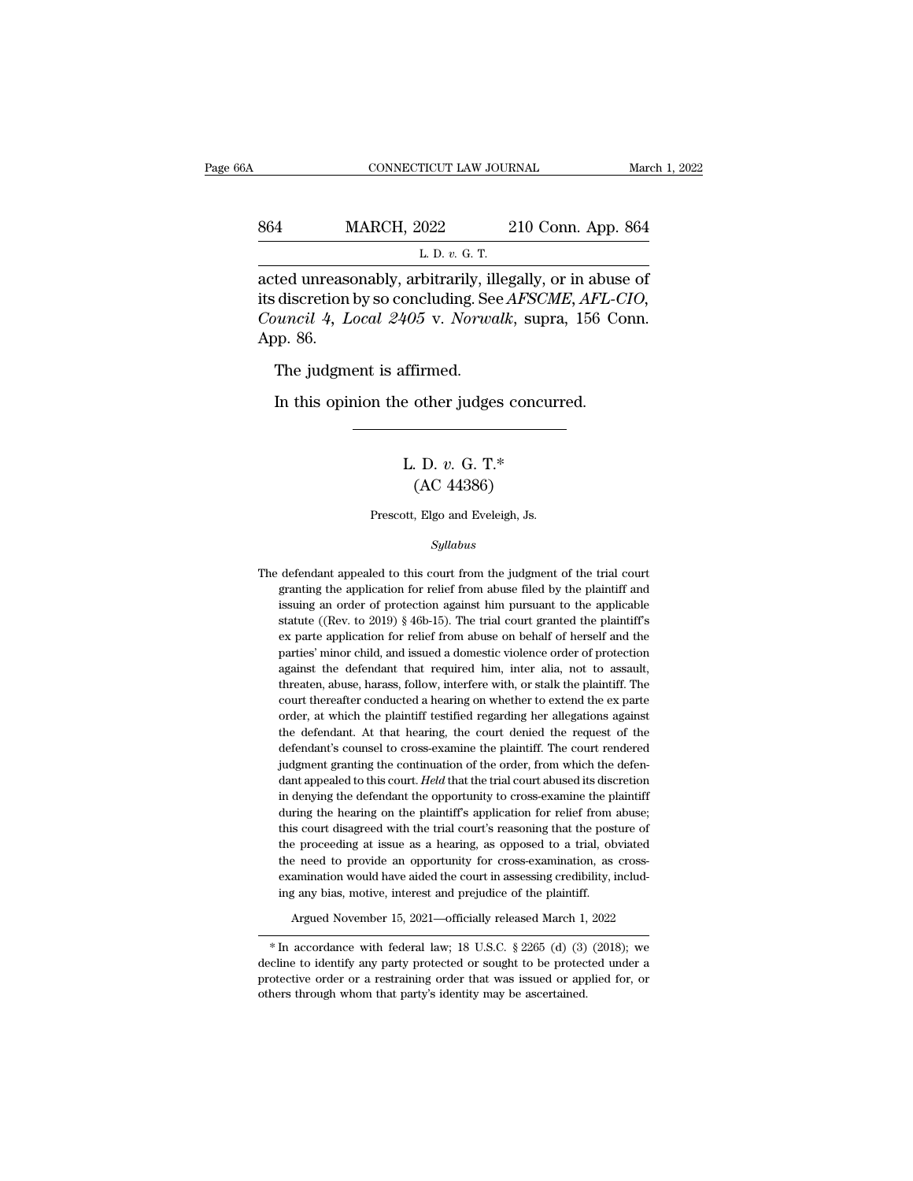# CONNECTICUT LAW JOURNAL March 1, 2022<br>864 MARCH, 2022 210 Conn. App. 864<br>L. D. v. G. T. L. D. *v.* G. T.

CONNECTICUT LAW JOURNAL March 1, 202<br>
864 MARCH, 2022 210 Conn. App. 864<br>
L. D. v. G. T.<br>
acted unreasonably, arbitrarily, illegally, or in abuse of<br>
its discretion by so concluding. See *AFSCME*, *AFL-CIO*, MARCH, 2022 210 Conn. App. 864<br>
L. D. v. G. T.<br>
acted unreasonably, arbitrarily, illegally, or in abuse of<br>
its discretion by so concluding. See *AFSCME*, *AFL-CIO*,<br> *Council* 4, *Local 2405* v. *Norwalk*, supra, 156 Conn *Council 4, Local 2405* v. *Norwalk*, supra, 156 Conn. App. 864<br>*L. D. v. G. T.*<br>acted unreasonably, arbitrarily, illegally, or in abuse of<br>its discretion by so concluding. See *AFSCME*, *AFL-CIO*,<br>*Council 4, Local 2405* 864 M<br>
<br>
acted unrease<br>
its discretion<br>
Council 4, L<br>
App. 86.<br>
The judgme L. D. v. G. T.<br>ted unreasonably, arbitrarily, ill<br>discretion by so concluding. See<br>*nuncil 4, Local 2405* v. *Norwa*<br>pp. 86.<br>The judgment is affirmed.<br>In this opinion the other judge: ted unreasonably, arbitrarily, liegally, or in abuse<br>discretion by so concluding. See *AFSCME*, *AFL-C*<br>*nuncil 4, Local 2405* v. *Norwalk*, supra, 156 Co<br>p. 86.<br>The judgment is affirmed.<br>In this opinion the other judges c

### offirmed.<br>
e other judges concurre<br>
L. D. *v.* G. T.\*<br>
(AC 44386) firmed.<br>
other judges concu<br>
. D. v. G. T.\*<br>
(AC 44386)<br>
, Elgo and Eveleigh, Js. L. D.  $v$ . G. T.\*<br>  $(AC 44386)$ <br>
Prescott, Elgo and Eveleigh, Js.

### *Syllabus*

 $(AC 44386)$ <br>Prescott, Elgo and Eveleigh, Js.<br> $Syllabus$ <br>The defendant appealed to this court from the judgment of the trial court<br>granting the application for relief from abuse filed by the plaintiff and Prescott, Elgo and Eveleigh, Js.<br>
Syllabus<br>
defendant appealed to this court from the judgment of the trial court<br>
granting the application for relief from abuse filed by the plaintiff and<br>
issuing an order of protection a Frescou, Eigo and Eveleign, Js.<br>Syllabus<br>defendant appealed to this court from the judgment of the trial court<br>granting the application for relief from abuse filed by the plaintiff and<br>issuing an order of protection agains  $Syllabus$ <br>defendant appealed to this court from the judgment of the trial court<br>granting the application for relief from abuse filed by the plaintiff and<br>issuing an order of protection against him pursuant to the applicable<br>s defendant appealed to this court from the judgment of the trial court<br>granting the application for relief from abuse filed by the plaintiff and<br>issuing an order of protection against him pursuant to the applicable<br>statute defendant appealed to this court from the judgment of the trial court granting the application for relief from abuse filed by the plaintiff and issuing an order of protection against him pursuant to the applicable statute issuing an order of protection against him pursuant to the applicable statute ((Rev. to 2019) § 46b-15). The trial court granted the plaintiff's ex parte application for relief from abuse on behalf of herself and the part issuing an order of protection against him pursuant to the applicable statute ((Rev. to 2019) § 46b-15). The trial court granted the plaintiff's ex parte application for relief from abuse on behalf of herself and the part statute ((Rev. to 2019) § 46b-15). The trial court granted the plaintiff's ex parte application for relief from abuse on behalf of herself and the parties' minor child, and issued a domestic violence order of protection a ex parte application for relief from abuse on behalf of herself and the parties' minor child, and issued a domestic violence order of protection against the defendant that required him, inter alia, not to assault, threate parties' minor child, and issued a domestic violence order of protection against the defendant that required him, inter alia, not to assault, threaten, abuse, harass, follow, interfere with, or stalk the plaintiff. The cou against the defendant that required him, inter alia, not to assault, threaten, abuse, harass, follow, interfere with, or stalk the plaintiff. The court thereafter conducted a hearing on whether to extend the ex parte order threaten, abuse, harass, follow, interfere with, or stalk the plaintiff. The court thereafter conducted a hearing on whether to extend the ex parte order, at which the plaintiff testified regarding her allegations against court thereafter conducted a hearing on whether to extend the ex parte<br>order, at which the plaintiff testified regarding her allegations against<br>the defendant. At that hearing, the court denied the request of the<br>defendant order, at which the plaintiff testified regarding her allegations against<br>the defendant. At that hearing, the court denied the request of the<br>defendant's counsel to cross-examine the plaintiff. The court rendered<br>judgment the defendant. At that hearing, the court denied the request of the defendant's counsel to cross-examine the plaintiff. The court rendered judgment granting the continuation of the order, from which the defendant appealed defendant's counsel to cross-examine the plaintiff. The court rendered judgment granting the continuation of the order, from which the defendant appealed to this court. Held that the trial court abused its discretion in de judgment granting the continuation of the order, from which the defendant appealed to this court. Held that the trial court abused its discretion in denying the defendant the opportunity to cross-examine the plaintiff duri dant appealed to this court. Held that the trial court abused its discretion in denying the defendant the opportunity to cross-examine the plaintiff during the hearing on the plaintiff's application for relief from abuse; in denying the defendant the opportunity to cross-examine the plaintiff during the hearing on the plaintiff's application for relief from abuse; this court disagreed with the trial court's reasoning that the posture of the during the hearing on the plaintiff's application for relief from<br>this court disagreed with the trial court's reasoning that the post<br>the proceeding at issue as a hearing, as opposed to a trial, ob<br>the need to provide an o examination would have aided the court in assessing credibility, including any bias, motive, interest and prejudice of the plaintiff.<br>Argued November 15, 2021—officially released March 1, 2022<br>\* In accordance with federal the need to provide an opportunity for cross-examination, as cross-<br>examination would have aided the court in assessing credibility, includ-<br>ing any bias, motive, interest and prejudice of the plaintiff.<br>Argued November 1

examination would have aided the court in assessing credibility, including any bias, motive, interest and prejudice of the plaintiff.<br>Argued November 15, 2021—officially released March 1, 2022<br>\* In accordance with federal ing any bias, motive, interest and prejudice of the plaintiff.<br>
Argued November 15, 2021—officially released March 1, 2022<br>  $*$  In accordance with federal law; 18 U.S.C. § 2265 (d) (3) (2018); we<br>
decline to identify any decline to identify any party protected or sought to be protected under a protective order or a restraining order that was issued or applied for, or others through whom that party's identity may be ascertained.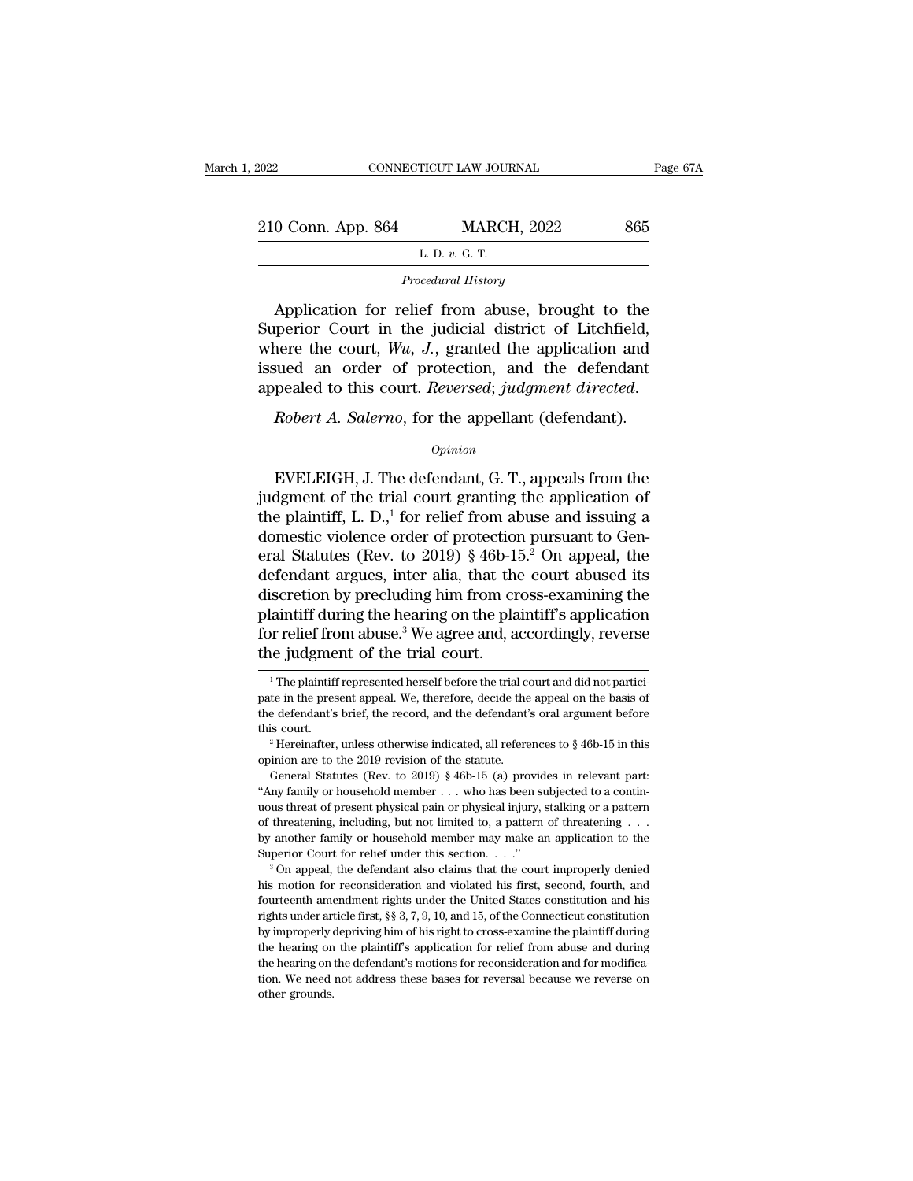| 2022               | CONNECTICUT LAW JOURNAL | Page 67A |
|--------------------|-------------------------|----------|
| 210 Conn. App. 864 | <b>MARCH, 2022</b>      | 865      |
|                    | L. D. $v$ . G. T.       |          |
|                    | Procedural History      |          |

 $\begin{array}{r} 0 \text{ Conn. App. 864} \hline \text{L. D. } v. \text{ G. T.} \end{array}$ <br>  $\begin{array}{r} \text{Procedural History} \ \text{Application for relief from abuse, brought to the \text{perior Court in the judicial district of Litchfield,} \end{array}$ 210 Conn. App. 864 MARCH, 2022 865<br>
L. D. v. G. T.<br>
Procedural History<br>
Application for relief from abuse, brought to the<br>
Superior Court in the judicial district of Litchfield,<br>
where the court,  $W_u$ , J., granted the app EP US CONN. App. 864 MARCH, 2022 865<br>
L. D. v. G. T.<br>
Procedural History<br>
Application for relief from abuse, brought to the<br>
Superior Court in the judicial district of Litchfield,<br>
where the court, *Wu*, *J*., granted the  $L. D. v. G. T.$ <br>Procedural History<br>Application for relief from abuse, brought to the<br>Superior Court in the judicial district of Litchfield,<br>where the court,  $Wu, J.,$  granted the application and<br>issued an order of protection, *Procedural History*<br>Application for relief from abuse, brought to the<br>Superior Court in the judicial district of Litchfield,<br>where the court, *Wu*, *J*., granted the application and<br>issued an order of protection, and the

### *Opinion*

EVELET and order of protection, and the defendant<br>pealed to this court. *Reversed*; *judgment directed.*<br>*Robert A. Salerno*, for the appellant (defendant).<br> $opinion$ <br>EVELEIGH, J. The defendant, G. T., appeals from the<br>dgment appealed to this court. *Reversed*; *judgment directed.*<br> *Robert A. Salerno*, for the appellant (defendant).<br>  $\overline{O}$ <br>
EVELEIGH, J. The defendant, G. T., appeals from the judgment of the trial court granting the applica Robert A. Salerno, for the appellant (defendant).<br>  $\frac{Opinion}{P}$ <br>
EVELEIGH, J. The defendant, G. T., appeals from the<br>
judgment of the trial court granting the application of<br>
the plaintiff, L. D.,<sup>1</sup> for relief from abuse Robert A. Salerno, for the appellant (defendant).<br>  $\phi_{pinion}$ <br>
EVELEIGH, J. The defendant, G. T., appeals from the<br>
judgment of the trial court granting the application of<br>
the plaintiff, L. D.,<sup>1</sup> for relief from abuse and *Opinion*<br>
EVELEIGH, J. The defendant, G. T., appeals from the<br>
judgment of the trial court granting the application of<br>
the plaintiff, L. D.,<sup>1</sup> for relief from abuse and issuing a<br>
domestic violence order of protection EVELEIGH, J. The defendant, G. T., appeals from the<br>judgment of the trial court granting the application of<br>the plaintiff, L. D.,<sup>1</sup> for relief from abuse and issuing a<br>domestic violence order of protection pursuant to Ge EVELEIGH, J. The defendant, G. T., appeals from the<br>judgment of the trial court granting the application of<br>the plaintiff, L. D.,<sup>1</sup> for relief from abuse and issuing a<br>domestic violence order of protection pursuant to Ge judgment of the trial court granting the application of<br>the plaintiff, L. D.,<sup>1</sup> for relief from abuse and issuing a<br>domestic violence order of protection pursuant to Gen-<br>eral Statutes (Rev. to 2019) § 46b-15.<sup>2</sup> On appe the plaintiff, L. D.,<sup>1</sup> for relief from abuse and issuing a<br>domestic violence order of protection pursuant to Gen-<br>eral Statutes (Rev. to 2019) § 46b-15.<sup>2</sup> On appeal, the<br>defendant argues, inter alia, that the court abu discretion by precluding him from cross-examining the<br>plaintiff during the hearing on the plaintiff's application<br>for relief from abuse.<sup>3</sup> We agree and, accordingly, reverse<br>the judgment of the trial court.<br><sup>1</sup>The plainti plaintiff during the hearing on the plaintiff's application plaintiff during the hearing on the plaintiff's application<br>for relief from abuse.<sup>3</sup> We agree and, accordingly, reverse<br>the judgment of the trial court.<br><sup>1</sup>The plaintiff represented herself before the trial court and did

for relief from abuse.<sup>3</sup> We agree and, accordingly, reverse<br>the judgment of the trial court.<br> $\frac{1}{1}$ The plaintiff represented herself before the trial court and did not partici-<br>pate in the present appeal. We, therefor the judgment of the trial court.<br>
<sup>1</sup> The plaintiff represented herself before the trial court and did not partici-<br>
pate in the present appeal. We, therefore, decide the appeal on the basis of<br>
the defendant's brief, the <sup>1</sup> The plaintiff represented herself before the trial court and did not participate in the present appeal. We, therefore, decide the appeal on the basis of the defendant's brief, the record, and the defendant's oral argu From present appearance of the appearance in the present appearance in the present appeal. We, therefore, decide the appeal on the basis of e defendant's brief, the record, and the defendant's oral argument before is cour

the defendant's brief, the record, and the defendant's oral argument before<br>this court.<br><sup>2</sup> Hereinafter, unless otherwise indicated, all references to § 46b-15 in this<br>opinion are to the 2019 revision of the statute.<br>Gene this court.<br>
<sup>2</sup> Hereinafter, unless otherwise indicated, all references to § 46b-15 in this opinion are to the 2019 revision of the statute.<br>
General Statutes (Rev. to 2019) § 46b-15 (a) provides in relevant part:<br>
"Any <sup>2</sup> Hereinafter, unless otherwise indicated, all references to § 46b-15 in this opinion are to the 2019 revision of the statute.<br>
General Statutes (Rev. to 2019) § 46b-15 (a) provides in relevant part:<br>
"Any family or hou by another family or household member may make an application to the Superior Ceneral Statute.<br>
General Statutes (Rev. to 2019) § 46b-15 (a) provides in relevant part:<br>
"Any family or household member ... who has been sub General Statutes (Rev. to 2019) § 46b-15 (a) provides in relevant part:<br>
"Any family or household member . . . who has been subjected to a continuous threat of present physical pain or physical injury, stalking or a patte his motion for present physical pain or physical injury, stalking or a pattern of threatening, including, but not limited to, a pattern of threatening . . . by another family or household member may make an application to

for threatening, including, but not limited to, a pattern of threatening  $\ldots$ <br>by another family or household member may make an application to the<br>Superior Court for relief under this section.  $\ldots$ ."<br><sup>3</sup> On appeal, the by another family or household member may make an application to the Superior Court for relief under this section.  $\ldots$  "<br><sup>3</sup> On appeal, the defendant also claims that the court improperly denied his motion for reconside by uperior Court for relief under this section.  $\ldots$ ."<br>Superior Court for relief under this section.  $\ldots$ ."<br><sup>3</sup> On appeal, the defendant also claims that the court improperly denied<br>his motion for reconsideration and vi <sup>3</sup> On appeal, the defendant also claims that the court improperly denied his motion for reconsideration and violated his first, second, fourth, and fourteenth amendment rights under the United States constitution and his the motion for reconsideration and violated his first, second, fourth, and fourteenth amendment rights under the United States constitution and his rights under article first,  $\S$ § 3, 7, 9, 10, and 15, of the Connecticut fourteenth annedment rights under the United States constitution and his frights under article first, §§ 3, 7, 9, 10, and 15, of the Connecticut constitution by improperly depriving him of his right to cross-examine the pl four<br>teenth amendment rights under the United States constitution and his<br>rights under article first,  $\S$  3, 7, 9, 10, and 15, of the Connecticut constitution<br>by improperly depriving him of his right to cross-examine the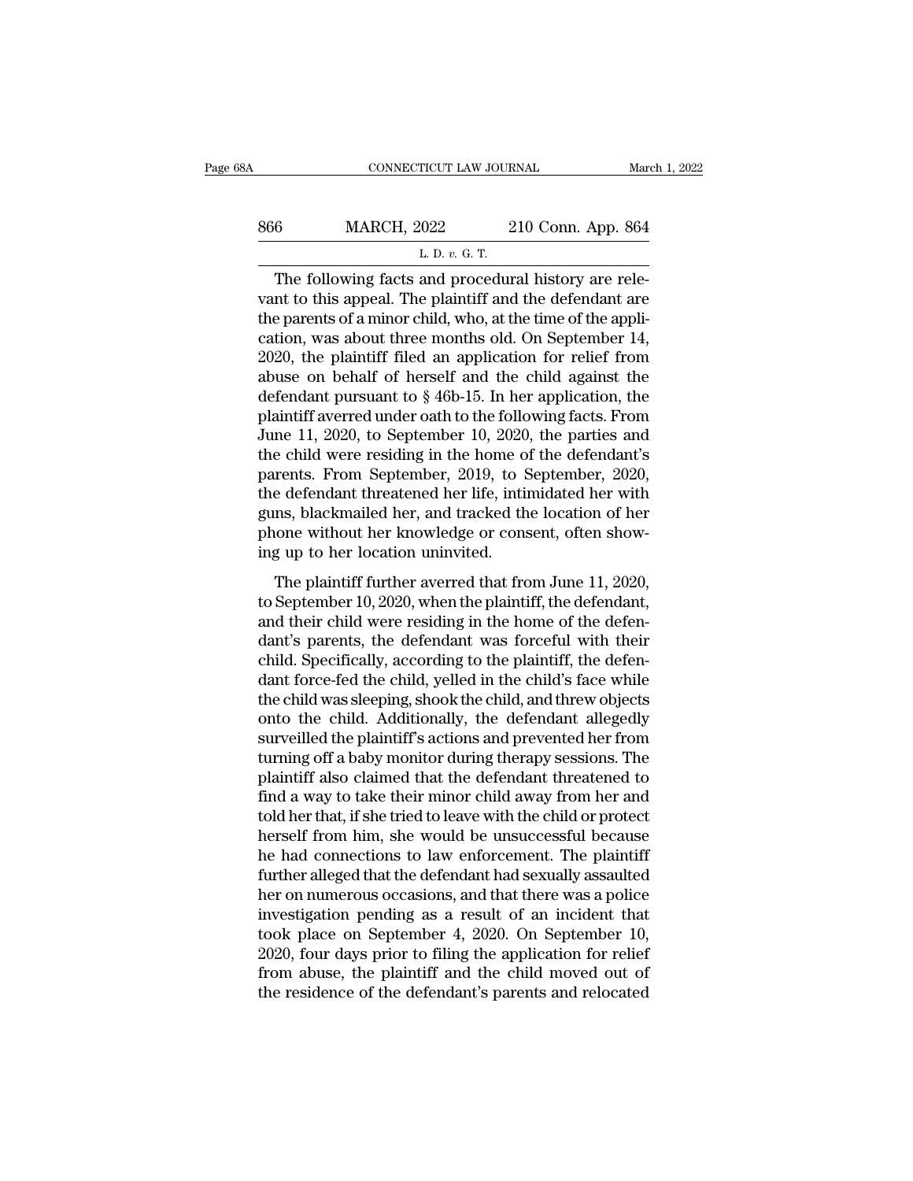| A   | CONNECTICUT LAW JOURNAL                              |                    | March 1, 2022 |
|-----|------------------------------------------------------|--------------------|---------------|
| 866 | <b>MARCH, 2022</b>                                   | 210 Conn. App. 864 |               |
|     | L. D. v. G. T.                                       |                    |               |
|     | The following facts and procedural history are rele- |                    |               |

CONNECTICUT LAW JOURNAL<br>
6 MARCH, 2022 210 Conn. App. 864<br>
L. D. v. G. T.<br>
The following facts and procedural history are rele-<br>
nt to this appeal. The plaintiff and the defendant are<br>
appropriate of a minor child who at t MARCH, 2022 210 Conn. App. 864<br>
L. D. v. G. T.<br>
The following facts and procedural history are relevant to this appeal. The plaintiff and the defendant are<br>
the parents of a minor child, who, at the time of the application 866 MARCH, 2022 210 Conn. App. 864<br>
L. D. v. G. T.<br>
The following facts and procedural history are relevant to this appeal. The plaintiff and the defendant are<br>
the parents of a minor child, who, at the time of the appli-MARCH, 2022 210 Conn. App. 864<br>
L. D. v. G. T.<br>
The following facts and procedural history are relevant to this appeal. The plaintiff and the defendant are<br>
the parents of a minor child, who, at the time of the applicatio 2020, the plaintiff filed an application for reliefondant nursuant to  $k$  and  $p$  receives and procedural history are relevant to this appeal. The plaintiff and the defendant are the parents of a minor child, who, at the L. D. v. G. T.<br>The following facts and procedural history are relevant to this appeal. The plaintiff and the defendant are<br>the parents of a minor child, who, at the time of the appli-<br>cation, was about three months old. O The following facts and procedural history are relevant to this appeal. The plaintiff and the defendant are the parents of a minor child, who, at the time of the application, was about three months old. On September 14, 2 vant to this appeal. The plaintiff and the defendant are<br>the parents of a minor child, who, at the time of the appli-<br>cation, was about three months old. On September 14,<br>2020, the plaintiff filed an application for relie the parents of a minor child, who, at the time of the application, was about three months old. On September 14, 2020, the plaintiff filed an application for relief from abuse on behalf of herself and the child against the cation, was about three months old. On September 14,<br>2020, the plaintiff filed an application for relief from<br>abuse on behalf of herself and the child against the<br>defendant pursuant to § 46b-15. In her application, the<br>pla 2020, the plaintiff filed an application for relief from<br>abuse on behalf of herself and the child against the<br>defendant pursuant to  $\S$  46b-15. In her application, the<br>plaintiff averred under oath to the following facts. abuse on behalf of herself and the child against the<br>defendant pursuant to  $\S$  46b-15. In her application, the<br>plaintiff averred under oath to the following facts. From<br>June 11, 2020, to September 10, 2020, the parties an defendant pursuant to § 46b-15. In her application, the plaintiff averred under oath to the following facts. From June 11, 2020, to September 10, 2020, the parties and the child were residing in the home of the defendant's plaintiff averred under oath to the following facts. From<br>June 11, 2020, to September 10, 2020, the parties and<br>the child were residing in the home of the defendant's<br>parents. From September, 2019, to September, 2020,<br>the June 11, 2020, to September 10, 2020<br>the child were residing in the home of<br>parents. From September, 2019, to S<br>the defendant threatened her life, inti<br>guns, blackmailed her, and tracked th<br>phone without her knowledge or c rents. From September, 2019, to September, 2020,<br>rents. From September, 2019, to September, 2020,<br>ne defendant threatened her life, intimidated her with<br>ns, blackmailed her, and tracked the location of her<br>one without her parents. Tront september, 2010, to september, 2020,<br>the defendant threatened her life, intimidated her with<br>guns, blackmailed her, and tracked the location of her<br>phone without her knowledge or consent, often show-<br>ing up

and the definition and tradenced their metallical text with definitions, blackmailed her, and tracked the location of her phone without her knowledge or consent, often showing up to her location uninvited.<br>The plaintiff fu gans, stachmared rier, and alcohed are focation of fier<br>phone without her knowledge or consent, often show-<br>ing up to her location uninvited.<br>The plaintiff further averred that from June 11, 2020,<br>to September 10, 2020, wh ing up to her location uninvited.<br>The plaintiff further averred that from June 11, 2020,<br>to September 10, 2020, when the plaintiff, the defendant,<br>and their child were residing in the home of the defen-<br>dant's parents, the The plaintiff further averred that from June 11, 2020,<br>to September 10, 2020, when the plaintiff, the defendant,<br>and their child were residing in the home of the defen-<br>dant's parents, the defendant was forceful with thei The plaintiff further averred that from June 11, 2020,<br>to September 10, 2020, when the plaintiff, the defendant,<br>and their child were residing in the home of the defen-<br>dant's parents, the defendant was forceful with their to September 10, 2020, when the plaintiff, the defendant,<br>and their child were residing in the home of the defen-<br>dant's parents, the defendant was forceful with their<br>child. Specifically, according to the plaintiff, the d and their child were residing in the home of the defendant's parents, the defendant was forceful with their child. Specifically, according to the plaintiff, the defendant force-fed the child, yelled in the child's face whi dant's parents, the defendant was forceful with their<br>child. Specifically, according to the plaintiff, the defen-<br>dant force-fed the child, yelled in the child's face while<br>the child was sleeping, shook the child, and thre child. Specifically, according to the plaintiff, the defendant force-fed the child, yelled in the child's face while<br>the child was sleeping, shook the child, and threw objects<br>onto the child. Additionally, the defendant al dant force-fed the child, yelled in the child's face while<br>the child was sleeping, shook the child, and threw objects<br>onto the child. Additionally, the defendant allegedly<br>surveilled the plaintiff's actions and prevented h the child was sleeping, shook the child, and threw objects<br>onto the child. Additionally, the defendant allegedly<br>surveilled the plaintiff's actions and prevented her from<br>turning off a baby monitor during therapy sessions. onto the child. Additionally, the defendant allegedly<br>surveilled the plaintiff's actions and prevented her from<br>turning off a baby monitor during therapy sessions. The<br>plaintiff also claimed that the defendant threatened t surveilled the plaintiff's actions and prevented her from<br>turning off a baby monitor during therapy sessions. The<br>plaintiff also claimed that the defendant threatened to<br>find a way to take their minor child away from her a turning off a baby monitor during therapy sessions. The plaintiff also claimed that the defendant threatened to find a way to take their minor child away from her and told her that, if she tried to leave with the child or plaintiff also claimed that the defendant threatened to<br>find a way to take their minor child away from her and<br>told her that, if she tried to leave with the child or protect<br>herself from him, she would be unsuccessful beca find a way to take their minor child away from her and<br>told her that, if she tried to leave with the child or protect<br>herself from him, she would be unsuccessful because<br>he had connections to law enforcement. The plaintiff told her that, if she tried to leave with the child or protect<br>herself from him, she would be unsuccessful because<br>he had connections to law enforcement. The plaintiff<br>further alleged that the defendant had sexually assaul herself from him, she would be unsuccessful because<br>he had connections to law enforcement. The plaintiff<br>further alleged that the defendant had sexually assaulted<br>her on numerous occasions, and that there was a police<br>inve he had connections to law enforcement. The plaintiff<br>further alleged that the defendant had sexually assaulted<br>her on numerous occasions, and that there was a police<br>investigation pending as a result of an incident that<br>to further alleged that the defendant had sexually assaulted<br>her on numerous occasions, and that there was a police<br>investigation pending as a result of an incident that<br>took place on September 4, 2020. On September 10,<br>2020,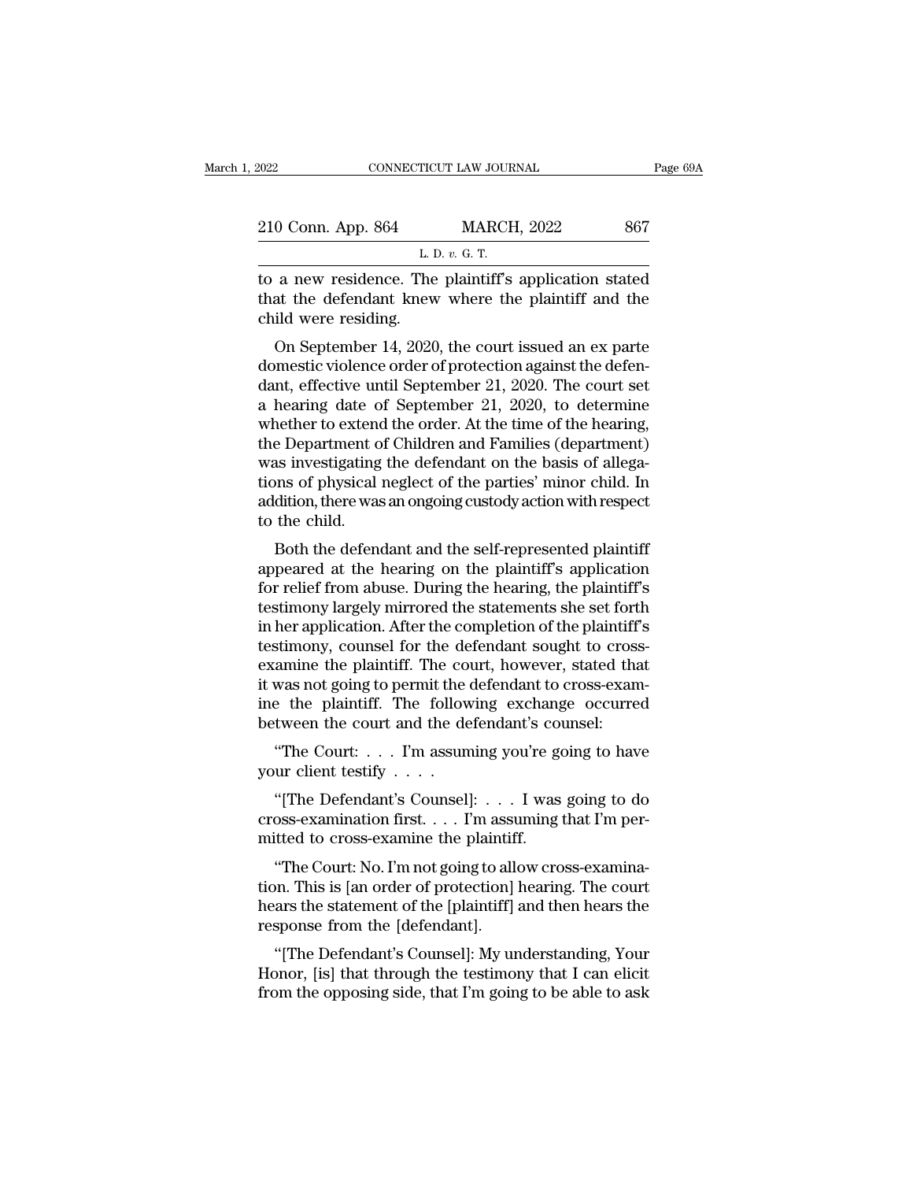| 2022               | CONNECTICUT LAW JOURNAL                                | Page 69A |
|--------------------|--------------------------------------------------------|----------|
| 210 Conn. App. 864 | <b>MARCH, 2022</b>                                     | 867      |
|                    | L. D. $v$ . G. T.                                      |          |
|                    | to a new residence. The plaintiff's application stated |          |

The connective connective transformation of the plaintiff's application stated<br>that the defendant knew where the plaintiff and the child wore residence. 210 Conn. App. 864 MARCH, 2022 867<br>
L. D. v. G. T.<br>
to a new residence. The plaintiff's application stated<br>
that the defendant knew where the plaintiff and the<br>
child were residing.  $\begin{tabular}{c} 210 Conn. App. 864 \quad \textcolor{blue}{\textcolor{blue}{\textbf{L I}}} \\ \hline \textbf{to a new residence.} \quad \textcolor{blue}{\textbf{The} \\ \textbf{that the defendant knew} \\ \textbf{child were residing.} \quad \textbf{On September 14, 2020} \end{tabular}$ O Conn. App. 864 MARCH, 2022 867<br>
L. D. v. G. T.<br>
a new residence. The plaintiff's application stated<br>
at the defendant knew where the plaintiff and the<br>
ild were residing.<br>
On September 14, 2020, the court issued an ex p

L. D.  $v$ . G. T.<br>
to a new residence. The plaintiff's application stated<br>
that the defendant knew where the plaintiff and the<br>
child were residing.<br>
On September 14, 2020, the court issued an ex parte<br>
domestic violence o to a new residence. The plaintiff's application stated<br>that the defendant knew where the plaintiff and the<br>child were residing.<br>On September 14, 2020, the court issued an ex parte<br>domestic violence order of protection agai that the defendant knew where the plaintiff and the<br>child were residing.<br>On September 14, 2020, the court issued an ex parte<br>domestic violence order of protection against the defen-<br>dant, effective until September 21, 202 child were residing.<br>
On September 14, 2020, the court issued an ex parte<br>
domestic violence order of protection against the defen-<br>
dant, effective until September 21, 2020. The court set<br>
a hearing date of September 21, On September 14, 2020, the court issued an ex parte<br>domestic violence order of protection against the defen-<br>dant, effective until September 21, 2020. The court set<br>a hearing date of September 21, 2020, to determine<br>whethe On September 14, 2020, the court issued an ex parte<br>domestic violence order of protection against the defen-<br>dant, effective until September 21, 2020. The court set<br>a hearing date of September 21, 2020, to determine<br>whethe domestic violence order of protection against the defen-<br>dant, effective until September 21, 2020. The court set<br>a hearing date of September 21, 2020, to determine<br>whether to extend the order. At the time of the hearing,<br>t dant, effective until September 21, 2020. The court set<br>a hearing date of September 21, 2020, to determine<br>whether to extend the order. At the time of the hearing,<br>the Department of Children and Families (department)<br>was i a hearing date of<br>whether to extend<br>the Department of<br>was investigating<br>tions of physical<br>addition, there was<br>to the child.<br>Both the defend retiref to extend the order. At the three of the hearing,<br>a bend to children and Families (department)<br>as investigating the defendant on the basis of allega-<br>ms of physical neglect of the parties' minor child. In<br>dition, t the Department of Children and Families (department)<br>was investigating the defendant on the basis of allega-<br>tions of physical neglect of the parties' minor child. In<br>addition, there was an ongoing custody action with resp

was investigating the detendant on the basis of anegations of physical neglect of the parties' minor child. In addition, there was an ongoing custody action with respect to the child.<br>Both the defendant and the self-repres tions of physical negrect of the parties finitor chind. In<br>addition, there was an ongoing custody action with respect<br>to the child.<br>Both the defendant and the self-represented plaintiff<br>appeared at the hearing on the plain addition, there was an ongoing custody action white spect<br>to the child.<br>Both the defendant and the self-represented plaintiff<br>appeared at the hearing on the plaintiff's application<br>for relief from abuse. During the hearing to the child.<br>Both the defendant and the self-represented plaintiff<br>appeared at the hearing on the plaintiff's application<br>for relief from abuse. During the hearing, the plaintiff's<br>testimony largely mirrored the statement Both the defendant and the self-represented plaintiff<br>appeared at the hearing on the plaintiff's application<br>for relief from abuse. During the hearing, the plaintiff's<br>testimony largely mirrored the statements she set fort appeared at the hearing on the plaintiff's application<br>for relief from abuse. During the hearing, the plaintiff's<br>testimony largely mirrored the statements she set forth<br>in her application. After the completion of the plai for relief from abuse. During the hearing, the plaintiff's<br>testimony largely mirrored the statements she set forth<br>in her application. After the completion of the plaintiff's<br>testimony, counsel for the defendant sought to testimony largely mirrored the statements she set fort<br>in her application. After the completion of the plaintiff<br>testimony, counsel for the defendant sought to cross<br>examine the plaintiff. The court, however, stated tha<br>it The application. After the completion of the plaintin's<br>
stimony, counsel for the defendant sought to cross-<br>
amine the plaintiff. The court, however, stated that<br>
was not going to permit the defendant to cross-exam-<br>
e th Examinony, courser for the deed<br>examine the plaintiff. The covid was not going to permit the office<br>ine the plaintiff. The follow<br>between the court and the deed<br>"The Court:... I'm assum<br>your client testify...."<br>"[The Defe was not going to permit the defendant to cross-exam-<br>
e the plaintiff. The following exchange occurred<br>
tween the court and the defendant's counsel:<br>
"The Court: . . . I'm assuming you're going to have<br>
ur client testify .

ine the plaintiff. The following exchange occurred<br>between the court and the defendant's counsel:<br>"The Court:.... I'm assuming you're going to have<br>your client testify ....<br>"[The Defendant's Counsel]:... I'm assuming that between the court and the defendant's courfierd.<br>
"The Court: . . . I'm assuming you're go<br>
your client testify . . . .<br>
"[The Defendant's Counsel]: . . . I was<br>
cross-examination first. . . . I'm assuming<br>
mitted to cross "The Court: . . . . I'm assuming you're going to have<br>ur client testify . . . .<br>"[The Defendant's Counsel]: . . . . I was going to do<br>oss-examination first. . . . I'm assuming that I'm per-<br>itted to cross-examine the plai

your client testify . . . .<br>
"[The Defendant's Counsel]: . . . I was going to do<br>
cross-examination first. . . . I'm assuming that I'm per-<br>
mitted to cross-examine the plaintiff.<br>
"The Court: No. I'm not going to allow cr "[The Defendant's Counsel]:  $\dots$  I was going to do<br>cross-examination first.  $\dots$  I'm assuming that I'm per-<br>mitted to cross-examine the plaintiff.<br>"The Court: No. I'm not going to allow cross-examina-<br>tion. This is [an or The Detendant's Counser<br>
cross-examination first.  $\dots$  I'm assumitted to cross-examine the plaintifi<br>
"The Court: No. I'm not going to all<br>
tion. This is [an order of protection]<br>
hears the statement of the [plaintiff]<br>
r itted to cross-examine the plaintiff.<br>
"The Court: No. I'm not going to allow cross-examina-<br>
"In Court ars is [an order of protection] hearing. The court<br>
ars the statement of the [plaintiff] and then hears the<br>
sponse fr "The Court: No. I'm not going to allow cross-examination. This is [an order of protection] hearing. The court<br>hears the statement of the [plaintiff] and then hears the<br>response from the [defendant].<br>"[The Defendant's Couns From the Sourt. No. 1 in not going to allow cross-examina-<br>tion. This is [an order of protection] hearing. The court<br>hears the statement of the [plaintiff] and then hears the<br>response from the [defendant].<br>"[The Defendant'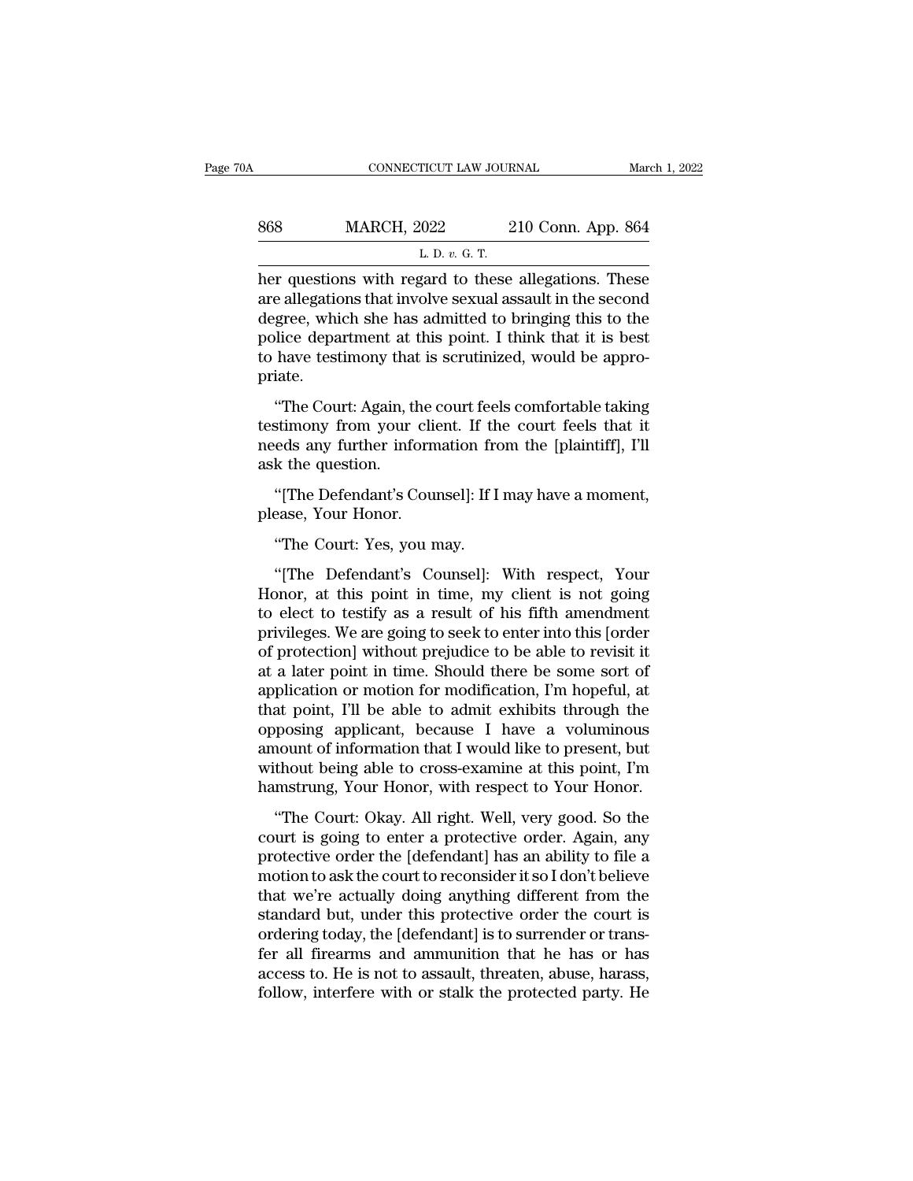|                    |                    | March 1, 2022                                |
|--------------------|--------------------|----------------------------------------------|
| <b>MARCH, 2022</b> | 210 Conn. App. 864 |                                              |
|                    |                    |                                              |
|                    |                    | CONNECTICUT LAW JOURNAL<br>L. D. $v$ . G. T. |

 $\begin{array}{r} \text{COMRECTICUT LAW JOURNAL} \qquad \text{March 1, } 2022 \\ \text{868} \qquad \text{MARCH, } 2022 \qquad \text{210 Conn. App. 864} \\ \text{L. D. } v. G. T. \\ \text{her questions with regard to these allegations. These are allegations that involve sexual assault in the second degree, which she has admitted to bringing this to the end of the original. } \end{array}$ MARCH, 2022 210 Conn. App. 864<br>
L. D. v. G. T.<br>
her questions with regard to these allegations. These<br>
are allegations that involve sexual assault in the second<br>
degree, which she has admitted to bringing this to the<br>
poli MARCH, 2022 210 Conn. App. 864<br>
L. D. v. G. T.<br>
her questions with regard to these allegations. These<br>
are allegations that involve sexual assault in the second<br>
degree, which she has admitted to bringing this to the<br>
pol MARCH, 2022 210 Conn. App. 864<br>
L. D.  $v$ . G. T.<br>
her questions with regard to these allegations. These<br>
are allegations that involve sexual assault in the second<br>
degree, which she has admitted to bringing this to the<br>
p L. D.  $v$ . G. T.<br>
L. D.  $v$ . G. T.<br>
her questions with regard to these allegations. These<br>
are allegations that involve sexual assault in the second<br>
degree, which she has admitted to bringing this to the<br>
police departme priate. Transis with regard to these anegations. These<br>
e allegations that involve sexual assault in the second<br>
gree, which she has admitted to bringing this to the<br>
lice department at this point. I think that it is best<br>
have te the different at this point. I think that it is best<br>degree, which she has admitted to bringing this to the<br>police department at this point. I think that it is best<br>to have testimony that is scrutinized, would be appro-<br>pr

need are the mass and the of orthogonic department at this point. I think that it is best to have testimony that is scrutinized, would be appropriate.<br>
"The Court: Again, the court feels comfortable taking testimony from y France department at to have testimony that<br>priate.<br>"The Court: Again, the testimony from your<br>needs any further info<br>ask the question.<br>"[The Defendant's C iate.<br>"The Court: Again, the court feels comfortable taking<br>stimony from your client. If the court feels that it<br>eds any further information from the [plaintiff], I'll<br>k the question.<br>"[The Defendant's Counsel]: If I may h "The Court: Again, the contestimony from your climined<br>needs any further inform<br>ask the question.<br>"[The Defendant's Courplease, Your Honor.<br>"The Court: Yes, you n stimony from your client. If the<br>ds any further information from<br>k the question.<br>"[The Defendant's Counsel]: If I<br>"The Court: Yes, you may.<br>"[The Defendant's Counsel]:

The personsistic and the distribution of the distribution of the distribution of the Defendant's Counsel]: If I may have a moment,<br>
"The Court: Yes, you may.<br>
"The Defendant's Counsel]: With respect, Your poor, at this poi "[The Defendant's Counsel]: If I may have a moment,<br>please, Your Honor.<br>"The Court: Yes, you may.<br>"[The Defendant's Counsel]: With respect, Your<br>Honor, at this point in time, my client is not going<br>to elect to testify as a "[The Defendant's Counsel]: If I may have a moment,<br>please, Your Honor.<br>"The Court: Yes, you may.<br>"[The Defendant's Counsel]: With respect, Your<br>Honor, at this point in time, my client is not going<br>to elect to testify as a please, Your Honor.<br>
"The Court: Yes, you may.<br>
"[The Defendant's Counsel]: With respect, Your<br>
Honor, at this point in time, my client is not going<br>
to elect to testify as a result of his fifth amendment<br>
privileges. We a "The Court: Yes, you may.<br>"[The Defendant's Counsel]: With respect, Your<br>Honor, at this point in time, my client is not going<br>to elect to testify as a result of his fifth amendment<br>privileges. We are going to seek to enter "[The Defendant's Counsel]: With respect, Your<br>Honor, at this point in time, my client is not going<br>to elect to testify as a result of his fifth amendment<br>privileges. We are going to seek to enter into this [order<br>of prote "[The Defendant's Counsel]: With respect, Your<br>Honor, at this point in time, my client is not going<br>to elect to testify as a result of his fifth amendment<br>privileges. We are going to seek to enter into this [order<br>of prot Honor, at this point in time, my client is not going<br>to elect to testify as a result of his fifth amendment<br>privileges. We are going to seek to enter into this [order<br>of protection] without prejudice to be able to revisit to elect to testify as a result of his fifth amendment<br>privileges. We are going to seek to enter into this [order<br>of protection] without prejudice to be able to revisit it<br>at a later point in time. Should there be some sor privileges. We are going to seek to enter into this [order<br>of protection] without prejudice to be able to revisit it<br>at a later point in time. Should there be some sort of<br>application or motion for modification, I'm hopefu of protection] without prejudice to be able to revisit it<br>at a later point in time. Should there be some sort of<br>application or motion for modification, I'm hopeful, at<br>that point, I'll be able to admit exhibits through th at a later point in time. Should there be some sort of application or motion for modification, I'm hopeful, at that point, I'll be able to admit exhibits through the opposing applicant, because I have a voluminous amount o pheation of motion for modification, The hoperal, at<br>at point, I'll be able to admit exhibits through the<br>pposing applicant, because I have a voluminous<br>nount of information that I would like to present, but<br>thout being ab charged applicant, because I have a voluminous<br>amount of information that I would like to present, but<br>without being able to cross-examine at this point, I'm<br>hamstrung, Your Honor, with respect to Your Honor.<br>"The Court: O

prosing appreasity because T have a voluminous<br>amount of information that I would like to present, but<br>without being able to cross-examine at this point, I'm<br>hamstrung, Your Honor, with respect to Your Honor.<br>"The Court: O motion of mormalism and I would like to present, but<br>without being able to cross-examine at this point, I'm<br>hamstrung, Your Honor, with respect to Your Honor.<br>"The Court: Okay. All right. Well, very good. So the<br>court is g whatsar sentg able to cross extantive around point, The hamstrung, Your Honor, with respect to Your Honor.<br>
"The Court: Okay. All right. Well, very good. So the court is going to enter a protective order. Again, any<br>
prote "The Court: Okay. All right. Well, very good. So the<br>court is going to enter a protective order. Again, any<br>protective order the [defendant] has an ability to file a<br>motion to ask the court to reconsider it so I don't beli "The Court: Okay. All right. Well, very good. So the court is going to enter a protective order. Again, any protective order the [defendant] has an ability to file a motion to ask the court to reconsider it so I don't beli court is going to enter a protective order. Again, any<br>protective order the [defendant] has an ability to file a<br>motion to ask the court to reconsider it so I don't believe<br>that we're actually doing anything different from protective order the [defendant] has an ability to file a<br>motion to ask the court to reconsider it so I don't believe<br>that we're actually doing anything different from the<br>standard but, under this protective order the cour motion to ask the court to reconsider it so I don't believe<br>that we're actually doing anything different from the<br>standard but, under this protective order the court is<br>ordering today, the [defendant] is to surrender or tr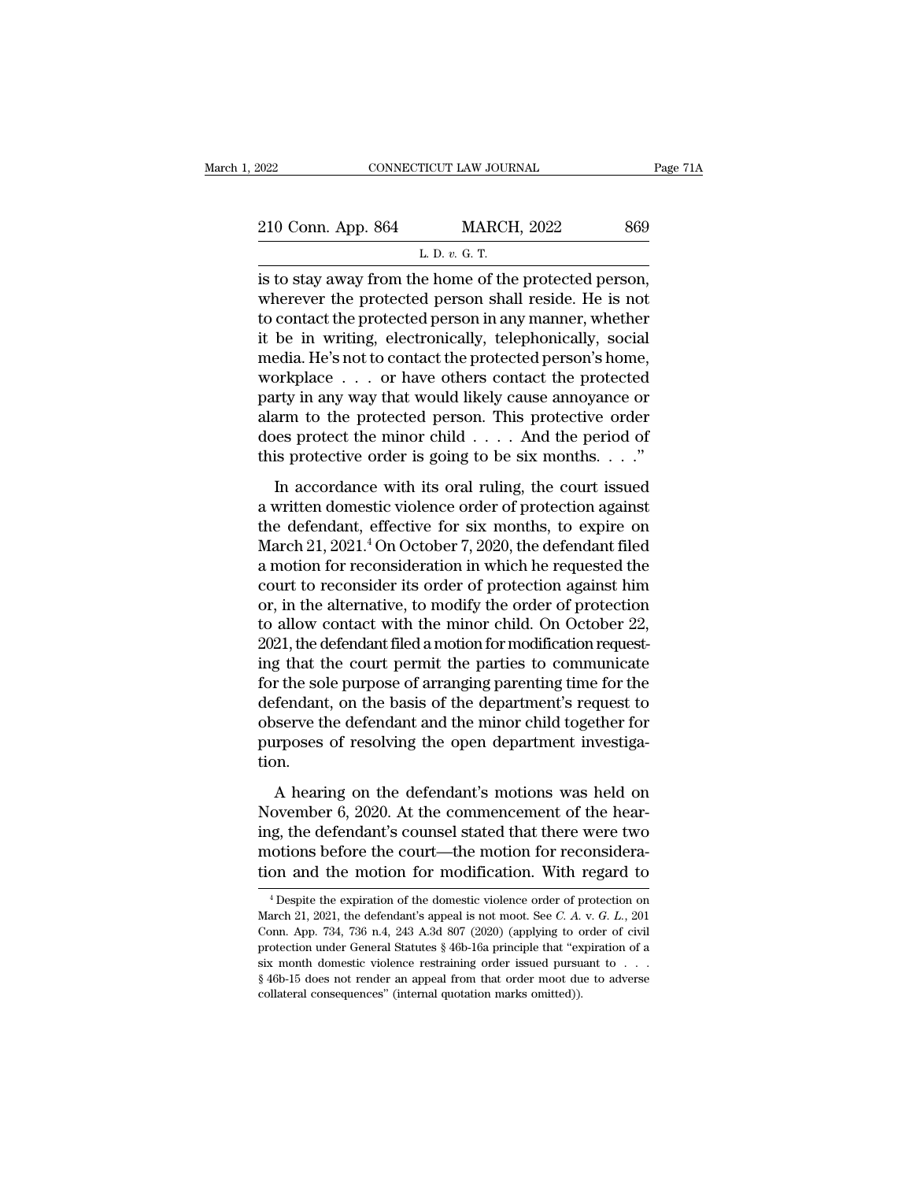| 2022                                                  | CONNECTICUT LAW JOURNAL | Page 71A |
|-------------------------------------------------------|-------------------------|----------|
| 210 Conn. App. 864                                    | <b>MARCH, 2022</b>      | 869      |
|                                                       | L. D. $v$ . G. T.       |          |
| is to stay away from the home of the protected person |                         |          |

EXECT 2022 CONNECTICUT LAW JOURNAL Page 7<br>
210 Conn. App. 864 MARCH, 2022 869<br>
L. D. v. G. T.<br>
is to stay away from the home of the protected person,<br>
wherever the protected person shall reside. He is not<br>
to contact the p 210 Conn. App. 864 MARCH, 2022 869<br>
L. D. v. G. T.<br>
is to stay away from the home of the protected person,<br>
wherever the protected person shall reside. He is not<br>
to contact the protected person in any manner, whether<br>
it 210 Conn. App. 864 MARCH, 2022 869<br>
L. D. v. G. T.<br>
is to stay away from the home of the protected person,<br>
wherever the protected person shall reside. He is not<br>
to contact the protected person in any manner, whether<br>
it 210 Conn. App. 864 MARCH, 2022 869<br>
L. D. v. G. T.<br>
is to stay away from the home of the protected person,<br>
wherever the protected person shall reside. He is not<br>
to contact the protected person in any manner, whether<br>
it L. D.  $v$ . G. T.<br>
is to stay away from the home of the protected person,<br>
wherever the protected person shall reside. He is not<br>
to contact the protected person in any manner, whether<br>
it be in writing, electronically, te L. D.  $v$ . G. 1.<br>
is to stay away from the home of the protected person,<br>
wherever the protected person shall reside. He is not<br>
to contact the protected person in any manner, whether<br>
it be in writing, electronically, te is to stay away from the home of the protected person,<br>wherever the protected person shall reside. He is not<br>to contact the protected person in any manner, whether<br>it be in writing, electronically, telephonically, social<br>m wherever the protected person shall reside. He is not<br>to contact the protected person in any manner, whether<br>it be in writing, electronically, telephonically, social<br>media. He's not to contact the protected person's home,<br> to contact the protected person in any manner, whether<br>it be in writing, electronically, telephonically, social<br>media. He's not to contact the protected person's home,<br>workplace . . . or have others contact the protected<br> it be in writing, electronically, telephonically, social<br>media. He's not to contact the protected person's home,<br>workplace  $\ldots$  or have others contact the protected<br>party in any way that would likely cause annoyance or<br>a The state with the protocol persons resmits,<br>orkplace  $\ldots$  or have others contact the protected<br>rty in any way that would likely cause annoyance or<br>arm to the protected person. This protective order<br>less protective order party in any way that would likely cause annoyance or<br>alarm to the protected person. This protective order<br>does protect the minor child . . . . And the period of<br>this protective order is going to be six months. . . ."<br>In

Finally and the protected person. This protective order<br>does protect the minor child . . . . And the period of<br>this protective order is going to be six months. . . ."<br>In accordance with its oral ruling, the court issued<br>a March 21, 2021.<sup>4</sup> On October 7, 2020, the defendant filed<br>a morth 21, 2021.<sup>4</sup> On October 7, 2020, the defendant filed<br>a morth 21, 2021.<sup>4</sup> On October 7, 2020, the defendant filed<br>a motion for reconsideration in which he This protective order is going to be six months.  $\ldots$ "<br>In accordance with its oral ruling, the court issued<br>a written domestic violence order of protection against<br>the defendant, effective for six months, to expire on<br>Ma In accordance with its oral ruling, the court issued<br>a written domestic violence order of protection against<br>the defendant, effective for six months, to expire on<br>March 21, 2021.<sup>4</sup> On October 7, 2020, the defendant filed In accordance with its oral ruling, the court issued<br>a written domestic violence order of protection against<br>the defendant, effective for six months, to expire on<br>March 21, 2021.<sup>4</sup> On October 7, 2020, the defendant filed<br> a written domestic violence order of protection against<br>the defendant, effective for six months, to expire on<br>March 21, 2021.<sup>4</sup> On October 7, 2020, the defendant filed<br>a motion for reconsideration in which he requested th the defendant, effective for six months, to expire on March 21, 2021.<sup>4</sup> On October 7, 2020, the defendant filed a motion for reconsideration in which he requested the court to reconsider its order of protection against hi March 21, 2021.<sup>4</sup> On October 7, 2020, the defendant filed<br>a motion for reconsideration in which he requested the<br>court to reconsider its order of protection against him<br>or, in the alternative, to modify the order of prote a motion for reconsideration in which he requested the<br>court to reconsider its order of protection against him<br>or, in the alternative, to modify the order of protection<br>to allow contact with the minor child. On October 22, court to reconsider its order of protection against him<br>or, in the alternative, to modify the order of protection<br>to allow contact with the minor child. On October 22,<br>2021, the defendant filed a motion for modification re or, in the alternative, to modify the order of protection<br>to allow contact with the minor child. On October 22,<br>2021, the defendant filed a motion for modification request-<br>ing that the court permit the parties to communic to allow contact with the minor child. On October 22, 2021, the defendant filed a motion for modification requesting that the court permit the parties to communicate for the sole purpose of arranging parenting time for the tion. r the sole purpose of arranging parenting time for the<br>fendant, on the basis of the department's request to<br>serve the defendant and the minor child together for<br>rrposes of resolving the open department investiga-<br>pn.<br>A hea Not also been parpose of antalging parating allie for the<br>defendant, on the basis of the department's request to<br>observe the defendant and the minor child together for<br>purposes of resolving the open department investiga-<br>t

determinally, on the state of the departments requests to<br>observe the defendant and the minor child together for<br>purposes of resolving the open department investiga-<br>tion.<br>A hearing on the defendant's motions was held on<br>N purposes of resolving the open department investigation.<br>A hearing on the defendant's motions was held on<br>November 6, 2020. At the commencement of the hear-<br>ing, the defendant's counsel stated that there were two<br>motions b tion.<br>
A hearing on the defendant's motions was held on<br>
November 6, 2020. At the commencement of the hear-<br>
ing, the defendant's counsel stated that there were two<br>
motions before the court—the motion for reconsidera-<br>
ti by ovember 6, 2020. At the commencement of the near-<br>ig, the defendant's counsel stated that there were two<br>incotions before the court—the motion for reconsidera-<br>on and the motion for modification. With regard to<br> $\frac{4 \text$ ing, the defendant's counsel stated that there were two<br>motions before the court—the motion for reconsidera-<br>tion and the motion for modification. With regard to<br><sup>4</sup> Despite the expiration of the domestic violence order of

motions before the court—the motion for reconsideration and the motion for modification. With regard to  $^{4}$  Despite the expiration of the domestic violence order of protection on March 21, 2021, the defendant's appeal i tion and the motion for modification. With regard to<br>
<sup>4</sup> Despite the expiration of the domestic violence order of protection on<br>
March 21, 2021, the defendant's appeal is not moot. See *C. A. v. G. L.*, 201<br>
Conn. App. 7 Similar domestic violence restrained by Thomas March 21, 2021, the defendant's appeal is not moot. See *C. A. v. G. L.*, 201 Conn. App. 734, 736 n.4, 243 A.3d 807 (2020) (applying to order of civil protection under Genera <sup>4</sup> Despite the expiration of the domestic violence order of protection on March 21, 2021, the defendant's appeal is not moot. See *C. A.* v. *G. L.*, 201 Conn. App. 734, 736 n.4, 243 A.3d 807 (2020) (applying to order of March 21, 2021, the defendant's appeal is not moot. See *C. A. v. G. L.*, 201 Conn. App. 734, 736 n.4, 243 A.3d 807 (2020) (applying to order of civil protection under General Statutes § 46b-16a principle that "expiration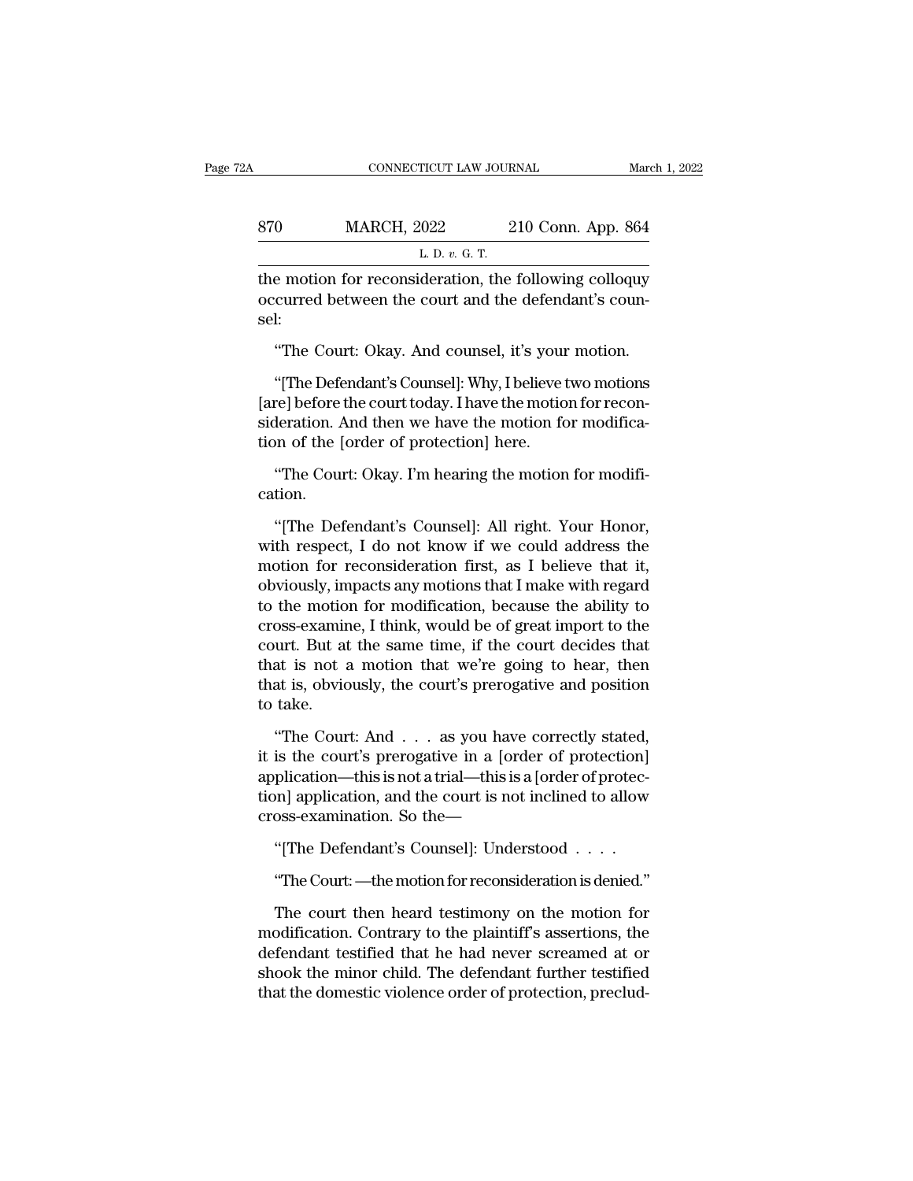|     | CONNECTICUT LAW JOURNAL                               |                    | March 1, 2022 |
|-----|-------------------------------------------------------|--------------------|---------------|
| 870 | <b>MARCH, 2022</b>                                    | 210 Conn. App. 864 |               |
|     | L. D. $v$ . G. T.                                     |                    |               |
|     | the motion for reconsideration the following colloguy |                    |               |

CONNECTICUT LAW JOURNAL March 1, 2022<br>
STO MARCH, 2022 210 Conn. App. 864<br>
L. D. v. G. T.<br>
the motion for reconsideration, the following colloquy<br>
occurred between the court and the defendant's councel 870 MARCH, 2022 210 Conn. App. 864<br>
L. D. v. G. T.<br>
the motion for reconsideration, the following colloquy<br>
occurred between the court and the defendant's coun-<br>
sel: sel:  $\frac{L \cdot D. v. G. T.}{L \cdot D. v. G. T.}$ <br>
Exp.  $v. G. T.}$ <br>
Exp.  $v. G. T.}$ <br>
Exp.  $v. G. T.}$ <br>
Exp.  $v. G. T.}$ <br>
Court: Okay. And counsel, it's your motion.<br>
"The Court: Okay. And counsel, it's your motion.<br>
"The Defendant's Counsel]: Why, e motion for reconsideration, the following colloquy<br>curred between the court and the defendant's coun-<br>l:<br>"The Court: Okay. And counsel, it's your motion.<br>"[The Defendant's Counsel]: Why, I believe two motions<br>re] before

the motion for reconsideration, the following colloquy<br>occurred between the court and the defendant's counsel:<br>"The Court: Okay. And counsel, it's your motion.<br>"[The Defendant's Counsel]: Why, I believe two motions<br>[are] b occurred between the court and the defendant's counsel:<br>"The Court: Okay. And counsel, it's your motion.<br>"[The Defendant's Counsel]: Why, I believe two motions<br>[are] before the court today. I have the motion for reconsider ser:<br>
"The Court: Okay. And counsel, it's your<br>
"[The Defendant's Counsel]: Why, I believe t<br>
[are] before the court today. I have the motio<br>
sideration. And then we have the motion fo<br>
tion of the [order of protection] he The Court: Okay. And counsel, it s your motion.<br>"[The Defendant's Counsel]: Why, I believe two motions<br>re] before the court today. I have the motion for recon-<br>deration. And then we have the motion for modifica-<br>"The Court The Defore the court today. Thave the motion for reconstrained and then we have the motion for modification of the [order of protection] here.<br>
"The Court: Okay. I'm hearing the motion for modifition.<br>
"[The Defendant's Co

cation.

sideration. And then we have the motion for modification of the [order of protection] here.<br>
"The Court: Okay. I'm hearing the motion for modification.<br>
"[The Defendant's Counsel]: All right. Your Honor,<br>
with respect, I d tion of the [order of protection] here.<br>
"The Court: Okay. I'm hearing the motion for modification.<br>
"[The Defendant's Counsel]: All right. Your Honor,<br>
with respect, I do not know if we could address the<br>
motion for recon "The Court: Okay. I'm hearing the motion for modification.<br>
"[The Defendant's Counsel]: All right. Your Honor,<br>
with respect, I do not know if we could address the<br>
motion for reconsideration first, as I believe that it,<br> exation.<br>
"[The Defendant's Counsel]: All right. Your Honor,<br>
with respect, I do not know if we could address the<br>
motion for reconsideration first, as I believe that it,<br>
obviously, impacts any motions that I make with re "[The Defendant's Counsel]: All right. Your Honor,<br>with respect, I do not know if we could address the<br>motion for reconsideration first, as I believe that it,<br>obviously, impacts any motions that I make with regard<br>to the m "[The Defendant's Counsel]: All right. Your Honor,<br>with respect, I do not know if we could address the<br>motion for reconsideration first, as I believe that it,<br>obviously, impacts any motions that I make with regard<br>to the with respect, I do not know if we could address the<br>motion for reconsideration first, as I believe that it,<br>obviously, impacts any motions that I make with regard<br>to the motion for modification, because the ability to<br>cros motion for reconsideration first, as I believe that it,<br>obviously, impacts any motions that I make with regard<br>to the motion for modification, because the ability to<br>cross-examine, I think, would be of great import to the<br> obviously, in<br>to the motio<br>cross-examir<br>court. But at<br>that is not a<br>that is, obvic<br>to take.<br>"The Cour oss-examine, I think, would be of great import to the<br>urt. But at the same time, if the court decides that<br>at is not a motion that we're going to hear, then<br>at is, obviously, the court's prerogative and position<br>take.<br>"The court. But at the same time, if the court decides that<br>that is not a motion that we're going to hear, then<br>that is, obviously, the court's prerogative and position<br>to take.<br>"The Court: And . . . as you have correctly state

that is not a motion that we're going to hear, then<br>that is, obviously, the court's prerogative and position<br>to take.<br>"The Court: And . . . as you have correctly stated,<br>it is the court's prerogative in a [order of protect that is, obviously, the court's prerogative and position<br>to take.<br>"The Court: And . . . as you have correctly stated,<br>it is the court's prerogative in a [order of protection]<br>application—this is not a trial—this is a [orde to take.<br>
"The Court: And . . . as you have correctly s<br>
it is the court's prerogative in a [order of prote<br>
application—this is not a trial—this is a [order of prote<br>
tion] application, and the court is not inclined to<br>
c "The Court: And . . . as you have correctly stated, it is the court's prerogative in a [order of protection] application—this is not a trial—this is a [order of protection] application, and the court is not inclined to al Is the court's prerogative in a [order of protection]<br>
plication—this is not a trial—this is a [order of protec-<br>
on] application, and the court is not inclined to allow<br>
oss-examination. So the—<br>
"[The Defendant's Counsel

only application, and the court is not inclined to allow<br>
oss-examination. So the—<br>
"[The Defendant's Counsel]: Understood . . . .<br>
"The Court: —the motion for reconsideration is denied."<br>
The court then heard testimony on eross-examination. So the—<br>
"[The Defendant's Counsel]: Understood . . . .<br>
"The Court: —the motion for reconsideration is denied."<br>
The court then heard testimony on the motion for<br>
modification. Contrary to the plaintiff "[The Defendant's Counsel]: Understood  $\ldots$  .<br>
"The Court: —the motion for reconsideration is denied."<br>
The court then heard testimony on the motion for<br>
modification. Contrary to the plaintiff's assertions, the<br>
defenda The Detendant Scounser]. Understood  $\ldots$  .<br>
"The Court: —the motion for reconsideration is denied."<br>
The court then heard testimony on the motion for<br>
modification. Contrary to the plaintiff's assertions, the<br>
defendant "The Court: —the motion for reconsideration is denied."<br>The court then heard testimony on the motion for<br>modification. Contrary to the plaintiff's assertions, the<br>defendant testified that he had never screamed at or<br>shook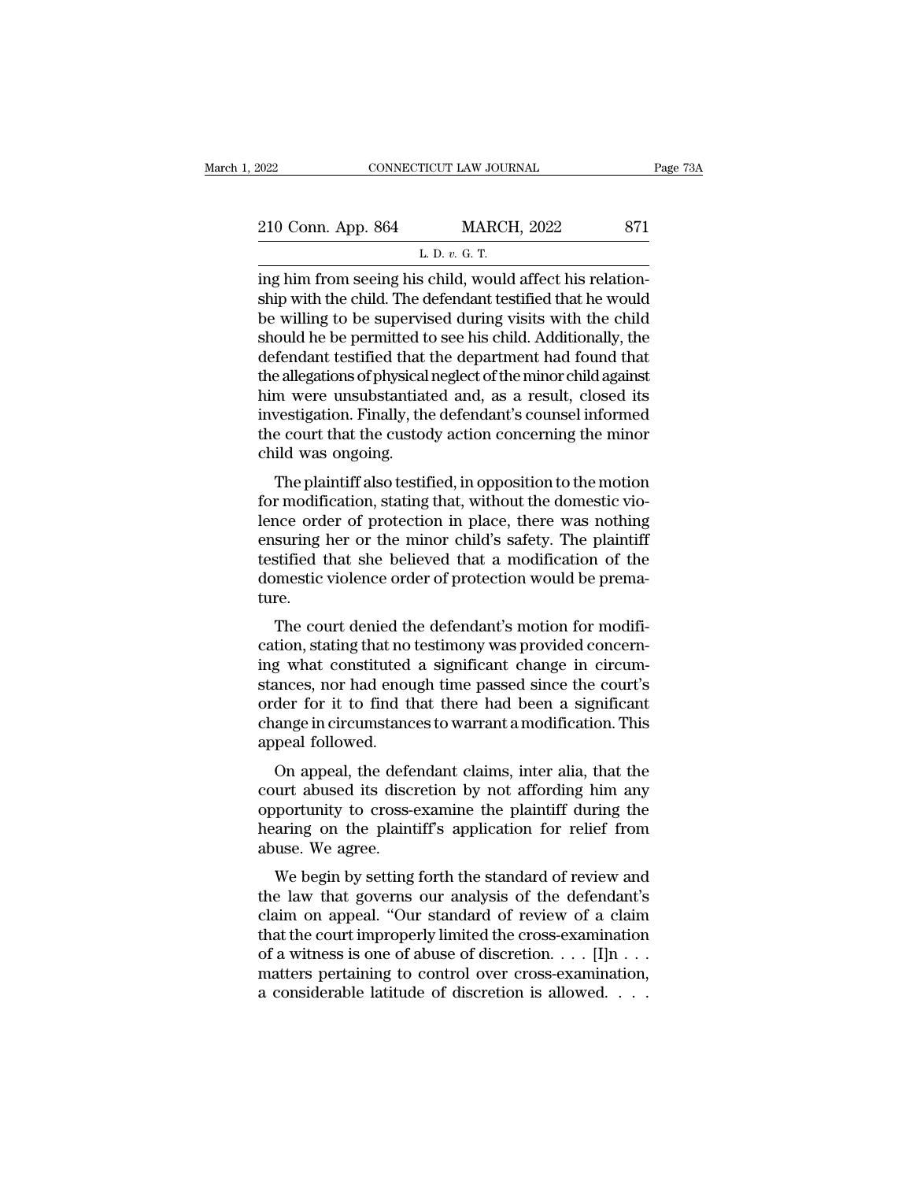| 2022                                                     | CONNECTICUT LAW JOURNAL | Page 73A |
|----------------------------------------------------------|-------------------------|----------|
| 210 Conn. App. 864                                       | <b>MARCH, 2022</b>      | 871      |
|                                                          | L. D. $v$ . G. T.       |          |
| ing him from seeing his child would affect his relation- |                         |          |

FORE CONNECTICUT LAW JOURNAL<br>
210 Conn. App. 864 MARCH, 2022 871<br>
L. D. v. G. T.<br>
ing him from seeing his child, would affect his relation-<br>
ship with the child. The defendant testified that he would<br>
he willing to be supe 210 Conn. App. 864 MARCH, 2022 871<br>
L. D. v. G. T.<br>
ing him from seeing his child, would affect his relationship with the child. The defendant testified that he would<br>
be willing to be supervised during visits with the ch 210 Conn. App. 864 MARCH, 2022 871<br>
L. D. v. G. T.<br>
ing him from seeing his child, would affect his relationship with the child. The defendant testified that he would<br>
be willing to be supervised during visits with the ch 210 Conn. App. 864 MARCH, 2022 871<br>
L. D. v. G. T.<br>
ing him from seeing his child, would affect his relationship with the child. The defendant testified that he would<br>
be willing to be supervised during visits with the ch L. D. v. G. T.<br>
ing him from seeing his child, would affect his relationship with the child. The defendant testified that he would<br>
be willing to be supervised during visits with the child<br>
should he be permitted to see h L. D.  $v$ . G. T.<br>
ing him from seeing his child, would affect his relationship with the child. The defendant testified that he would<br>
be willing to be supervised during visits with the child<br>
should he be permitted to see ing him from seeing his child, would affect his relationship with the child. The defendant testified that he would<br>be willing to be supervised during visits with the child<br>should he be permitted to see his child. Additiona ship with the child. The defendant testified that he would<br>be willing to be supervised during visits with the child<br>should he be permitted to see his child. Additionally, the<br>defendant testified that the department had fou be willing to be supervised during visits with the child<br>should he be permitted to see his child. Additionally, the<br>defendant testified that the department had found that<br>the allegations of physical neglect of the minor ch should he be permitted to<br>defendant testified that<br>the allegations of physical<br>him were unsubstantiat<br>investigation. Finally, the<br>the court that the custoc<br>child was ongoing.<br>The plaintiff also testif rendant testified that the department had found that<br>e allegations of physical neglect of the minor child against<br>m were unsubstantiated and, as a result, closed its<br>vestigation. Finally, the defendant's counsel informed<br>e For an<br>example to the filling cluster and against him were unsubstantiated and, as a result, closed its<br>investigation. Finally, the defendant's counsel informed<br>the court that the custody action concerning the minor<br>child

lence this investigation. Finally, the defendant's counsel informed<br>the court that the custody action concerning the minor<br>child was ongoing.<br>The plaintiff also testified, in opposition to the motion<br>for modification, stat mvestigation: Finany, the defendant s'counser informed<br>the court that the custody action concerning the minor<br>child was ongoing.<br>The plaintiff also testified, in opposition to the motion<br>for modification, stating that, wit the court that the custody action concerning the nunior<br>child was ongoing.<br>The plaintiff also testified, in opposition to the motion<br>for modification, stating that, without the domestic vio-<br>lence order of protection in pl The plaintiff also testified, in opposition to the motion<br>for modification, stating that, without the domestic vio-<br>lence order of protection in place, there was nothing<br>ensuring her or the minor child's safety. The plaint ture. r modification, stating that, while the domestic vio-<br>nce order of protection in place, there was nothing<br>suring her or the minor child's safety. The plaintiff<br>stified that she believed that a modification of the<br>mestic vi rence offer of protection in place, there was nothing<br>ensuring her or the minor child's safety. The plaintiff<br>testified that she believed that a modification of the<br>domestic violence order of protection would be prema-<br>tur

Eisuing her of the filmot child s safety. The plantification testified that she believed that a modification of the domestic violence order of protection would be premature.<br>The court denied the defendant's motion for modi domestic violence order of protection would be prema-<br>ture.<br>The court denied the defendant's motion for modifi-<br>cation, stating that no testimony was provided concern-<br>ing what constituted a significant change in circum-<br>s domestic violence ofder of protection would be prenia-<br>ture.<br>The court denied the defendant's motion for modifi-<br>cation, stating that no testimony was provided concern-<br>ing what constituted a significant change in circum-<br> The court denied the defendant's motion for modification, stating that no testimony was provided concerning what constituted a significant change in circumstances, nor had enough time passed since the court's order for it The court denied the cation, stating that no<br>ing what constituted<br>stances, nor had enou<br>order for it to find the<br>change in circumstanc<br>appeal followed.<br>On appeal, the defe Figure what constituted a significant change in circum-<br>ances, nor had enough time passed since the court's<br>der for it to find that there had been a significant<br>ange in circumstances to warrant a modification. This<br>peal fo mg what constituted a significant change in circum-<br>stances, nor had enough time passed since the court's<br>order for it to find that there had been a significant<br>change in circumstances to warrant a modification. This<br>appea

stances, not had enough three passed since the court's<br>order for it to find that there had been a significant<br>change in circumstances to warrant a modification. This<br>appeal followed.<br>On appeal, the defendant claims, inter but for it to find that there had been a significant<br>change in circumstances to warrant a modification. This<br>appeal followed.<br>On appeal, the defendant claims, inter alia, that the<br>court abused its discretion by not affordi range in circumstance<br>appeal followed.<br>On appeal, the defe<br>court abused its discr<br>opportunity to cross-<br>hearing on the plaint<br>abuse. We agree.<br>We begin by setting On appeal, the defendant claims, inter alia, that the<br>urt abused its discretion by not affording him any<br>portunity to cross-examine the plaintiff during the<br>aring on the plaintiff's application for relief from<br>use. We agre on appear, the defendant claims, inter ana, that the<br>court abused its discretion by not affording him any<br>opportunity to cross-examine the plaintiff during the<br>hearing on the plaintiff's application for relief from<br>abuse.

court abused its uiscretion by not anotuing film any<br>opportunity to cross-examine the plaintiff during the<br>hearing on the plaintiff's application for relief from<br>abuse. We agree.<br>We begin by setting forth the standard of r by the court improper that the court in the standard of review and<br>the law that governs our analysis of the defendant's<br>claim on appeal. "Our standard of review of a claim<br>that the court improperly limited the cross-exami The arm of the plant in supplication for reflect from<br>abuse. We agree.<br>We begin by setting forth the standard of review and<br>the law that governs our analysis of the defendant's<br>claim on appeal. "Our standard of review of a We begin by setting forth the standard of review and<br>the law that governs our analysis of the defendant's<br>claim on appeal. "Our standard of review of a claim<br>that the court improperly limited the cross-examination<br>of a wi We begin by setting forth the standard of review and<br>the law that governs our analysis of the defendant's<br>claim on appeal. "Our standard of review of a claim<br>that the court improperly limited the cross-examination<br>of a wi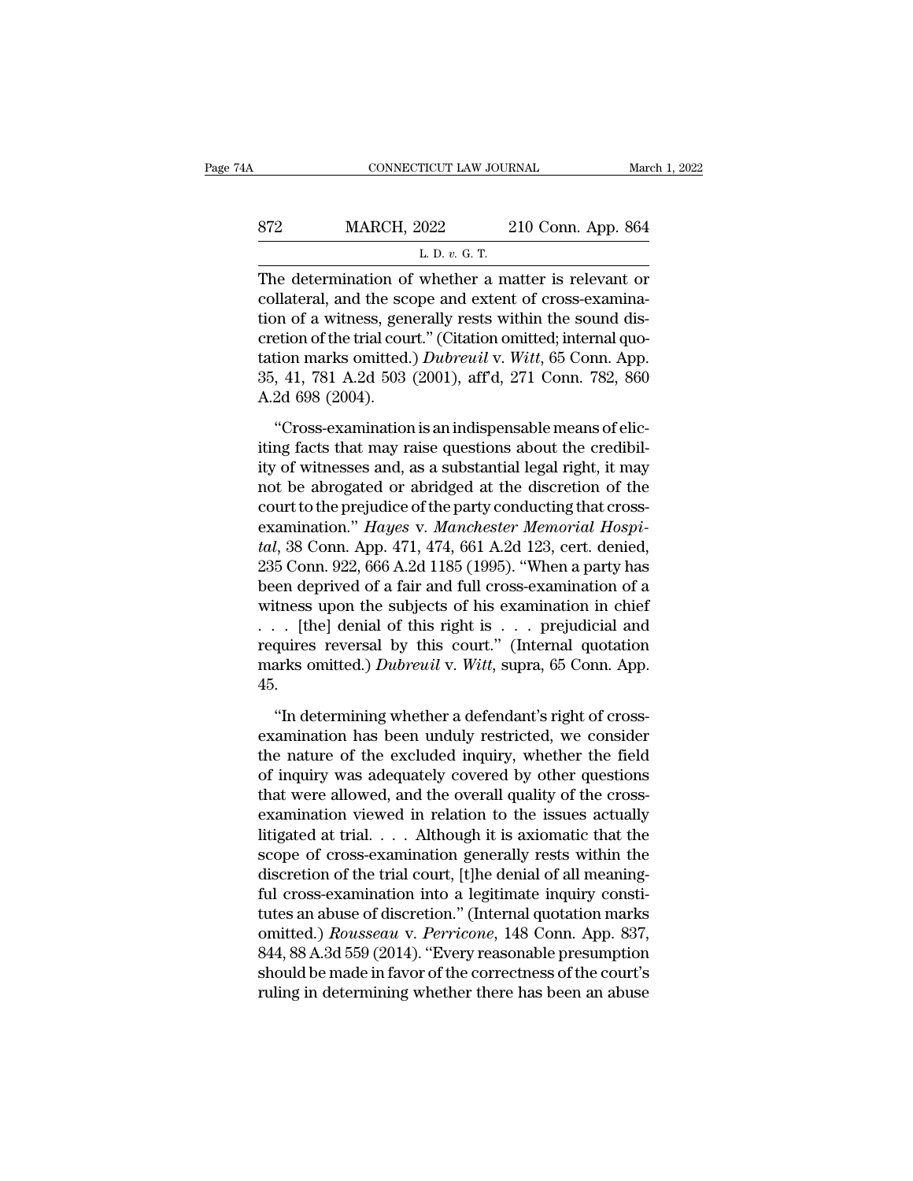| 4Α  | CONNECTICUT LAW JOURNAL                              |                    | March 1, 2022 |
|-----|------------------------------------------------------|--------------------|---------------|
| 872 | <b>MARCH, 2022</b>                                   | 210 Conn. App. 864 |               |
|     | L. D. $v$ . G. T.                                    |                    |               |
|     | The determination of whether a matter is relevant or |                    |               |

CONNECTICUT LAW JOURNAL March 1, 2022<br>
ST2 MARCH, 2022 210 Conn. App. 864<br>
L. D. v. G. T.<br>
The determination of whether a matter is relevant or collateral, and the scope and extent of cross-examination of a witness general ST2 MARCH, 2022 210 Conn. App. 864<br>
L. D. v. G. T.<br>
The determination of whether a matter is relevant or<br>
collateral, and the scope and extent of cross-examina-<br>
tion of a witness, generally rests within the sound dis-<br>
cr 872 MARCH, 2022 210 Conn. App. 864<br>
L. D. v. G. T.<br>
The determination of whether a matter is relevant or<br>
collateral, and the scope and extent of cross-examina-<br>
tion of a witness, generally rests within the sound dis-<br>
c **EXECUTE:** MARCH, 2022 210 Conn. App. 864<br>
L. D. v. G. T.<br>
The determination of whether a matter is relevant or<br>
collateral, and the scope and extent of cross-examina-<br>
tion of a witness, generally rests within the sound L. D. v. G. T.<br>
The determination of whether a matter is relevant or<br>
collateral, and the scope and extent of cross-examina-<br>
tion of a witness, generally rests within the sound dis-<br>
cretion of the trial court." (Citation  $\frac{1}{2}$  D.  $\frac{1}{2}$ ,  $\frac{1}{2}$ ,  $\frac{1}{2}$ . The determination of whether a matter is relevant or collateral, and the scope and extent of cross-examination of a witness, generally rests within the sound discretion of the The determination of<br>collateral, and the sco<br>tion of a witness, gen<br>cretion of the trial cou<br>tation marks omitted.<br>35, 41, 781 A.2d 503<br>A.2d 698 (2004).<br>"Cross-examination materia, and the seepe and entern of cross-emanation<br>of a witness, generally rests within the sound dis-<br>etion of the trial court." (Citation omitted; internal quo-<br>tion marks omitted.) *Dubreuil* v. Witt, 65 Conn. App.<br>41 from of the trial court." (Citation omitted; internal quotation marks omitted.) *Dubreuil* v. Witt, 65 Conn. App.<br>35, 41, 781 A.2d 503 (2001), aff'd, 271 Conn. 782, 860<br>A.2d 698 (2004).<br>"Cross-examination is an indispensa

tation marks omitted.) *Dubreuil* v. Witt, 65 Conn. App.<br>35, 41, 781 A.2d 503 (2001), aff'd, 271 Conn. 782, 860<br>A.2d 698 (2004).<br>"Cross-examination is an indispensable means of elic-<br>iting facts that may raise questions a 35, 41, 781 A.2d 503 (2001), aff'd, 271 Conn. 782, 860<br>A.2d 698 (2004).<br>"Cross-examination is an indispensable means of elic-<br>iting facts that may raise questions about the credibil-<br>ity of witnesses and, as a substantial A.2d 698 (2004).<br>
"Cross-examination is an indispensable means of elic-<br>
iting facts that may raise questions about the credibil-<br>
ity of witnesses and, as a substantial legal right, it may<br>
not be abrogated or abridged a The sos (2002).<br>
"Cross-examination is an indispensable means of elic-<br>
iting facts that may raise questions about the credibil-<br>
ity of witnesses and, as a substantial legal right, it may<br>
not be abrogated or abridged at "Cross-examination is an indispensable means of eliciting facts that may raise questions about the credibility of witnesses and, as a substantial legal right, it may not be abrogated or abridged at the discretion of the co iting facts that may raise questions about the credibility of witnesses and, as a substantial legal right, it may<br>not be abrogated or abridged at the discretion of the<br>court to the prejudice of the party conducting that cr ity of witnesses and, as a substantial legal right, it may<br>not be abrogated or abridged at the discretion of the<br>court to the prejudice of the party conducting that cross-<br>examination." *Hayes* v. *Manchester Memorial Hosp* not be abrogated or abridged at the discretion of the<br>court to the prejudice of the party conducting that cross-<br>examination." Hayes v. Manchester Memorial Hospi-<br>tal, 38 Conn. App. 471, 474, 661 A.2d 123, cert. denied,<br>2 court to the prejudice of the party conducting that cross-<br>examination." *Hayes* v. *Manchester Memorial Hospi-*<br>tal, 38 Conn. App. 471, 474, 661 A.2d 123, cert. denied,<br>235 Conn. 922, 666 A.2d 1185 (1995). "When a party examination." *Hayes v. Manchester Memorial Hospital,* 38 Conn. App. 471, 474, 661 A.2d 123, cert. denied, 235 Conn. 922, 666 A.2d 1185 (1995). "When a party has been deprived of a fair and full cross-examination of a wit tal, 38 Conn. App. 471, 474, 661 A.2d 123, cert. denied, 235 Conn. 922, 666 A.2d 1185 (1995). "When a party has been deprived of a fair and full cross-examination of a witness upon the subjects of his examination in chief 45. these upon the subjects of his examination in chief . [the] denial of this right is  $\ldots$  prejudicial and quires reversal by this court." (Internal quotation arks omitted.) *Dubreuil* v. *Witt*, supra, 65 Conn. App. . "In Fig. 1. Final of this right is  $\ldots$  prejudicial and requires reversal by this court." (Internal quotation marks omitted.) *Dubreuil v. Witt*, supra, 65 Conn. App. 45.<br>
"In determining whether a defendant's right of cross

the nature of the scourt." (Internal quotation<br>marks omitted.) Dubreuil v. Witt, supra, 65 Conn. App.<br>45.<br>"In determining whether a defendant's right of cross-<br>examination has been unduly restricted, we consider<br>the natur marks omitted.) *Dubreuil v. Witt*, supra, 65 Conn. App.<br>45.<br>"In determining whether a defendant's right of cross-<br>examination has been unduly restricted, we consider<br>the nature of the excluded inquiry, whether the field<br>o 45.<br>
"In determining whether a defendant's right of cross-<br>
examination has been unduly restricted, we consider<br>
the nature of the excluded inquiry, whether the field<br>
of inquiry was adequately covered by other questions<br> "In determining whether a defendant's right of cross-<br>examination has been unduly restricted, we consider<br>the nature of the excluded inquiry, whether the field<br>of inquiry was adequately covered by other questions<br>that wer "In determining whether a defendant's right of cross-<br>examination has been unduly restricted, we consider<br>the nature of the excluded inquiry, whether the field<br>of inquiry was adequately covered by other questions<br>that wer examination has been unduly restricted, we consider<br>the nature of the excluded inquiry, whether the field<br>of inquiry was adequately covered by other questions<br>that were allowed, and the overall quality of the cross-<br>examin the nature of the excluded inquiry, whether the field<br>of inquiry was adequately covered by other questions<br>that were allowed, and the overall quality of the cross-<br>examination viewed in relation to the issues actually<br>liti of inquiry was adequately covered by other questions<br>that were allowed, and the overall quality of the cross-<br>examination viewed in relation to the issues actually<br>litigated at trial.... Although it is axiomatic that the<br> that were allowed, and the overall quality of the cross-<br>examination viewed in relation to the issues actually<br>litigated at trial.... Although it is axiomatic that the<br>scope of cross-examination generally rests within the examination viewed in relation to the issues actually<br>litigated at trial. . . . Although it is axiomatic that the<br>scope of cross-examination generally rests within the<br>discretion of the trial court, [t]he denial of all mea litigated at trial. . . . Although it is axiomatic that the<br>scope of cross-examination generally rests within the<br>discretion of the trial court, [t]he denial of all meaning-<br>ful cross-examination into a legitimate inquiry scope of cross-examination generally rests within the<br>discretion of the trial court, [t]he denial of all meaning-<br>ful cross-examination into a legitimate inquiry consti-<br>tutes an abuse of discretion." (Internal quotation m discretion of the trial court, [t]he denial of all meaning-<br>ful cross-examination into a legitimate inquiry consti-<br>tutes an abuse of discretion." (Internal quotation marks<br>omitted.) *Rousseau v. Perricone*, 148 Conn. App.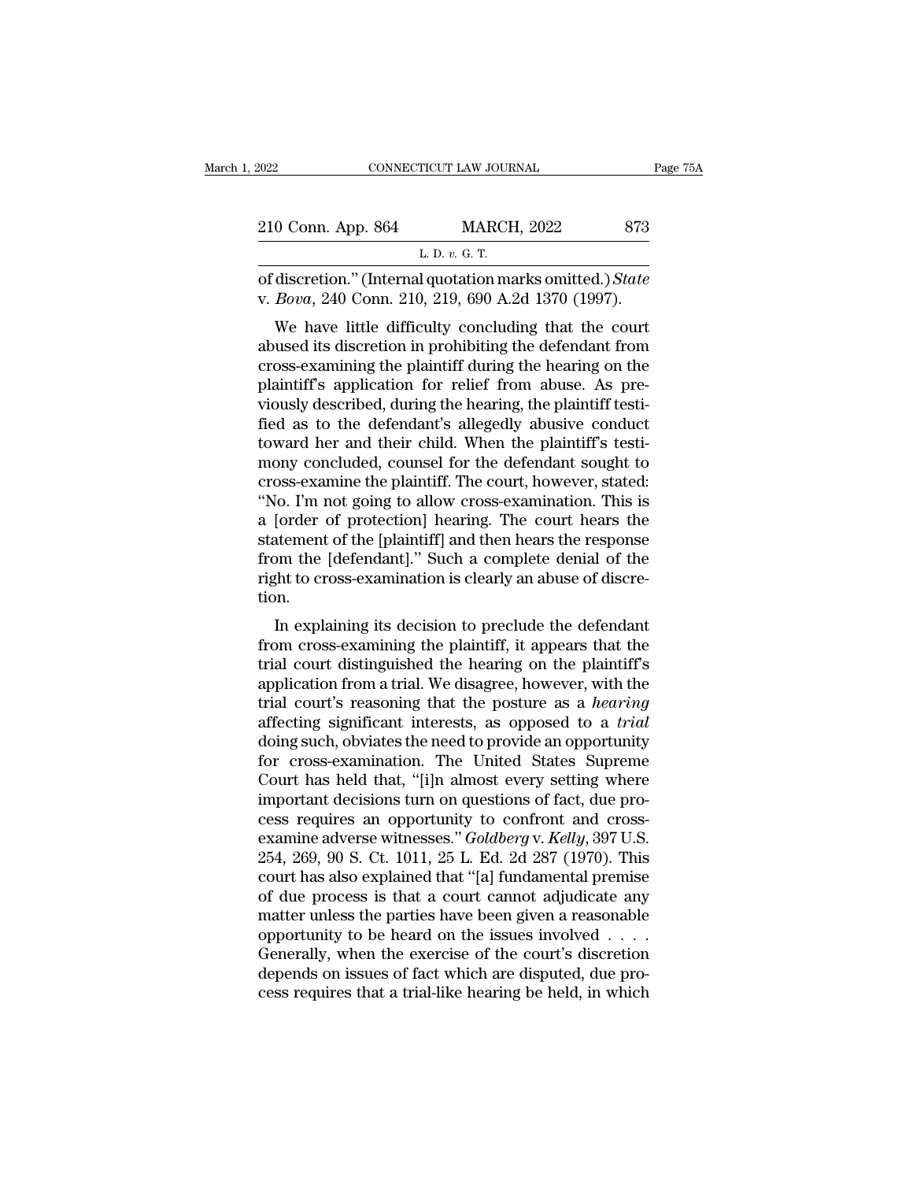| 2022               |                | CONNECTICUT LAW JOURNAL                                                                                                                                                    | Page 75A |
|--------------------|----------------|----------------------------------------------------------------------------------------------------------------------------------------------------------------------------|----------|
|                    |                |                                                                                                                                                                            |          |
| 210 Conn. App. 864 |                | <b>MARCH, 2022</b>                                                                                                                                                         | 873      |
|                    | L. D. v. G. T. |                                                                                                                                                                            |          |
|                    |                | of discretion." (Internal quotation marks omitted.) State<br>v. Bova, 240 Conn. 210, 219, 690 A.2d 1370 (1997).                                                            |          |
|                    |                | We have little difficulty concluding that the court<br>abused its discretion in prohibiting the defendant from<br>gross overwining the plaintiff during the hearing on the |          |

210 Conn. App. 864 MARCH, 2022 873<br>
L. D. v. G. T.<br>
of discretion." (Internal quotation marks omitted.) *State*<br>
v. *Bova*, 240 Conn. 210, 219, 690 A.2d 1370 (1997).<br>
We have little difficulty concluding that the court<br>
a L. D. v. G. T.<br>
cof discretion." (Internal quotation marks omitted.) State<br>
v. Bova, 240 Conn. 210, 219, 690 A.2d 1370 (1997).<br>
We have little difficulty concluding that the court<br>
abused its discretion in prohibiting the of discretion." (Internal quotation marks omitted.) State<br>v. Bova, 240 Conn. 210, 219, 690 A.2d 1370 (1997).<br>We have little difficulty concluding that the court<br>abused its discretion in prohibiting the defendant from<br>cros v. *Bova*, 240 Conn. 210, 219, 690 A.2d 1370 (1997).<br>We have little difficulty concluding that the court<br>abused its discretion in prohibiting the defendant from<br>cross-examining the plaintiff during the hearing on the<br>plain Field as to the defendant same provided counsel for the defendant from<br>the defendant from cross-examining the plaintiff during the defendant from<br>cross-examining the plaintiff during the hearing on the<br>plaintiff's applicat We have little difficulty concluding that the court<br>abused its discretion in prohibiting the defendant from<br>cross-examining the plaintiff during the hearing on the<br>plaintiff's application for relief from abuse. As pre-<br>vio abused its discretion in prohibiting the defendant from<br>cross-examining the plaintiff during the hearing on the<br>plaintiff's application for relief from abuse. As pre-<br>viously described, during the hearing, the plaintiff te cross-examining the plaintiff during the hearing on the plaintiff's application for relief from abuse. As previously described, during the hearing, the plaintiff testified as to the defendant's allegedly abusive conduct to plaintiff's application for relief from abuse. As pre-<br>viously described, during the hearing, the plaintiff testi-<br>fied as to the defendant's allegedly abusive conduct<br>toward her and their child. When the plaintiff's testi viously described, during the hearing, the plaintiff testified as to the defendant's allegedly abusive conduct<br>toward her and their child. When the plaintiff's testi-<br>mony concluded, counsel for the defendant sought to<br>cro fied as to the defendant's allegedly abusive conduct<br>toward her and their child. When the plaintiff's testi-<br>mony concluded, counsel for the defendant sought to<br>cross-examine the plaintiff. The court, however, stated:<br>"No. toward her and their child. When the plaintiff's testi-<br>mony concluded, counsel for the defendant sought to<br>cross-examine the plaintiff. The court, however, stated:<br>"No. I'm not going to allow cross-examination. This is<br>a mony concluded, counsel for the defendant sought to cross-examine the plaintiff. The court, however, stated: "No. I'm not going to allow cross-examination. This is a [order of protection] hearing. The court hears the state tion. In the going to allow cross-examination. This is<br>[order of protection] hearing. The court hears the<br>atement of the [plaintiff] and then hears the response<br>bm the [defendant]." Such a complete denial of the<br>the to cross-exa a folder of protectionf heating. The court heats the<br>statement of the [plaintiff] and then hears the response<br>from the [defendant]." Such a complete denial of the<br>right to cross-examination is clearly an abuse of discre-<br>t

statement of the [plaintiff] and then hears the response<br>from the [defendant]." Such a complete denial of the<br>right to cross-examination is clearly an abuse of discre-<br>tion.<br>In explaining its decision to preclude the defen Fight to cross-examination is clearly an abuse of discretion.<br>
In explaining its decision to preclude the defendant<br>
from cross-examining the plaintiff, it appears that the<br>
trial court distinguished the hearing on the pl Tight to cross-examination is clearly an abuse of ulscretion.<br>
In explaining its decision to preclude the defendant<br>
from cross-examining the plaintiff, it appears that the<br>
trial court distinguished the hearing on the pla In explaining its decision to preclude the defendant<br>from cross-examining the plaintiff, it appears that the<br>trial court distinguished the hearing on the plaintiff's<br>application from a trial. We disagree, however, with the In explaining its decision to preclude the defendant<br>from cross-examining the plaintiff, it appears that the<br>trial court distinguished the hearing on the plaintiff's<br>application from a trial. We disagree, however, with the from cross-examining the plaintiff, it appears that the<br>trial court distinguished the hearing on the plaintiff's<br>application from a trial. We disagree, however, with the<br>trial court's reasoning that the posture as a *heari* trial court distinguished the hearing on the plaintiff's<br>application from a trial. We disagree, however, with the<br>trial court's reasoning that the posture as a *hearing*<br>affecting significant interests, as opposed to a *tr* application from a trial. We disagree, however, with the trial court's reasoning that the posture as a *hearing* affecting significant interests, as opposed to a *trial* doing such, obviates the need to provide an opportu trial court's reasoning that the posture as a *hearing*<br>affecting significant interests, as opposed to a *trial*<br>doing such, obviates the need to provide an opportunity<br>for cross-examination. The United States Supreme<br>Cou affecting significant interests, as opposed to a *trial*<br>doing such, obviates the need to provide an opportunity<br>for cross-examination. The United States Supreme<br>Court has held that, "[i]n almost every setting where<br>import doing such, obviates the need to provide an opportunity<br>for cross-examination. The United States Supreme<br>Court has held that, "[i]n almost every setting where<br>important decisions turn on questions of fact, due pro-<br>cess re for cross-examination. The United States Supreme<br>Court has held that, "[i]n almost every setting where<br>important decisions turn on questions of fact, due pro-<br>cess requires an opportunity to confront and cross-<br>examine adv Court has held that, "[i]n almost every setting where<br>important decisions turn on questions of fact, due pro-<br>cess requires an opportunity to confront and cross-<br>examine adverse witnesses." *Goldberg* v. *Kelly*, 397 U.S.<br> important decisions turn on questions of fact, due process requires an opportunity to confront and cross-<br>examine adverse witnesses." *Goldberg* v. *Kelly*, 397 U.S.<br>254, 269, 90 S. Ct. 1011, 25 L. Ed. 2d 287 (1970). This cess requires an opportunity to confront and cross-<br>examine adverse witnesses."  $Goldberg$  v.  $Kelly$ , 397 U.S.<br>254, 269, 90 S. Ct. 1011, 25 L. Ed. 2d 287 (1970). This<br>court has also explained that "[a] fundamental premise<br>of due examine adverse witnesses."  $Goldberg$  v.  $Kelly$ , 397 U.S.<br>254, 269, 90 S. Ct. 1011, 25 L. Ed. 2d 287 (1970). This<br>court has also explained that "[a] fundamental premise<br>of due process is that a court cannot adjudicate any<br>matter 254, 269, 90 S. Ct. 1011, 25 L. Ed. 2d 287 (1970). This court has also explained that "[a] fundamental premise of due process is that a court cannot adjudicate any matter unless the parties have been given a reasonable op court has also explained that "[a] fundamental premise<br>of due process is that a court cannot adjudicate any<br>matter unless the parties have been given a reasonable<br>opportunity to be heard on the issues involved . . . .<br>Gene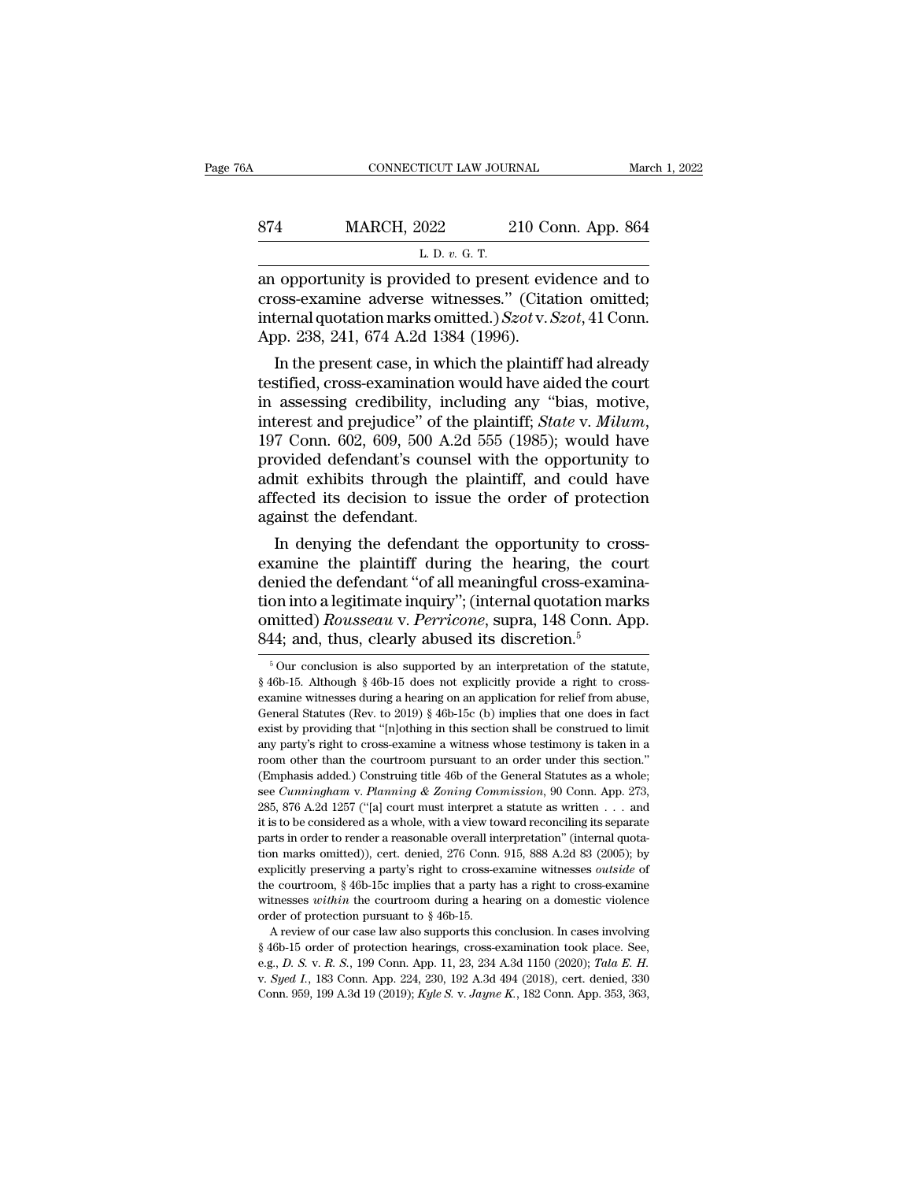|                    |                    | March 1, 2022                                                                                         |
|--------------------|--------------------|-------------------------------------------------------------------------------------------------------|
| <b>MARCH, 2022</b> | 210 Conn. App. 864 |                                                                                                       |
|                    |                    |                                                                                                       |
|                    |                    | CONNECTICUT LAW JOURNAL<br>L. D. $v$ . G. T.<br>an opportunity is provided to present evidence and to |

CONNECTICUT LAW JOURNAL March 1, 2022<br>
874 MARCH, 2022 210 Conn. App. 864<br>
L. D. v. G. T.<br>
an opportunity is provided to present evidence and to<br>
cross-examine adverse witnesses." (Citation omitted;<br>
internal quotation mar 874 MARCH, 2022 210 Conn. App. 864<br>
L. D. v. G. T.<br>
an opportunity is provided to present evidence and to<br>
cross-examine adverse witnesses.'' (Citation omitted;<br>
internal quotation marks omitted.) *Szot* v. *Szot*, 41 Conn **internal marks of the U.S. 2022**<br> **E. D. v. G. T.**<br> **E. D. v. G. T.**<br> **E. D. v. G. T.**<br> **E. D. v. G. T.**<br> **E. D. v. G. T.**<br> **E. D. v. G. T.**<br> **E. D. V. October 10**<br> **E. D. Szot** v. **Szot**, 41 Conn.<br> **App. 238, 241, 674 A.** MARCH, 2022 210 Co<br>
L. D. v. G. T.<br>
an opportunity is provided to present evices<br>
cross-examine adverse witnesses." (Citar<br>
internal quotation marks omitted.) *Szot* v. S<br>
App. 238, 241, 674 A.2d 1384 (1996).<br>
In the prese L. D. v. G. T.<br>
(opportunity is provided to present evidence and to<br>
oss-examine adverse witnesses." (Citation omitted;<br>
ternal quotation marks omitted.)  $Szot v. Szot, 41$  Conn.<br>
op. 238, 241, 674 A.2d 1384 (1996).<br>
In the p an opportunity is provided to present evidence and to<br>cross-examine adverse witnesses." (Citation omitted;<br>internal quotation marks omitted.)  $Szot v$ .  $Szot$ , 41 Conn.<br>App. 238, 241, 674 A.2d 1384 (1996).<br>In the present cas

an opportunity is provided to present evidence and to<br>cross-examine adverse witnesses." (Citation omitted;<br>internal quotation marks omitted.)  $Szot v. Szot, 41$  Conn.<br>App. 238, 241, 674 A.2d 1384 (1996).<br>In the present case, cross-examine adverse witnesses. (Citation omitted;<br>internal quotation marks omitted.) *Szot* v. *Szot*, 41 Conn.<br>App. 238, 241, 674 A.2d 1384 (1996).<br>In the present case, in which the plaintiff had already<br>testified, cros App. 238, 241, 074 A.2d 1384 (1990).<br>
In the present case, in which the plaintiff had already<br>
testified, cross-examination would have aided the court<br>
in assessing credibility, including any "bias, motive,<br>
interest and In the present case, in which the plaintiff had already<br>testified, cross-examination would have aided the court<br>in assessing credibility, including any "bias, motive,<br>interest and prejudice" of the plaintiff; *State* v. testified, cross-examination would have aided the court<br>in assessing credibility, including any "bias, motive,<br>interest and prejudice" of the plaintiff; *State* v. *Milum*,<br>197 Conn. 602, 609, 500 A.2d 555 (1985); would ha in assessing credibility, in<br>interest and prejudice" of tl<br>197 Conn. 602, 609, 500 A.<br>provided defendant's couns<br>admit exhibits through the<br>affected its decision to iss<br>against the defendant.<br>In denying the defendan Freest and prejudice of the plaintiff; *State v. Muum*,<br>7 Conn. 602, 609, 500 A.2d 555 (1985); would have<br>ovided defendant's counsel with the opportunity to<br>mit exhibits through the plaintiff, and could have<br>fected its dec For Conn. 602, 609, 500 A.2d 555 (1985); would have<br>provided defendant's counsel with the opportunity to<br>admit exhibits through the plaintiff, and could have<br>affected its decision to issue the order of protection<br>against

provided derendant s' counsel with the opportunity to<br>admit exhibits through the plaintiff, and could have<br>affected its decision to issue the order of protection<br>against the defendant.<br>In denying the defendant the opportun aamit exhibits through the plaintiff, and could have<br>affected its decision to issue the order of protection<br>against the defendant.<br>In denying the defendant the opportunity to cross-<br>examine the plaintiff during the hearin arrected its decision to issue the order of protection<br>against the defendant.<br>In denying the defendant the opportunity to cross-<br>examine the plaintiff during the hearing, the court<br>denied the defendant "of all meaningful c against the defendant.<br>
In denying the defendant the opportunity to cross-<br>
examine the plaintiff during the hearing, the codenied the defendant "of all meaningful cross-examintion into a legitimate inquiry"; (internal qu enied the defendant "of all meaningful cross-examination into a legitimate inquiry"; (internal quotation marks mitted) *Rousseau v. Perricone*, supra, 148 Conn. App.<br>14; and, thus, clearly abused its discretion.<sup>5</sup><br><sup>5</sup>Our tion into a legitimate inquiry"; (internal quotation marks<br>
comitted) *Rousseau* v. *Perricone*, supra, 148 Conn. App.<br>
844; and, thus, clearly abused its discretion.<sup>5</sup><br>
<sup>5</sup> Our conclusion is also supported by an interpr

omitted) Rousseau v. Perricone, supra, 148 Conn. App.<br>
844; and, thus, clearly abused its discretion.<sup>5</sup><br>
<sup>5</sup> Our conclusion is also supported by an interpretation of the statute, § 46b-15. Although § 46b-15 does not expl State of the statutes (Rev. to 2019) states (Rev. to 2019) is also supported by an interpretation of the statute,  $\S$  46b-15. Although  $\S$  46b-15 does not explicitly provide a right to cross-<br>examine witnesses during a he  $^{6}$  Our conclusion is also supported by an interpretation of the statute,  $\frac{8}{6}$  46b-15. Although  $\frac{8}{6}$  46b-15 does not explicitly provide a right to cross-<br>examine witnesses during a hearing on an application fo <sup>5</sup> Our conclusion is also supported by an interpretation of the statute,  $\S$  46b-15. Although  $\S$  46b-15 does not explicitly provide a right to cross-examine witnesses during a hearing on an application for relief from a  $$46b-15$ . Although  $$46b-15$  does not explicitly provide a right to cross-<br>examine witnesses during a hearing on an application for relief from abuse,<br>General Statutes (Rev. to 2019)  $$46b-15c$  (b) implies that one does examine witnesses during a hearing on an application for relief from abuse, General Statutes (Rev. to 2019) § 46b-15c (b) implies that one does in fact exist by providing that "[n]othing in this section shall be construed exist by providing that "[n]othing in this section shall be construed to limit any party's right to cross-examine a witness whose testimony is taken in a room other than the courtroom pursuant to an order under this secti any party's right to cross-examine a witness whose testimony is taken in a room other than the courtroom pursuant to an order under this section."<br>(Emphasis added.) Construing title 46b of the General Statutes as a whole; any parts in the courtroom pursuant to an order under this section."<br>(Emphasis added.) Construing title 46b of the General Statutes as a whole;<br>see *Cunningham* v. Planning & Zoning Commission, 90 Conn. App. 273,<br>285, 876 Comphasis added.) Construing title 46b of the General Statutes as a whole; (Emphasis added.) Construing title 46b of the General Statutes as a whole; see *Cunningham v. Planning & Zoning Commission*, 90 Conn. App. 273, 28 explicitly preserving a party's right to cross-examine witnesses *ounningham v. Planning & Zoning Commission*, 90 Conn. App. 273, 285, 876 A.2d 1257 ("[a] court must interpret a statute as written . . . and it is to be con 285, 876 A.2d 1257 ("[a] court must interpret a statute as written  $\ldots$  and it is to be considered as a whole, with a view toward reconciling its separate parts in order to render a reasonable overall interpretation" (in it is to be considered as a whole, with a view toward reconciling its separate parts in order to render a reasonable overall interpretation" (internal quotation marks omitted)), cert. denied, 276 Conn. 915, 888 A.2d 83 (2 parts in order to render a reasonable overall in<br>parts in order to render a reasonable overall in<br>tion marks omitted)), cert. denied, 276 Conn.<br>explicitly preserving a party's right to cross-e-<br>the courtroom,  $§ 46b$ -15c For marks omitted)), cert. denied, 276 Conn. 915, 888 A.2d 83 (2005); by plicitly preserving a party's right to cross-examine witnesses *outside* of e courtroom, § 46b-15c implies that a party has a right to cross-examine explicitly preserving a party's right to cross-examine witnesses *outside* of the courtroom, § 46b-15c implies that a party has a right to cross-examine witnesses *within* the courtroom during a hearing on a domestic viol

expressive particles of *R. S. Particles in the courtroom,* § 46b-15c implies that a party has a right to cross-examine witnesses *within* the courtroom during a hearing on a domestic violence order of protection pursuan A review of our case law also supports this conclusion. In cases involving § 46b-15 order of protection hearings, cross-examination took place. See, e.g., *D. S.* v. *R. S.*, 199 Conn. App. 11, 23, 234 A.3d 1150 (2020); *T*